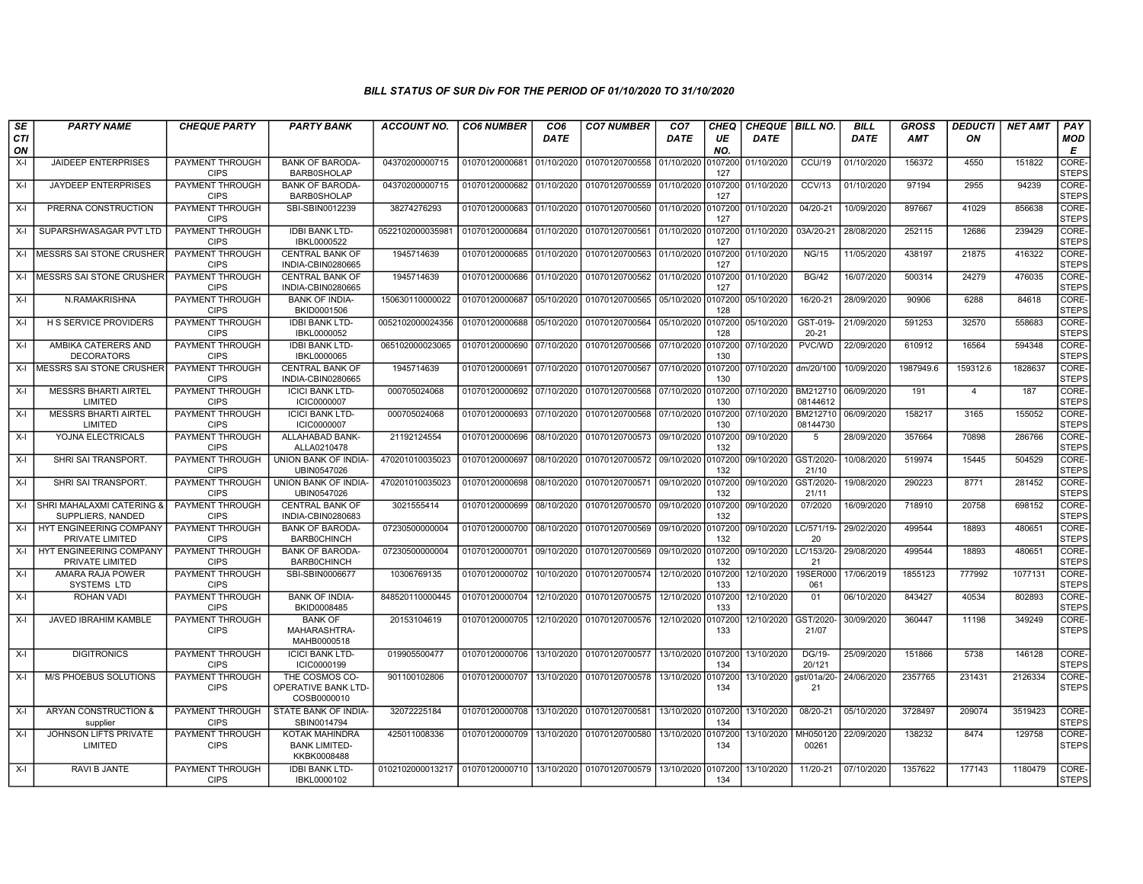| SE        | <b>PARTY NAME</b>                                  | <b>CHEQUE PARTY</b>                   | <b>PARTY BANK</b>                                           | <b>ACCOUNT NO.</b> | <b>CO6 NUMBER</b>         | CO6        | <b>CO7 NUMBER</b>                        | CO <sub>7</sub> | CHEQ           | <b>CHEQUE   BILL NO.</b> |                       | <b>BILL</b> | <b>GROSS</b> | <b>DEDUCTI</b> | <b>NET AMT</b> | PAY                   |
|-----------|----------------------------------------------------|---------------------------------------|-------------------------------------------------------------|--------------------|---------------------------|------------|------------------------------------------|-----------------|----------------|--------------------------|-----------------------|-------------|--------------|----------------|----------------|-----------------------|
| CTI<br>ON |                                                    |                                       |                                                             |                    |                           | DATE       |                                          | DATE            | UE<br>NO.      | <b>DATE</b>              |                       | <b>DATE</b> | <b>AMT</b>   | ON             |                | MOD<br>Е              |
| $X-I$     | <b>JAIDEEP ENTERPRISES</b>                         | PAYMENT THROUGH<br><b>CIPS</b>        | <b>BANK OF BARODA-</b><br><b>BARB0SHOLAP</b>                | 04370200000715     | 01070120000681            | 01/10/2020 | 01070120700558                           | 01/10/2020      | 0107200<br>127 | 01/10/2020               | <b>CCU/19</b>         | 01/10/2020  | 156372       | 4550           | 151822         | CORE-<br><b>STEPS</b> |
| $X-I$     | <b>JAYDEEP ENTERPRISES</b>                         | <b>PAYMENT THROUGH</b><br><b>CIPS</b> | <b>BANK OF BARODA-</b><br><b>BARB0SHOLAP</b>                | 04370200000715     | 01070120000682            | 01/10/2020 | 01070120700559                           | 01/10/2020      | 0107200<br>127 | 01/10/2020               | CCV/13                | 01/10/2020  | 97194        | 2955           | 94239          | CORE-<br><b>STEPS</b> |
| X-I       | PRERNA CONSTRUCTION                                | PAYMENT THROUGH<br><b>CIPS</b>        | SBI-SBIN0012239                                             | 38274276293        | 01070120000683            | 01/10/2020 | 01070120700560                           | 01/10/2020      | 0107200<br>127 | 01/10/2020               | 04/20-21              | 10/09/2020  | 897667       | 41029          | 856638         | CORE-<br><b>STEPS</b> |
| $X-I$     | SUPARSHWASAGAR PVT LTD                             | PAYMENT THROUGH<br><b>CIPS</b>        | <b>IDBI BANK LTD-</b><br>IBKL0000522                        | 052210200003598    | 01070120000684            | 01/10/2020 | 01070120700561                           | 01/10/2020      | 107200<br>127  | 01/10/2020               | 03A/20-21             | 28/08/2020  | 252115       | 12686          | 239429         | CORE-<br><b>STEPS</b> |
|           | X-I   MESSRS SAI STONE CRUSHER                     | PAYMENT THROUGH<br><b>CIPS</b>        | <b>CENTRAL BANK OF</b><br>INDIA-CBIN0280665                 | 1945714639         | 01070120000685            | 01/10/2020 | 01070120700563                           | 01/10/2020      | 0107200<br>127 | 01/10/2020               | <b>NG/15</b>          | 11/05/2020  | 438197       | 21875          | 416322         | CORE-<br><b>STEPS</b> |
| X-I       | <b>IMESSRS SAI STONE CRUSHER</b>                   | PAYMENT THROUGH<br><b>CIPS</b>        | <b>CENTRAL BANK OF</b><br>INDIA-CBIN0280665                 | 1945714639         | 01070120000686            | 01/10/2020 | 01070120700562                           | 01/10/2020      | 0107200<br>127 | 01/10/2020               | <b>BG/42</b>          | 16/07/2020  | 500314       | 24279          | 476035         | CORE-<br><b>STEPS</b> |
| $X-I$     | N.RAMAKRISHNA                                      | PAYMENT THROUGH<br><b>CIPS</b>        | <b>BANK OF INDIA-</b><br>BKID0001506                        | 150630110000022    | 01070120000687            | 05/10/2020 | 01070120700565                           | 05/10/2020      | 0107200<br>128 | 05/10/2020               | 16/20-21              | 28/09/2020  | 90906        | 6288           | 84618          | CORE-<br><b>STEPS</b> |
| $X-I$     | <b>H S SERVICE PROVIDERS</b>                       | PAYMENT THROUGH<br><b>CIPS</b>        | <b>IDBI BANK LTD-</b><br>IBKL0000052                        | 0052102000024356   | 01070120000688            | 05/10/2020 | 01070120700564                           | 05/10/2020      | 0107200<br>128 | 05/10/2020               | GST-019-<br>$20 - 21$ | 21/09/2020  | 591253       | 32570          | 558683         | CORE-<br><b>STEPS</b> |
| $X-I$     | AMBIKA CATERERS AND<br><b>DECORATORS</b>           | <b>PAYMENT THROUGH</b><br><b>CIPS</b> | <b>IDBI BANK LTD-</b><br>IBKL0000065                        | 065102000023065    | 01070120000690            | 07/10/2020 | 01070120700566                           | 07/10/2020      | 0107200<br>130 | 07/10/2020               | PVC/WD                | 22/09/2020  | 610912       | 16564          | 594348         | CORE-<br><b>STEPS</b> |
| $X-I$     | MESSRS SAI STONE CRUSHER                           | <b>PAYMENT THROUGH</b><br><b>CIPS</b> | <b>CENTRAL BANK OF</b><br>INDIA-CBIN0280665                 | 1945714639         | 01070120000691            | 07/10/2020 | 01070120700567                           | 07/10/2020      | 0107200<br>130 | 07/10/2020               | dm/20/100             | 10/09/2020  | 1987949.6    | 159312.6       | 1828637        | CORE-<br><b>STEPS</b> |
| $X-I$     | <b>MESSRS BHARTI AIRTEL</b><br>LIMITED             | PAYMENT THROUGH<br><b>CIPS</b>        | <b>ICICI BANK LTD-</b><br><b>ICIC0000007</b>                | 000705024068       | 01070120000692            | 07/10/2020 | 01070120700568                           | 07/10/2020      | 107200<br>130  | 07/10/2020               | BM212710<br>08144612  | 06/09/2020  | 191          | $\overline{4}$ | 187            | CORE-<br><b>STEPS</b> |
| $X-I$     | <b>MESSRS BHARTI AIRTEL</b><br>LIMITED             | <b>PAYMENT THROUGH</b><br><b>CIPS</b> | <b>ICICI BANK LTD-</b><br>ICIC0000007                       | 000705024068       | 01070120000693            | 07/10/2020 | 01070120700568                           | 07/10/2020      | 0107200<br>130 | 07/10/2020               | BM212710<br>08144730  | 06/09/2020  | 158217       | 3165           | 155052         | CORE-<br><b>STEPS</b> |
| X-I       | YOJNA ELECTRICALS                                  | PAYMENT THROUGH<br><b>CIPS</b>        | ALLAHABAD BANK-<br>ALLA0210478                              | 21192124554        | 01070120000696            | 08/10/2020 | 01070120700573                           | 09/10/2020      | 0107200<br>132 | 09/10/2020               | -5                    | 28/09/2020  | 357664       | 70898          | 286766         | CORE-<br><b>STEPS</b> |
| $X-I$     | SHRI SAI TRANSPORT.                                | <b>PAYMENT THROUGH</b><br><b>CIPS</b> | UNION BANK OF INDIA-<br>UBIN0547026                         | 470201010035023    | 01070120000697            | 08/10/2020 | 01070120700572                           | 09/10/2020      | 0107200<br>132 | 09/10/2020               | GST/2020<br>21/10     | 10/08/2020  | 519974       | 15445          | 504529         | CORE-<br><b>STEPS</b> |
| $X-I$     | SHRI SAI TRANSPORT.                                | PAYMENT THROUGH<br><b>CIPS</b>        | UNION BANK OF INDIA-<br>UBIN0547026                         | 470201010035023    | 01070120000698            | 08/10/2020 | 01070120700571                           | 09/10/2020      | 0107200<br>132 | 09/10/2020               | GST/2020<br>21/11     | 19/08/2020  | 290223       | 8771           | 281452         | CORE-<br><b>STEPS</b> |
|           | X-I SHRI MAHALAXMI CATERING &<br>SUPPLIERS, NANDED | PAYMENT THROUGH<br><b>CIPS</b>        | <b>CENTRAL BANK OF</b><br>INDIA-CBIN0280683                 | 3021555414         | 01070120000699            | 08/10/2020 | 01070120700570                           | 09/10/2020      | 0107200<br>132 | 09/10/2020               | 07/2020               | 16/09/2020  | 718910       | 20758          | 698152         | CORE-<br><b>STEPS</b> |
| X-I       | <b>HYT ENGINEERING COMPANY</b><br>PRIVATE LIMITED  | PAYMENT THROUGH<br><b>CIPS</b>        | <b>BANK OF BARODA-</b><br><b>BARB0CHINCH</b>                | 07230500000004     | 01070120000700 08/10/2020 |            | 01070120700569                           | 09/10/2020      | 0107200<br>132 | 09/10/2020   LC/571/19-  | 20                    | 29/02/2020  | 499544       | 18893          | 480651         | CORE-<br><b>STEPS</b> |
| $X-I$     | <b>HYT ENGINEERING COMPANY</b><br>PRIVATE LIMITED  | PAYMENT THROUGH<br><b>CIPS</b>        | <b>BANK OF BARODA-</b><br><b>BARBOCHINCH</b>                | 07230500000004     | 01070120000701            | 09/10/2020 | 01070120700569                           | 09/10/2020      | 107200<br>132  | 09/10/2020               | LC/153/20-<br>21      | 29/08/2020  | 499544       | 18893          | 480651         | CORE-<br><b>STEPS</b> |
| $X-I$     | AMARA RAJA POWER<br>SYSTEMS LTD                    | PAYMENT THROUGH<br><b>CIPS</b>        | SBI-SBIN0006677                                             | 10306769135        | 01070120000702            | 10/10/2020 | 01070120700574                           | 12/10/2020      | 0107200<br>133 | 12/10/2020               | 19SER000<br>061       | 17/06/2019  | 1855123      | 777992         | 1077131        | CORE-<br><b>STEPS</b> |
| $X-I$     | <b>ROHAN VADI</b>                                  | PAYMENT THROUGH<br><b>CIPS</b>        | <b>BANK OF INDIA-</b><br>BKID0008485                        | 848520110000445    | 01070120000704            | 12/10/2020 | 01070120700575                           | 12/10/2020      | 0107200<br>133 | 12/10/2020               | 01                    | 06/10/2020  | 843427       | 40534          | 802893         | CORE-<br><b>STEPS</b> |
| $X-I$     | JAVED IBRAHIM KAMBLE                               | PAYMENT THROUGH<br><b>CIPS</b>        | <b>BANK OF</b><br>MAHARASHTRA-<br>MAHB0000518               | 20153104619        |                           |            | 01070120000705 12/10/2020 01070120700576 | 12/10/2020      | 0107200<br>133 | 12/10/2020               | GST/2020<br>21/07     | 30/09/2020  | 360447       | 11198          | 349249         | CORE-<br><b>STEPS</b> |
| $X-I$     | <b>DIGITRONICS</b>                                 | PAYMENT THROUGH<br><b>CIPS</b>        | <b>ICICI BANK LTD-</b><br>ICIC0000199                       | 019905500477       | 01070120000706            | 13/10/2020 | 01070120700577                           | 13/10/2020      | 0107200<br>134 | 13/10/2020               | DG/19-<br>20/121      | 25/09/2020  | 151866       | 5738           | 146128         | CORE-<br><b>STEPS</b> |
| $X-I$     | <b>M/S PHOEBUS SOLUTIONS</b>                       | PAYMENT THROUGH<br><b>CIPS</b>        | THE COSMOS CO-<br><b>OPERATIVE BANK LTD-</b><br>COSB0000010 | 901100102806       | 01070120000707            | 13/10/2020 | 01070120700578                           | 13/10/2020      | 0107200<br>134 | 13/10/2020               | ast/01a/20<br>21      | 24/06/2020  | 2357765      | 231431         | 2126334        | CORE-<br><b>STEPS</b> |
| $X-I$     | ARYAN CONSTRUCTION &<br>supplier                   | PAYMENT THROUGH<br><b>CIPS</b>        | STATE BANK OF INDIA-<br>SBIN0014794                         | 32072225184        | 01070120000708            | 13/10/2020 | 01070120700581                           | 13/10/2020      | 0107200<br>134 | 13/10/2020               | 08/20-21              | 05/10/2020  | 3728497      | 209074         | 3519423        | CORE-<br><b>STEPS</b> |
| $X-I$     | JOHNSON LIFTS PRIVATE<br>LIMITED                   | PAYMENT THROUGH<br><b>CIPS</b>        | KOTAK MAHINDRA<br><b>BANK LIMITED-</b><br>KKBK0008488       | 425011008336       | 01070120000709            | 13/10/2020 | 01070120700580                           | 13/10/2020      | 0107200<br>134 | 13/10/2020               | MH050120<br>00261     | 22/09/2020  | 138232       | 8474           | 129758         | CORE-<br><b>STEPS</b> |
| $X-I$     | RAVI B JANTE                                       | PAYMENT THROUGH<br><b>CIPS</b>        | <b>IDBI BANK LTD-</b><br>IBKL0000102                        | 0102102000013217   | 01070120000710            | 13/10/2020 | 01070120700579                           | 13/10/2020      | 0107200<br>134 | 13/10/2020               | 11/20-21              | 07/10/2020  | 1357622      | 177143         | 1180479        | CORE-<br><b>STEPS</b> |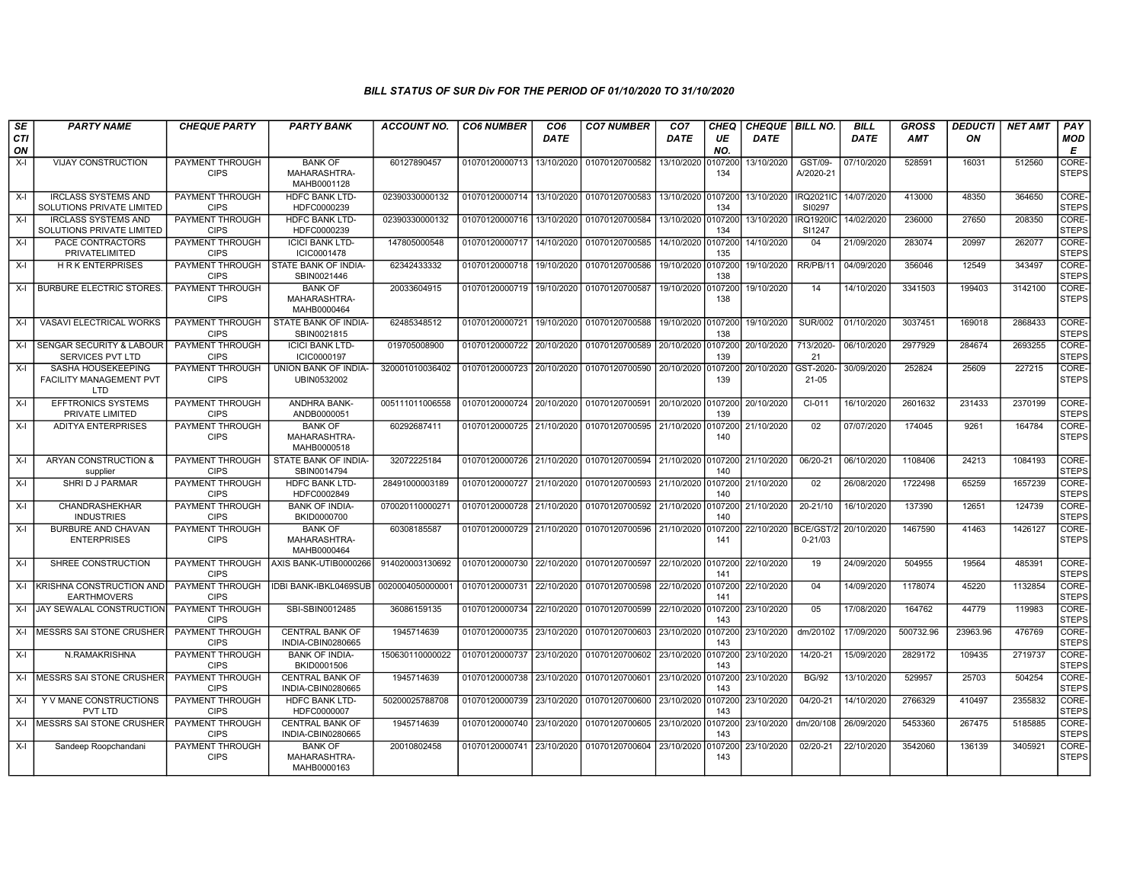| SE               | <b>PARTY NAME</b>                                              | <b>CHEQUE PARTY</b>                   | <b>PARTY BANK</b>                             | ACCOUNT NO.     | <b>CO6 NUMBER</b>         | CO <sub>6</sub> | <b>CO7 NUMBER</b> | CO <sub>7</sub> | CHEQ           | <b>CHEQUE   BILL NO.</b> |                            | <b>BILL</b> | GROSS      | <b>DEDUCTI</b> | <b>NET AMT</b> | <b>PAY</b>            |
|------------------|----------------------------------------------------------------|---------------------------------------|-----------------------------------------------|-----------------|---------------------------|-----------------|-------------------|-----------------|----------------|--------------------------|----------------------------|-------------|------------|----------------|----------------|-----------------------|
| <b>CTI</b><br>ON |                                                                |                                       |                                               |                 |                           | <b>DATE</b>     |                   | DATE            | UE<br>NO.      | <b>DATE</b>              |                            | <b>DATE</b> | <b>AMT</b> | ON             |                | MOD<br>E              |
| $X-I$            | <b>VIJAY CONSTRUCTION</b>                                      | <b>PAYMENT THROUGH</b><br><b>CIPS</b> | <b>BANK OF</b><br>MAHARASHTRA-<br>MAHB0001128 | 60127890457     | 01070120000713            | 13/10/2020      | 01070120700582    | 13/10/2020      | 107200<br>134  | 13/10/2020               | GST/09-<br>A/2020-21       | 07/10/2020  | 528591     | 16031          | 512560         | CORE-<br><b>STEPS</b> |
| $X-I$            | <b>IRCLASS SYSTEMS AND</b><br>SOLUTIONS PRIVATE LIMITED        | PAYMENT THROUGH<br><b>CIPS</b>        | <b>HDFC BANK LTD-</b><br>HDFC0000239          | 02390330000132  | 01070120000714            | 13/10/2020      | 01070120700583    | 13/10/2020      | 0107200<br>134 | 13/10/2020               | <b>IRQ2021IC</b><br>SI0297 | 14/07/2020  | 413000     | 48350          | 364650         | CORE-<br><b>STEPS</b> |
| $X-I$            | <b>IRCLASS SYSTEMS AND</b><br><b>SOLUTIONS PRIVATE LIMITED</b> | <b>PAYMENT THROUGH</b><br><b>CIPS</b> | <b>HDFC BANK LTD-</b><br>HDFC0000239          | 02390330000132  | 01070120000716            | 13/10/2020      | 01070120700584    | 13/10/2020      | 0107200<br>134 | 13/10/2020               | <b>IRQ1920IC</b><br>SI1247 | 14/02/2020  | 236000     | 27650          | 208350         | CORE-<br><b>STEPS</b> |
| $X-I$            | PACE CONTRACTORS<br>PRIVATELIMITED                             | <b>PAYMENT THROUGH</b><br><b>CIPS</b> | <b>ICICI BANK LTD-</b><br>ICIC0001478         | 147805000548    | 01070120000717            | 14/10/2020      | 01070120700585    | 14/10/2020      | 0107200<br>135 | 14/10/2020               | 04                         | 21/09/2020  | 283074     | 20997          | 262077         | CORE-<br><b>STEPS</b> |
| $X-I$            | <b>HRK ENTERPRISES</b>                                         | PAYMENT THROUGH<br><b>CIPS</b>        | STATE BANK OF INDIA-<br>SBIN0021446           | 62342433332     | 01070120000718            | 19/10/2020      | 01070120700586    | 19/10/2020      | 107200<br>138  | 19/10/2020               | RR/PB/11                   | 04/09/2020  | 356046     | 12549          | 343497         | CORE-<br><b>STEPS</b> |
| X-I              | <b>BURBURE ELECTRIC STORES</b>                                 | PAYMENT THROUGH<br><b>CIPS</b>        | <b>BANK OF</b><br>MAHARASHTRA-<br>MAHB0000464 | 20033604915     | 01070120000719            | 19/10/2020      | 01070120700587    | 19/10/2020      | 0107200<br>138 | 19/10/2020               | 14                         | 14/10/2020  | 3341503    | 199403         | 3142100        | CORE-<br><b>STEPS</b> |
| $X-I$            | VASAVI ELECTRICAL WORKS                                        | PAYMENT THROUGH<br><b>CIPS</b>        | STATE BANK OF INDIA-<br>SBIN0021815           | 62485348512     | 01070120000721            | 19/10/2020      | 01070120700588    | 19/10/2020      | 0107200<br>138 | 19/10/2020               | <b>SUR/002</b>             | 01/10/2020  | 3037451    | 169018         | 2868433        | CORE-<br><b>STEPS</b> |
| $X-I$            | <b>SENGAR SECURITY &amp; LABOUR</b><br>SERVICES PVT LTD        | PAYMENT THROUGH<br><b>CIPS</b>        | <b>ICICI BANK LTD-</b><br>ICIC0000197         | 019705008900    | 01070120000722            | 20/10/2020      | 01070120700589    | 20/10/2020      | 0107200<br>139 | 20/10/2020               | 713/2020-<br>21            | 06/10/2020  | 2977929    | 284674         | 2693255        | CORE-<br><b>STEPS</b> |
| $X-I$            | SASHA HOUSEKEEPING<br>FACILITY MANAGEMENT PVT<br><b>LTD</b>    | <b>PAYMENT THROUGH</b><br><b>CIPS</b> | UNION BANK OF INDIA-<br>UBIN0532002           | 320001010036402 | 01070120000723            | 20/10/2020      | 01070120700590    | 20/10/2020      | 0107200<br>139 | 20/10/2020               | GST-2020<br>$21 - 05$      | 30/09/2020  | 252824     | 25609          | 227215         | CORE-<br><b>STEPS</b> |
| $X-I$            | <b>EFFTRONICS SYSTEMS</b><br>PRIVATE LIMITED                   | PAYMENT THROUGH<br><b>CIPS</b>        | ANDHRA BANK-<br>ANDB0000051                   | 005111011006558 | 01070120000724            | 20/10/2020      | 01070120700591    | 20/10/2020      | 0107200<br>139 | 20/10/2020               | CI-011                     | 16/10/2020  | 2601632    | 231433         | 2370199        | CORE-<br><b>STEPS</b> |
| $X-I$            | <b>ADITYA ENTERPRISES</b>                                      | PAYMENT THROUGH<br><b>CIPS</b>        | <b>BANK OF</b><br>MAHARASHTRA-<br>MAHB0000518 | 60292687411     | 01070120000725 21/10/2020 |                 | 01070120700595    | 21/10/2020      | 0107200<br>140 | 21/10/2020               | 02                         | 07/07/2020  | 174045     | 9261           | 164784         | CORE-<br><b>STEPS</b> |
| $X-I$            | ARYAN CONSTRUCTION &<br>supplier                               | PAYMENT THROUGH<br><b>CIPS</b>        | STATE BANK OF INDIA-<br>SBIN0014794           | 32072225184     | 01070120000726            | 21/10/2020      | 01070120700594    | 21/10/2020      | 107200<br>140  | 21/10/2020               | 06/20-21                   | 06/10/2020  | 1108406    | 24213          | 1084193        | CORE-<br><b>STEPS</b> |
| $X-I$            | SHRI D J PARMAR                                                | PAYMENT THROUGH<br><b>CIPS</b>        | <b>HDFC BANK LTD-</b><br>HDFC0002849          | 28491000003189  | 01070120000727 21/10/2020 |                 | 01070120700593    | 21/10/2020      | 0107200<br>140 | 21/10/2020               | 02                         | 26/08/2020  | 1722498    | 65259          | 1657239        | CORE-<br><b>STEPS</b> |
| $X-I$            | CHANDRASHEKHAR<br><b>INDUSTRIES</b>                            | PAYMENT THROUGH<br><b>CIPS</b>        | <b>BANK OF INDIA-</b><br>BKID0000700          | 070020110000271 | 01070120000728            | 21/10/2020      | 01070120700592    | 21/10/2020      | 0107200<br>140 | 21/10/2020               | 20-21/10                   | 16/10/2020  | 137390     | 12651          | 124739         | CORE-<br><b>STEPS</b> |
| $X-I$            | <b>BURBURE AND CHAVAN</b><br><b>ENTERPRISES</b>                | <b>PAYMENT THROUGH</b><br><b>CIPS</b> | <b>BANK OF</b><br>MAHARASHTRA-<br>MAHB0000464 | 60308185587     | 01070120000729            | 21/10/2020      | 01070120700596    | 21/10/2020      | 107200<br>141  | 22/10/2020               | BCE/GST/2<br>$0 - 21/03$   | 20/10/2020  | 1467590    | 41463          | 1426127        | CORE-<br><b>STEPS</b> |
| $X-I$            | SHREE CONSTRUCTION                                             | PAYMENT THROUGH<br><b>CIPS</b>        | AXIS BANK-UTIB0000266                         | 914020003130692 | 01070120000730 22/10/2020 |                 | 01070120700597    | 22/10/2020      | 107200<br>141  | 22/10/2020               | 19                         | 24/09/2020  | 504955     | 19564          | 485391         | CORE-<br><b>STEPS</b> |
| X-I              | KRISHNA CONSTRUCTION AND<br><b>EARTHMOVERS</b>                 | <b>PAYMENT THROUGH</b><br><b>CIPS</b> | IDBI BANK-IBKL0469SUB                         | 002000405000000 | 01070120000731            | 22/10/2020      | 01070120700598    | 22/10/2020      | 0107200<br>141 | 22/10/2020               | 04                         | 14/09/2020  | 1178074    | 45220          | 1132854        | CORE-<br><b>STEPS</b> |
| $X-I$            | JAY SEWALAL CONSTRUCTION                                       | PAYMENT THROUGH<br><b>CIPS</b>        | SBI-SBIN0012485                               | 36086159135     | 01070120000734            | 22/10/2020      | 01070120700599    | 22/10/2020      | 107200<br>143  | 23/10/2020               | 05                         | 17/08/2020  | 164762     | 44779          | 119983         | CORE-<br><b>STEPS</b> |
| $X-I$            | <b>MESSRS SAI STONE CRUSHER</b>                                | PAYMENT THROUGH<br><b>CIPS</b>        | <b>CENTRAL BANK OF</b><br>INDIA-CBIN0280665   | 1945714639      | 01070120000735            | 23/10/2020      | 01070120700603    | 23/10/2020      | 0107200<br>143 | 23/10/2020               | dm/20102                   | 17/09/2020  | 500732.96  | 23963.96       | 476769         | CORE-<br><b>STEPS</b> |
| $X-I$            | N.RAMAKRISHNA                                                  | PAYMENT THROUGH<br><b>CIPS</b>        | <b>BANK OF INDIA-</b><br>BKID0001506          | 150630110000022 | 01070120000737            | 23/10/2020      | 01070120700602    | 23/10/2020      | 0107200<br>143 | 23/10/2020               | 14/20-21                   | 15/09/2020  | 2829172    | 109435         | 2719737        | CORE-<br><b>STEPS</b> |
| $X-I$            | <b>IMESSRS SAI STONE CRUSHER</b>                               | PAYMENT THROUGH<br><b>CIPS</b>        | <b>CENTRAL BANK OF</b><br>INDIA-CBIN0280665   | 1945714639      | 01070120000738 23/10/2020 |                 | 01070120700601    | 23/10/2020      | 107200<br>143  | 23/10/2020               | <b>BG/92</b>               | 13/10/2020  | 529957     | 25703          | 504254         | CORE-<br><b>STEPS</b> |
| X-I              | Y V MANE CONSTRUCTIONS<br><b>PVT LTD</b>                       | PAYMENT THROUGH<br><b>CIPS</b>        | <b>HDFC BANK LTD-</b><br>HDFC0000007          | 50200025788708  | 01070120000739 23/10/2020 |                 | 01070120700600    | 23/10/2020      | 0107200<br>143 | 23/10/2020               | 04/20-21                   | 14/10/2020  | 2766329    | 410497         | 2355832        | CORE-<br><b>STEPS</b> |
| $X-I$            | <b>MESSRS SAI STONE CRUSHER</b>                                | PAYMENT THROUGH<br><b>CIPS</b>        | <b>CENTRAL BANK OF</b><br>INDIA-CBIN0280665   | 1945714639      | 01070120000740            | 23/10/2020      | 01070120700605    | 23/10/2020      | 107200<br>143  | 23/10/2020               | dm/20/108                  | 26/09/2020  | 5453360    | 267475         | 5185885        | CORE-<br><b>STEPS</b> |
| $X-I$            | Sandeep Roopchandani                                           | PAYMENT THROUGH<br><b>CIPS</b>        | <b>BANK OF</b><br>MAHARASHTRA-<br>MAHB0000163 | 20010802458     | 01070120000741            | 23/10/2020      | 01070120700604    | 23/10/2020      | 0107200<br>143 | 23/10/2020               | 02/20-21                   | 22/10/2020  | 3542060    | 136139         | 3405921        | CORE-<br><b>STEPS</b> |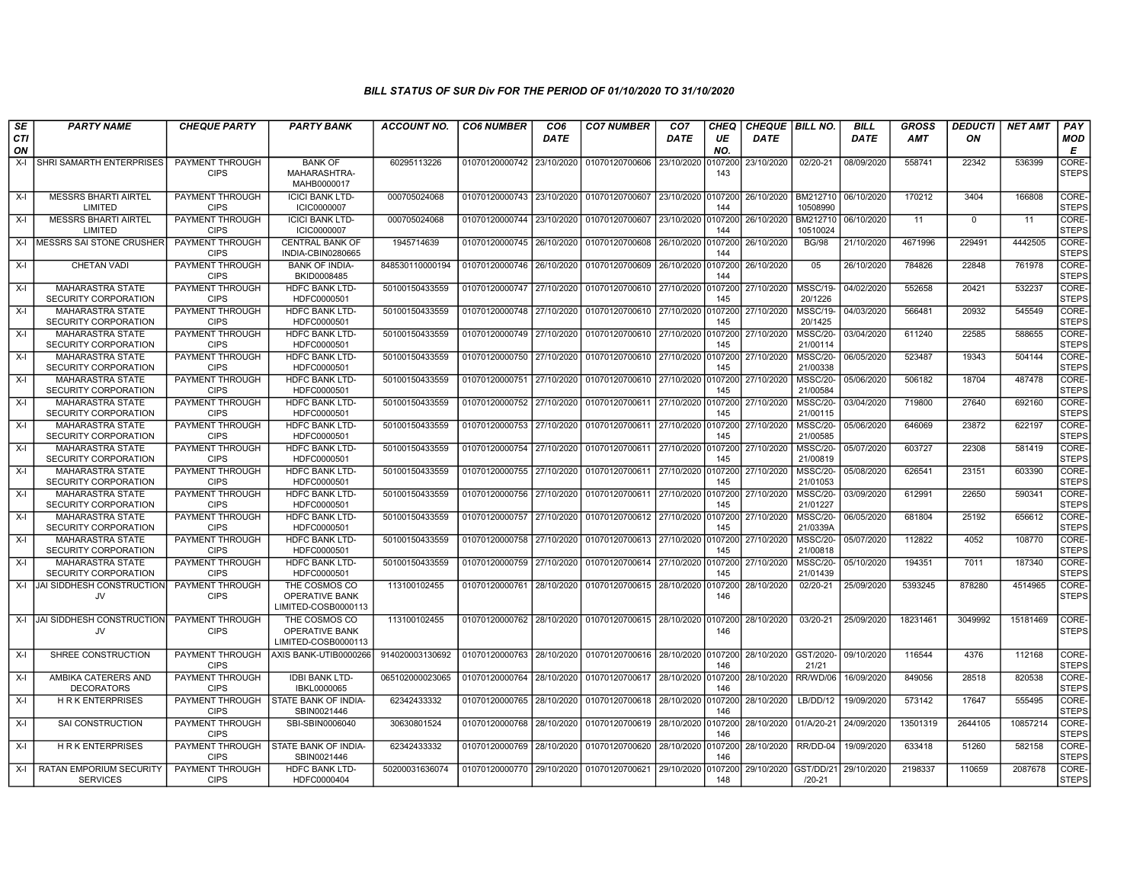| SE        | <b>PARTY NAME</b>                                | <b>CHEQUE PARTY</b>                   | <b>PARTY BANK</b>                                             | ACCOUNT NO.     | <b>CO6 NUMBER</b>                        | CO <sub>6</sub> | <b>CO7 NUMBER</b>                 | CO <sub>7</sub>       | CHEQ           | <b>CHEQUE   BILL NO.</b> |                             | <b>BILL</b> | <b>GROSS</b> | <i><b>DEDUCTI</b></i> | <b>NET AMT</b> | <b>PAY</b>                  |
|-----------|--------------------------------------------------|---------------------------------------|---------------------------------------------------------------|-----------------|------------------------------------------|-----------------|-----------------------------------|-----------------------|----------------|--------------------------|-----------------------------|-------------|--------------|-----------------------|----------------|-----------------------------|
| CTI<br>ON |                                                  |                                       |                                                               |                 |                                          | DATE            |                                   | DATE                  | UE<br>NO.      | DATE                     |                             | <b>DATE</b> | <b>AMT</b>   | ON                    |                | MOD<br>Е                    |
| X-I       | SHRI SAMARTH ENTERPRISES                         | PAYMENT THROUGH<br><b>CIPS</b>        | <b>BANK OF</b><br>MAHARASHTRA-<br>MAHB0000017                 | 60295113226     | 01070120000742 23/10/2020                |                 | 01070120700606                    | 23/10/2020            | 0107200<br>143 | 23/10/2020               | 02/20-21                    | 08/09/2020  | 558741       | 22342                 | 536399         | CORE-<br><b>STEPS</b>       |
| X-I       | <b>MESSRS BHARTI AIRTEL</b><br>LIMITED           | <b>PAYMENT THROUGH</b><br><b>CIPS</b> | <b>ICICI BANK LTD-</b><br><b>ICIC0000007</b>                  | 000705024068    | 01070120000743 23/10/2020                |                 | 01070120700607                    | l 23/10/2020 l0107200 | 144            | 26/10/2020               | BM212710<br>10508990        | 06/10/2020  | 170212       | 3404                  | 166808         | <b>CORE</b><br><b>STEPS</b> |
| X-I       | <b>MESSRS BHARTI AIRTEL</b><br>LIMITED           | <b>PAYMENT THROUGH</b><br><b>CIPS</b> | <b>ICICI BANK LTD-</b><br><b>ICIC0000007</b>                  | 000705024068    | 01070120000744 23/10/2020                |                 | 01070120700607                    | 23/10/2020 0107200    | 144            | 26/10/2020               | BM212710<br>10510024        | 06/10/2020  | 11           | $\mathbf 0$           | 11             | CORE-<br><b>STEPS</b>       |
|           | X-I MESSRS SAI STONE CRUSHER                     | <b>PAYMENT THROUGH</b><br><b>CIPS</b> | <b>CENTRAL BANK OF</b><br>INDIA-CBIN0280665                   | 1945714639      | 01070120000745 26/10/2020                |                 | 01070120700608                    | 26/10/2020            | 0107200<br>144 | 26/10/2020               | <b>BG/98</b>                | 21/10/2020  | 4671996      | 229491                | 4442505        | CORE-<br><b>STEPS</b>       |
| $X-I$     | CHETAN VADI                                      | PAYMENT THROUGH<br><b>CIPS</b>        | <b>BANK OF INDIA-</b><br>BKID0008485                          | 848530110000194 | 01070120000746 26/10/2020                |                 | 01070120700609                    | 26/10/2020 0107200    | 144            | 26/10/2020               | 05                          | 26/10/2020  | 784826       | 22848                 | 761978         | CORE-<br><b>STEPS</b>       |
| X-I       | <b>MAHARASTRA STATE</b><br>SECURITY CORPORATION  | <b>PAYMENT THROUGH</b><br><b>CIPS</b> | <b>HDFC BANK LTD-</b><br>HDFC0000501                          | 50100150433559  | 01070120000747 27/10/2020                |                 | 01070120700610                    | 27/10/2020 0107200    | 145            | 27/10/2020               | <b>MSSC/19-</b><br>20/1226  | 04/02/2020  | 552658       | 20421                 | 532237         | CORE-<br><b>STEPS</b>       |
| X-I       | <b>MAHARASTRA STATE</b><br>SECURITY CORPORATION  | <b>PAYMENT THROUGH</b><br><b>CIPS</b> | <b>HDFC BANK LTD-</b><br>HDFC0000501                          | 50100150433559  | 01070120000748 27/10/2020                |                 | 01070120700610 27/10/2020 0107200 |                       | 145            | 27/10/2020               | <b>MSSC/19-</b><br>20/1425  | 04/03/2020  | 566481       | 20932                 | 545549         | CORE-<br><b>STEPS</b>       |
| X-I       | MAHARASTRA STATE<br>SECURITY CORPORATION         | <b>PAYMENT THROUGH</b><br><b>CIPS</b> | <b>HDFC BANK LTD-</b><br>HDFC0000501                          | 50100150433559  | 01070120000749 27/10/2020                |                 | 01070120700610 27/10/2020         |                       | 0107200<br>145 | 27/10/2020               | <b>MSSC/20-</b><br>21/00114 | 03/04/2020  | 611240       | 22585                 | 588655         | CORE-<br><b>STEPS</b>       |
| $X-I$     | MAHARASTRA STATE<br>SECURITY CORPORATION         | PAYMENT THROUGH<br><b>CIPS</b>        | <b>HDFC BANK LTD-</b><br>HDFC0000501                          | 50100150433559  | 01070120000750 27/10/2020                |                 | 01070120700610                    | 27/10/2020            | 0107200<br>145 | 27/10/2020               | MSSC/20-<br>21/00338        | 06/05/2020  | 523487       | 19343                 | 504144         | CORE-<br><b>STEPS</b>       |
| X-I       | <b>MAHARASTRA STATE</b><br>SECURITY CORPORATION  | <b>PAYMENT THROUGH</b><br><b>CIPS</b> | <b>HDFC BANK LTD</b><br>HDFC0000501                           | 50100150433559  | 01070120000751                           | 27/10/2020      | 01070120700610 27/10/2020         |                       | 0107200<br>145 | 27/10/2020               | MSSC/20-<br>21/00584        | 05/06/2020  | 506182       | 18704                 | 487478         | CORE-<br><b>STEPS</b>       |
| X-I       | <b>MAHARASTRA STATE</b><br>SECURITY CORPORATION  | PAYMENT THROUGH<br><b>CIPS</b>        | <b>HDFC BANK LTD-</b><br>HDFC0000501                          | 50100150433559  | 01070120000752 27/10/2020                |                 | 01070120700611                    | 27/10/2020            | 0107200<br>145 | 27/10/2020               | MSSC/20-<br>21/00115        | 03/04/2020  | 719800       | 27640                 | 692160         | CORE-<br><b>STEPS</b>       |
| X-I       | <b>MAHARASTRA STATE</b><br>SECURITY CORPORATION  | <b>PAYMENT THROUGH</b><br><b>CIPS</b> | <b>HDFC BANK LTD-</b><br>HDFC0000501                          | 50100150433559  | 01070120000753 27/10/2020                |                 | 01070120700611 27/10/2020 0107200 |                       | 145            | 27/10/2020               | <b>MSSC/20-</b><br>21/00585 | 05/06/2020  | 646069       | 23872                 | 622197         | CORE-<br><b>STEPS</b>       |
| X-I       | MAHARASTRA STATE<br>SECURITY CORPORATION         | PAYMENT THROUGH<br><b>CIPS</b>        | <b>HDFC BANK LTD-</b><br>HDFC0000501                          | 50100150433559  | 01070120000754                           | 27/10/2020      | 01070120700611                    | 27/10/2020            | 0107200<br>145 | 27/10/2020               | <b>MSSC/20-</b><br>21/00819 | 05/07/2020  | 603727       | 22308                 | 581419         | CORE-<br><b>STEPS</b>       |
| $X-I$     | <b>MAHARASTRA STATE</b><br>SECURITY CORPORATION  | <b>PAYMENT THROUGH</b><br><b>CIPS</b> | <b>HDFC BANK LTD-</b><br>HDFC0000501                          | 50100150433559  | 01070120000755 27/10/2020                |                 | 01070120700611                    | 27/10/2020 0107200    | 145            | 27/10/2020               | <b>MSSC/20-</b><br>21/01053 | 05/08/2020  | 626541       | 23151                 | 603390         | CORE-<br><b>STEPS</b>       |
| X-I       | <b>MAHARASTRA STATE</b><br>SECURITY CORPORATION  | <b>PAYMENT THROUGH</b><br><b>CIPS</b> | <b>HDFC BANK LTD-</b><br>HDFC0000501                          | 50100150433559  | 01070120000756 27/10/2020                |                 | 01070120700611                    | 27/10/2020 0107200    | 145            | 27/10/2020               | <b>MSSC/20-</b><br>21/01227 | 03/09/2020  | 612991       | 22650                 | 590341         | CORE-<br><b>STEPS</b>       |
| X-I       | MAHARASTRA STATE<br>SECURITY CORPORATION         | <b>PAYMENT THROUGH</b><br><b>CIPS</b> | <b>HDFC BANK LTD-</b><br>HDFC0000501                          | 50100150433559  | 01070120000757 27/10/2020                |                 | 01070120700612                    | 27/10/2020            | 0107200<br>145 | 27/10/2020               | <b>MSSC/20-</b><br>21/0339A | 06/05/2020  | 681804       | 25192                 | 656612         | CORE-<br><b>STEPS</b>       |
| X-I       | <b>MAHARASTRA STATE</b><br>SECURITY CORPORATION  | PAYMENT THROUGH<br><b>CIPS</b>        | <b>HDFC BANK LTD-</b><br>HDFC0000501                          | 50100150433559  | 01070120000758 27/10/2020                |                 | 01070120700613 27/10/2020         |                       | 0107200<br>145 | 27/10/2020               | MSSC/20-<br>21/00818        | 05/07/2020  | 112822       | 4052                  | 108770         | CORE-<br>STEPS              |
| X-I       | <b>MAHARASTRA STATE</b><br>SECURITY CORPORATION  | PAYMENT THROUGH<br><b>CIPS</b>        | <b>HDFC BANK LTD-</b><br>HDFC0000501                          | 50100150433559  | 01070120000759 27/10/2020                |                 | 01070120700614 27/10/2020         |                       | 0107200<br>145 | 27/10/2020               | <b>MSSC/20-</b><br>21/01439 | 05/10/2020  | 194351       | 7011                  | 187340         | CORE-<br><b>STEPS</b>       |
|           | X-I JAI SIDDHESH CONSTRUCTION<br>JV              | <b>PAYMENT THROUGH</b><br><b>CIPS</b> | THE COSMOS CO<br><b>OPERATIVE BANK</b><br>LIMITED-COSB0000113 | 113100102455    | 01070120000761 28/10/2020                |                 | 01070120700615 28/10/2020         |                       | 0107200<br>146 | 28/10/2020               | 02/20-21                    | 25/09/2020  | 5393245      | 878280                | 4514965        | CORE-<br><b>STEPS</b>       |
| $X-I$     | <b>JAI SIDDHESH CONSTRUCTION</b><br>JV           | <b>PAYMENT THROUGH</b><br><b>CIPS</b> | THE COSMOS CO<br><b>OPERATIVE BANK</b><br>LIMITED-COSB0000113 | 113100102455    | 01070120000762 28/10/2020                |                 | 01070120700615 28/10/2020 0107200 |                       | 146            | 28/10/2020               | 03/20-21                    | 25/09/2020  | 18231461     | 3049992               | 15181469       | CORE-<br><b>STEPS</b>       |
| X-I       | SHREE CONSTRUCTION                               | PAYMENT THROUGH<br><b>CIPS</b>        | AXIS BANK-UTIB0000266                                         | 914020003130692 | 01070120000763 28/10/2020                |                 | 01070120700616 28/10/2020 0107200 |                       | 146            | 28/10/2020 GST/2020-     | 21/21                       | 09/10/2020  | 116544       | 4376                  | 112168         | CORE-<br><b>STEPS</b>       |
| $X-I$     | AMBIKA CATERERS AND<br><b>DECORATORS</b>         | PAYMENT THROUGH<br><b>CIPS</b>        | <b>IDBI BANK LTD-</b><br>IBKL0000065                          | 065102000023065 | 01070120000764 28/10/2020                |                 | 01070120700617                    | 28/10/2020 0107200    | 146            | 28/10/2020               | RR/WD/06                    | 16/09/2020  | 849056       | 28518                 | 820538         | CORE-<br><b>STEPS</b>       |
| $X-I$     | <b>HRK ENTERPRISES</b>                           | PAYMENT THROUGH<br><b>CIPS</b>        | STATE BANK OF INDIA-<br>SBIN0021446                           | 62342433332     | 01070120000765 28/10/2020                |                 | 01070120700618 28/10/2020 0107200 |                       | 146            | 28/10/2020               | LB/DD/12                    | 19/09/2020  | 573142       | 17647                 | 555495         | CORE-<br><b>STEPS</b>       |
| X-I       | SAI CONSTRUCTION                                 | PAYMENT THROUGH<br><b>CIPS</b>        | SBI-SBIN0006040                                               | 30630801524     | 01070120000768 28/10/2020                |                 | 01070120700619 28/10/2020 0107200 |                       | 146            | 28/10/2020               | 01/A/20-21                  | 24/09/2020  | 13501319     | 2644105               | 10857214       | CORE-<br>STEPS              |
| X-I       | <b>HRK ENTERPRISES</b>                           | <b>PAYMENT THROUGH</b><br><b>CIPS</b> | STATE BANK OF INDIA-<br>SBIN0021446                           | 62342433332     | 01070120000769 28/10/2020                |                 | 01070120700620 28/10/2020 0107200 |                       | 146            | 28/10/2020               | RR/DD-04                    | 19/09/2020  | 633418       | 51260                 | 582158         | <b>CORE</b><br><b>STEPS</b> |
|           | X-I   RATAN EMPORIUM SECURITY<br><b>SERVICES</b> | PAYMENT THROUGH<br><b>CIPS</b>        | HDFC BANK LTD-<br>HDFC0000404                                 | 50200031636074  | 01070120000770 29/10/2020 01070120700621 |                 |                                   | 29/10/2020            | 0107200<br>148 | 29/10/2020 GST/DD/21     | $/20 - 21$                  | 29/10/2020  | 2198337      | 110659                | 2087678        | CORE-<br><b>STEPS</b>       |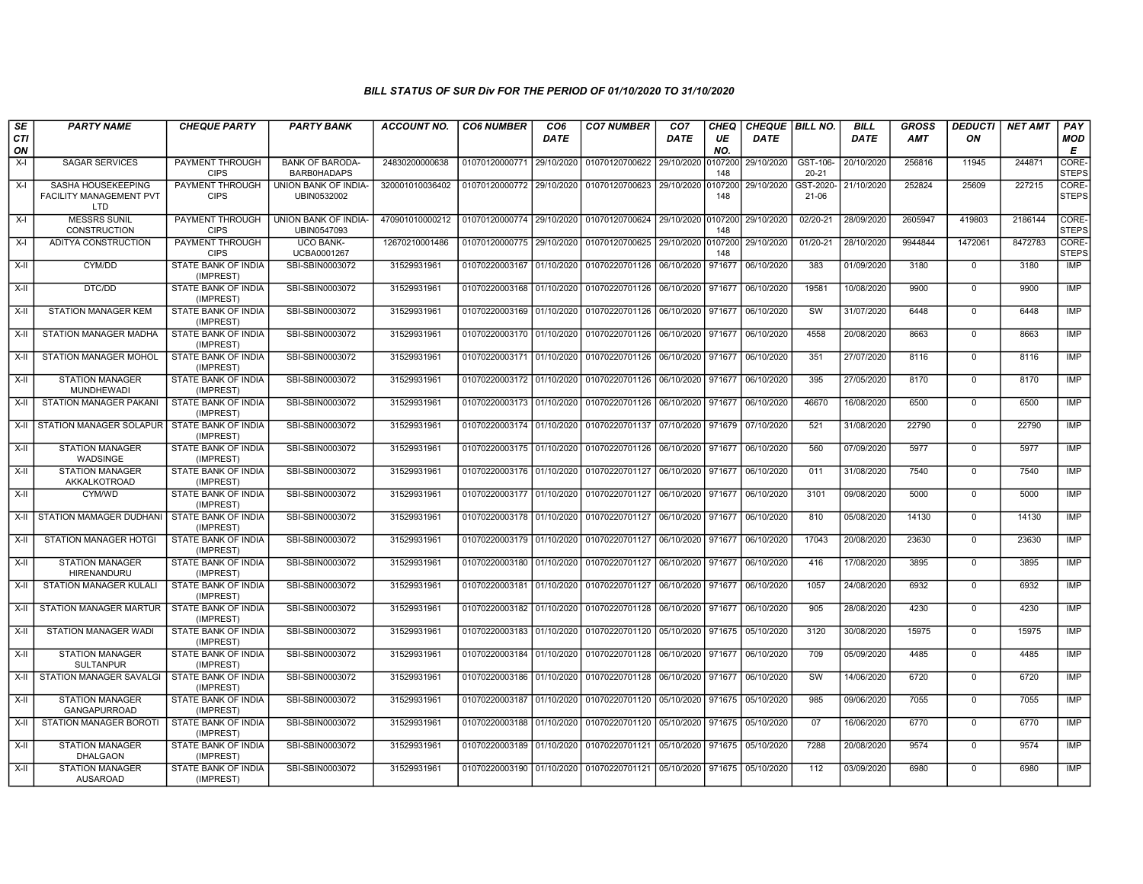| SE        | <b>PARTY NAME</b>                                    | <b>CHEQUE PARTY</b>                     | <b>PARTY BANK</b>                     | ACCOUNT NO.     | <b>CO6 NUMBER</b>                        | CO <sub>6</sub> | <b>CO7 NUMBER</b>                                          | CO <sub>7</sub>    | <b>CHEQ</b>    | CHEQUE   BILL NO. |                   | <b>BILL</b> | <b>GROSS</b> | <b>DEDUCTI</b> | <b>NET AMT</b> | PAY                   |
|-----------|------------------------------------------------------|-----------------------------------------|---------------------------------------|-----------------|------------------------------------------|-----------------|------------------------------------------------------------|--------------------|----------------|-------------------|-------------------|-------------|--------------|----------------|----------------|-----------------------|
| CTI<br>ON |                                                      |                                         |                                       |                 |                                          | <b>DATE</b>     |                                                            | DATE               | UE<br>NO.      | DATE              |                   | <b>DATE</b> | AMT          | ON             |                | <b>MOD</b><br>E       |
| $X-I$     | <b>SAGAR SERVICES</b>                                | PAYMENT THROUGH<br><b>CIPS</b>          | <b>BANK OF BARODA-</b><br>BARB0HADAPS | 24830200000638  | 01070120000771 29/10/2020                |                 | 01070120700622                                             | 29/10/2020         | 0107200<br>148 | 29/10/2020        | GST-106<br>20-21  | 20/10/2020  | 256816       | 11945          | 244871         | CORE-<br><b>STEPS</b> |
| $X-I$     | SASHA HOUSEKEEPING<br>FACILITY MANAGEMENT PVT<br>LTD | <b>PAYMENT THROUGH</b><br><b>CIPS</b>   | UNION BANK OF INDIA-<br>UBIN0532002   | 320001010036402 | 01070120000772 29/10/2020 01070120700623 |                 |                                                            | 29/10/2020 0107200 | 148            | 29/10/2020        | GST-2020<br>21-06 | 21/10/2020  | 252824       | 25609          | 227215         | CORE-<br><b>STEPS</b> |
| $X-I$     | <b>MESSRS SUNIL</b><br><b>CONSTRUCTION</b>           | PAYMENT THROUGH<br><b>CIPS</b>          | UNION BANK OF INDIA-<br>UBIN0547093   | 470901010000212 | 01070120000774 29/10/2020 01070120700624 |                 |                                                            | 29/10/2020 0107200 | 148            | 29/10/2020        | 02/20-21          | 28/09/2020  | 2605947      | 419803         | 2186144        | CORE-<br><b>STEPS</b> |
| $X-I$     | ADITYA CONSTRUCTION                                  | <b>PAYMENT THROUGH</b><br><b>CIPS</b>   | <b>UCO BANK-</b><br>UCBA0001267       | 12670210001486  | 01070120000775 29/10/2020 01070120700625 |                 |                                                            | 29/10/2020         | 0107200<br>148 | 29/10/2020        | $01/20-21$        | 28/10/2020  | 9944844      | 1472061        | 8472783        | CORE-<br><b>STEPS</b> |
| $X-II$    | CYM/DD                                               | STATE BANK OF INDIA<br>(IMPREST)        | SBI-SBIN0003072                       | 31529931961     | 01070220003167 01/10/2020                |                 | 01070220701126                                             | 06/10/2020         | 971677         | 06/10/2020        | 383               | 01/09/2020  | 3180         | $\mathbf 0$    | 3180           | <b>IMP</b>            |
| $X-II$    | DTC/DD                                               | STATE BANK OF INDIA<br>(IMPREST)        | SBI-SBIN0003072                       | 31529931961     |                                          |                 | 01070220003168 01/10/2020 01070220701126                   | 06/10/2020 971677  |                | 06/10/2020        | 19581             | 10/08/2020  | 9900         | $\mathbf 0$    | 9900           | <b>IMP</b>            |
| X-II      | <b>STATION MANAGER KEM</b>                           | <b>STATE BANK OF INDIA</b><br>(IMPREST) | SBI-SBIN0003072                       | 31529931961     |                                          |                 | 01070220003169 01/10/2020 01070220701126 06/10/2020 971677 |                    |                | 06/10/2020        | sw                | 31/07/2020  | 6448         | $\mathbf 0$    | 6448           | IMP                   |
| X-II      | STATION MANAGER MADHA                                | <b>STATE BANK OF INDIA</b><br>(IMPREST) | SBI-SBIN0003072                       | 31529931961     |                                          |                 | 01070220003170 01/10/2020 01070220701126                   | 06/10/2020 971677  |                | 06/10/2020        | 4558              | 20/08/2020  | 8663         | $\mathbf 0$    | 8663           | <b>IMP</b>            |
| X-II      | STATION MANAGER MOHOL                                | STATE BANK OF INDIA<br>(IMPREST)        | SBI-SBIN0003072                       | 31529931961     | 01070220003171 01/10/2020                |                 | 01070220701126                                             | 06/10/2020         | 971677         | 06/10/2020        | 351               | 27/07/2020  | 8116         | $\mathbf 0$    | 8116           | IMP                   |
| X-II      | <b>STATION MANAGER</b><br>MUNDHEWADI                 | STATE BANK OF INDIA<br>(IMPREST)        | SBI-SBIN0003072                       | 31529931961     |                                          |                 | 01070220003172 01/10/2020 01070220701126                   | 06/10/2020         | 971677         | 06/10/2020        | 395               | 27/05/2020  | 8170         | $\mathbf 0$    | 8170           | <b>IMP</b>            |
| $X-H$     | <b>STATION MANAGER PAKANI</b>                        | STATE BANK OF INDIA<br>(IMPREST)        | SBI-SBIN0003072                       | 31529931961     |                                          |                 | 01070220003173 01/10/2020 01070220701126                   | 06/10/2020 971677  |                | 06/10/2020        | 46670             | 16/08/2020  | 6500         | $\mathbf 0$    | 6500           | <b>IMP</b>            |
| $X-H$     | STATION MANAGER SOLAPUR STATE BANK OF INDIA          | (IMPREST)                               | SBI-SBIN0003072                       | 31529931961     |                                          |                 | 01070220003174 01/10/2020 01070220701137                   | 07/10/2020 971679  |                | 07/10/2020        | 521               | 31/08/2020  | 22790        | $\Omega$       | 22790          | <b>IMP</b>            |
| X-II      | <b>STATION MANAGER</b><br><b>WADSINGE</b>            | STATE BANK OF INDIA<br>(IMPREST)        | SBI-SBIN0003072                       | 31529931961     | 01070220003175 01/10/2020                |                 | 01070220701126                                             | 06/10/2020         | 971677         | 06/10/2020        | 560               | 07/09/2020  | 5977         | $\mathbf 0$    | 5977           | IMP                   |
| $X-H$     | <b>STATION MANAGER</b><br>AKKALKOTROAD               | STATE BANK OF INDIA<br>(IMPREST)        | SBI-SBIN0003072                       | 31529931961     | 01070220003176 01/10/2020                |                 | 01070220701127                                             | 06/10/2020         | 971677         | 06/10/2020        | 011               | 31/08/2020  | 7540         | $\mathbf 0$    | 7540           | <b>IMP</b>            |
| $X-H$     | CYM/WD                                               | STATE BANK OF INDIA<br>(IMPREST)        | SBI-SBIN0003072                       | 31529931961     |                                          |                 | 01070220003177 01/10/2020 01070220701127                   | 06/10/2020 971677  |                | 06/10/2020        | 3101              | 09/08/2020  | 5000         | $\Omega$       | 5000           | <b>IMP</b>            |
| $X-H$     | STATION MAMAGER DUDHANI                              | <b>STATE BANK OF INDIA</b><br>(IMPREST) | SBI-SBIN0003072                       | 31529931961     | 01070220003178 01/10/2020                |                 | 01070220701127                                             | 06/10/2020         | 971677         | 06/10/2020        | 810               | 05/08/2020  | 14130        | $\mathbf 0$    | 14130          | <b>IMP</b>            |
| X-II      | STATION MANAGER HOTGI                                | STATE BANK OF INDIA<br>(IMPREST)        | SBI-SBIN0003072                       | 31529931961     | 01070220003179 01/10/2020                |                 | 01070220701127                                             | 06/10/2020         | 971677         | 06/10/2020        | 17043             | 20/08/2020  | 23630        | $\mathbf 0$    | 23630          | IMP                   |
| $X-H$     | <b>STATION MANAGER</b><br>HIRENANDURU                | <b>STATE BANK OF INDIA</b><br>(IMPREST) | SBI-SBIN0003072                       | 31529931961     | 01070220003180 01/10/2020                |                 | 01070220701127                                             | 06/10/2020 971677  |                | 06/10/2020        | 416               | 17/08/2020  | 3895         | $\mathbf 0$    | 3895           | <b>IMP</b>            |
| $X-H$     | <b>STATION MANAGER KULALI</b>                        | <b>STATE BANK OF INDIA</b><br>(IMPREST) | SBI-SBIN0003072                       | 31529931961     |                                          |                 | 01070220003181 01/10/2020 01070220701127                   | 06/10/2020 971677  |                | 06/10/2020        | 1057              | 24/08/2020  | 6932         | $\Omega$       | 6932           | <b>IMP</b>            |
| X-II      | <b>STATION MANAGER MARTUR</b>                        | <b>STATE BANK OF INDIA</b><br>(IMPREST) | SBI-SBIN0003072                       | 31529931961     | 01070220003182 01/10/2020 01070220701128 |                 |                                                            | 06/10/2020         | 971677         | 06/10/2020        | 905               | 28/08/2020  | 4230         | $\mathbf 0$    | 4230           | <b>IMP</b>            |
| X-II      | STATION MANAGER WADI                                 | STATE BANK OF INDIA<br>(IMPREST)        | SBI-SBIN0003072                       | 31529931961     |                                          |                 | 01070220003183 01/10/2020 01070220701120                   | 05/10/2020         | 971675         | 05/10/2020        | 3120              | 30/08/2020  | 15975        | $\mathbf 0$    | 15975          | IMP                   |
| $X-II$    | <b>STATION MANAGER</b><br><b>SULTANPUR</b>           | STATE BANK OF INDIA<br>(IMPREST)        | SBI-SBIN0003072                       | 31529931961     |                                          |                 | 01070220003184 01/10/2020 01070220701128                   | 06/10/2020 971677  |                | 06/10/2020        | 709               | 05/09/2020  | 4485         | $\mathbf 0$    | 4485           | <b>IMP</b>            |
| X-II      | STATION MANAGER SAVALGI                              | STATE BANK OF INDIA<br>(IMPREST)        | SBI-SBIN0003072                       | 31529931961     | 01070220003186 01/10/2020                |                 | 01070220701128 06/10/2020 971677                           |                    |                | 06/10/2020        | SW                | 14/06/2020  | 6720         | $\mathbf 0$    | 6720           | <b>IMP</b>            |
| $X-H$     | <b>STATION MANAGER</b><br><b>GANGAPURROAD</b>        | <b>STATE BANK OF INDIA</b><br>(IMPREST) | SBI-SBIN0003072                       | 31529931961     |                                          |                 | 01070220003187 01/10/2020 01070220701120                   | 05/10/2020 971675  |                | 05/10/2020        | 985               | 09/06/2020  | 7055         | $\mathbf 0$    | 7055           | <b>IMP</b>            |
| X-II      | STATION MANAGER BOROTI                               | STATE BANK OF INDIA<br>(IMPREST)        | SBI-SBIN0003072                       | 31529931961     | 01070220003188 01/10/2020                |                 | 01070220701120                                             | 05/10/2020 971675  |                | 05/10/2020        | 07                | 16/06/2020  | 6770         | $\mathbf 0$    | 6770           | <b>IMP</b>            |
| $X-H$     | <b>STATION MANAGER</b><br><b>DHALGAON</b>            | STATE BANK OF INDIA<br>(IMPREST)        | SBI-SBIN0003072                       | 31529931961     | 01070220003189 01/10/2020 01070220701121 |                 |                                                            | 05/10/2020 971675  |                | 05/10/2020        | 7288              | 20/08/2020  | 9574         | $\mathbf 0$    | 9574           | <b>IMP</b>            |
| X-II      | <b>STATION MANAGER</b><br><b>AUSAROAD</b>            | STATE BANK OF INDIA<br>(IMPREST)        | SBI-SBIN0003072                       | 31529931961     |                                          |                 | 01070220003190 01/10/2020 01070220701121                   | 05/10/2020 971675  |                | 05/10/2020        | 112               | 03/09/2020  | 6980         | $\mathbf 0$    | 6980           | <b>IMP</b>            |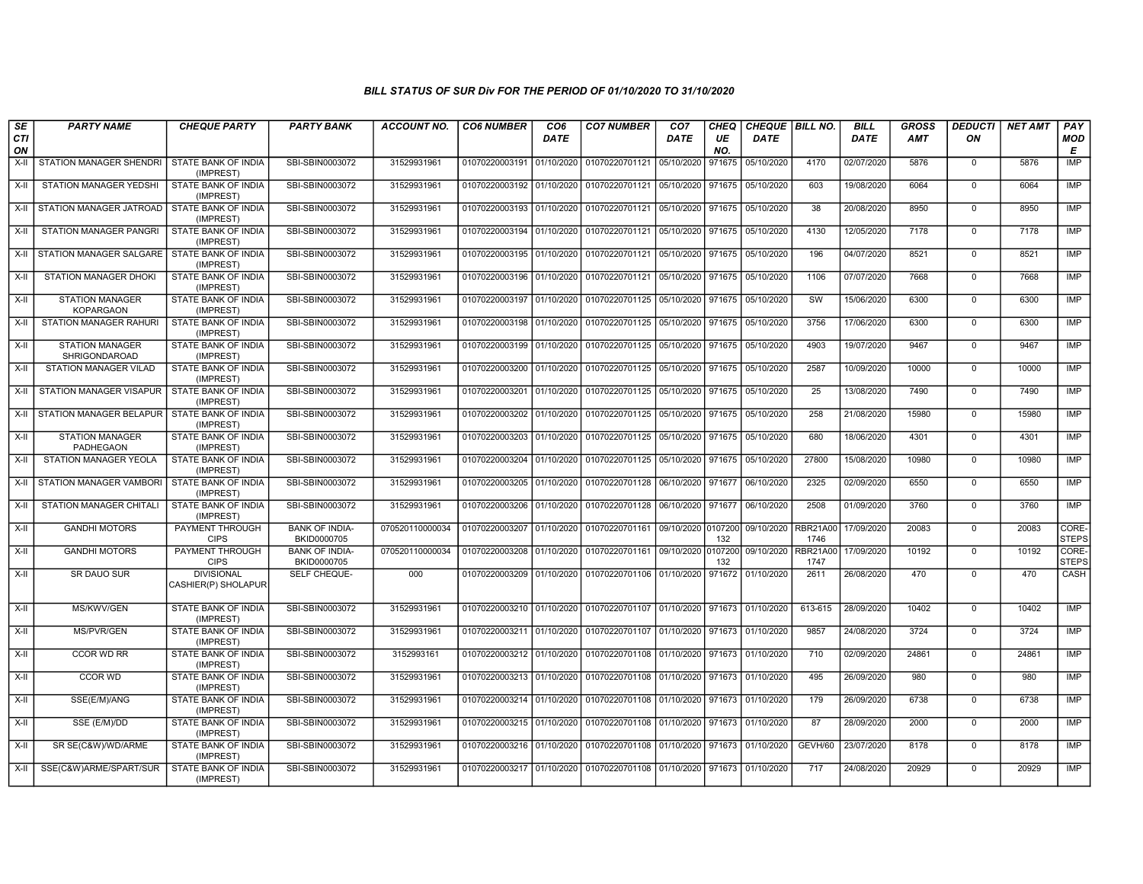| SE               | <b>PARTY NAME</b>                          | <b>CHEQUE PARTY</b>                      | <b>PARTY BANK</b>                    | <b>ACCOUNT NO.</b> | <b>CO6 NUMBER</b>         | CO <sub>6</sub> | <b>CO7 NUMBER</b>                                 | CO <sub>7</sub> | <b>CHEQ</b>    | CHEQUE   BILL NO.   |                         | <b>BILL</b> | <b>GROSS</b> | <i><b>DEDUCTI</b></i> | <b>NET AMT</b> | PAY                   |
|------------------|--------------------------------------------|------------------------------------------|--------------------------------------|--------------------|---------------------------|-----------------|---------------------------------------------------|-----------------|----------------|---------------------|-------------------------|-------------|--------------|-----------------------|----------------|-----------------------|
| <b>CTI</b><br>ON |                                            |                                          |                                      |                    |                           | DATE            |                                                   | DATE            | UE<br>NO.      | DATE                |                         | <b>DATE</b> | <b>AMT</b>   | ON                    |                | <b>MOD</b><br>E       |
| $X-H$            | STATION MANAGER SHENDRI                    | <b>STATE BANK OF INDIA</b><br>(IMPREST)  | SBI-SBIN0003072                      | 31529931961        | 01070220003191            | 01/10/2020      | 01070220701121                                    | 05/10/2020      | 971675         | 05/10/2020          | 4170                    | 02/07/2020  | 5876         | $\mathbf{0}$          | 5876           | <b>IMP</b>            |
| $X-H$            | <b>STATION MANAGER YEDSHI</b>              | STATE BANK OF INDIA<br>(IMPREST)         | SBI-SBIN0003072                      | 31529931961        | 01070220003192 01/10/2020 |                 |                                                   |                 |                |                     | 603                     | 19/08/2020  | 6064         | $\mathbf 0$           | 6064           | IMP                   |
| X-II             | STATION MANAGER JATROAD                    | STATE BANK OF INDIA<br>(IMPREST)         | SBI-SBIN0003072                      | 31529931961        | 01070220003193            | 01/10/2020      | 01070220701121 05/10/2020                         |                 |                | 971675 05/10/2020   | 38                      | 20/08/2020  | 8950         | $\mathbf{0}$          | 8950           | IMP                   |
| $X-H$            | <b>STATION MANAGER PANGRI</b>              | STATE BANK OF INDIA<br>(IMPREST)         | SBI-SBIN0003072                      | 31529931961        | 01070220003194            | 01/10/2020      | 01070220701121                                    | 05/10/2020      | 971675         | 05/10/2020          | 4130                    | 12/05/2020  | 7178         | $\overline{0}$        | 7178           | <b>IMP</b>            |
| X-II             | STATION MANAGER SALGARE                    | <b>STATE BANK OF INDIA</b><br>(IMPREST)  | SBI-SBIN0003072                      | 31529931961        | 01070220003195 01/10/2020 |                 | 01070220701121 05/10/2020                         |                 |                | 971675   05/10/2020 | 196                     | 04/07/2020  | 8521         | $\mathbf 0$           | 8521           | <b>IMP</b>            |
| X-II             | <b>STATION MANAGER DHOKI</b>               | STATE BANK OF INDIA<br>(IMPREST)         | SBI-SBIN0003072                      | 31529931961        | 01070220003196            | 01/10/2020      | 01070220701121                                    | 05/10/2020      | 971675         | 05/10/2020          | 1106                    | 07/07/2020  | 7668         | $\mathbf{0}$          | 7668           | <b>IMP</b>            |
| X-II             | <b>STATION MANAGER</b><br><b>KOPARGAON</b> | STATE BANK OF INDIA<br>(IMPREST)         | SBI-SBIN0003072                      | 31529931961        | 01070220003197            | 01/10/2020      | 01070220701125   05/10/2020   971675   05/10/2020 |                 |                |                     | SW                      | 15/06/2020  | 6300         | $\mathbf 0$           | 6300           | <b>IMP</b>            |
| X-II             | STATION MANAGER RAHURI                     | STATE BANK OF INDIA<br>(IMPREST)         | SBI-SBIN0003072                      | 31529931961        | 01070220003198            | 01/10/2020      | 01070220701125                                    | 05/10/2020      |                | 971675 05/10/2020   | 3756                    | 17/06/2020  | 6300         | $\mathbf 0$           | 6300           | <b>IMP</b>            |
| $X-H$            | <b>STATION MANAGER</b><br>SHRIGONDAROAD    | STATE BANK OF INDIA<br>(IMPREST)         | SBI-SBIN0003072                      | 31529931961        | 01070220003199            | 01/10/2020      | 01070220701125 05/10/2020                         |                 |                | 971675   05/10/2020 | 4903                    | 19/07/2020  | 9467         | $\mathbf 0$           | 9467           | <b>IMP</b>            |
| X-II             | STATION MANAGER VILAD                      | STATE BANK OF INDIA<br>(IMPREST)         | SBI-SBIN0003072                      | 31529931961        | 01070220003200 01/10/2020 |                 | 01070220701125 05/10/2020                         |                 |                | 971675 05/10/2020   | 2587                    | 10/09/2020  | 10000        | $\mathbf 0$           | 10000          | <b>IMP</b>            |
| X-II             | STATION MANAGER VISAPUR                    | STATE BANK OF INDIA<br>(IMPREST)         | SBI-SBIN0003072                      | 31529931961        | 01070220003201            | 01/10/2020      | 01070220701125                                    | 05/10/2020      |                | 971675 05/10/2020   | 25                      | 13/08/2020  | 7490         | $\Omega$              | 7490           | <b>IMP</b>            |
| X-II             | STATION MANAGER BELAPUR                    | STATE BANK OF INDIA<br>(IMPREST)         | SBI-SBIN0003072                      | 31529931961        | 01070220003202            | 01/10/2020      | 01070220701125 05/10/2020                         |                 |                | 971675 05/10/2020   | 258                     | 21/08/2020  | 15980        | $\mathbf 0$           | 15980          | <b>IMP</b>            |
| $X-H$            | <b>STATION MANAGER</b><br>PADHEGAON        | <b>STATE BANK OF INDIA</b><br>(IMPREST)  | SBI-SBIN0003072                      | 31529931961        | 01070220003203            | 01/10/2020      | 01070220701125 05/10/2020                         |                 | 971675         | 05/10/2020          | 680                     | 18/06/2020  | 4301         | $\overline{0}$        | 4301           | <b>IMP</b>            |
| X-II             | <b>STATION MANAGER YEOLA</b>               | <b>STATE BANK OF INDIA</b><br>(IMPREST)  | SBI-SBIN0003072                      | 31529931961        | 01070220003204            | 01/10/2020      | 01070220701125   05/10/2020   971675   05/10/2020 |                 |                |                     | 27800                   | 15/08/2020  | 10980        | $\mathbf 0$           | 10980          | <b>IMP</b>            |
| X-II             | STATION MANAGER VAMBORI                    | STATE BANK OF INDIA<br>(IMPREST)         | SBI-SBIN0003072                      | 31529931961        | 01070220003205            | 01/10/2020      | 01070220701128                                    | 06/10/2020      | 971677         | 06/10/2020          | 2325                    | 02/09/2020  | 6550         | $\mathbf{0}$          | 6550           | <b>IMP</b>            |
| X-II             | STATION MANAGER CHITALI                    | STATE BANK OF INDIA<br>(IMPREST)         | SBI-SBIN0003072                      | 31529931961        | 01070220003206            | 01/10/2020      | 01070220701128                                    | 06/10/2020      | 971677         | 06/10/2020          | 2508                    | 01/09/2020  | 3760         | $\mathbf 0$           | 3760           | <b>IMP</b>            |
| $X-H$            | <b>GANDHI MOTORS</b>                       | <b>PAYMENT THROUGH</b><br><b>CIPS</b>    | <b>BANK OF INDIA-</b><br>BKID0000705 | 070520110000034    | 01070220003207            | 01/10/2020      | 01070220701161                                    | 09/10/2020      | 0107200<br>132 | 09/10/2020          | <b>RBR21A00</b><br>1746 | 17/09/2020  | 20083        | $\overline{0}$        | 20083          | CORE-<br><b>STEPS</b> |
| $X-H$            | <b>GANDHI MOTORS</b>                       | <b>PAYMENT THROUGH</b><br><b>CIPS</b>    | <b>BANK OF INDIA-</b><br>BKID0000705 | 070520110000034    | 01070220003208            | 01/10/2020      | 01070220701161                                    | 09/10/2020      | 0107200<br>132 | 09/10/2020          | <b>RBR21A00</b><br>1747 | 17/09/2020  | 10192        | $\mathbf{0}$          | 10192          | CORE-<br><b>STEPS</b> |
| X-II             | SR DAUO SUR                                | <b>DIVISIONAL</b><br>CASHIER(P) SHOLAPUR | SELF CHEQUE-                         | 000                | 01070220003209            | 01/10/2020      | 01070220701106 01/10/2020                         |                 |                | 971672 01/10/2020   | 2611                    | 26/08/2020  | 470          | $\Omega$              | 470            | CASH                  |
| $X-H$            | MS/KWV/GEN                                 | STATE BANK OF INDIA<br>(IMPREST)         | SBI-SBIN0003072                      | 31529931961        | 01070220003210 01/10/2020 |                 | 01070220701107 01/10/2020                         |                 | 971673         | 01/10/2020          | 613-615                 | 28/09/2020  | 10402        | $\mathbf 0$           | 10402          | <b>IMP</b>            |
| $X-H$            | <b>MS/PVR/GEN</b>                          | STATE BANK OF INDIA<br>(IMPREST)         | SBI-SBIN0003072                      | 31529931961        | 01070220003211            | 01/10/2020      | 01070220701107                                    | 01/10/2020      |                | 971673 01/10/2020   | 9857                    | 24/08/2020  | 3724         | $\mathbf{0}$          | 3724           | IMP                   |
| X-II             | CCOR WD RR                                 | STATE BANK OF INDIA<br>(IMPREST)         | SBI-SBIN0003072                      | 3152993161         | 01070220003212 01/10/2020 |                 | 01070220701108 01/10/2020 971673 01/10/2020       |                 |                |                     | 710                     | 02/09/2020  | 24861        | $\mathbf{0}$          | 24861          | <b>IMP</b>            |
| $X-H$            | <b>CCOR WD</b>                             | STATE BANK OF INDIA<br>(IMPREST)         | SBI-SBIN0003072                      | 31529931961        | 01070220003213            | 01/10/2020      | 01070220701108                                    | 01/10/2020      | 971673         | 01/10/2020          | 495                     | 26/09/2020  | 980          | $\overline{0}$        | 980            | <b>IMP</b>            |
| X-II             | SSE(E/M)/ANG                               | STATE BANK OF INDIA<br>(IMPREST)         | SBI-SBIN0003072                      | 31529931961        | 01070220003214            | 01/10/2020      | 01070220701108 01/10/2020                         |                 |                | 971673 01/10/2020   | 179                     | 26/09/2020  | 6738         | $\mathbf 0$           | 6738           | <b>IMP</b>            |
| X-II             | SSE (E/M)/DD                               | STATE BANK OF INDIA<br>(IMPREST)         | SBI-SBIN0003072                      | 31529931961        | 01070220003215            | 01/10/2020      | 01070220701108 01/10/2020                         |                 |                | 971673 01/10/2020   | 87                      | 28/09/2020  | 2000         | $\mathbf{0}$          | 2000           | <b>IMP</b>            |
| X-II             | SR SE(C&W)/WD/ARME                         | STATE BANK OF INDIA<br>(IMPREST)         | SBI-SBIN0003072                      | 31529931961        | 01070220003216 01/10/2020 |                 | 01070220701108 01/10/2020 971673 01/10/2020       |                 |                |                     | GEVH/60                 | 23/07/2020  | 8178         | $\mathbf 0$           | 8178           | <b>IMP</b>            |
| X-II             | SSE(C&W)ARME/SPART/SUR                     | STATE BANK OF INDIA<br>(IMPREST)         | SBI-SBIN0003072                      | 31529931961        | 01070220003217 01/10/2020 |                 | 01070220701108 01/10/2020                         |                 |                | 971673 01/10/2020   | 717                     | 24/08/2020  | 20929        | $\mathbf{0}$          | 20929          | <b>IMP</b>            |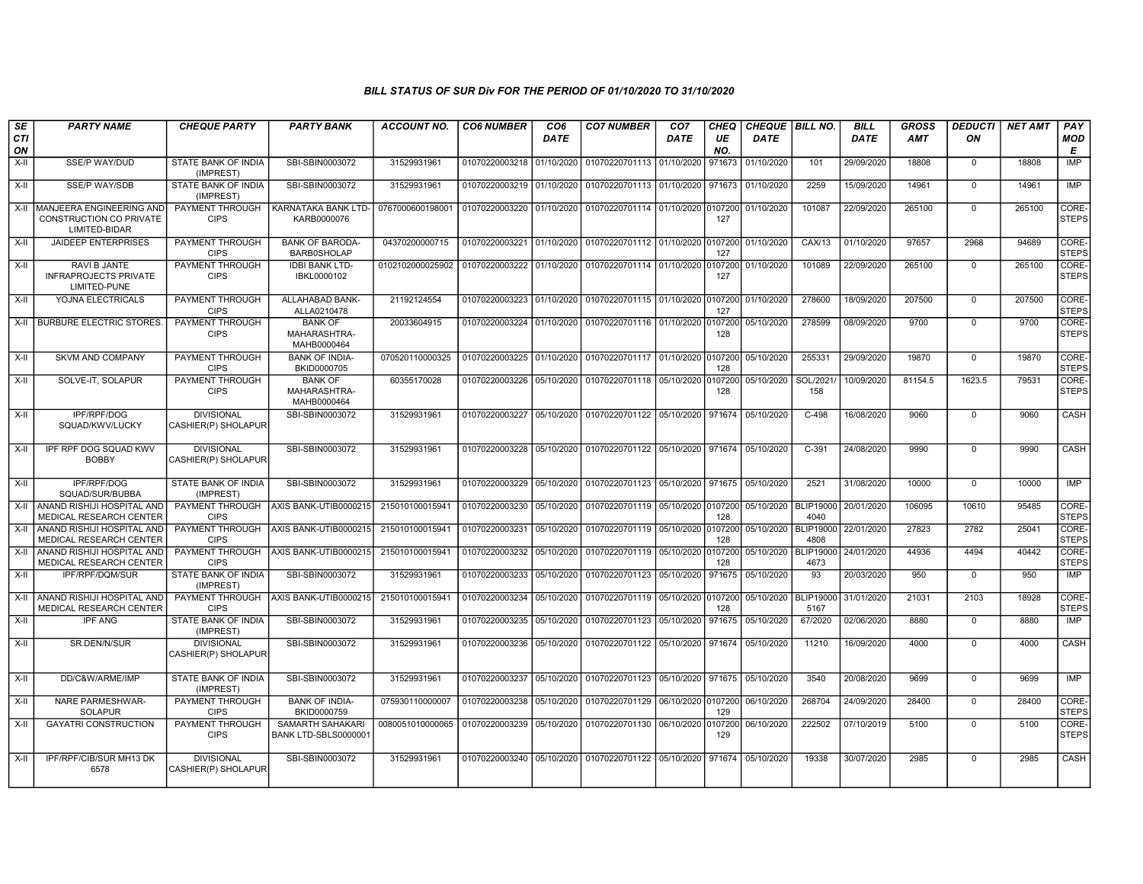| SE        | <b>PARTY NAME</b>                                                                   | <b>CHEQUE PARTY</b>                      | <b>PARTY BANK</b>                                    | ACCOUNT NO.                                | <b>CO6 NUMBER</b>         | CO <sub>6</sub> | <b>CO7 NUMBER</b>                                                     | CO <sub>7</sub> | CHEQ           | CHEQUE   BILL NO.    |                          | <b>BILL</b> | <b>GROSS</b> | <b>DEDUCTI</b> | <b>NET AMT</b> | <b>PAY</b>            |
|-----------|-------------------------------------------------------------------------------------|------------------------------------------|------------------------------------------------------|--------------------------------------------|---------------------------|-----------------|-----------------------------------------------------------------------|-----------------|----------------|----------------------|--------------------------|-------------|--------------|----------------|----------------|-----------------------|
| CTI<br>ON |                                                                                     |                                          |                                                      |                                            |                           | DATE            |                                                                       | DATE            | UE<br>NO.      | <b>DATE</b>          |                          | <b>DATE</b> | <b>AMT</b>   | ON             |                | <b>MOD</b><br>E       |
| $X-II$    | <b>SSE/P WAY/DUD</b>                                                                | STATE BANK OF INDIA<br>(IMPREST)         | SBI-SBIN0003072                                      | 31529931961                                | 01070220003218 01/10/2020 |                 | 01070220701113 01/10/2020                                             |                 | 971673         | 01/10/2020           | 101                      | 29/09/2020  | 18808        | $\mathbf 0$    | 18808          | IMP                   |
| $X-H$     | <b>SSE/P WAY/SDB</b>                                                                | STATE BANK OF INDIA<br>(IMPREST)         | SBI-SBIN0003072                                      | 31529931961                                | 01070220003219 01/10/2020 |                 | 01070220701113 01/10/2020                                             |                 | 971673         | 01/10/2020           | 2259                     | 15/09/2020  | 14961        | $\mathbf 0$    | 14961          | IMP                   |
| X-II      | <b>IMANJEERA ENGINEERING AND</b><br><b>CONSTRUCTION CO PRIVATE</b><br>LIMITED-BIDAR | <b>CIPS</b>                              | PAYMENT THROUGH   KARNATAKA BANK LTD-<br>KARB0000076 | 0767000600198001                           | 01070220003220 01/10/2020 |                 | 01070220701114 01/10/2020 0107200                                     |                 | 127            | 01/10/2020           | 101087                   | 22/09/2020  | 265100       | $\Omega$       | 265100         | CORE-<br><b>STEPS</b> |
| X-II      | <b>JAIDEEP ENTERPRISES</b>                                                          | PAYMENT THROUGH<br><b>CIPS</b>           | <b>BANK OF BARODA-</b><br><b>BARB0SHOLAP</b>         | 04370200000715                             | 01070220003221 01/10/2020 |                 | 01070220701112 01/10/2020 0107200                                     |                 | 127            | 01/10/2020           | CAX/13                   | 01/10/2020  | 97657        | 2968           | 94689          | CORE-<br><b>STEPS</b> |
| X-II      | RAVI B JANTE<br><b>INFRAPROJECTS PRIVATE</b><br>LIMITED-PUNE                        | PAYMENT THROUGH<br><b>CIPS</b>           | <b>IDBI BANK LTD-</b><br>IBKL0000102                 | 0102102000025902                           | 01070220003222 01/10/2020 |                 | 01070220701114 01/10/2020 0107200                                     |                 | 127            | 01/10/2020           | 101089                   | 22/09/2020  | 265100       | $\mathbf 0$    | 265100         | CORE-<br><b>STEPS</b> |
| X-II      | YOJNA ELECTRICALS                                                                   | PAYMENT THROUGH<br><b>CIPS</b>           | ALLAHABAD BANK-<br>ALLA0210478                       | 21192124554                                |                           |                 | 01070220003223 01/10/2020 01070220701115 01/10/2020 0107200           |                 | 127            | 01/10/2020           | 278600                   | 18/09/2020  | 207500       | $\Omega$       | 207500         | CORE-<br><b>STEPS</b> |
| $X-II$    | <b>BURBURE ELECTRIC STORES</b>                                                      | PAYMENT THROUGH<br><b>CIPS</b>           | <b>BANK OF</b><br>MAHARASHTRA-<br>MAHB0000464        | 20033604915                                | 01070220003224 01/10/2020 |                 | 01070220701116 01/10/2020 0107200                                     |                 | 128            | 05/10/2020           | 278599                   | 08/09/2020  | 9700         | $\mathbf 0$    | 9700           | CORE-<br><b>STEPS</b> |
| X-II      | <b>SKVM AND COMPANY</b>                                                             | PAYMENT THROUGH<br><b>CIPS</b>           | <b>BANK OF INDIA-</b><br>BKID0000705                 | 070520110000325                            | 01070220003225 01/10/2020 |                 | 01070220701117 01/10/2020 0107200                                     |                 | 128            | 05/10/2020           | 255331                   | 29/09/2020  | 19870        | $\overline{0}$ | 19870          | CORE-<br><b>STEPS</b> |
| X-II      | SOLVE-IT, SOLAPUR                                                                   | PAYMENT THROUGH<br><b>CIPS</b>           | <b>BANK OF</b><br>MAHARASHTRA-<br>MAHB0000464        | 60355170028                                |                           |                 | 01070220003226 05/10/2020 01070220701118 05/10/2020 0107200           |                 | 128            | 05/10/2020           | SOL/2021/<br>158         | 10/09/2020  | 81154.5      | 1623.5         | 79531          | CORE-<br><b>STEPS</b> |
| $X-H$     | IPF/RPF/DOG<br>SQUAD/KWV/LUCKY                                                      | <b>DIVISIONAL</b><br>CASHIER(P) SHOLAPUR | SBI-SBIN0003072                                      | 31529931961                                | 01070220003227 05/10/2020 |                 | 01070220701122 05/10/2020 971674                                      |                 |                | 05/10/2020           | $C-498$                  | 16/08/2020  | 9060         | $\overline{0}$ | 9060           | CASH                  |
| X-II      | IPF RPF DOG SQUAD KWV<br><b>BOBBY</b>                                               | <b>DIVISIONAL</b><br>CASHIER(P) SHOLAPUR | SBI-SBIN0003072                                      | 31529931961                                |                           |                 | 01070220003228 05/10/2020 01070220701122 05/10/2020 971674 05/10/2020 |                 |                |                      | $C-391$                  | 24/08/2020  | 9990         | $\Omega$       | 9990           | CASH                  |
| $X-II$    | IPF/RPF/DOG<br>SQUAD/SUR/BUBBA                                                      | STATE BANK OF INDIA<br>(IMPREST)         | SBI-SBIN0003072                                      | 31529931961                                | 01070220003229 05/10/2020 |                 | 01070220701123 05/10/2020 971675                                      |                 |                | 05/10/2020           | 2521                     | 31/08/2020  | 10000        | $\Omega$       | 10000          | <b>IMP</b>            |
|           | X-II ANAND RISHIJI HOSPITAL AND<br>MEDICAL RESEARCH CENTER                          | <b>CIPS</b>                              | PAYMENT THROUGH AXIS BANK-UTIB0000215                | 215010100015941                            | 01070220003230 05/10/2020 |                 | 01070220701119 05/10/2020 0107200                                     |                 | 128            | 05/10/2020 BLIP19000 | 4040                     | 20/01/2020  | 106095       | 10610          | 95485          | CORE-<br><b>STEPS</b> |
| $X-II$    | ANAND RISHIJI HOSPITAL AND<br>MEDICAL RESEARCH CENTER                               | PAYMENT THROUGH<br><b>CIPS</b>           | AXIS BANK-UTIB0000215                                | 215010100015941                            | 01070220003231 05/10/2020 |                 | 01070220701119 05/10/2020 0107200 05/10/2020                          |                 | 128            |                      | <b>BLIP19000</b><br>4808 | 22/01/2020  | 27823        | 2782           | 25041          | CORE-<br><b>STEPS</b> |
| X-II      | ANAND RISHIJI HOSPITAL AND<br>MEDICAL RESEARCH CENTER                               | PAYMENT THROUGH<br><b>CIPS</b>           | AXIS BANK-UTIB0000215                                | 215010100015941                            | 01070220003232 05/10/2020 |                 | 01070220701119 05/10/2020 0107200                                     |                 | 128            | 05/10/2020           | <b>BLIP19000</b><br>4673 | 24/01/2020  | 44936        | 4494           | 40442          | CORE-<br><b>STEPS</b> |
| X-II      | IPF/RPF/DQM/SUR                                                                     | STATE BANK OF INDIA<br>(IMPREST)         | SBI-SBIN0003072                                      | 31529931961                                | 01070220003233 05/10/2020 |                 | 01070220701123 05/10/2020                                             |                 | 971675         | 05/10/2020           | 93                       | 20/03/2020  | 950          | $\mathbf 0$    | 950            | IMP                   |
| $X-H$     | ANAND RISHIJI HOSPITAL AND<br>MEDICAL RESEARCH CENTER                               | <b>CIPS</b>                              | PAYMENT THROUGH AXIS BANK-UTIB0000215                | 215010100015941                            | 01070220003234 05/10/2020 |                 | 01070220701119 05/10/2020 0107200                                     |                 | 128            | 05/10/2020           | <b>BLIP19000</b><br>5167 | 31/01/2020  | 21031        | 2103           | 18928          | CORE-<br><b>STEPS</b> |
| X-II      | <b>IPF ANG</b>                                                                      | STATE BANK OF INDIA<br>(IMPREST)         | SBI-SBIN0003072                                      | 31529931961                                | 01070220003235 05/10/2020 |                 | 01070220701123 05/10/2020                                             |                 | 971675         | 05/10/2020           | 67/2020                  | 02/06/2020  | 8880         | $\Omega$       | 8880           | <b>IMP</b>            |
| $X-H$     | SR.DEN/N/SUR                                                                        | <b>DIVISIONAL</b><br>CASHIER(P) SHOLAPUR | SBI-SBIN0003072                                      | 31529931961                                | 01070220003236 05/10/2020 |                 | 01070220701122 05/10/2020 971674 05/10/2020                           |                 |                |                      | 11210                    | 16/09/2020  | 4000         | $\Omega$       | 4000           | CASH                  |
| X-II      | DD/C&W/ARME/IMP                                                                     | STATE BANK OF INDIA<br>(IMPREST)         | SBI-SBIN0003072                                      | 31529931961                                | 01070220003237 05/10/2020 |                 | 01070220701123 05/10/2020 971675 05/10/2020                           |                 |                |                      | 3540                     | 20/08/2020  | 9699         | $\mathbf 0$    | 9699           | IMP                   |
| $X-H$     | <b>NARE PARMESHWAR-</b><br><b>SOLAPUR</b>                                           | <b>PAYMENT THROUGH</b><br><b>CIPS</b>    | <b>BANK OF INDIA-</b><br>BKID0000759                 | 075930110000007                            | 01070220003238            | 05/10/2020      | 01070220701129 06/10/2020 0107200                                     |                 | 129            | 06/10/2020           | 268704                   | 24/09/2020  | 28400        | $\Omega$       | 28400          | CORE-<br><b>STEPS</b> |
| $X-I$     | <b>GAYATRI CONSTRUCTION</b>                                                         | <b>PAYMENT THROUGH</b><br><b>CIPS</b>    | <b>SAMARTH SAHAKARI</b><br>BANK LTD-SBLS0000001      | 0080051010000065 01070220003239 05/10/2020 |                           |                 | 01070220701130 06/10/2020                                             |                 | 0107200<br>129 | 06/10/2020           | 222502                   | 07/10/2019  | 5100         | $\mathbf 0$    | 5100           | CORE-<br><b>STEPS</b> |
| X-II      | IPF/RPF/CIB/SUR MH13 DK<br>6578                                                     | <b>DIVISIONAL</b><br>CASHIER(P) SHOLAPUR | SBI-SBIN0003072                                      | 31529931961                                |                           |                 | 01070220003240 05/10/2020 01070220701122 05/10/2020 971674 05/10/2020 |                 |                |                      | 19338                    | 30/07/2020  | 2985         | $\Omega$       | 2985           | CASH                  |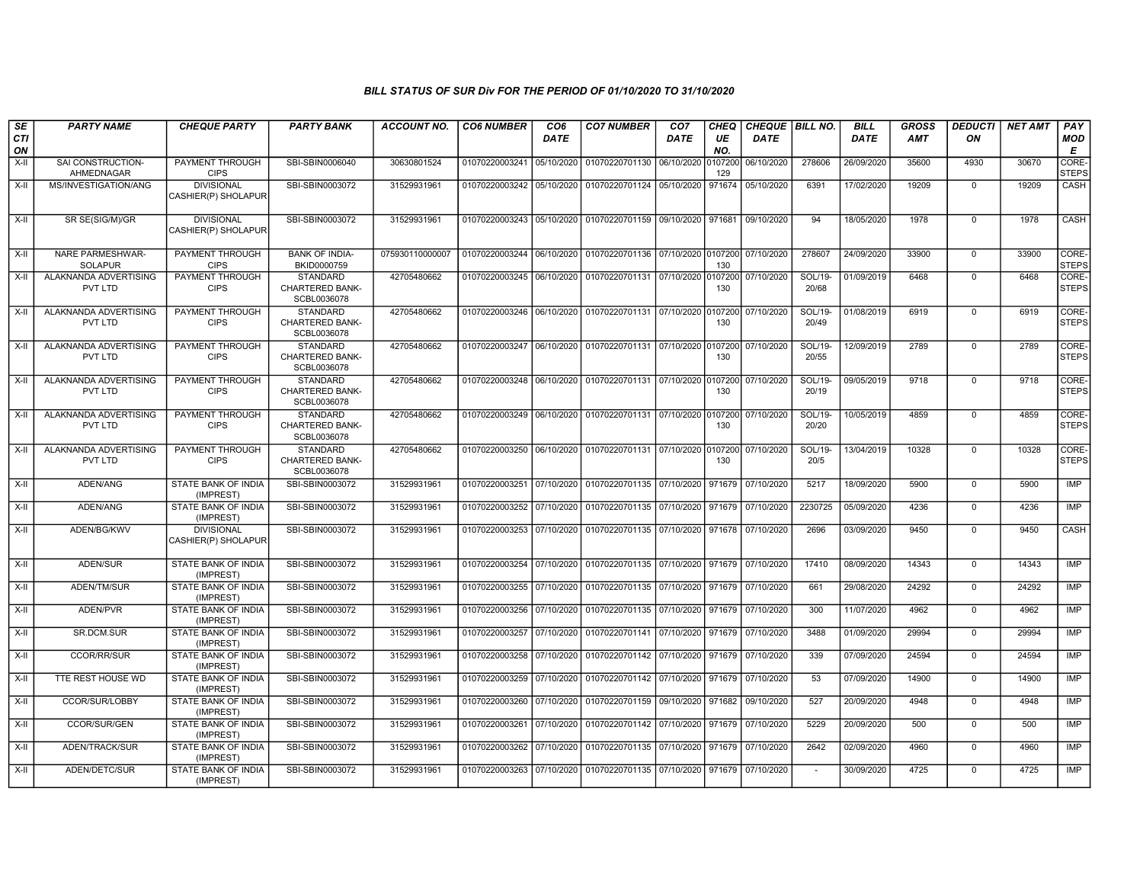| SE        | <b>PARTY NAME</b>                         | <b>CHEQUE PARTY</b>                      | <b>PARTY BANK</b>                                        | ACCOUNT NO.     | <b>CO6 NUMBER</b>         | CO <sub>6</sub> | <b>CO7 NUMBER</b>                                                      | CO <sub>7</sub> | <b>CHEQ</b>    | CHEQUE BILL NO. |                  | <b>BILL</b> | <b>GROSS</b> | <b>DEDUCTI</b> | <b>NET AMT</b> | <b>PAY</b>            |
|-----------|-------------------------------------------|------------------------------------------|----------------------------------------------------------|-----------------|---------------------------|-----------------|------------------------------------------------------------------------|-----------------|----------------|-----------------|------------------|-------------|--------------|----------------|----------------|-----------------------|
| CTI<br>ON |                                           |                                          |                                                          |                 |                           | DATE            |                                                                        | DATE            | UE<br>NO.      | DATE            |                  | <b>DATE</b> | AMT          | ON             |                | <b>MOD</b><br>E       |
| $X-II$    | SAI CONSTRUCTION-<br>AHMEDNAGAR           | PAYMENT THROUGH<br><b>CIPS</b>           | SBI-SBIN0006040                                          | 30630801524     | 01070220003241            | 05/10/2020      | 01070220701130                                                         | 06/10/2020      | 0107200<br>129 | 06/10/2020      | 278606           | 26/09/2020  | 35600        | 4930           | 30670          | CORE-<br><b>STEPS</b> |
| $X-H$     | MS/INVESTIGATION/ANG                      | <b>DIVISIONAL</b><br>CASHIER(P) SHOLAPUR | SBI-SBIN0003072                                          | 31529931961     | 01070220003242            | 05/10/2020      | 01070220701124 05/10/2020                                              |                 | 971674         | 05/10/2020      | 6391             | 17/02/2020  | 19209        | $\Omega$       | 19209          | <b>CASH</b>           |
| X-II      | SR SE(SIG/M)/GR                           | <b>DIVISIONAL</b><br>CASHIER(P) SHOLAPUR | SBI-SBIN0003072                                          | 31529931961     |                           |                 | 01070220003243 05/10/2020 01070220701159 09/10/2020 971681             |                 |                | 09/10/2020      | 94               | 18/05/2020  | 1978         | $\Omega$       | 1978           | CASH                  |
| X-II      | <b>NARE PARMESHWAR-</b><br><b>SOLAPUR</b> | PAYMENT THROUGH<br><b>CIPS</b>           | <b>BANK OF INDIA-</b><br>BKID0000759                     | 075930110000007 | 01070220003244 06/10/2020 |                 | 01070220701136 07/10/2020 0107200 07/10/2020                           |                 | 130            |                 | 278607           | 24/09/2020  | 33900        | $\mathbf 0$    | 33900          | CORE-<br><b>STEPS</b> |
| $X-H$     | ALAKNANDA ADVERTISING<br>PVT LTD          | PAYMENT THROUGH<br><b>CIPS</b>           | <b>STANDARD</b><br>CHARTERED BANK-<br>SCBL0036078        | 42705480662     | 01070220003245 06/10/2020 |                 | 01070220701131 07/10/2020 0107200                                      |                 | 130            | 07/10/2020      | SOL/19-<br>20/68 | 01/09/2019  | 6468         | $\Omega$       | 6468           | CORE-<br><b>STEPS</b> |
| X-II      | ALAKNANDA ADVERTISING<br>PVT LTD          | PAYMENT THROUGH<br><b>CIPS</b>           | <b>STANDARD</b><br><b>CHARTERED BANK-</b><br>SCBL0036078 | 42705480662     | 01070220003246 06/10/2020 |                 | 01070220701131 07/10/2020 0107200                                      |                 | 130            | 07/10/2020      | SOL/19-<br>20/49 | 01/08/2019  | 6919         | $\Omega$       | 6919           | CORE-<br><b>STEPS</b> |
| X-II      | ALAKNANDA ADVERTISING<br>PVT LTD          | <b>PAYMENT THROUGH</b><br><b>CIPS</b>    | STANDARD<br>CHARTERED BANK-<br>SCBL0036078               | 42705480662     | 01070220003247            | 06/10/2020      | 01070220701131 07/10/2020 0107200                                      |                 | 130            | 07/10/2020      | SOL/19-<br>20/55 | 12/09/2019  | 2789         | $\Omega$       | 2789           | CORE-<br><b>STEPS</b> |
| $X-II$    | ALAKNANDA ADVERTISING<br>PVT LTD          | PAYMENT THROUGH<br><b>CIPS</b>           | <b>STANDARD</b><br><b>CHARTERED BANK-</b><br>SCBL0036078 | 42705480662     |                           |                 | 01070220003248 06/10/2020 01070220701131 07/10/2020 0107200            |                 | 130            | 07/10/2020      | SOL/19-<br>20/19 | 09/05/2019  | 9718         | $\Omega$       | 9718           | CORE-<br><b>STEPS</b> |
| X-II      | ALAKNANDA ADVERTISING<br>PVT LTD          | PAYMENT THROUGH<br><b>CIPS</b>           | <b>STANDARD</b><br>CHARTERED BANK-<br>SCBL0036078        | 42705480662     | 01070220003249 06/10/2020 |                 | 01070220701131 07/10/2020 0107200                                      |                 | 130            | 07/10/2020      | SOL/19-<br>20/20 | 10/05/2019  | 4859         | $\mathbf 0$    | 4859           | CORE-<br><b>STEPS</b> |
| X-II      | ALAKNANDA ADVERTISING<br>PVT LTD          | PAYMENT THROUGH<br><b>CIPS</b>           | <b>STANDARD</b><br>CHARTERED BANK-<br>SCBL0036078        | 42705480662     |                           |                 | 01070220003250 06/10/2020 01070220701131 07/10/2020 0107200 07/10/2020 |                 | 130            |                 | SOL/19-<br>20/5  | 13/04/2019  | 10328        | $\mathbf 0$    | 10328          | CORE-<br><b>STEPS</b> |
| $X-H$     | ADEN/ANG                                  | STATE BANK OF INDIA<br>(IMPREST)         | SBI-SBIN0003072                                          | 31529931961     | 01070220003251 07/10/2020 |                 | 01070220701135 07/10/2020                                              |                 | 971679         | 07/10/2020      | 5217             | 18/09/2020  | 5900         | $\mathbf 0$    | 5900           | <b>IMP</b>            |
| X-II      | ADEN/ANG                                  | STATE BANK OF INDIA<br>(IMPREST)         | SBI-SBIN0003072                                          | 31529931961     | 01070220003252            | 07/10/2020      | 01070220701135 07/10/2020 971679                                       |                 |                | 07/10/2020      | 2230725          | 05/09/2020  | 4236         | $\mathbf 0$    | 4236           | IMP                   |
| X-II      | ADEN/BG/KWV                               | <b>DIVISIONAL</b><br>CASHIER(P) SHOLAPUR | SBI-SBIN0003072                                          | 31529931961     | 01070220003253            | 07/10/2020      | 01070220701135 07/10/2020 971678                                       |                 |                | 07/10/2020      | 2696             | 03/09/2020  | 9450         | $\Omega$       | 9450           | CASH                  |
| $X-II$    | ADEN/SUR                                  | STATE BANK OF INDIA<br>(IMPREST)         | SBI-SBIN0003072                                          | 31529931961     |                           |                 | 01070220003254 07/10/2020 01070220701135 07/10/2020 971679             |                 |                | 07/10/2020      | 17410            | 08/09/2020  | 14343        | $\Omega$       | 14343          | IMP                   |
| $X-II$    | ADEN/TM/SUR                               | STATE BANK OF INDIA<br>(IMPREST)         | SBI-SBIN0003072                                          | 31529931961     | 01070220003255            | 07/10/2020      | 01070220701135 07/10/2020 971679                                       |                 |                | 07/10/2020      | 661              | 29/08/2020  | 24292        | $\mathbf 0$    | 24292          | IMP                   |
| X-II      | ADEN/PVR                                  | STATE BANK OF INDIA<br>(IMPREST)         | SBI-SBIN0003072                                          | 31529931961     | 01070220003256            | 07/10/2020      | 01070220701135 07/10/2020 971679                                       |                 |                | 07/10/2020      | 300              | 11/07/2020  | 4962         | $\mathbf 0$    | 4962           | IMP                   |
| $X-H$     | <b>SR.DCM.SUR</b>                         | STATE BANK OF INDIA<br>(IMPREST)         | SBI-SBIN0003072                                          | 31529931961     | 01070220003257 07/10/2020 |                 | 01070220701141 07/10/2020 971679                                       |                 |                | 07/10/2020      | 3488             | 01/09/2020  | 29994        | $\Omega$       | 29994          | <b>IMP</b>            |
| $X-H$     | <b>CCOR/RR/SUR</b>                        | STATE BANK OF INDIA<br>(IMPREST)         | SBI-SBIN0003072                                          | 31529931961     | 01070220003258            | 07/10/2020      | 01070220701142 07/10/2020 971679                                       |                 |                | 07/10/2020      | 339              | 07/09/2020  | 24594        | $\Omega$       | 24594          | IMP                   |
| X-II      | TTE REST HOUSE WD                         | STATE BANK OF INDIA<br>(IMPREST)         | SBI-SBIN0003072                                          | 31529931961     | 01070220003259            | 07/10/2020      | 01070220701142 07/10/2020                                              |                 | 971679         | 07/10/2020      | 53               | 07/09/2020  | 14900        | $\mathbf 0$    | 14900          | IMP                   |
| $X-H$     | <b>CCOR/SUR/LOBBY</b>                     | STATE BANK OF INDIA<br>(IMPREST)         | SBI-SBIN0003072                                          | 31529931961     | 01070220003260            | 07/10/2020      | 01070220701159 09/10/2020                                              |                 | 971682         | 09/10/2020      | 527              | 20/09/2020  | 4948         | $\Omega$       | 4948           | IMP                   |
| $X-H$     | <b>CCOR/SUR/GEN</b>                       | STATE BANK OF INDIA<br>(IMPREST)         | SBI-SBIN0003072                                          | 31529931961     | 01070220003261 07/10/2020 |                 | 01070220701142 07/10/2020 971679                                       |                 |                | 07/10/2020      | 5229             | 20/09/2020  | 500          | $\mathbf 0$    | 500            | <b>IMP</b>            |
| $X-H$     | ADEN/TRACK/SUR                            | STATE BANK OF INDIA<br>(IMPREST)         | SBI-SBIN0003072                                          | 31529931961     | 01070220003262            | 07/10/2020      | 01070220701135 07/10/2020 971679                                       |                 |                | 07/10/2020      | 2642             | 02/09/2020  | 4960         | $\Omega$       | 4960           | IMP                   |
| $X-H$     | ADEN/DETC/SUR                             | <b>STATE BANK OF INDIA</b><br>(IMPREST)  | SBI-SBIN0003072                                          | 31529931961     |                           |                 | 01070220003263 07/10/2020 01070220701135 07/10/2020 971679             |                 |                | 07/10/2020      | $\sim$           | 30/09/2020  | 4725         | $\mathbf 0$    | 4725           | <b>IMP</b>            |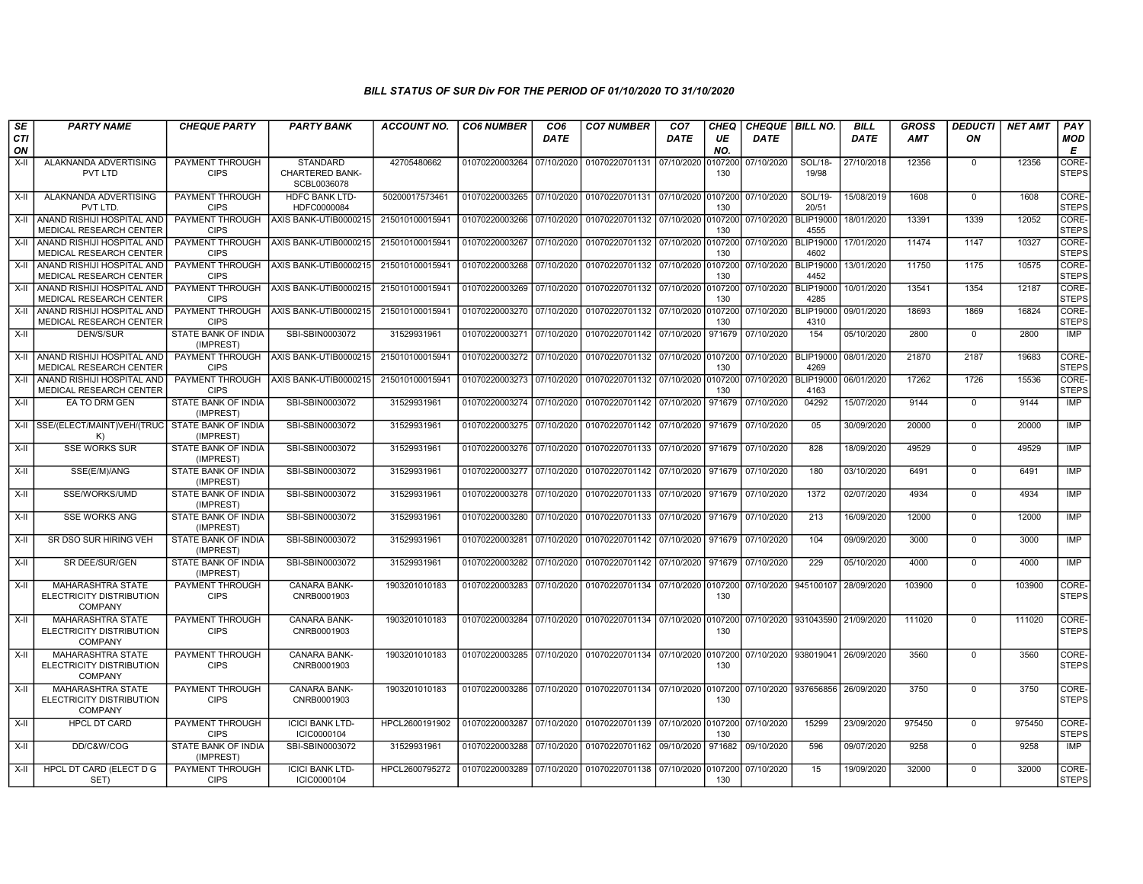| SE               | <b>PARTY NAME</b>                                                      | <b>CHEQUE PARTY</b>                     | <b>PARTY BANK</b>                                        | <b>ACCOUNT NO.</b> | <b>CO6 NUMBER</b>         | CO <sub>6</sub> | <b>CO7 NUMBER</b>                                                      | CO <sub>7</sub> | <b>CHEQ</b>    | CHEQUE   BILL NO. |                                 | <b>BILL</b> | <b>GROSS</b> | <b>DEDUCTI</b> | <b>NET AMT</b> | <b>PAY</b>            |
|------------------|------------------------------------------------------------------------|-----------------------------------------|----------------------------------------------------------|--------------------|---------------------------|-----------------|------------------------------------------------------------------------|-----------------|----------------|-------------------|---------------------------------|-------------|--------------|----------------|----------------|-----------------------|
| <b>CTI</b><br>ON |                                                                        |                                         |                                                          |                    |                           | <b>DATE</b>     |                                                                        | <b>DATE</b>     | UE<br>NO.      | <b>DATE</b>       |                                 | <b>DATE</b> | <b>AMT</b>   | ON             |                | <b>MOD</b><br>Е       |
| $X-H$            | <b>ALAKNANDA ADVERTISING</b><br>PVT LTD                                | <b>PAYMENT THROUGH</b><br><b>CIPS</b>   | <b>STANDARD</b><br><b>CHARTERED BANK-</b><br>SCBL0036078 | 42705480662        |                           |                 | 01070220003264 07/10/2020 01070220701131                               | 07/10/2020      | 0107200<br>130 | 07/10/2020        | <b>SOL/18-</b><br>19/98         | 27/10/2018  | 12356        | $\mathbf 0$    | 12356          | CORE-<br><b>STEPS</b> |
| X-II             | ALAKNANDA ADVERTISING<br>PVT LTD.                                      | PAYMENT THROUGH<br><b>CIPS</b>          | <b>HDFC BANK LTD-</b><br>HDFC0000084                     | 50200017573461     |                           |                 | 01070220003265 07/10/2020 01070220701131 07/10/2020 0107200            |                 | 130            | 07/10/2020        | SOL/19-<br>20/51                | 15/08/2019  | 1608         | $\Omega$       | 1608           | CORE-<br><b>STEPS</b> |
| X-II             | ANAND RISHIJI HOSPITAL AND<br><b>MEDICAL RESEARCH CENTER</b>           | PAYMENT THROUGH<br><b>CIPS</b>          | AXIS BANK-UTIB0000215                                    | 215010100015941    |                           |                 |                                                                        |                 | 130            | 07/10/2020        | <b>BLIP19000</b><br>4555        | 18/01/2020  | 13391        | 1339           | 12052          | CORE-<br><b>STEPS</b> |
| X-II             | ANAND RISHIJI HOSPITAL AND<br>MEDICAL RESEARCH CENTER                  | PAYMENT THROUGH<br><b>CIPS</b>          | AXIS BANK-UTIB0000215                                    | 215010100015941    |                           |                 | 01070220003267 07/10/2020 01070220701132 07/10/2020 0107200            |                 | 130            | 07/10/2020        | <b>BLIP19000</b><br>4602        | 17/01/2020  | 11474        | 1147           | 10327          | CORE-<br><b>STEPS</b> |
| $X-H$            | ANAND RISHIJI HOSPITAL AND<br>MEDICAL RESEARCH CENTER                  | PAYMENT THROUGH<br><b>CIPS</b>          | AXIS BANK-UTIB0000215                                    | 215010100015941    | 01070220003268 07/10/2020 |                 | 01070220701132 07/10/2020 0107200                                      |                 | 130            | 07/10/2020        | BLIP19000<br>4452               | 13/01/2020  | 11750        | 1175           | 10575          | CORE-<br><b>STEPS</b> |
| X-II             | ANAND RISHIJI HOSPITAL AND<br>MEDICAL RESEARCH CENTER                  | <b>CIPS</b>                             | PAYMENT THROUGH AXIS BANK-UTIB0000215                    | 215010100015941    |                           |                 | 01070220003269 07/10/2020 01070220701132 07/10/2020 0107200            |                 | 130            | 07/10/2020        | <b>BLIP19000</b><br>4285        | 10/01/2020  | 13541        | 1354           | 12187          | CORE-<br><b>STEPS</b> |
| $X-H$            | ANAND RISHIJI HOSPITAL AND<br>MEDICAL RESEARCH CENTER                  | PAYMENT THROUGH<br><b>CIPS</b>          | AXIS BANK-UTIB0000215                                    | 215010100015941    | 01070220003270 07/10/2020 |                 | 01070220701132 07/10/2020 0107200                                      |                 | 130            | 07/10/2020        | <b>BLIP19000</b><br>4310        | 09/01/2020  | 18693        | 1869           | 16824          | CORE-<br><b>STEPS</b> |
| $X-II$           | DEN/S/SUR                                                              | STATE BANK OF INDIA<br>(IMPREST)        | SBI-SBIN0003072                                          | 31529931961        |                           |                 | 01070220003271 07/10/2020 01070220701142 07/10/2020                    |                 | 971679         | 07/10/2020        | 154                             | 05/10/2020  | 2800         | $\mathbf 0$    | 2800           | IMP                   |
| $X-H$            | ANAND RISHIJI HOSPITAL AND<br>MEDICAL RESEARCH CENTER                  | <b>CIPS</b>                             | PAYMENT THROUGH AXIS BANK-UTIB0000215                    | 215010100015941    | 01070220003272 07/10/2020 |                 | 01070220701132 07/10/2020 0107200                                      |                 | 130            | 07/10/2020        | <b>BLIP19000</b><br>4269        | 08/01/2020  | 21870        | 2187           | 19683          | CORE<br><b>STEPS</b>  |
| X-II             | ANAND RISHIJI HOSPITAL AND<br>MEDICAL RESEARCH CENTER                  | PAYMENT THROUGH<br><b>CIPS</b>          | AXIS BANK-UTIB0000215                                    | 215010100015941    | 01070220003273 07/10/2020 |                 | 01070220701132 07/10/2020 0107200                                      |                 | 130            | 07/10/2020        | <b>BLIP19000</b><br>4163        | 06/01/2020  | 17262        | 1726           | 15536          | CORE-<br><b>STEPS</b> |
| $X-H$            | EA TO DRM GEN                                                          | <b>STATE BANK OF INDIA</b><br>(IMPREST) | SBI-SBIN0003072                                          | 31529931961        |                           |                 | 01070220003274 07/10/2020 01070220701142 07/10/2020                    |                 | 971679         | 07/10/2020        | 04292                           | 15/07/2020  | 9144         | $\overline{0}$ | 9144           | <b>IMP</b>            |
|                  | X-II SSE/(ELECT/MAINT)VEH/(TRUC STATE BANK OF INDIA<br>K)              | (IMPREST)                               | SBI-SBIN0003072                                          | 31529931961        |                           |                 | 01070220003275 07/10/2020 01070220701142 07/10/2020 971679             |                 |                | 07/10/2020        | 0 <sub>5</sub>                  | 30/09/2020  | 20000        | $\Omega$       | 20000          | <b>IMP</b>            |
| X-II             | <b>SSE WORKS SUR</b>                                                   | STATE BANK OF INDIA<br>(IMPREST)        | SBI-SBIN0003072                                          | 31529931961        |                           |                 | 01070220003276 07/10/2020 01070220701133 07/10/2020 971679             |                 |                | 07/10/2020        | 828                             | 18/09/2020  | 49529        | $\Omega$       | 49529          | <b>IMP</b>            |
| X-II             | SSE(E/M)/ANG                                                           | STATE BANK OF INDIA<br>(IMPREST)        | SBI-SBIN0003072                                          | 31529931961        | 01070220003277 07/10/2020 |                 | 01070220701142 07/10/2020 971679                                       |                 |                | 07/10/2020        | 180                             | 03/10/2020  | 6491         | $\mathbf 0$    | 6491           | <b>IMP</b>            |
| X-II             | SSE/WORKS/UMD                                                          | STATE BANK OF INDIA<br>(IMPREST)        | SBI-SBIN0003072                                          | 31529931961        |                           |                 | 01070220003278 07/10/2020 01070220701133 07/10/2020 971679             |                 |                | 07/10/2020        | 1372                            | 02/07/2020  | 4934         | $\mathbf 0$    | 4934           | <b>IMP</b>            |
| X-II             | <b>SSE WORKS ANG</b>                                                   | STATE BANK OF INDIA<br>(IMPREST)        | SBI-SBIN0003072                                          | 31529931961        | 01070220003280 07/10/2020 |                 | 01070220701133 07/10/2020 971679                                       |                 |                | 07/10/2020        | 213                             | 16/09/2020  | 12000        | $\Omega$       | 12000          | <b>IMP</b>            |
| X-II             | SR DSO SUR HIRING VEH                                                  | STATE BANK OF INDIA<br>(IMPREST)        | SBI-SBIN0003072                                          | 31529931961        |                           |                 | 01070220003281 07/10/2020 01070220701142 07/10/2020 971679             |                 |                | 07/10/2020        | 104                             | 09/09/2020  | 3000         | $\mathbf 0$    | 3000           | <b>IMP</b>            |
| X-II             | SR DEE/SUR/GEN                                                         | STATE BANK OF INDIA<br>(IMPREST)        | SBI-SBIN0003072                                          | 31529931961        | 01070220003282 07/10/2020 |                 | 01070220701142 07/10/2020 971679                                       |                 |                | 07/10/2020        | 229                             | 05/10/2020  | 4000         | $\mathbf 0$    | 4000           | <b>IMP</b>            |
| X-II             | <b>MAHARASHTRA STATE</b><br>ELECTRICITY DISTRIBUTION<br><b>COMPANY</b> | PAYMENT THROUGH<br><b>CIPS</b>          | <b>CANARA BANK-</b><br>CNRB0001903                       | 1903201010183      |                           |                 | 01070220003283 07/10/2020 01070220701134 07/10/2020 0107200 07/10/2020 |                 | 130            |                   | 945100107 28/09/2020 3          |             | 103900       | $\Omega$       | 103900         | CORE-<br><b>STEPS</b> |
| X-II             | <b>MAHARASHTRA STATE</b><br>ELECTRICITY DISTRIBUTION<br>COMPANY        | PAYMENT THROUGH<br><b>CIPS</b>          | CANARA BANK-<br>CNRB0001903                              | 1903201010183      |                           |                 | 01070220003284 07/10/2020 01070220701134 07/10/2020 0107200            |                 | 130            |                   | 07/10/2020 931043590 21/09/2020 |             | 111020       | $\mathbf 0$    | 111020         | CORE-<br><b>STEPS</b> |
| $X-II$           | <b>MAHARASHTRA STATE</b><br>ELECTRICITY DISTRIBUTION<br><b>COMPANY</b> | PAYMENT THROUGH<br><b>CIPS</b>          | <b>CANARA BANK-</b><br>CNRB0001903                       | 1903201010183      |                           |                 | 01070220003285 07/10/2020 01070220701134 07/10/2020 0107200            |                 | 130            |                   | 07/10/2020 938019041 26/09/2020 |             | 3560         | $\mathbf 0$    | 3560           | CORE-<br><b>STEPS</b> |
| X-II             | <b>MAHARASHTRA STATE</b><br>ELECTRICITY DISTRIBUTION<br><b>COMPANY</b> | PAYMENT THROUGH<br><b>CIPS</b>          | CANARA BANK-<br>CNRB0001903                              | 1903201010183      |                           |                 | 01070220003286 07/10/2020 01070220701134 07/10/2020 0107200            |                 | 130            |                   | 07/10/2020 937656856 26/09/2020 |             | 3750         | $\mathbf 0$    | 3750           | CORE-<br><b>STEPS</b> |
| X-II             | <b>HPCL DT CARD</b>                                                    | PAYMENT THROUGH<br><b>CIPS</b>          | <b>ICICI BANK LTD-</b><br>ICIC0000104                    | HPCL2600191902     |                           |                 | 01070220003287 07/10/2020 01070220701139 07/10/2020 0107200 07/10/2020 |                 | 130            |                   | 15299                           | 23/09/2020  | 975450       | $\mathbf 0$    | 975450         | CORE-<br><b>STEPS</b> |
| X-II             | DD/C&W/COG                                                             | STATE BANK OF INDIA<br>(IMPREST)        | SBI-SBIN0003072                                          | 31529931961        |                           |                 | 01070220003288 07/10/2020 01070220701162 09/10/2020 971682             |                 |                | 09/10/2020        | 596                             | 09/07/2020  | 9258         | $\Omega$       | 9258           | <b>IMP</b>            |
| X-II             | HPCL DT CARD (ELECT D G<br>SET)                                        | <b>PAYMENT THROUGH</b><br><b>CIPS</b>   | <b>ICICI BANK LTD-</b><br>ICIC0000104                    | HPCL2600795272     |                           |                 | 01070220003289 07/10/2020 01070220701138 07/10/2020 0107200 07/10/2020 |                 | 130            |                   | 15                              | 19/09/2020  | 32000        | $\mathbf 0$    | 32000          | CORE-<br><b>STEPS</b> |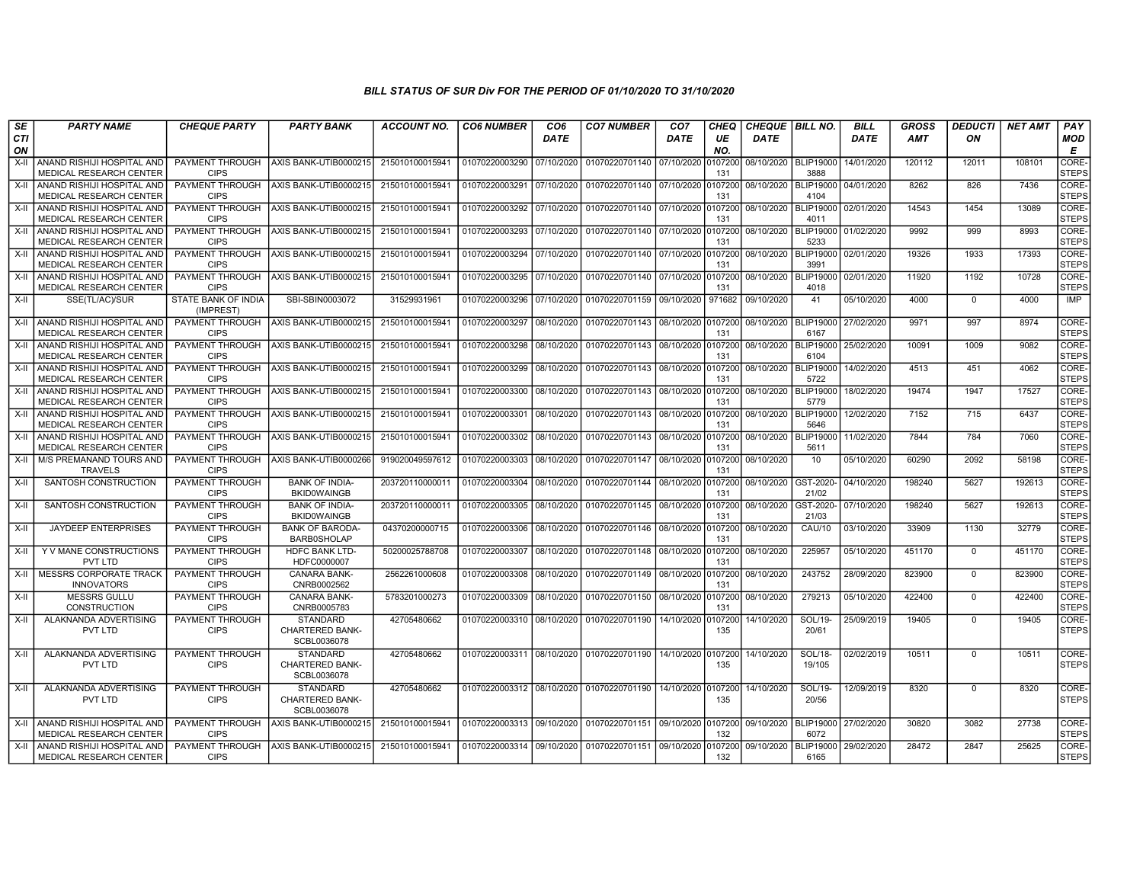| SE               | <b>PARTY NAME</b>                                            | <b>CHEQUE PARTY</b>                   | <b>PARTY BANK</b>                                        | <b>ACCOUNT NO.</b> | <b>CO6 NUMBER</b>         | CO <sub>6</sub> | <b>CO7 NUMBER</b>                 | CO <sub>7</sub> | CHEQ           | <b>CHEQUE BILL NO.</b> |                              | <b>BILL</b>          | <b>GROSS</b> | <b>DEDUCTI</b> | <b>NET AMT</b> | PAY                   |
|------------------|--------------------------------------------------------------|---------------------------------------|----------------------------------------------------------|--------------------|---------------------------|-----------------|-----------------------------------|-----------------|----------------|------------------------|------------------------------|----------------------|--------------|----------------|----------------|-----------------------|
| <b>CTI</b><br>ON |                                                              |                                       |                                                          |                    |                           | <b>DATE</b>     |                                   | <b>DATE</b>     | UE<br>NO.      | <b>DATE</b>            |                              | <b>DATE</b>          | <b>AMT</b>   | ON             |                | MOD<br>E              |
| $X-H$            | ANAND RISHIJI HOSPITAL AND<br><b>MEDICAL RESEARCH CENTER</b> | PAYMENT THROUGH<br><b>CIPS</b>        | AXIS BANK-UTIB0000215                                    | 215010100015941    | 01070220003290            | 07/10/2020      | 01070220701140 07/10/2020         |                 | 107200<br>131  | 08/10/2020             | <b>BLIP19000</b><br>3888     | 14/01/2020           | 120112       | 12011          | 108101         | CORE-<br><b>STEPS</b> |
| X-II             | ANAND RISHIJI HOSPITAL AND<br><b>MEDICAL RESEARCH CENTER</b> | PAYMENT THROUGH<br><b>CIPS</b>        | AXIS BANK-UTIB0000215                                    | 21501010001594     | 01070220003291            | 07/10/2020      | 01070220701140 07/10/2020         |                 | 107200<br>131  | 08/10/2020             | <b>BLIP19000</b><br>4104     | 04/01/2020           | 8262         | 826            | 7436           | CORE-<br><b>STEPS</b> |
| X-II             | ANAND RISHIJI HOSPITAL AND<br>MEDICAL RESEARCH CENTER        | PAYMENT THROUGH<br><b>CIPS</b>        | AXIS BANK-UTIB0000215                                    | 21501010001594     | 01070220003292            | 07/10/2020      | 01070220701140 07/10/2020         |                 | 0107200<br>131 | 08/10/2020             | <b>BLIP19000</b><br>4011     | 02/01/2020           | 14543        | 1454           | 13089          | CORE-<br><b>STEPS</b> |
| X-II             | ANAND RISHIJI HOSPITAL AND<br>MEDICAL RESEARCH CENTER        | PAYMENT THROUGH<br><b>CIPS</b>        | AXIS BANK-UTIB0000215                                    | 215010100015941    | 01070220003293            | 07/10/2020      | 01070220701140 07/10/2020         |                 | 0107200<br>131 | 08/10/2020             | 5233                         | BLIP19000 01/02/2020 | 9992         | 999            | 8993           | CORE-<br><b>STEPS</b> |
| $X-H$            | ANAND RISHIJI HOSPITAL AND<br><b>MEDICAL RESEARCH CENTER</b> | PAYMENT THROUGH<br><b>CIPS</b>        | AXIS BANK-UTIB0000215                                    | 215010100015941    | 01070220003294            | 07/10/2020      | 01070220701140 07/10/2020         |                 | 0107200<br>131 | 08/10/2020             | 3991                         | BLIP19000 02/01/2020 | 19326        | 1933           | 17393          | CORE-<br><b>STEPS</b> |
| X-II             | ANAND RISHIJI HOSPITAL AND<br>MEDICAL RESEARCH CENTER        | <b>PAYMENT THROUGH</b><br><b>CIPS</b> | AXIS BANK-UTIB0000215                                    | 21501010001594     | 01070220003295            | 07/10/2020      | 01070220701140 07/10/2020         |                 | 107200<br>131  | 08/10/2020             | <b>BLIP19000</b><br>4018     | 02/01/2020           | 11920        | 1192           | 10728          | CORE-<br><b>STEPS</b> |
| $X-I$            | SSE(TL/AC)/SUR                                               | STATE BANK OF INDIA<br>(IMPREST)      | SBI-SBIN0003072                                          | 31529931961        | 01070220003296            | 07/10/2020      | 01070220701159 09/10/2020         |                 | 971682         | 09/10/2020             | 41                           | 05/10/2020           | 4000         | $\Omega$       | 4000           | IMP                   |
|                  | X-II ANAND RISHIJI HOSPITAL AND<br>MEDICAL RESEARCH CENTER   | PAYMENT THROUGH<br><b>CIPS</b>        | AXIS BANK-UTIB0000215                                    | 215010100015941    | 01070220003297            | 08/10/2020      | 01070220701143                    | 08/10/2020      | 0107200<br>131 | 08/10/2020             | <b>BLIP19000</b><br>6167     | 27/02/2020           | 9971         | 997            | 8974           | CORE-<br><b>STEPS</b> |
| X-II             | ANAND RISHIJI HOSPITAL AND<br>MEDICAL RESEARCH CENTER        | PAYMENT THROUGH<br><b>CIPS</b>        | AXIS BANK-UTIB0000215                                    | 215010100015941    | 01070220003298            | 08/10/2020      | 01070220701143   08/10/2020       |                 | 0107200<br>131 | 08/10/2020             | <b>BLIP19000</b><br>6104     | 25/02/2020           | 10091        | 1009           | 9082           | CORE-<br><b>STEPS</b> |
| X-II             | ANAND RISHIJI HOSPITAL AND<br><b>MEDICAL RESEARCH CENTER</b> | PAYMENT THROUGH<br><b>CIPS</b>        | AXIS BANK-UTIB0000215                                    | 215010100015941    | 01070220003299            | 08/10/2020      | 01070220701143                    | 08/10/2020      | 0107200<br>131 | 08/10/2020             | <b>BLIP19000</b><br>5722     | 14/02/2020           | 4513         | 451            | 4062           | CORE-<br><b>STEPS</b> |
| X-II             | ANAND RISHIJI HOSPITAL AND<br>MEDICAL RESEARCH CENTER        | PAYMENT THROUGH<br><b>CIPS</b>        | AXIS BANK-UTIB0000215                                    | 21501010001594     | 01070220003300            | 08/10/2020      | 01070220701143 08/10/2020         |                 | 107200<br>131  | 08/10/2020             | <b>BLIP19000</b><br>5779     | 18/02/2020           | 19474        | 1947           | 17527          | CORE-<br><b>STEPS</b> |
| X-II             | ANAND RISHIJI HOSPITAL AND<br><b>MEDICAL RESEARCH CENTER</b> | PAYMENT THROUGH<br><b>CIPS</b>        | AXIS BANK-UTIB0000215                                    | 215010100015941    | 01070220003301            | 08/10/2020      | 01070220701143                    | 08/10/2020      | 0107200<br>131 | 08/10/2020             | <b>BLIP19000</b><br>5646     | 12/02/2020           | 7152         | 715            | 6437           | CORE-<br><b>STEPS</b> |
| X-II             | ANAND RISHIJI HOSPITAL AND<br>MEDICAL RESEARCH CENTER        | PAYMENT THROUGH<br><b>CIPS</b>        | AXIS BANK-UTIB0000215                                    | 21501010001594     | 01070220003302            | 08/10/2020      | 01070220701143                    | 08/10/2020      | 0107200<br>131 | 08/10/2020             | <b>BLIP19000</b><br>5611     | 11/02/2020           | 7844         | 784            | 7060           | CORE-<br><b>STEPS</b> |
| X-II             | M/S PREMANAND TOURS AND<br><b>TRAVELS</b>                    | PAYMENT THROUGH<br><b>CIPS</b>        | AXIS BANK-UTIB0000266                                    | 919020049597612    | 01070220003303            | 08/10/2020      | 01070220701147 08/10/2020         |                 | 0107200<br>131 | 08/10/2020             | 10 <sup>1</sup>              | 05/10/2020           | 60290        | 2092           | 58198          | CORE-<br><b>STEPS</b> |
| X-II             | SANTOSH CONSTRUCTION                                         | PAYMENT THROUGH<br><b>CIPS</b>        | <b>BANK OF INDIA-</b><br><b>BKID0WAINGB</b>              | 203720110000011    | 01070220003304            | 08/10/2020      | 01070220701144                    | 08/10/2020      | 0107200<br>131 | 08/10/2020             | GST-2020<br>21/02            | 04/10/2020           | 198240       | 5627           | 192613         | CORE-<br><b>STEPS</b> |
| $X-II$           | SANTOSH CONSTRUCTION                                         | PAYMENT THROUGH<br><b>CIPS</b>        | <b>BANK OF INDIA-</b><br><b>BKID0WAINGB</b>              | 20372011000001     | 01070220003305            | 08/10/2020      | 01070220701145                    | 08/10/2020      | 107200<br>131  | 08/10/2020             | GST-2020<br>21/03            | 07/10/2020           | 198240       | 5627           | 192613         | CORE-<br><b>STEPS</b> |
| $X-H$            | <b>JAYDEEP ENTERPRISES</b>                                   | PAYMENT THROUGH<br><b>CIPS</b>        | <b>BANK OF BARODA-</b><br><b>BARB0SHOLAP</b>             | 04370200000715     | 01070220003306            | 08/10/2020      | 01070220701146 08/10/2020 0107200 |                 | 131            | 08/10/2020             | <b>CAU/10</b>                | 03/10/2020           | 33909        | 1130           | 32779          | CORE-<br><b>STEPS</b> |
| X-II             | Y V MANE CONSTRUCTIONS<br><b>PVT LTD</b>                     | <b>PAYMENT THROUGH</b><br><b>CIPS</b> | <b>HDFC BANK LTD-</b><br>HDFC0000007                     | 50200025788708     | 01070220003307            | 08/10/2020      | 01070220701148 08/10/2020         |                 | 0107200<br>131 | 08/10/2020             | 225957                       | 05/10/2020           | 451170       | $\mathbf 0$    | 451170         | CORE-<br><b>STEPS</b> |
| X-II             | MESSRS CORPORATE TRACK<br><b>INNOVATORS</b>                  | PAYMENT THROUGH<br><b>CIPS</b>        | CANARA BANK-<br>CNRB0002562                              | 2562261000608      | 01070220003308            | 08/10/2020      | 01070220701149                    | 08/10/2020      | 107200<br>131  | 08/10/2020             | 243752                       | 28/09/2020           | 823900       | $\Omega$       | 823900         | CORE-<br><b>STEPS</b> |
| X-II             | <b>MESSRS GULLU</b><br><b>CONSTRUCTION</b>                   | PAYMENT THROUGH<br><b>CIPS</b>        | <b>CANARA BANK-</b><br>CNRB0005783                       | 5783201000273      | 01070220003309            | 08/10/2020      | 01070220701150                    | 08/10/2020      | 0107200<br>131 | 08/10/2020             | 279213                       | 05/10/2020           | 422400       | $\mathbf 0$    | 422400         | CORE-<br><b>STEPS</b> |
| X-II             | ALAKNANDA ADVERTISING<br>PVT LTD                             | PAYMENT THROUGH<br><b>CIPS</b>        | STANDARD<br><b>CHARTERED BANK-</b><br>SCBL0036078        | 42705480662        | 01070220003310 08/10/2020 |                 | 01070220701190                    | 14/10/2020      | 107200<br>135  | 14/10/2020             | SOL/19-<br>20/61             | 25/09/2019           | 19405        | $\mathbf{0}$   | 19405          | CORE-<br><b>STEPS</b> |
| $X-II$           | ALAKNANDA ADVERTISING<br>PVT LTD                             | PAYMENT THROUGH<br><b>CIPS</b>        | <b>STANDARD</b><br><b>CHARTERED BANK-</b><br>SCBL0036078 | 42705480662        | 01070220003311 08/10/2020 |                 | 01070220701190 14/10/2020         |                 | 0107200<br>135 | 14/10/2020             | SOL/18-<br>19/105            | 02/02/2019           | 10511        | $\Omega$       | 10511          | CORE-<br><b>STEPS</b> |
| X-II             | ALAKNANDA ADVERTISING<br>PVT LTD                             | <b>PAYMENT THROUGH</b><br><b>CIPS</b> | <b>STANDARD</b><br><b>CHARTERED BANK-</b><br>SCBL0036078 | 42705480662        | 01070220003312 08/10/2020 |                 | 01070220701190 14/10/2020         |                 | 0107200<br>135 | 14/10/2020             | SOL/19-<br>20/56             | 12/09/2019           | 8320         | $\Omega$       | 8320           | CORE-<br><b>STEPS</b> |
| X-II             | ANAND RISHIJI HOSPITAL AND  <br>MEDICAL RESEARCH CENTER      | PAYMENT THROUGH<br><b>CIPS</b>        | AXIS BANK-UTIB0000215                                    | 215010100015941    | 01070220003313 09/10/2020 |                 | 01070220701151 09/10/2020         |                 | 0107200<br>132 | 09/10/2020             | BLIP19000 27/02/2020<br>6072 |                      | 30820        | 3082           | 27738          | CORE-<br><b>STEPS</b> |
| X-II             | I ANAND RISHIJI HOSPITAL AND I<br>MEDICAL RESEARCH CENTER    | PAYMENT THROUGH<br><b>CIPS</b>        | AXIS BANK-UTIB0000215                                    | 215010100015941    | 01070220003314 09/10/2020 |                 | 01070220701151 09/10/2020         |                 | 107200<br>132  | 09/10/2020             | <b>BLIP19000</b><br>6165     | 29/02/2020           | 28472        | 2847           | 25625          | CORE-<br><b>STEPS</b> |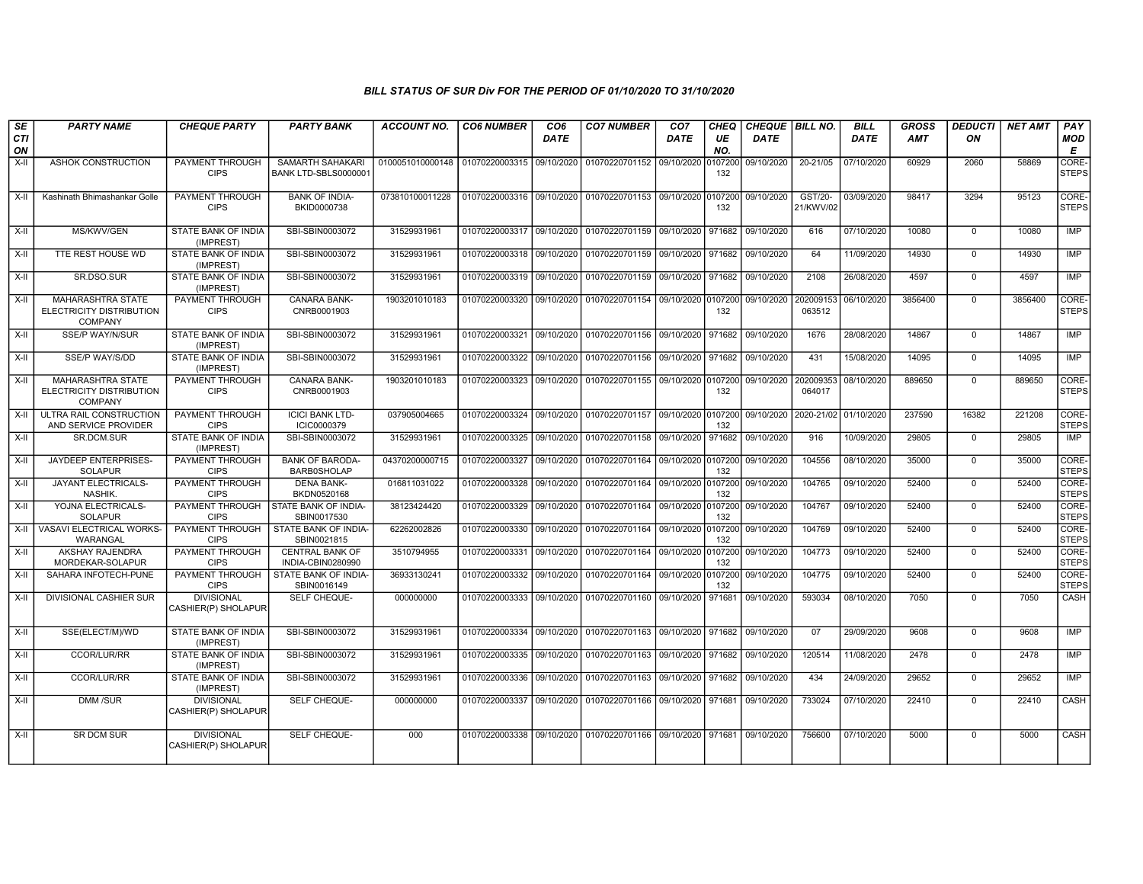| SE               | <b>PARTY NAME</b>                                                      | <b>CHEQUE PARTY</b>                      | <b>PARTY BANK</b>                            | <b>ACCOUNT NO.</b>                             | <b>CO6 NUMBER</b>         | CO <sub>6</sub> | <b>CO7 NUMBER</b>                                           | CO <sub>7</sub> | CHEQ           | CHEQUE BILL NO. |                       | <b>BILL</b> | <b>GROSS</b> | <b>DEDUCTI</b> | <b>NET AMT</b> | PAY                   |
|------------------|------------------------------------------------------------------------|------------------------------------------|----------------------------------------------|------------------------------------------------|---------------------------|-----------------|-------------------------------------------------------------|-----------------|----------------|-----------------|-----------------------|-------------|--------------|----------------|----------------|-----------------------|
| <b>CTI</b><br>ON |                                                                        |                                          |                                              |                                                |                           | DATE            |                                                             | <b>DATE</b>     | UE<br>NO.      | <b>DATE</b>     |                       | <b>DATE</b> | <b>AMT</b>   | ON             |                | <b>MOD</b><br>E       |
| $X-H$            | <b>ASHOK CONSTRUCTION</b>                                              | <b>PAYMENT THROUGH</b><br><b>CIPS</b>    | SAMARTH SAHAKARI<br>BANK LTD-SBLS0000001     | 0100051010000148   01070220003315   09/10/2020 |                           |                 | 01070220701152 09/10/2020                                   |                 | 0107200<br>132 | 09/10/2020      | $20 - 21/05$          | 07/10/2020  | 60929        | 2060           | 58869          | CORE-<br><b>STEPS</b> |
| X-II             | Kashinath Bhimashankar Golle                                           | PAYMENT THROUGH<br><b>CIPS</b>           | <b>BANK OF INDIA-</b><br>BKID0000738         | 073810100011228                                | 01070220003316 09/10/2020 |                 | 01070220701153 09/10/2020 0107200                           |                 | 132            | 09/10/2020      | GST/20-<br>21/KWV/02  | 03/09/2020  | 98417        | 3294           | 95123          | CORE-<br><b>STEPS</b> |
| X-II             | MS/KWV/GEN                                                             | STATE BANK OF INDIA<br>(IMPREST)         | SBI-SBIN0003072                              | 31529931961                                    | 01070220003317 09/10/2020 |                 | 01070220701159 09/10/2020 971682                            |                 |                | 09/10/2020      | 616                   | 07/10/2020  | 10080        | $\mathbf 0$    | 10080          | IMP                   |
| $X-II$           | TTE REST HOUSE WD                                                      | STATE BANK OF INDIA<br>(IMPREST)         | SBI-SBIN0003072                              | 31529931961                                    | 01070220003318 09/10/2020 |                 | 01070220701159 09/10/2020 971682                            |                 |                | 09/10/2020      | 64                    | 11/09/2020  | 14930        | $\overline{0}$ | 14930          | IMP                   |
| $X-II$           | SR.DSO.SUR                                                             | STATE BANK OF INDIA<br>(IMPREST)         | SBI-SBIN0003072                              | 31529931961                                    | 01070220003319 09/10/2020 |                 | 01070220701159 09/10/2020 971682                            |                 |                | 09/10/2020      | 2108                  | 26/08/2020  | 4597         | $\overline{0}$ | 4597           | <b>IMP</b>            |
| $X-H$            | <b>MAHARASHTRA STATE</b><br>ELECTRICITY DISTRIBUTION<br><b>COMPANY</b> | <b>PAYMENT THROUGH</b><br><b>CIPS</b>    | CANARA BANK-<br>CNRB0001903                  | 1903201010183                                  |                           |                 | 01070220003320 09/10/2020 01070220701154 09/10/2020 0107200 |                 | 132            | 09/10/2020      | 202009153<br>063512   | 06/10/2020  | 3856400      | $\mathbf 0$    | 3856400        | CORE-<br><b>STEPS</b> |
| $X-II$           | <b>SSE/P WAY/N/SUR</b>                                                 | STATE BANK OF INDIA<br>(IMPREST)         | SBI-SBIN0003072                              | 31529931961                                    | 01070220003321 09/10/2020 |                 | 01070220701156 09/10/2020 971682                            |                 |                | 09/10/2020      | 1676                  | 28/08/2020  | 14867        | $\mathbf 0$    | 14867          | IMP                   |
| X-II             | <b>SSE/P WAY/S/DD</b>                                                  | <b>STATE BANK OF INDIA</b><br>(IMPREST)  | SBI-SBIN0003072                              | 31529931961                                    | 01070220003322 09/10/2020 |                 | 01070220701156 09/10/2020 971682                            |                 |                | 09/10/2020      | 431                   | 15/08/2020  | 14095        | $\mathbf 0$    | 14095          | <b>IMP</b>            |
| X-II             | <b>MAHARASHTRA STATE</b><br>ELECTRICITY DISTRIBUTION<br><b>COMPANY</b> | PAYMENT THROUGH<br><b>CIPS</b>           | <b>CANARA BANK-</b><br>CNRB0001903           | 1903201010183                                  | 01070220003323 09/10/2020 |                 | 01070220701155 09/10/2020 0107200                           |                 | 132            | 09/10/2020      | 202009353<br>064017   | 08/10/2020  | 889650       | $\Omega$       | 889650         | CORE-<br><b>STEPS</b> |
| $X-H$            | ULTRA RAIL CONSTRUCTION<br>AND SERVICE PROVIDER                        | <b>PAYMENT THROUGH</b><br><b>CIPS</b>    | <b>ICICI BANK LTD-</b><br>ICIC0000379        | 037905004665                                   |                           |                 | 01070220003324 09/10/2020 01070220701157 09/10/2020 0107200 |                 | 132            | 09/10/2020      | 2020-21/02 01/10/2020 |             | 237590       | 16382          | 221208         | CORE-<br><b>STEPS</b> |
| $X-H$            | SR.DCM.SUR                                                             | <b>STATE BANK OF INDIA</b><br>(IMPREST)  | SBI-SBIN0003072                              | 31529931961                                    | 01070220003325            | 09/10/2020      | 01070220701158 09/10/2020 971682                            |                 |                | 09/10/2020      | 916                   | 10/09/2020  | 29805        | $\mathbf 0$    | 29805          | IMP                   |
| X-II             | JAYDEEP ENTERPRISES-<br><b>SOLAPUR</b>                                 | PAYMENT THROUGH<br><b>CIPS</b>           | <b>BANK OF BARODA-</b><br><b>BARB0SHOLAP</b> | 04370200000715                                 | 01070220003327 09/10/2020 |                 | 01070220701164 09/10/2020 0107200                           |                 | 132            | 09/10/2020      | 104556                | 08/10/2020  | 35000        | $\mathbf 0$    | 35000          | CORE-<br><b>STEPS</b> |
| X-II             | <b>JAYANT ELECTRICALS-</b><br>NASHIK.                                  | PAYMENT THROUGH<br><b>CIPS</b>           | <b>DENA BANK-</b><br>BKDN0520168             | 016811031022                                   | 01070220003328            | 09/10/2020      | 01070220701164 09/10/2020 0107200                           |                 | 132            | 09/10/2020      | 104765                | 09/10/2020  | 52400        | $\mathbf 0$    | 52400          | CORE-<br><b>STEPS</b> |
| X-II             | YOJNA ELECTRICALS-<br><b>SOLAPUR</b>                                   | <b>PAYMENT THROUGH</b><br><b>CIPS</b>    | STATE BANK OF INDIA-<br>SBIN0017530          | 38123424420                                    | 01070220003329            | 09/10/2020      | 01070220701164 09/10/2020                                   |                 | 0107200<br>132 | 09/10/2020      | 104767                | 09/10/2020  | 52400        | $\Omega$       | 52400          | CORE-<br><b>STEPS</b> |
| $X-H$            | VASAVI ELECTRICAL WORKS-<br>WARANGAL                                   | <b>PAYMENT THROUGH</b><br><b>CIPS</b>    | STATE BANK OF INDIA-<br>SBIN0021815          | 62262002826                                    | 01070220003330 09/10/2020 |                 | 01070220701164 09/10/2020 0107200                           |                 | 132            | 09/10/2020      | 104769                | 09/10/2020  | 52400        | $\overline{0}$ | 52400          | CORE-<br><b>STEPS</b> |
| X-II             | <b>AKSHAY RAJENDRA</b><br>MORDEKAR-SOLAPUR                             | PAYMENT THROUGH<br><b>CIPS</b>           | <b>CENTRAL BANK OF</b><br>INDIA-CBIN0280990  | 3510794955                                     | 01070220003331 09/10/2020 |                 | 01070220701164 09/10/2020 0107200                           |                 | 132            | 09/10/2020      | 104773                | 09/10/2020  | 52400        | $\mathbf 0$    | 52400          | CORE-<br><b>STEPS</b> |
| X-II             | SAHARA INFOTECH-PUNE                                                   | PAYMENT THROUGH<br><b>CIPS</b>           | STATE BANK OF INDIA-<br>SBIN0016149          | 36933130241                                    | 01070220003332            | 09/10/2020      | 01070220701164 09/10/2020 0107200                           |                 | 132            | 09/10/2020      | 104775                | 09/10/2020  | 52400        | $\overline{0}$ | 52400          | CORE-<br><b>STEPS</b> |
| $X-H$            | DIVISIONAL CASHIER SUR                                                 | <b>DIVISIONAL</b><br>CASHIER(P) SHOLAPUR | SELF CHEQUE-                                 | 000000000                                      | 01070220003333            | 09/10/2020      | 01070220701160 09/10/2020 971681                            |                 |                | 09/10/2020      | 593034                | 08/10/2020  | 7050         | $\overline{0}$ | 7050           | CASH                  |
| X-II             | SSE(ELECT/M)/WD                                                        | STATE BANK OF INDIA<br>(IMPREST)         | SBI-SBIN0003072                              | 31529931961                                    | 01070220003334            | 09/10/2020      | 01070220701163 09/10/2020 971682 09/10/2020                 |                 |                |                 | 07                    | 29/09/2020  | 9608         | $\mathbf 0$    | 9608           | <b>IMP</b>            |
| $X-II$           | <b>CCOR/LUR/RR</b>                                                     | STATE BANK OF INDIA<br>(IMPREST)         | SBI-SBIN0003072                              | 31529931961                                    | 01070220003335 09/10/2020 |                 | 01070220701163 09/10/2020 971682                            |                 |                | 09/10/2020      | 120514                | 11/08/2020  | 2478         | $\overline{0}$ | 2478           | IMP                   |
| X-II             | <b>CCOR/LUR/RR</b>                                                     | STATE BANK OF INDIA<br>(IMPREST)         | SBI-SBIN0003072                              | 31529931961                                    | 01070220003336 09/10/2020 |                 | 01070220701163 09/10/2020 971682                            |                 |                | 09/10/2020      | 434                   | 24/09/2020  | 29652        | $\mathbf 0$    | 29652          | IMP                   |
| $X-H$            | <b>DMM/SUR</b>                                                         | <b>DIVISIONAL</b><br>CASHIER(P) SHOLAPUR | SELF CHEQUE-                                 | 000000000                                      | 01070220003337            | 09/10/2020      | 01070220701166 09/10/2020 971681                            |                 |                | 09/10/2020      | 733024                | 07/10/2020  | 22410        | $\mathbf 0$    | 22410          | CASH                  |
| $X-H$            | <b>SR DCM SUR</b>                                                      | <b>DIVISIONAL</b><br>CASHIER(P) SHOLAPUR | SELF CHEQUE-                                 | 000                                            | 01070220003338            | 09/10/2020      | 01070220701166   09/10/2020   971681   09/10/2020           |                 |                |                 | 756600                | 07/10/2020  | 5000         | $\mathbf 0$    | 5000           | <b>CASH</b>           |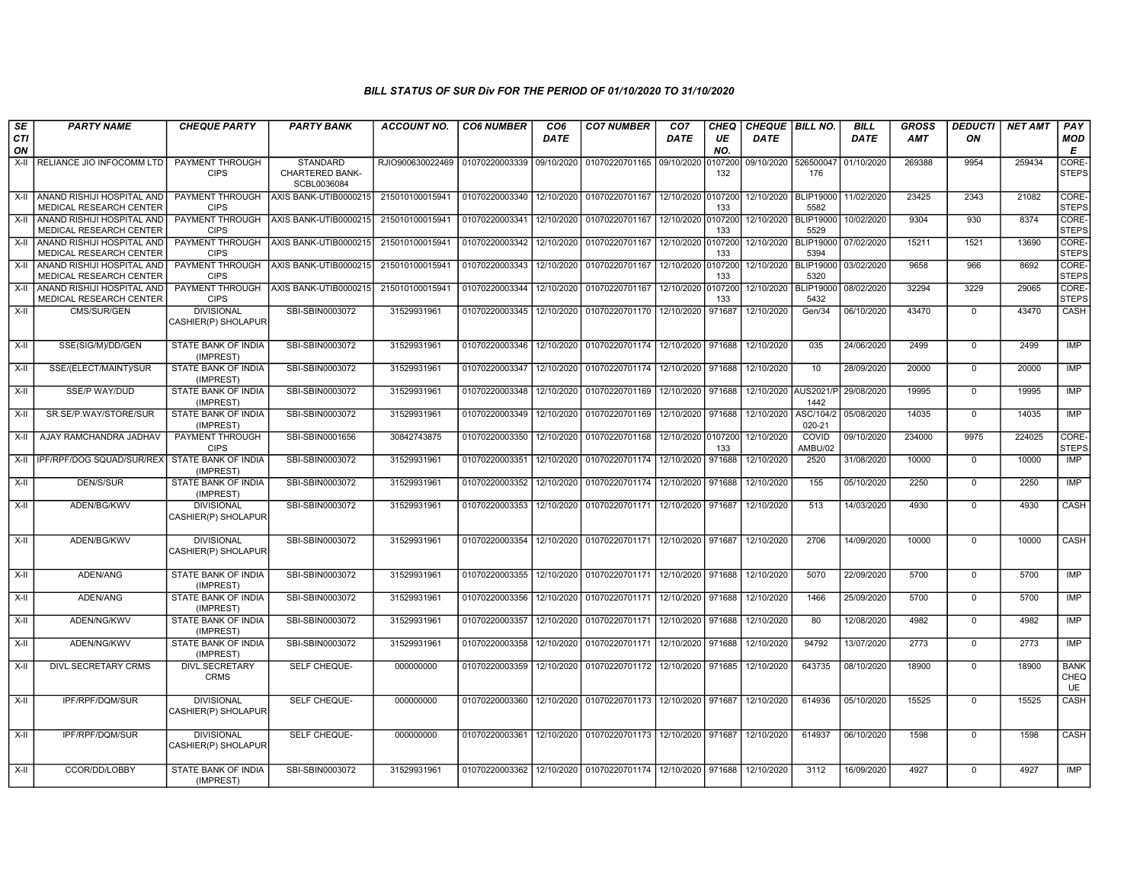| SE               | <b>PARTY NAME</b>                                            | <b>CHEQUE PARTY</b>                      | <b>PARTY BANK</b>                                 | <b>ACCOUNT NO.</b> | <b>CO6 NUMBER</b> | CO <sub>6</sub> | <b>CO7 NUMBER</b>                           | CO <sub>7</sub>    | CHEQ           | CHEQUE BILL NO. |                          | <b>BILL</b> | GROSS  | <b>DEDUCTI</b> | <b>NET AMT</b> | <b>PAY</b>                       |
|------------------|--------------------------------------------------------------|------------------------------------------|---------------------------------------------------|--------------------|-------------------|-----------------|---------------------------------------------|--------------------|----------------|-----------------|--------------------------|-------------|--------|----------------|----------------|----------------------------------|
| <b>CTI</b><br>ON |                                                              |                                          |                                                   |                    |                   | <b>DATE</b>     |                                             | DATE               | UE<br>NO.      | <b>DATE</b>     |                          | <b>DATE</b> | AMT    | ON             |                | <b>MOD</b><br>E                  |
| X-II             | RELIANCE JIO INFOCOMM LTD                                    | PAYMENT THROUGH<br><b>CIPS</b>           | <b>STANDARD</b><br>CHARTERED BANK-<br>SCBL0036084 | RJIO900630022469   | 01070220003339    | 09/10/2020      | 01070220701165                              | 09/10/2020         | 0107200<br>132 | 09/10/2020      | 526500047<br>176         | 01/10/2020  | 269388 | 9954           | 259434         | CORE-<br><b>STEPS</b>            |
| X-II             | ANAND RISHIJI HOSPITAL AND<br>MEDICAL RESEARCH CENTER        | PAYMENT THROUGH<br><b>CIPS</b>           | AXIS BANK-UTIB0000215                             | 215010100015941    | 01070220003340    | 12/10/2020      | 01070220701167                              | 12/10/2020         | 0107200<br>133 | 12/10/2020      | <b>BLIP19000</b><br>5582 | 11/02/2020  | 23425  | 2343           | 21082          | CORE-<br><b>STEPS</b>            |
| $X-II$           | ANAND RISHIJI HOSPITAL AND<br>MEDICAL RESEARCH CENTER        | PAYMENT THROUGH<br><b>CIPS</b>           | AXIS BANK-UTIB0000215                             | 215010100015941    | 01070220003341    | 12/10/2020      | 01070220701167                              | 12/10/2020 0107200 | 133            | 12/10/2020      | <b>BLIP19000</b><br>5529 | 10/02/2020  | 9304   | 930            | 8374           | CORE-<br><b>STEPS</b>            |
| X-II             | ANAND RISHIJI HOSPITAL AND<br><b>MEDICAL RESEARCH CENTER</b> | PAYMENT THROUGH<br><b>CIPS</b>           | AXIS BANK-UTIB0000215                             | 215010100015941    | 01070220003342    | 12/10/2020      | 01070220701167                              | 12/10/2020         | 0107200<br>133 | 12/10/2020      | <b>BLIP19000</b><br>5394 | 07/02/2020  | 15211  | 1521           | 13690          | CORE-<br><b>STEPS</b>            |
| X-II             | ANAND RISHIJI HOSPITAL AND<br>MEDICAL RESEARCH CENTER        | PAYMENT THROUGH<br><b>CIPS</b>           | AXIS BANK-UTIB0000215                             | 215010100015941    | 01070220003343    | 12/10/2020      | 01070220701167                              | 12/10/2020 0107200 | 133            | 12/10/2020      | <b>BLIP19000</b><br>5320 | 03/02/2020  | 9658   | 966            | 8692           | CORE-<br><b>STEPS</b>            |
| X-II             | ANAND RISHIJI HOSPITAL AND<br>MEDICAL RESEARCH CENTER        | <b>CIPS</b>                              | PAYMENT THROUGH AXIS BANK-UTIB0000215             | 215010100015941    | 01070220003344    | 12/10/2020      | 01070220701167                              | 12/10/2020 0107200 | 133            | 12/10/2020      | <b>BLIP19000</b><br>5432 | 08/02/2020  | 32294  | 3229           | 29065          | CORE-<br><b>STEPS</b>            |
| X-II             | CMS/SUR/GEN                                                  | <b>DIVISIONAL</b><br>CASHIER(P) SHOLAPUR | SBI-SBIN0003072                                   | 31529931961        | 01070220003345    |                 | 12/10/2020 01070220701170 12/10/2020 971687 |                    |                | 12/10/2020      | Gen/34                   | 06/10/2020  | 43470  | $\mathbf 0$    | 43470          | CASH                             |
| X-II             | SSE(SIG/M)/DD/GEN                                            | STATE BANK OF INDIA<br>(IMPREST)         | SBI-SBIN0003072                                   | 31529931961        | 01070220003346    | 12/10/2020      | 01070220701174                              | 12/10/2020         | 971688         | 12/10/2020      | 035                      | 24/06/2020  | 2499   | $\overline{0}$ | 2499           | IMP                              |
| $X-H$            | SSE/(ELECT/MAINT)/SUR                                        | <b>STATE BANK OF INDIA</b><br>(IMPREST)  | SBI-SBIN0003072                                   | 31529931961        | 01070220003347    | 12/10/2020      | 01070220701174                              | 12/10/2020         | 971688         | 12/10/2020      | 10                       | 28/09/2020  | 20000  | $\overline{0}$ | 20000          | <b>IMP</b>                       |
| $X-H$            | <b>SSE/P WAY/DUD</b>                                         | <b>STATE BANK OF INDIA</b><br>(IMPREST)  | SBI-SBIN0003072                                   | 31529931961        | 01070220003348    |                 | 12/10/2020 01070220701169                   | 12/10/2020 971688  |                | 12/10/2020      | <b>AUS2021/P</b><br>1442 | 29/08/2020  | 19995  | $\overline{0}$ | 19995          | IMP                              |
| X-II             | SR.SE/P.WAY/STORE/SUR                                        | STATE BANK OF INDIA<br>(IMPREST)         | SBI-SBIN0003072                                   | 31529931961        | 01070220003349    |                 | 12/10/2020 01070220701169                   | 12/10/2020 971688  |                | 12/10/2020      | ASC/104/2<br>020-21      | 05/08/2020  | 14035  | $\Omega$       | 14035          | <b>IMP</b>                       |
| X-II             | AJAY RAMCHANDRA JADHAV                                       | PAYMENT THROUGH<br><b>CIPS</b>           | SBI-SBIN0001656                                   | 30842743875        | 01070220003350    | 12/10/2020      | 01070220701168                              | 12/10/2020 0107200 | 133            | 12/10/2020      | COVID<br>AMBU/02         | 09/10/2020  | 234000 | 9975           | 224025         | CORE-<br><b>STEPS</b>            |
| X-II             | IPF/RPF/DOG SQUAD/SUR/REX                                    | STATE BANK OF INDIA<br>(IMPREST)         | SBI-SBIN0003072                                   | 31529931961        | 01070220003351    | 12/10/2020      | 01070220701174                              | 12/10/2020         | 971688         | 12/10/2020      | 2520                     | 31/08/2020  | 10000  | $\mathbf 0$    | 10000          | <b>IMP</b>                       |
| X-II             | <b>DEN/S/SUR</b>                                             | STATE BANK OF INDIA<br>(IMPREST)         | SBI-SBIN0003072                                   | 31529931961        | 01070220003352    | 12/10/2020      | 01070220701174                              | 12/10/2020         | 971688         | 12/10/2020      | 155                      | 05/10/2020  | 2250   | $\overline{0}$ | 2250           | IMP                              |
| X-II             | ADEN/BG/KWV                                                  | <b>DIVISIONAL</b><br>CASHIER(P) SHOLAPUR | SBI-SBIN0003072                                   | 31529931961        | 01070220003353    |                 | 12/10/2020 01070220701171                   | 12/10/2020 971687  |                | 12/10/2020      | 513                      | 14/03/2020  | 4930   | $\mathbf 0$    | 4930           | CASH                             |
| $X-H$            | ADEN/BG/KWV                                                  | <b>DIVISIONAL</b><br>CASHIER(P) SHOLAPUR | SBI-SBIN0003072                                   | 31529931961        | 01070220003354    |                 | 12/10/2020 01070220701171                   | 12/10/2020 971687  |                | 12/10/2020      | 2706                     | 14/09/2020  | 10000  | $\overline{0}$ | 10000          | <b>CASH</b>                      |
| $X-II$           | ADEN/ANG                                                     | STATE BANK OF INDIA<br>(IMPREST)         | SBI-SBIN0003072                                   | 31529931961        | 01070220003355    |                 | 12/10/2020 01070220701171                   | 12/10/2020 971688  |                | 12/10/2020      | 5070                     | 22/09/2020  | 5700   | $\overline{0}$ | 5700           | IMP                              |
| $X-H$            | ADEN/ANG                                                     | STATE BANK OF INDIA<br>(IMPREST)         | SBI-SBIN0003072                                   | 31529931961        | 01070220003356    |                 | 12/10/2020 01070220701171                   | 12/10/2020 971688  |                | 12/10/2020      | 1466                     | 25/09/2020  | 5700   | $\overline{0}$ | 5700           | IMP                              |
| X-II             | ADEN/NG/KWV                                                  | STATE BANK OF INDIA<br>(IMPREST)         | SBI-SBIN0003072                                   | 31529931961        | 01070220003357    | 12/10/2020      | 01070220701171                              | 12/10/2020 971688  |                | 12/10/2020      | 80                       | 12/08/2020  | 4982   | $\Omega$       | 4982           | <b>IMP</b>                       |
| X-II             | ADEN/NG/KWV                                                  | STATE BANK OF INDIA<br>(IMPREST)         | SBI-SBIN0003072                                   | 31529931961        | 01070220003358    | 12/10/2020      | 01070220701171                              | 12/10/2020         | 971688         | 12/10/2020      | 94792                    | 13/07/2020  | 2773   | $\Omega$       | 2773           | <b>IMP</b>                       |
| X-II             | <b>DIVL.SECRETARY CRMS</b>                                   | <b>DIVL.SECRETARY</b><br><b>CRMS</b>     | SELF CHEQUE-                                      | 000000000          | 01070220003359    | 12/10/2020      | 01070220701172                              | 12/10/2020         | 971685         | 12/10/2020      | 643735                   | 08/10/2020  | 18900  | $\Omega$       | 18900          | <b>BANK</b><br>CHEQ<br><b>UE</b> |
| $X-H$            | IPF/RPF/DQM/SUR                                              | <b>DIVISIONAL</b><br>CASHIER(P) SHOLAPUR | SELF CHEQUE-                                      | 000000000          | 01070220003360    |                 | 12/10/2020 01070220701173                   | 12/10/2020 971687  |                | 12/10/2020      | 614936                   | 05/10/2020  | 15525  | $\Omega$       | 15525          | CASH                             |
| $X-H$            | IPF/RPF/DQM/SUR                                              | <b>DIVISIONAL</b><br>CASHIER(P) SHOLAPUR | SELF CHEQUE-                                      | 000000000          | 01070220003361    |                 | 12/10/2020 01070220701173 12/10/2020 971687 |                    |                | 12/10/2020      | 614937                   | 06/10/2020  | 1598   | $\mathbf 0$    | 1598           | CASH                             |
| $X-H$            | CCOR/DD/LOBBY                                                | STATE BANK OF INDIA<br>(IMPREST)         | SBI-SBIN0003072                                   | 31529931961        | 01070220003362    |                 | 12/10/2020 01070220701174 12/10/2020 971688 |                    |                | 12/10/2020      | 3112                     | 16/09/2020  | 4927   | $\Omega$       | 4927           | <b>IMP</b>                       |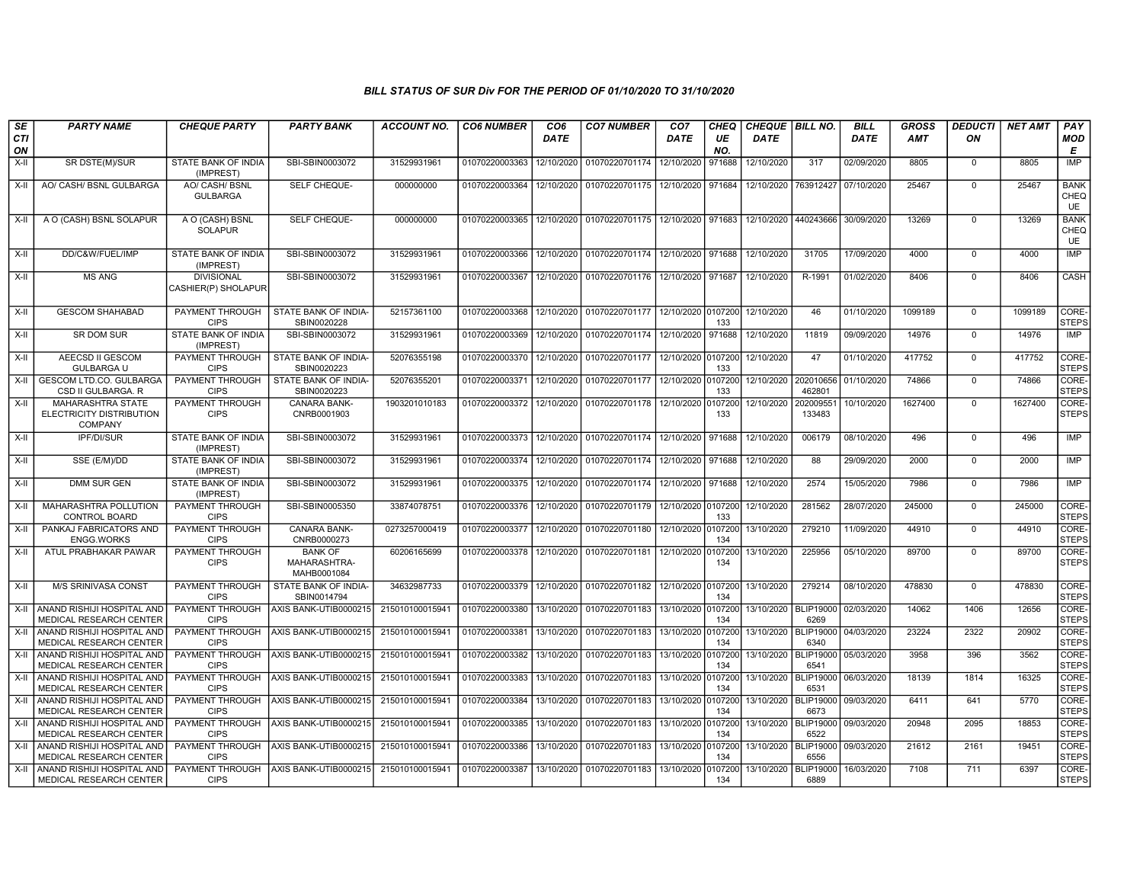| SE<br>CTI | <b>PARTY NAME</b>                                               | <b>CHEQUE PARTY</b>                      | <b>PARTY BANK</b>                             | ACCOUNT NO.     | <b>CO6 NUMBER</b>         | CO6<br><b>DATE</b> | <b>CO7 NUMBER</b>                    | CO7<br>DATE        | CHEQ<br>UE     | <b>CHEQUE BILL NO.</b><br><b>DATE</b> |                          | BILL<br><b>DATE</b> | <b>GROSS</b><br><b>AMT</b> | <b>DEDUCTI</b><br>ΟN | NET AMT | PAY<br>MOD                       |
|-----------|-----------------------------------------------------------------|------------------------------------------|-----------------------------------------------|-----------------|---------------------------|--------------------|--------------------------------------|--------------------|----------------|---------------------------------------|--------------------------|---------------------|----------------------------|----------------------|---------|----------------------------------|
| ON        |                                                                 |                                          |                                               |                 |                           |                    |                                      |                    | NO.            |                                       |                          |                     |                            |                      |         | E                                |
| X-II      | SR DSTE(M)/SUR                                                  | STATE BANK OF INDIA<br>(IMPREST)         | SBI-SBIN0003072                               | 31529931961     | 01070220003363            | 12/10/2020         | 01070220701174 12/10/2020            |                    | 971688         | 12/10/2020                            | 317                      | 02/09/2020          | 8805                       | $\mathbf 0$          | 8805    | IMP                              |
| X-II      | AO/ CASH/ BSNL GULBARGA                                         | AO/ CASH/ BSNL<br><b>GULBARGA</b>        | SELF CHEQUE-                                  | 000000000       | 01070220003364            | 12/10/2020         | 01070220701175 12/10/2020 971684     |                    |                | 12/10/2020                            | 763912427                | 07/10/2020          | 25467                      | $\Omega$             | 25467   | <b>BANK</b><br>CHEQ<br><b>UE</b> |
| X-II      | A O (CASH) BSNL SOLAPUR                                         | A O (CASH) BSNL<br><b>SOLAPUR</b>        | SELF CHEQUE-                                  | 000000000       | 01070220003365            | 12/10/2020         | 01070220701175   12/10/2020   971683 |                    |                | 12/10/2020                            | 440243666                | 30/09/2020          | 13269                      | $\Omega$             | 13269   | <b>BANK</b><br>CHEQ<br><b>UE</b> |
| X-II      | DD/C&W/FUEL/IMP                                                 | STATE BANK OF INDIA<br>(IMPREST)         | SBI-SBIN0003072                               | 31529931961     | 01070220003366            | 12/10/2020         | 01070220701174 12/10/2020            |                    | 971688         | 12/10/2020                            | 31705                    | 17/09/2020          | 4000                       | $\mathbf 0$          | 4000    | IMP                              |
| X-II      | <b>MS ANG</b>                                                   | <b>DIVISIONAL</b><br>CASHIER(P) SHOLAPUR | SBI-SBIN0003072                               | 31529931961     | 01070220003367            | 12/10/2020         | 01070220701176 12/10/2020 971687     |                    |                | 12/10/2020                            | R-1991                   | 01/02/2020          | 8406                       | $\mathbf 0$          | 8406    | CASH                             |
| X-II      | <b>GESCOM SHAHABAD</b>                                          | PAYMENT THROUGH<br><b>CIPS</b>           | STATE BANK OF INDIA-<br>SBIN0020228           | 52157361100     | 01070220003368            | 12/10/2020         | 01070220701177 12/10/2020 0107200    |                    | 133            | 12/10/2020                            | 46                       | 01/10/2020          | 1099189                    | $\mathbf 0$          | 1099189 | CORE-<br>STEPS                   |
| X-II      | SR DOM SUR                                                      | STATE BANK OF INDIA<br>(IMPREST)         | SBI-SBIN0003072                               | 31529931961     | 01070220003369            | 12/10/2020         | 01070220701174 12/10/2020            |                    | 971688         | 12/10/2020                            | 11819                    | 09/09/2020          | 14976                      | $\Omega$             | 14976   | IMP                              |
| X-II      | AEECSD II GESCOM<br><b>GULBARGA U</b>                           | PAYMENT THROUGH  <br><b>CIPS</b>         | STATE BANK OF INDIA-<br>SBIN0020223           | 52076355198     | 01070220003370            | 12/10/2020         | 01070220701177                       | 12/10/2020 0107200 | 133            | 12/10/2020                            | 47                       | 01/10/2020          | 417752                     | $\mathbf 0$          | 417752  | CORE-<br><b>STEPS</b>            |
| X-II      | <b>GESCOM LTD.CO. GULBARGA</b><br>CSD II GULBARGA. R            | PAYMENT THROUGH<br><b>CIPS</b>           | STATE BANK OF INDIA-<br>SBIN0020223           | 52076355201     | 01070220003371            | 12/10/2020         | 01070220701177                       | 12/10/2020         | 0107200<br>133 | 12/10/2020                            | 202010656<br>462801      | 01/10/2020          | 74866                      | $\mathbf 0$          | 74866   | CORE-<br><b>STEPS</b>            |
| $X-H$     | MAHARASHTRA STATE<br>ELECTRICITY DISTRIBUTION<br><b>COMPANY</b> | PAYMENT THROUGH<br><b>CIPS</b>           | CANARA BANK-<br>CNRB0001903                   | 1903201010183   | 01070220003372            | 12/10/2020         | 01070220701178 12/10/2020            |                    | 0107200<br>133 | 12/10/2020                            | 20200955<br>133483       | 10/10/2020          | 1627400                    | $\mathbf 0$          | 1627400 | CORE-<br>STEPS                   |
| X-II      | <b>IPF/DI/SUR</b>                                               | STATE BANK OF INDIA<br>(IMPREST)         | SBI-SBIN0003072                               | 31529931961     | 01070220003373 12/10/2020 |                    | 01070220701174 12/10/2020            |                    | 971688         | 12/10/2020                            | 006179                   | 08/10/2020          | 496                        | $\mathbf 0$          | 496     | IMP                              |
| X-II      | SSE (E/M)/DD                                                    | STATE BANK OF INDIA<br>(IMPREST)         | SBI-SBIN0003072                               | 31529931961     | 01070220003374            | 12/10/2020         | 01070220701174 12/10/2020            |                    | 971688         | 12/10/2020                            | 88                       | 29/09/2020          | 2000                       | $\Omega$             | 2000    | IMP                              |
| X-II      | <b>DMM SUR GEN</b>                                              | STATE BANK OF INDIA<br>(IMPREST)         | SBI-SBIN0003072                               | 31529931961     | 01070220003375            | 12/10/2020         | 01070220701174 12/10/2020            |                    | 971688         | 12/10/2020                            | 2574                     | 15/05/2020          | 7986                       | $\mathbf 0$          | 7986    | IMP                              |
| $X-II$    | MAHARASHTRA POLLUTION<br><b>CONTROL BOARD</b>                   | PAYMENT THROUGH<br><b>CIPS</b>           | SBI-SBIN0005350                               | 33874078751     | 01070220003376            | 12/10/2020         | 01070220701179                       | 12/10/2020 0107200 | 133            | 12/10/2020                            | 281562                   | 28/07/2020          | 245000                     | $\Omega$             | 245000  | CORE-<br><b>STEPS</b>            |
| X-II      | PANKAJ FABRICATORS AND<br><b>ENGG.WORKS</b>                     | PAYMENT THROUGH<br><b>CIPS</b>           | <b>CANARA BANK-</b><br>CNRB0000273            | 0273257000419   | 01070220003377            | 12/10/2020         | 01070220701180 12/10/2020 0107200    |                    | 134            | 13/10/2020                            | 279210                   | 11/09/2020          | 44910                      | $\mathbf 0$          | 44910   | CORE-<br><b>STEPS</b>            |
| X-II      | ATUL PRABHAKAR PAWAR                                            | PAYMENT THROUGH<br><b>CIPS</b>           | <b>BANK OF</b><br>MAHARASHTRA-<br>MAHB0001084 | 60206165699     | 01070220003378            | 12/10/2020         | 01070220701181   12/10/2020 0107200  |                    | 134            | 13/10/2020                            | 225956                   | 05/10/2020          | 89700                      | $\mathbf 0$          | 89700   | CORE-<br><b>STEPS</b>            |
| X-II      | M/S SRINIVASA CONST                                             | PAYMENT THROUGH<br><b>CIPS</b>           | STATE BANK OF INDIA-<br>SBIN0014794           | 34632987733     | 01070220003379            | 12/10/2020         | 01070220701182 12/10/2020 0107200    |                    | 134            | 13/10/2020                            | 279214                   | 08/10/2020          | 478830                     | $\mathbf 0$          | 478830  | CORE-<br><b>STEPS</b>            |
| $X-H$     | ANAND RISHIJI HOSPITAL AND<br>MEDICAL RESEARCH CENTER           | PAYMENT THROUGH<br><b>CIPS</b>           | AXIS BANK-UTIB0000215                         | 215010100015941 | 01070220003380            | 13/10/2020         | 01070220701183                       | 13/10/2020         | 0107200<br>134 | 13/10/2020                            | <b>BLIP19000</b><br>6269 | 02/03/2020          | 14062                      | 1406                 | 12656   | CORE-<br><b>STEPS</b>            |
|           | X-II ANAND RISHIJI HOSPITAL AND<br>MEDICAL RESEARCH CENTER      | PAYMENT THROUGH<br><b>CIPS</b>           | AXIS BANK-UTIB0000215                         | 215010100015941 | 01070220003381            | 13/10/2020         | 01070220701183                       | 13/10/2020 0107200 | 134            | 13/10/2020                            | <b>BLIP19000</b><br>6340 | 04/03/2020          | 23224                      | 2322                 | 20902   | CORE-<br><b>STEPS</b>            |
| X-II      | ANAND RISHIJI HOSPITAL AND<br>MEDICAL RESEARCH CENTER           | <b>CIPS</b>                              | PAYMENT THROUGH AXIS BANK-UTIB0000215         | 215010100015941 | 01070220003382            | 13/10/2020         | 01070220701183   13/10/2020 0107200  |                    | 134            | 13/10/2020                            | BLIP19000<br>6541        | 05/03/2020          | 3958                       | 396                  | 3562    | CORE-<br><b>STEPS</b>            |
| X-II      | ANAND RISHIJI HOSPITAL AND<br>MEDICAL RESEARCH CENTER           | PAYMENT THROUGH<br><b>CIPS</b>           | AXIS BANK-UTIB0000215                         | 215010100015941 | 01070220003383            | 13/10/2020         | 01070220701183                       | 13/10/2020         | 0107200<br>134 | 13/10/2020                            | <b>BLIP19000</b><br>6531 | 06/03/2020          | 18139                      | 1814                 | 16325   | CORE-<br><b>STEPS</b>            |
| X-II      | ANAND RISHIJI HOSPITAL AND<br>MEDICAL RESEARCH CENTER           | PAYMENT THROUGH<br><b>CIPS</b>           | AXIS BANK-UTIB0000215                         | 215010100015941 | 01070220003384            | 13/10/2020         | 01070220701183                       | 13/10/2020         | 0107200<br>134 | 13/10/2020                            | <b>BLIP19000</b><br>6673 | 09/03/2020          | 6411                       | 641                  | 5770    | CORE-<br><b>STEPS</b>            |
| X-II      | ANAND RISHIJI HOSPITAL AND<br><b>MEDICAL RESEARCH CENTER</b>    | PAYMENT THROUGH<br><b>CIPS</b>           | AXIS BANK-UTIB0000215                         | 215010100015941 | 01070220003385            | 13/10/2020         | 01070220701183 13/10/2020 0107200    |                    | 134            | 13/10/2020                            | <b>BLIP19000</b><br>6522 | 09/03/2020          | 20948                      | 2095                 | 18853   | CORE-<br><b>STEPS</b>            |
| X-II      | ANAND RISHIJI HOSPITAL AND<br>MEDICAL RESEARCH CENTER           | <b>PAYMENT THROUGH</b><br><b>CIPS</b>    | AXIS BANK-UTIB0000215                         | 215010100015941 | 01070220003386            | 13/10/2020         | 01070220701183 3/13/10/2020 0107200  |                    | 134            | 13/10/2020                            | <b>BLIP19000</b><br>6556 | 09/03/2020          | 21612                      | 2161                 | 19451   | CORE-<br><b>STEPS</b>            |
| X-II      | ANAND RISHIJI HOSPITAL AND<br>MEDICAL RESEARCH CENTER           | PAYMENT THROUGH<br><b>CIPS</b>           | AXIS BANK-UTIB0000215                         | 215010100015941 | 01070220003387            | 13/10/2020         | 01070220701183                       | 13/10/2020         | 0107200<br>134 | 13/10/2020                            | <b>BLIP19000</b><br>6889 | 16/03/2020          | 7108                       | 711                  | 6397    | CORE-<br><b>STEPS</b>            |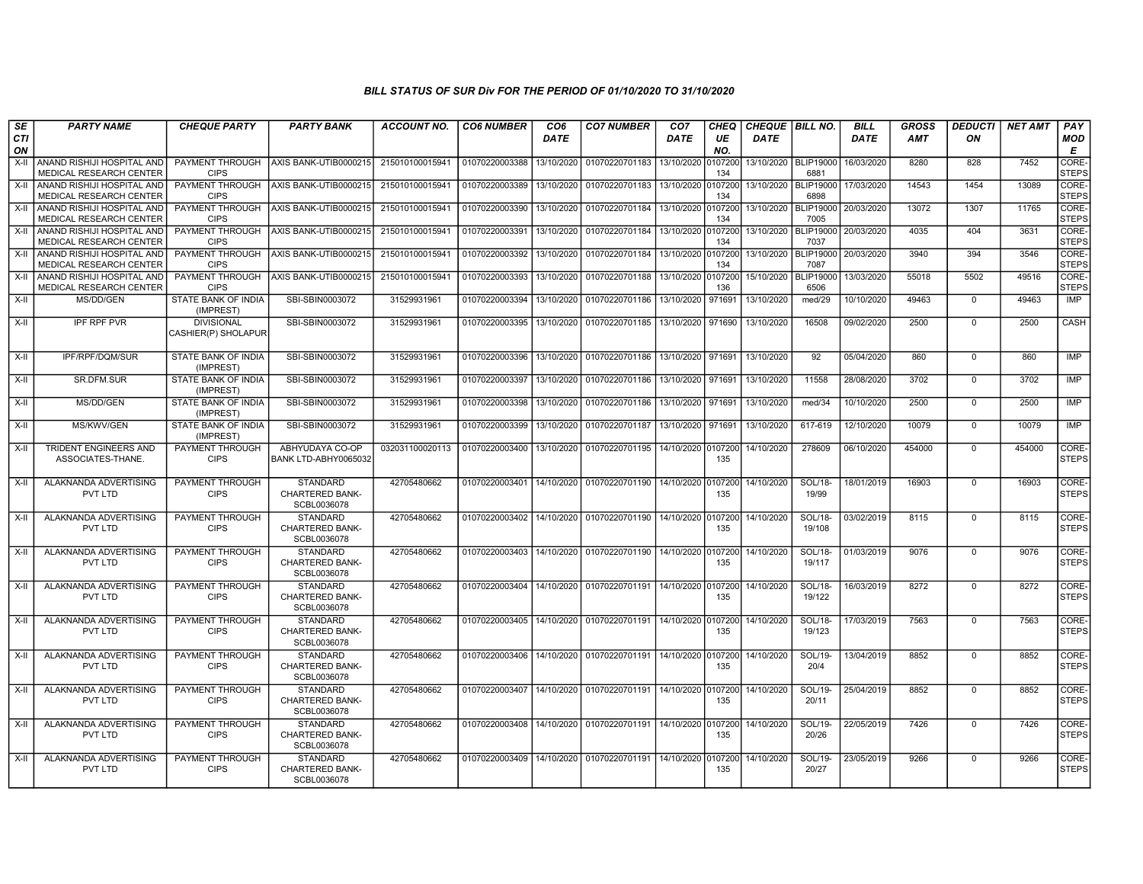| SE        | <b>PARTY NAME</b>                                       | <b>CHEQUE PARTY</b>                      | <b>PARTY BANK</b>                                        | <b>ACCOUNT NO.</b> | <b>CO6 NUMBER</b>         | CO <sub>6</sub> | <b>CO7 NUMBER</b>                                           | CO <sub>7</sub>     | CHEQ           | <b>CHEQUE   BILL NO.</b> |                          | <b>BILL</b> | <b>GROSS</b> | <b>DEDUCTI</b> | <b>NET AMT</b> | <b>PAY</b>            |
|-----------|---------------------------------------------------------|------------------------------------------|----------------------------------------------------------|--------------------|---------------------------|-----------------|-------------------------------------------------------------|---------------------|----------------|--------------------------|--------------------------|-------------|--------------|----------------|----------------|-----------------------|
| CTI<br>ON |                                                         |                                          |                                                          |                    |                           | <b>DATE</b>     |                                                             | <b>DATE</b>         | UE<br>NO.      | <b>DATE</b>              |                          | <b>DATE</b> | <b>AMT</b>   | ON             |                | <b>MOD</b><br>Е       |
| $X-H$     | ANAND RISHIJI HOSPITAL AND<br>MEDICAL RESEARCH CENTER   | <b>PAYMENT THROUGH</b><br><b>CIPS</b>    | AXIS BANK-UTIB0000215                                    | 215010100015941    | 01070220003388            | 13/10/2020      | 01070220701183                                              | 13/10/2020          | 0107200<br>134 | 13/10/2020   BLIP19000   | 6881                     | 16/03/2020  | 8280         | 828            | 7452           | CORE-<br><b>STEPS</b> |
| X-II      | ANAND RISHIJI HOSPITAL AND<br>MEDICAL RESEARCH CENTER   | <b>PAYMENT THROUGH</b><br><b>CIPS</b>    | AXIS BANK-UTIB0000215                                    | 215010100015941    | 01070220003389            | 13/10/2020      | 01070220701183 13/10/2020 0107200                           |                     | 134            | 13/10/2020   BLIP19000   | 6898                     | 17/03/2020  | 14543        | 1454           | 13089          | CORE-<br><b>STEPS</b> |
| X-II      | ANAND RISHIJI HOSPITAL AND<br>MEDICAL RESEARCH CENTER   | <b>PAYMENT THROUGH</b><br><b>CIPS</b>    | AXIS BANK-UTIB0000215                                    | 215010100015941    | 01070220003390            | 13/10/2020      | 01070220701184 13/10/2020 0107200                           |                     | 134            | 13/10/2020               | <b>BLIP19000</b><br>7005 | 20/03/2020  | 13072        | 1307           | 11765          | CORE-<br><b>STEPS</b> |
| X-II      | I ANAND RISHIJI HOSPITAL AND<br>MEDICAL RESEARCH CENTER | PAYMENT THROUGH<br><b>CIPS</b>           | AXIS BANK-UTIB0000215                                    | 215010100015941    | 01070220003391            | 13/10/2020      | 01070220701184 13/10/2020                                   |                     | 0107200<br>134 | 13/10/2020               | <b>BLIP19000</b><br>7037 | 20/03/2020  | 4035         | 404            | 3631           | CORE-<br><b>STEPS</b> |
| X-II      | ANAND RISHIJI HOSPITAL AND<br>MEDICAL RESEARCH CENTER   | <b>PAYMENT THROUGH</b><br><b>CIPS</b>    | AXIS BANK-UTIB0000215                                    | 215010100015941    | 01070220003392            | 13/10/2020      | 01070220701184 13/10/2020                                   |                     | 0107200<br>134 | 13/10/2020               | <b>BLIP19000</b><br>7087 | 20/03/2020  | 3940         | 394            | 3546           | CORE-<br><b>STEPS</b> |
| X-II      | ANAND RISHIJI HOSPITAL AND<br>MEDICAL RESEARCH CENTER   | PAYMENT THROUGH<br><b>CIPS</b>           | AXIS BANK-UTIB0000215                                    | 215010100015941    | 01070220003393            | 13/10/2020      | 01070220701188 13/10/2020                                   |                     | 0107200<br>136 | 15/10/2020               | <b>BLIP19000</b><br>6506 | 13/03/2020  | 55018        | 5502           | 49516          | CORE-<br><b>STEPS</b> |
| X-II      | MS/DD/GEN                                               | STATE BANK OF INDIA<br>(IMPREST)         | SBI-SBIN0003072                                          | 31529931961        | 01070220003394            | 13/10/2020      | 01070220701186 13/10/2020                                   |                     | 971691         | 13/10/2020               | med/29                   | 10/10/2020  | 49463        | $\mathbf 0$    | 49463          | <b>IMP</b>            |
| X-II      | <b>IPF RPF PVR</b>                                      | <b>DIVISIONAL</b><br>CASHIER(P) SHOLAPUR | SBI-SBIN0003072                                          | 31529931961        | 01070220003395            |                 | 13/10/2020 01070220701185 13/10/2020 971690                 |                     |                | 13/10/2020               | 16508                    | 09/02/2020  | 2500         | $\mathbf 0$    | 2500           | CASH                  |
| X-II      | IPF/RPF/DQM/SUR                                         | STATE BANK OF INDIA<br>(IMPREST)         | SBI-SBIN0003072                                          | 31529931961        | 01070220003396            | 13/10/2020      | 01070220701186 13/10/2020 971691                            |                     |                | 13/10/2020               | 92                       | 05/04/2020  | 860          | $\mathbf 0$    | 860            | IMP                   |
| X-II      | SR.DFM.SUR                                              | STATE BANK OF INDIA<br>(IMPREST)         | SBI-SBIN0003072                                          | 31529931961        | 01070220003397            | 13/10/2020      | 01070220701186                                              | 13/10/2020          | 971691         | 13/10/2020               | 11558                    | 28/08/2020  | 3702         | $\mathbf 0$    | 3702           | <b>IMP</b>            |
| X-II      | MS/DD/GEN                                               | <b>STATE BANK OF INDIA</b><br>(IMPREST)  | SBI-SBIN0003072                                          | 31529931961        | 01070220003398            | 13/10/2020      | 01070220701186                                              | 13/10/2020   971691 |                | 13/10/2020               | med/34                   | 10/10/2020  | 2500         | $\Omega$       | 2500           | <b>IMP</b>            |
| X-II      | MS/KWV/GEN                                              | <b>STATE BANK OF INDIA</b><br>(IMPREST)  | SBI-SBIN0003072                                          | 31529931961        | 01070220003399            | 13/10/2020      | 01070220701187 13/10/2020 971691                            |                     |                | 13/10/2020               | 617-619                  | 12/10/2020  | 10079        | $\mathbf 0$    | 10079          | <b>IMP</b>            |
| X-II      | TRIDENT ENGINEERS AND<br>ASSOCIATES-THANE.              | PAYMENT THROUGH<br><b>CIPS</b>           | ABHYUDAYA CO-OP<br>BANK LTD-ABHY0065032                  | 032031100020113    | 01070220003400            | 13/10/2020      | 01070220701195                                              | 14/10/2020 0107200  | 135            | 14/10/2020               | 278609                   | 06/10/2020  | 454000       | $\mathbf 0$    | 454000         | CORE-<br><b>STEPS</b> |
| X-II      | ALAKNANDA ADVERTISING<br>PVT LTD                        | <b>PAYMENT THROUGH</b><br><b>CIPS</b>    | <b>STANDARD</b><br><b>CHARTERED BANK-</b><br>SCBL0036078 | 42705480662        | 01070220003401            |                 | 14/10/2020 01070220701190 14/10/2020 0107200                |                     | 135            | 14/10/2020               | SOL/18-<br>19/99         | 18/01/2019  | 16903        | $\mathbf 0$    | 16903          | CORE-<br><b>STEPS</b> |
| $X-II$    | ALAKNANDA ADVERTISING<br>PVT LTD                        | PAYMENT THROUGH<br><b>CIPS</b>           | <b>STANDARD</b><br><b>CHARTERED BANK-</b><br>SCBL0036078 | 42705480662        | 01070220003402            | 14/10/2020      | 01070220701190 14/10/2020                                   |                     | 0107200<br>135 | 14/10/2020               | SOL/18-<br>19/108        | 03/02/2019  | 8115         | $\overline{0}$ | 8115           | CORE-<br><b>STEPS</b> |
| $X-II$    | ALAKNANDA ADVERTISING<br>PVT LTD                        | <b>PAYMENT THROUGH</b><br><b>CIPS</b>    | <b>STANDARD</b><br>CHARTERED BANK-<br>SCBL0036078        | 42705480662        | 01070220003403            | 14/10/2020      | 01070220701190 14/10/2020 0107200                           |                     | 135            | 14/10/2020               | SOL/18-<br>19/117        | 01/03/2019  | 9076         | $\mathbf{0}$   | 9076           | CORE-<br><b>STEPS</b> |
| $X-H$     | ALAKNANDA ADVERTISING<br>PVT LTD                        | <b>PAYMENT THROUGH</b><br><b>CIPS</b>    | <b>STANDARD</b><br>CHARTERED BANK-<br>SCBL0036078        | 42705480662        | 01070220003404            |                 | 14/10/2020 01070220701191 14/10/2020 0107200                |                     | 135            | 14/10/2020               | SOL/18-<br>19/122        | 16/03/2019  | 8272         | $\overline{0}$ | 8272           | CORE-<br><b>STEPS</b> |
| $X-II$    | ALAKNANDA ADVERTISING<br>PVT LTD                        | PAYMENT THROUGH<br><b>CIPS</b>           | <b>STANDARD</b><br>CHARTERED BANK-<br>SCBL0036078        | 42705480662        |                           |                 | 01070220003405 14/10/2020 01070220701191 14/10/2020 0107200 |                     | 135            | 14/10/2020               | SOL/18-<br>19/123        | 17/03/2019  | 7563         | $\mathbf{0}$   | 7563           | CORE-<br><b>STEPS</b> |
| X-II      | ALAKNANDA ADVERTISING<br>PVT LTD                        | PAYMENT THROUGH<br><b>CIPS</b>           | <b>STANDARD</b><br>CHARTERED BANK-<br>SCBL0036078        | 42705480662        | 01070220003406            |                 | 14/10/2020   01070220701191   14/10/2020 0107200            |                     | 135            | 14/10/2020               | SOL/19-<br>20/4          | 13/04/2019  | 8852         | $\mathbf{0}$   | 8852           | CORE-<br><b>STEPS</b> |
| $X-H$     | ALAKNANDA ADVERTISING<br>PVT LTD                        | <b>PAYMENT THROUGH</b><br><b>CIPS</b>    | <b>STANDARD</b><br><b>CHARTERED BANK-</b><br>SCBL0036078 | 42705480662        | 01070220003407            |                 | 14/10/2020 01070220701191 14/10/2020 0107200                |                     | 135            | 14/10/2020               | SOL/19-<br>20/11         | 25/04/2019  | 8852         | $\mathbf{0}$   | 8852           | CORE-<br><b>STEPS</b> |
| X-II      | ALAKNANDA ADVERTISING<br>PVT LTD                        | <b>PAYMENT THROUGH</b><br><b>CIPS</b>    | <b>STANDARD</b><br><b>CHARTERED BANK-</b><br>SCBL0036078 | 42705480662        |                           |                 | 01070220003408 14/10/2020 01070220701191 14/10/2020 0107200 |                     | 135            | 14/10/2020               | SOL/19-<br>20/26         | 22/05/2019  | 7426         | $\mathbf{0}$   | 7426           | CORE-<br><b>STEPS</b> |
| X-II      | ALAKNANDA ADVERTISING<br>PVT LTD                        | PAYMENT THROUGH<br><b>CIPS</b>           | <b>STANDARD</b><br><b>CHARTERED BANK-</b><br>SCBL0036078 | 42705480662        | 01070220003409 14/10/2020 |                 | 01070220701191 14/10/2020                                   |                     | 0107200<br>135 | 14/10/2020               | SOL/19-<br>20/27         | 23/05/2019  | 9266         | $\mathbf 0$    | 9266           | CORE-<br><b>STEPS</b> |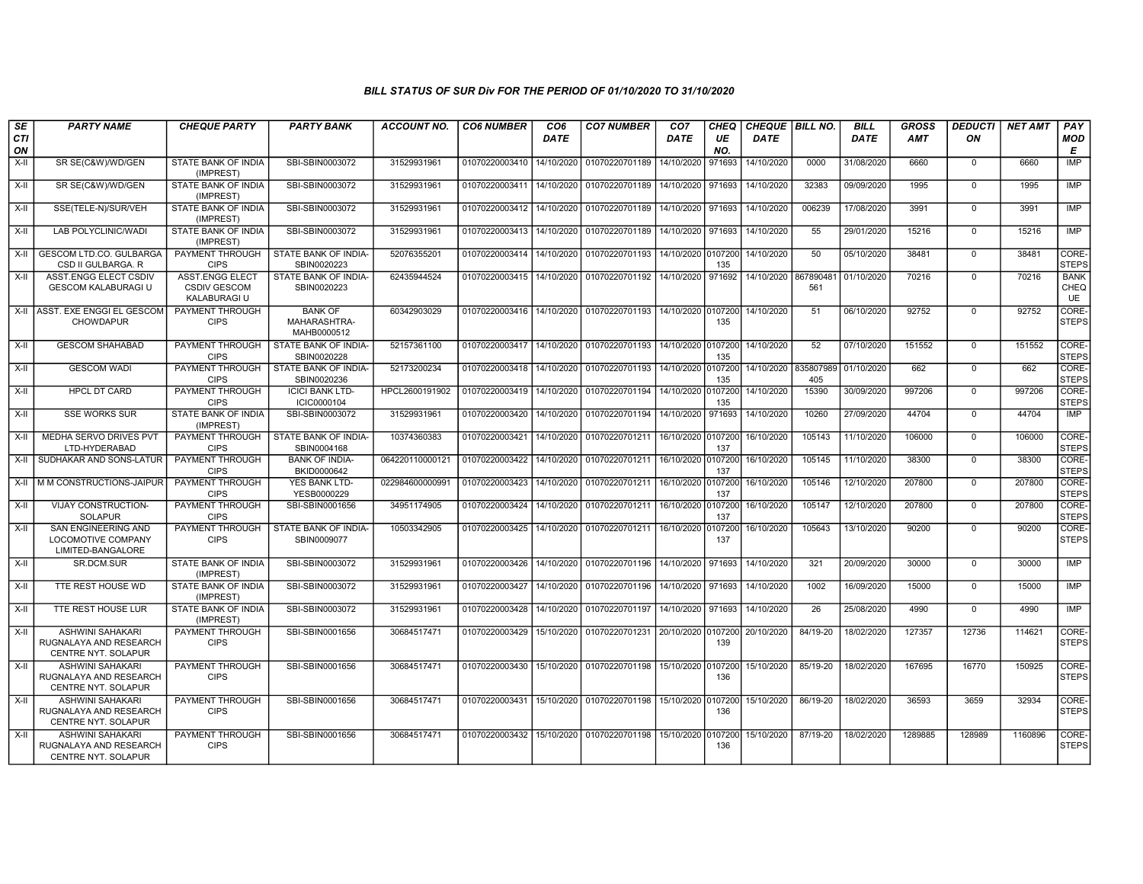| SE        | <b>PARTY NAME</b>                                                               | <b>CHEQUE PARTY</b>                                           | <b>PARTY BANK</b>                             | <b>ACCOUNT NO.</b> | <b>CO6 NUMBER</b>         | CO <sub>6</sub> | <b>CO7 NUMBER</b>                                           | CO <sub>7</sub>    | <b>CHEQ</b>    | CHEQUE BILL NO. |                  | <b>BILL</b> | <b>GROSS</b> | <b>DEDUCTI</b> | <b>NET AMT</b> | PAY                              |
|-----------|---------------------------------------------------------------------------------|---------------------------------------------------------------|-----------------------------------------------|--------------------|---------------------------|-----------------|-------------------------------------------------------------|--------------------|----------------|-----------------|------------------|-------------|--------------|----------------|----------------|----------------------------------|
| CTI<br>ON |                                                                                 |                                                               |                                               |                    |                           | DATE            |                                                             | DATE               | UE<br>NO.      | <b>DATE</b>     |                  | <b>DATE</b> | <b>AMT</b>   | ON             |                | <b>MOD</b><br>E                  |
| X-II      | SR SE(C&W)/WD/GEN                                                               | STATE BANK OF INDIA<br>(IMPREST)                              | SBI-SBIN0003072                               | 31529931961        | 01070220003410            | 14/10/2020      | 01070220701189                                              | 14/10/2020         | 971693         | 14/10/2020      | 0000             | 31/08/2020  | 6660         | $\mathbf 0$    | 6660           | IMP                              |
| X-II      | SR SE(C&W)/WD/GEN                                                               | STATE BANK OF INDIA<br>(IMPREST)                              | SBI-SBIN0003072                               | 31529931961        | 01070220003411 14/10/2020 |                 | 01070220701189                                              | 14/10/2020         | 971693         | 14/10/2020      | 32383            | 09/09/2020  | 1995         | $\overline{0}$ | 1995           | IMP                              |
| $X-H$     | SSE(TELE-N)/SUR/VEH                                                             | STATE BANK OF INDIA<br>(IMPREST)                              | SBI-SBIN0003072                               | 31529931961        | 01070220003412            | 14/10/2020      | 01070220701189 14/10/2020 971693                            |                    |                | 14/10/2020      | 006239           | 17/08/2020  | 3991         | $\Omega$       | 3991           | IMP                              |
| X-II      | LAB POLYCLINIC/WADI                                                             | STATE BANK OF INDIA<br>(IMPREST)                              | SBI-SBIN0003072                               | 31529931961        | 01070220003413            | 14/10/2020      | 01070220701189                                              | 14/10/2020         | 971693         | 14/10/2020      | 55               | 29/01/2020  | 15216        | $\mathbf 0$    | 15216          | <b>IMP</b>                       |
| X-II      | <b>GESCOM LTD.CO. GULBARGA</b><br>CSD II GULBARGA. R                            | PAYMENT THROUGH<br><b>CIPS</b>                                | STATE BANK OF INDIA-<br>SBIN0020223           | 52076355201        | 01070220003414            | 14/10/2020      | 01070220701193                                              | 14/10/2020 0107200 | 135            | 14/10/2020      | 50               | 05/10/2020  | 38481        | $\overline{0}$ | 38481          | CORE-<br><b>STEPS</b>            |
| X-II      | ASST.ENGG ELECT CSDIV<br><b>GESCOM KALABURAGI U</b>                             | <b>ASST.ENGG ELECT</b><br><b>CSDIV GESCOM</b><br>KALABURAGI U | STATE BANK OF INDIA-<br>SBIN0020223           | 62435944524        | 01070220003415            | 14/10/2020      | 01070220701192                                              | 14/10/2020         | 971692         | 14/10/2020      | 867890481<br>561 | 01/10/2020  | 70216        | $\mathbf 0$    | 70216          | <b>BANK</b><br>CHEQ<br><b>UE</b> |
|           | X-II ASST. EXE ENGGI EL GESCOM<br><b>CHOWDAPUR</b>                              | PAYMENT THROUGH<br><b>CIPS</b>                                | <b>BANK OF</b><br>MAHARASHTRA-<br>MAHB0000512 | 60342903029        |                           |                 | 01070220003416 14/10/2020 01070220701193 14/10/2020 0107200 |                    | 135            | 14/10/2020      | 51               | 06/10/2020  | 92752        | $\Omega$       | 92752          | CORE-<br><b>STEPS</b>            |
| X-II      | <b>GESCOM SHAHABAD</b>                                                          | PAYMENT THROUGH<br><b>CIPS</b>                                | STATE BANK OF INDIA-<br>SBIN0020228           | 52157361100        | 01070220003417            | 14/10/2020      | 01070220701193 14/10/2020 0107200                           |                    | 135            | 14/10/2020      | 52               | 07/10/2020  | 151552       | $\Omega$       | 151552         | CORE-<br><b>STEPS</b>            |
| X-II      | <b>GESCOM WADI</b>                                                              | PAYMENT THROUGH<br><b>CIPS</b>                                | STATE BANK OF INDIA-<br>SBIN0020236           | 52173200234        | 01070220003418            | 14/10/2020      | 01070220701193                                              | 14/10/2020         | 0107200<br>135 | 14/10/2020      | 835807989<br>405 | 01/10/2020  | 662          | 0              | 662            | CORE-<br><b>STEPS</b>            |
| X-II      | <b>HPCL DT CARD</b>                                                             | <b>PAYMENT THROUGH</b><br><b>CIPS</b>                         | <b>ICICI BANK LTD-</b><br>ICIC0000104         | HPCL2600191902     | 01070220003419            | 14/10/2020      | 01070220701194 14/10/2020                                   |                    | 0107200<br>135 | 14/10/2020      | 15390            | 30/09/2020  | 997206       | $\Omega$       | 997206         | CORE-<br><b>STEPS</b>            |
| X-II      | <b>SSE WORKS SUR</b>                                                            | STATE BANK OF INDIA<br>(IMPREST)                              | SBI-SBIN0003072                               | 31529931961        | 01070220003420            | 14/10/2020      | 01070220701194                                              | 14/10/2020         | 971693         | 14/10/2020      | 10260            | 27/09/2020  | 44704        | $\Omega$       | 44704          | IMP                              |
| $X-H$     | MEDHA SERVO DRIVES PVT<br>LTD-HYDERABAD                                         | PAYMENT THROUGH<br><b>CIPS</b>                                | STATE BANK OF INDIA-<br>SBIN0004168           | 10374360383        | 01070220003421            | 14/10/2020      | 01070220701211                                              | 16/10/2020 0107200 | 137            | 16/10/2020      | 105143           | 11/10/2020  | 106000       | $\mathbf 0$    | 106000         | CORE-<br><b>STEPS</b>            |
| $X-H$     | SUDHAKAR AND SONS-LATUR                                                         | PAYMENT THROUGH<br><b>CIPS</b>                                | <b>BANK OF INDIA-</b><br>BKID0000642          | 064220110000121    | 01070220003422            | 14/10/2020      | 01070220701211   16/10/2020 0107200                         |                    | 137            | 16/10/2020      | 105145           | 11/10/2020  | 38300        | $\mathbf 0$    | 38300          | CORE-<br><b>STEPS</b>            |
|           | X-II   M M CONSTRUCTIONS-JAIPUR                                                 | PAYMENT THROUGH<br><b>CIPS</b>                                | YES BANK LTD-<br>YESB0000229                  | 022984600000991    | 01070220003423            | 14/10/2020      | 01070220701211 16/10/2020 0107200                           |                    | 137            | 16/10/2020      | 105146           | 12/10/2020  | 207800       | $\mathbf 0$    | 207800         | CORE-<br><b>STEPS</b>            |
| $X-II$    | <b>VIJAY CONSTRUCTION-</b><br><b>SOLAPUR</b>                                    | PAYMENT THROUGH<br><b>CIPS</b>                                | SBI-SBIN0001656                               | 34951174905        | 01070220003424            | 14/10/2020      | 01070220701211 16/10/2020                                   |                    | 0107200<br>137 | 16/10/2020      | 105147           | 12/10/2020  | 207800       | $\Omega$       | 207800         | CORE-<br><b>STEPS</b>            |
| X-II      | <b>SAN ENGINEERING AND</b><br>LOCOMOTIVE COMPANY<br>LIMITED-BANGALORE           | PAYMENT THROUGH<br><b>CIPS</b>                                | STATE BANK OF INDIA-<br>SBIN0009077           | 10503342905        | 01070220003425            | 14/10/2020      | 01070220701211 16/10/2020 0107200                           |                    | 137            | 16/10/2020      | 105643           | 13/10/2020  | 90200        | $\Omega$       | 90200          | CORE-<br><b>STEPS</b>            |
| $X-H$     | <b>SR.DCM.SUR</b>                                                               | <b>STATE BANK OF INDIA</b><br>(IMPREST)                       | SBI-SBIN0003072                               | 31529931961        | 01070220003426            | 14/10/2020      | 01070220701196                                              | 14/10/2020 971693  |                | 14/10/2020      | 321              | 20/09/2020  | 30000        | $\mathbf 0$    | 30000          | IMP                              |
| $X-II$    | TTE REST HOUSE WD                                                               | STATE BANK OF INDIA<br>(IMPREST)                              | SBI-SBIN0003072                               | 31529931961        | 01070220003427            | 14/10/2020      | 01070220701196                                              | 14/10/2020         | 971693         | 14/10/2020      | 1002             | 16/09/2020  | 15000        | $\Omega$       | 15000          | IMP                              |
| X-II      | TTE REST HOUSE LUR                                                              | STATE BANK OF INDIA<br>(IMPREST)                              | SBI-SBIN0003072                               | 31529931961        | 01070220003428            | 14/10/2020      | 01070220701197                                              | 14/10/2020         | 971693         | 14/10/2020      | 26               | 25/08/2020  | 4990         | $\mathbf 0$    | 4990           | IMP                              |
| X-II      | <b>ASHWINI SAHAKARI</b><br>RUGNALAYA AND RESEARCH<br><b>CENTRE NYT, SOLAPUR</b> | <b>PAYMENT THROUGH</b><br><b>CIPS</b>                         | SBI-SBIN0001656                               | 30684517471        | 01070220003429            | 15/10/2020      | 01070220701231 20/10/2020 0107200                           |                    | 139            | 20/10/2020      | 84/19-20         | 18/02/2020  | 127357       | 12736          | 114621         | CORE-<br><b>STEPS</b>            |
| $X-H$     | <b>ASHWINI SAHAKARI</b><br>RUGNALAYA AND RESEARCH<br><b>CENTRE NYT, SOLAPUR</b> | PAYMENT THROUGH<br><b>CIPS</b>                                | SBI-SBIN0001656                               | 30684517471        | 01070220003430            | 15/10/2020      | 01070220701198 15/10/2020 0107200                           |                    | 136            | 15/10/2020      | 85/19-20         | 18/02/2020  | 167695       | 16770          | 150925         | CORE-<br><b>STEPS</b>            |
| $X-H$     | <b>ASHWINI SAHAKARI</b><br>RUGNALAYA AND RESEARCH<br>CENTRE NYT. SOLAPUR        | <b>PAYMENT THROUGH</b><br><b>CIPS</b>                         | SBI-SBIN0001656                               | 30684517471        | 01070220003431            | 15/10/2020      | 01070220701198 15/10/2020 0107200                           |                    | 136            | 15/10/2020      | 86/19-20         | 18/02/2020  | 36593        | 3659           | 32934          | CORE-<br><b>STEPS</b>            |
| X-II      | ASHWINI SAHAKARI<br>RUGNALAYA AND RESEARCH<br>CENTRE NYT. SOLAPUR               | PAYMENT THROUGH<br><b>CIPS</b>                                | SBI-SBIN0001656                               | 30684517471        | 01070220003432            | 15/10/2020      | 01070220701198                                              | 15/10/2020 0107200 | 136            | 15/10/2020      | 87/19-20         | 18/02/2020  | 1289885      | 128989         | 1160896        | CORE-<br><b>STEPS</b>            |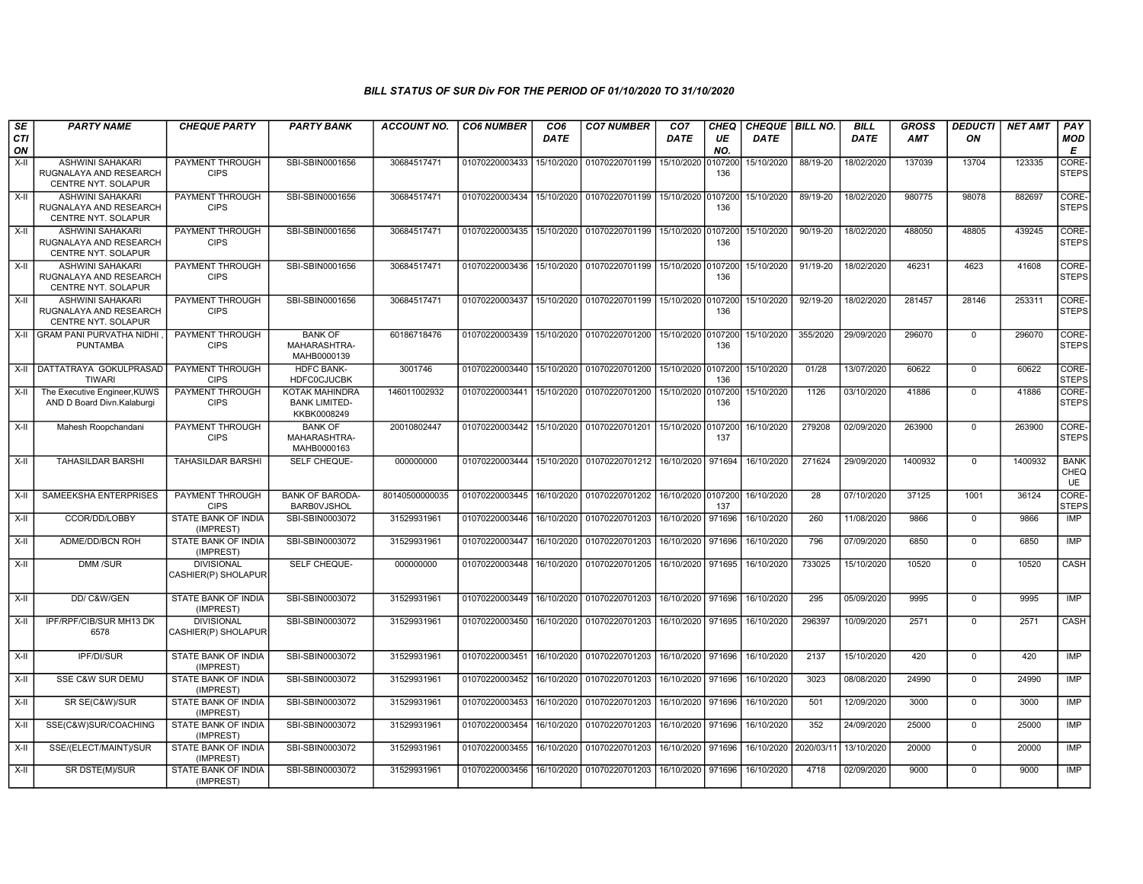| SE        | <b>PARTY NAME</b>                                                        | <b>CHEQUE PARTY</b>                      | <b>PARTY BANK</b>                                            | <b>ACCOUNT NO.</b> | <b>CO6 NUMBER</b>                            | CO <sub>6</sub> | <b>CO7 NUMBER</b>                                                 | CO <sub>7</sub>    | <b>CHEQ</b>    | CHEQUE   BILL NO. |            | <b>BILL</b> | <b>GROSS</b> | <b>DEDUCTI</b> | <b>NET AMT</b> | PAY                              |
|-----------|--------------------------------------------------------------------------|------------------------------------------|--------------------------------------------------------------|--------------------|----------------------------------------------|-----------------|-------------------------------------------------------------------|--------------------|----------------|-------------------|------------|-------------|--------------|----------------|----------------|----------------------------------|
| CTI<br>ON |                                                                          |                                          |                                                              |                    |                                              | DATE            |                                                                   | DATE               | UE<br>NO.      | <b>DATE</b>       |            | <b>DATE</b> | <b>AMT</b>   | ΟN             |                | <b>MOD</b><br>Е                  |
| $X-H$     | <b>ASHWINI SAHAKARI</b><br>RUGNALAYA AND RESEARCH<br>CENTRE NYT. SOLAPUR | <b>PAYMENT THROUGH</b><br><b>CIPS</b>    | SBI-SBIN0001656                                              | 30684517471        | 01070220003433                               |                 | 15/10/2020 01070220701199                                         | 15/10/2020         | 0107200<br>136 | 15/10/2020        | 88/19-20   | 18/02/2020  | 137039       | 13704          | 123335         | CORE-<br><b>STEPS</b>            |
| X-II      | <b>ASHWINI SAHAKARI</b><br>RUGNALAYA AND RESEARCH<br>CENTRE NYT. SOLAPUR | PAYMENT THROUGH<br><b>CIPS</b>           | SBI-SBIN0001656                                              | 30684517471        | 01070220003434   15/10/2020   01070220701199 |                 |                                                                   | 15/10/2020         | 0107200<br>136 | 15/10/2020        | 89/19-20   | 18/02/2020  | 980775       | 98078          | 882697         | CORE-<br><b>STEPS</b>            |
| $X-II$    | <b>ASHWINI SAHAKARI</b><br>RUGNALAYA AND RESEARCH<br>CENTRE NYT. SOLAPUR | PAYMENT THROUGH<br><b>CIPS</b>           | SBI-SBIN0001656                                              | 30684517471        | 01070220003435 15/10/2020                    |                 | 01070220701199                                                    | 15/10/2020         | 0107200<br>136 | 15/10/2020        | 90/19-20   | 18/02/2020  | 488050       | 48805          | 439245         | CORE-<br><b>STEPS</b>            |
| $X-H$     | <b>ASHWINI SAHAKARI</b><br>RUGNALAYA AND RESEARCH<br>CENTRE NYT. SOLAPUR | <b>PAYMENT THROUGH</b><br><b>CIPS</b>    | SBI-SBIN0001656                                              | 30684517471        | 01070220003436 15/10/2020 01070220701199     |                 |                                                                   | 15/10/2020 0107200 | 136            | 15/10/2020        | $91/19-20$ | 18/02/2020  | 46231        | 4623           | 41608          | CORE-<br><b>STEPS</b>            |
| $X-II$    | <b>ASHWINI SAHAKARI</b><br>RUGNALAYA AND RESEARCH<br>CENTRE NYT. SOLAPUR | PAYMENT THROUGH<br><b>CIPS</b>           | SBI-SBIN0001656                                              | 30684517471        | 01070220003437                               |                 | 15/10/2020 01070220701199                                         | 15/10/2020 0107200 | 136            | 15/10/2020        | 92/19-20   | 18/02/2020  | 281457       | 28146          | 253311         | CORE-<br><b>STEPS</b>            |
| X-II      | <b>GRAM PANI PURVATHA NIDHI</b><br><b>PUNTAMBA</b>                       | <b>PAYMENT THROUGH</b><br><b>CIPS</b>    | <b>BANK OF</b><br>MAHARASHTRA-<br>MAHB0000139                | 60186718476        | 01070220003439 15/10/2020 01070220701200     |                 |                                                                   | 15/10/2020 0107200 | 136            | 15/10/2020        | 355/2020   | 29/09/2020  | 296070       | $\mathbf 0$    | 296070         | CORE-<br><b>STEPS</b>            |
| X-II      | I DATTATRAYA GOKULPRASAD I<br>TIWARI                                     | <b>PAYMENT THROUGH</b><br><b>CIPS</b>    | <b>HDFC BANK-</b><br><b>HDFC0CJUCBK</b>                      | 3001746            |                                              |                 | 01070220003440   15/10/2020   01070220701200   15/10/2020 0107200 |                    | 136            | 15/10/2020        | 01/28      | 13/07/2020  | 60622        | $\mathbf 0$    | 60622          | CORE-<br><b>STEPS</b>            |
| X-II      | The Executive Engineer, KUWS<br>AND D Board Divn.Kalaburgi               | PAYMENT THROUGH<br><b>CIPS</b>           | <b>KOTAK MAHINDRA</b><br><b>BANK LIMITED-</b><br>KKBK0008249 | 146011002932       | 01070220003441                               |                 | 15/10/2020 01070220701200                                         | 15/10/2020         | 0107200<br>136 | 15/10/2020        | 1126       | 03/10/2020  | 41886        | $\Omega$       | 41886          | CORE-<br><b>STEPS</b>            |
| $X-H$     | Mahesh Roopchandani                                                      | <b>PAYMENT THROUGH</b><br><b>CIPS</b>    | <b>BANK OF</b><br>MAHARASHTRA-<br>MAHB0000163                | 20010802447        | 01070220003442 15/10/2020 01070220701201     |                 |                                                                   | 15/10/2020 0107200 | 137            | 16/10/2020        | 279208     | 02/09/2020  | 263900       | $\mathbf 0$    | 263900         | CORE-<br><b>STEPS</b>            |
| X-II      | <b>TAHASILDAR BARSHI</b>                                                 | <b>TAHASILDAR BARSHI</b>                 | SELF CHEQUE-                                                 | 000000000          | 01070220003444                               |                 | 15/10/2020 01070220701212                                         | 16/10/2020 971694  |                | 16/10/2020        | 271624     | 29/09/2020  | 1400932      | $\mathbf 0$    | 1400932        | <b>BANK</b><br>CHEQ<br><b>UE</b> |
| X-II      | SAMEEKSHA ENTERPRISES                                                    | PAYMENT THROUGH<br><b>CIPS</b>           | <b>BANK OF BARODA-</b><br><b>BARBOVJSHOL</b>                 | 80140500000035     | 01070220003445 16/10/2020                    |                 | 01070220701202                                                    | 16/10/2020 0107200 | 137            | 16/10/2020        | 28         | 07/10/2020  | 37125        | 1001           | 36124          | CORE-<br><b>STEPS</b>            |
| $X-II$    | CCOR/DD/LOBBY                                                            | STATE BANK OF INDIA<br>(IMPREST)         | SBI-SBIN0003072                                              | 31529931961        | 01070220003446                               | 16/10/2020      | 01070220701203                                                    | 16/10/2020         | 971696         | 16/10/2020        | 260        | 11/08/2020  | 9866         | $\mathbf 0$    | 9866           | <b>IMP</b>                       |
| $X-H$     | ADME/DD/BCN ROH                                                          | STATE BANK OF INDIA<br>(IMPREST)         | SBI-SBIN0003072                                              | 31529931961        | 01070220003447                               |                 | 16/10/2020 01070220701203                                         | 16/10/2020         | 971696         | 16/10/2020        | 796        | 07/09/2020  | 6850         | $\mathbf 0$    | 6850           | <b>IMP</b>                       |
| X-II      | <b>DMM/SUR</b>                                                           | <b>DIVISIONAL</b><br>CASHIER(P) SHOLAPUR | SELF CHEQUE-                                                 | 000000000          | 01070220003448   16/10/2020   01070220701205 |                 |                                                                   | 16/10/2020 971695  |                | 16/10/2020        | 733025     | 15/10/2020  | 10520        | $\mathbf 0$    | 10520          | CASH                             |
| X-II      | DD/C&W/GEN                                                               | STATE BANK OF INDIA<br>(IMPREST)         | SBI-SBIN0003072                                              | 31529931961        | 01070220003449   16/10/2020   01070220701203 |                 |                                                                   | 16/10/2020 971696  |                | 16/10/2020        | 295        | 05/09/2020  | 9995         | $\mathbf 0$    | 9995           | <b>IMP</b>                       |
| X-II      | IPF/RPF/CIB/SUR MH13 DK<br>6578                                          | <b>DIVISIONAL</b><br>CASHIER(P) SHOLAPUR | SBI-SBIN0003072                                              | 31529931961        | 01070220003450 16/10/2020 01070220701203     |                 |                                                                   | 16/10/2020 971695  |                | 16/10/2020        | 296397     | 10/09/2020  | 2571         | $\mathbf 0$    | 2571           | <b>CASH</b>                      |
| $X-II$    | IPF/DI/SUR                                                               | STATE BANK OF INDIA<br>(IMPREST)         | SBI-SBIN0003072                                              | 31529931961        |                                              |                 | 01070220003451 16/10/2020 01070220701203                          | 16/10/2020 971696  |                | 16/10/2020        | 2137       | 15/10/2020  | 420          | $\mathbf 0$    | 420            | <b>IMP</b>                       |
| $X-H$     | <b>SSE C&amp;W SUR DEMU</b>                                              | STATE BANK OF INDIA<br>(IMPREST)         | SBI-SBIN0003072                                              | 31529931961        |                                              |                 | 01070220003452 16/10/2020 01070220701203                          | 16/10/2020 971696  |                | 16/10/2020        | 3023       | 08/08/2020  | 24990        | $\mathbf 0$    | 24990          | <b>IMP</b>                       |
| X-II      | SR SE(C&W)/SUR                                                           | STATE BANK OF INDIA<br>(IMPREST)         | SBI-SBIN0003072                                              | 31529931961        | 01070220003453                               | 16/10/2020      | 01070220701203                                                    | 16/10/2020 971696  |                | 16/10/2020        | 501        | 12/09/2020  | 3000         | $\mathbf 0$    | 3000           | IMP                              |
| X-II      | SSE(C&W)SUR/COACHING                                                     | STATE BANK OF INDIA<br>(IMPREST)         | SBI-SBIN0003072                                              | 31529931961        | 01070220003454                               | 16/10/2020      | 01070220701203                                                    | 16/10/2020         | 971696         | 16/10/2020        | 352        | 24/09/2020  | 25000        | $\mathbf 0$    | 25000          | IMP                              |
| X-II      | SSE/(ELECT/MAINT)/SUR                                                    | <b>STATE BANK OF INDIA</b><br>(IMPREST)  | SBI-SBIN0003072                                              | 31529931961        | 01070220003455   16/10/2020   01070220701203 |                 |                                                                   | 16/10/2020 971696  |                | 16/10/2020        | 2020/03/1  | 13/10/2020  | 20000        | $\mathbf 0$    | 20000          | IMP                              |
| X-II      | SR DSTE(M)/SUR                                                           | STATE BANK OF INDIA<br>(IMPREST)         | SBI-SBIN0003072                                              | 31529931961        | 01070220003456   16/10/2020   01070220701203 |                 |                                                                   | 16/10/2020 971696  |                | 16/10/2020        | 4718       | 02/09/2020  | 9000         | $\Omega$       | 9000           | IMP                              |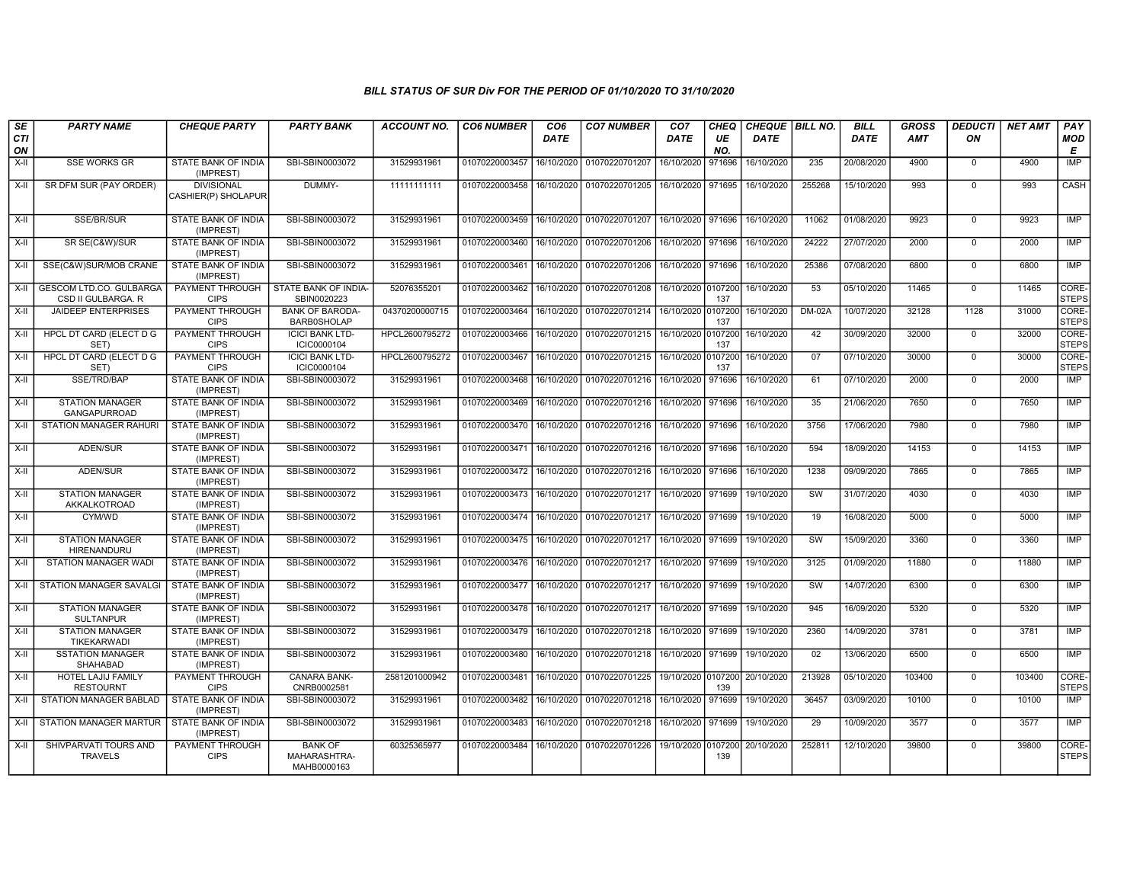| SE        | <b>PARTY NAME</b>                                    | <b>CHEQUE PARTY</b>                      | <b>PARTY BANK</b>                             | ACCOUNT NO.    | <b>CO6 NUMBER</b>                            | CO <sub>6</sub> | <b>CO7 NUMBER</b>                                         | CO <sub>7</sub>    | CHEQ      | CHEQUE   BILL NO. |                 | <b>BILL</b> | <b>GROSS</b> | DEDUCTI        | <b>NET AMT</b> | <b>PAY</b>            |
|-----------|------------------------------------------------------|------------------------------------------|-----------------------------------------------|----------------|----------------------------------------------|-----------------|-----------------------------------------------------------|--------------------|-----------|-------------------|-----------------|-------------|--------------|----------------|----------------|-----------------------|
| CTI<br>ON |                                                      |                                          |                                               |                |                                              | <b>DATE</b>     |                                                           | DATE               | UE<br>NO. | <b>DATE</b>       |                 | <b>DATE</b> | <b>AMT</b>   | ON             |                | <b>MOD</b><br>E       |
| $X-H$     | <b>SSE WORKS GR</b>                                  | <b>STATE BANK OF INDIA</b><br>(IMPREST)  | SBI-SBIN0003072                               | 31529931961    | 01070220003457                               |                 | 16/10/2020 01070220701207                                 | 16/10/2020         | 971696    | 16/10/2020        | 235             | 20/08/2020  | 4900         | $\mathbf 0$    | 4900           | <b>IMP</b>            |
| X-II      | SR DFM SUR (PAY ORDER)                               | <b>DIVISIONAL</b><br>CASHIER(P) SHOLAPUR | DUMMY-                                        | 11111111111    |                                              |                 | 01070220003458 16/10/2020 01070220701205                  | 16/10/2020 971695  |           | 16/10/2020        | 255268          | 15/10/2020  | 993          | $\Omega$       | 993            | CASH                  |
| $X-H$     | SSE/BR/SUR                                           | <b>STATE BANK OF INDIA</b><br>(IMPREST)  | SBI-SBIN0003072                               | 31529931961    |                                              |                 | 01070220003459 16/10/2020 01070220701207                  | 16/10/2020 971696  |           | 16/10/2020        | 11062           | 01/08/2020  | 9923         | $\mathbf 0$    | 9923           | IMP                   |
| X-II      | SR SE(C&W)/SUR                                       | <b>STATE BANK OF INDIA</b><br>(IMPREST)  | SBI-SBIN0003072                               | 31529931961    | 01070220003460 16/10/2020 01070220701206     |                 |                                                           | 16/10/2020 971696  |           | 16/10/2020        | 24222           | 27/07/2020  | 2000         | $\Omega$       | 2000           | IMP                   |
| X-II      | SSE(C&W)SUR/MOB CRANE                                | STATE BANK OF INDIA<br>(IMPREST)         | SBI-SBIN0003072                               | 31529931961    | 01070220003461                               |                 | 16/10/2020 01070220701206                                 | 16/10/2020         | 971696    | 16/10/2020        | 25386           | 07/08/2020  | 6800         | $\mathbf 0$    | 6800           | IMP                   |
| $X-II$    | <b>GESCOM LTD.CO. GULBARGA</b><br>CSD II GULBARGA. R | PAYMENT THROUGH<br><b>CIPS</b>           | STATE BANK OF INDIA-<br>SBIN0020223           | 52076355201    | 01070220003462                               |                 | 16/10/2020 01070220701208                                 | 16/10/2020 0107200 | 137       | 16/10/2020        | 53              | 05/10/2020  | 11465        | $\Omega$       | 11465          | CORE-<br><b>STEPS</b> |
| $X-H$     | <b>JAIDEEP ENTERPRISES</b>                           | <b>PAYMENT THROUGH</b><br><b>CIPS</b>    | <b>BANK OF BARODA-</b><br><b>BARB0SHOLAP</b>  | 04370200000715 | 01070220003464 16/10/2020 01070220701214     |                 |                                                           | 16/10/2020 0107200 | 137       | 16/10/2020        | $DM-02A$        | 10/07/2020  | 32128        | 1128           | 31000          | CORE-<br><b>STEPS</b> |
| $X-H$     | <b>HPCL DT CARD (ELECT D G</b><br>SET)               | PAYMENT THROUGH<br><b>CIPS</b>           | <b>ICICI BANK LTD-</b><br>ICIC0000104         | HPCL2600795272 |                                              |                 | 01070220003466   16/10/2020   01070220701215              | 16/10/2020 0107200 | 137       | 16/10/2020        | 42              | 30/09/2020  | 32000        | $\mathbf 0$    | 32000          | CORE-<br><b>STEPS</b> |
| X-II      | HPCL DT CARD (ELECT D G<br>SET)                      | PAYMENT THROUGH<br><b>CIPS</b>           | <b>ICICI BANK LTD-</b><br>ICIC0000104         | HPCL2600795272 | 01070220003467                               | 16/10/2020      | 01070220701215                                            | 16/10/2020 0107200 | 137       | 16/10/2020        | 07              | 07/10/2020  | 30000        | $\mathbf 0$    | 30000          | CORE-<br><b>STEPS</b> |
| $X-H$     | SSE/TRD/BAP                                          | STATE BANK OF INDIA<br>(IMPREST)         | SBI-SBIN0003072                               | 31529931961    |                                              |                 | 01070220003468 16/10/2020 01070220701216                  | 16/10/2020         | 971696    | 16/10/2020        | 61              | 07/10/2020  | 2000         | $\Omega$       | 2000           | IMP                   |
| $X-H$     | <b>STATION MANAGER</b><br>GANGAPURROAD               | STATE BANK OF INDIA<br>(IMPREST)         | SBI-SBIN0003072                               | 31529931961    | 01070220003469 16/10/2020 01070220701216     |                 |                                                           | 16/10/2020         | 971696    | 16/10/2020        | 35              | 21/06/2020  | 7650         | $\Omega$       | 7650           | <b>IMP</b>            |
| $X-H$     | <b>STATION MANAGER RAHURI</b>                        | STATE BANK OF INDIA<br>(IMPREST)         | SBI-SBIN0003072                               | 31529931961    | 01070220003470 16/10/2020 01070220701216     |                 |                                                           | 16/10/2020 971696  |           | 16/10/2020        | 3756            | 17/06/2020  | 7980         | $\mathbf 0$    | 7980           | IMP                   |
| $X-H$     | ADEN/SUR                                             | <b>STATE BANK OF INDIA</b><br>(IMPREST)  | SBI-SBIN0003072                               | 31529931961    | 01070220003471                               | 16/10/2020      | 01070220701216                                            | 16/10/2020         | 971696    | 16/10/2020        | 594             | 18/09/2020  | 14153        | $\mathbf 0$    | 14153          | IMP                   |
| X-II      | ADEN/SUR                                             | STATE BANK OF INDIA<br>(IMPREST)         | SBI-SBIN0003072                               | 31529931961    | 01070220003472 16/10/2020 01070220701216     |                 |                                                           | 16/10/2020 971696  |           | 16/10/2020        | 1238            | 09/09/2020  | 7865         | $\mathbf 0$    | 7865           | IMP                   |
| $X-H$     | <b>STATION MANAGER</b><br>AKKALKOTROAD               | STATE BANK OF INDIA<br>(IMPREST)         | SBI-SBIN0003072                               | 31529931961    | 01070220003473 16/10/2020 01070220701217     |                 |                                                           | 16/10/2020         | 971699    | 19/10/2020        | SW              | 31/07/2020  | 4030         | $\overline{0}$ | 4030           | IMP                   |
| $X-H$     | CYM/WD                                               | <b>STATE BANK OF INDIA</b><br>(IMPREST)  | SBI-SBIN0003072                               | 31529931961    | 01070220003474 16/10/2020 01070220701217     |                 |                                                           | 16/10/2020         | 971699    | 19/10/2020        | 19              | 16/08/2020  | 5000         | $\mathbf 0$    | 5000           | IMP                   |
| $X-H$     | <b>STATION MANAGER</b><br>HIRENANDURU                | <b>STATE BANK OF INDIA</b><br>(IMPREST)  | SBI-SBIN0003072                               | 31529931961    | 01070220003475   16/10/2020   01070220701217 |                 |                                                           | 16/10/2020 971699  |           | 19/10/2020        | SW              | 15/09/2020  | 3360         | $\mathbf 0$    | 3360           | IMP                   |
| X-II      | STATION MANAGER WADI                                 | STATE BANK OF INDIA<br>(IMPREST)         | SBI-SBIN0003072                               | 31529931961    | 01070220003476                               | 16/10/2020      | 01070220701217                                            | 16/10/2020         | 971699    | 19/10/2020        | 3125            | 01/09/2020  | 11880        | $\mathbf 0$    | 11880          | <b>IMP</b>            |
| X-II      | <b>STATION MANAGER SAVALGI</b>                       | STATE BANK OF INDIA<br>(IMPREST)         | SBI-SBIN0003072                               | 31529931961    |                                              |                 | 01070220003477 16/10/2020 01070220701217                  | 16/10/2020         | 971699    | 19/10/2020        | SW              | 14/07/2020  | 6300         | $\mathbf 0$    | 6300           | IMP                   |
| X-II      | <b>STATION MANAGER</b><br><b>SULTANPUR</b>           | <b>STATE BANK OF INDIA</b><br>(IMPREST)  | SBI-SBIN0003072                               | 31529931961    | 01070220003478 16/10/2020 01070220701217     |                 |                                                           | 16/10/2020         | 971699    | 19/10/2020        | 945             | 16/09/2020  | 5320         | $\Omega$       | 5320           | <b>IMP</b>            |
| $X-H$     | <b>STATION MANAGER</b><br>TIKEKARWADI                | <b>STATE BANK OF INDIA</b><br>(IMPREST)  | SBI-SBIN0003072                               | 31529931961    |                                              |                 | 01070220003479 16/10/2020 01070220701218                  | 16/10/2020 971699  |           | 19/10/2020        | 2360            | 14/09/2020  | 3781         | $\Omega$       | 3781           | IMP                   |
| X-II      | <b>SSTATION MANAGER</b><br><b>SHAHABAD</b>           | STATE BANK OF INDIA<br>(IMPREST)         | SBI-SBIN0003072                               | 31529931961    |                                              |                 | 01070220003480   16/10/2020   01070220701218              | 16/10/2020 971699  |           | 19/10/2020        | 02              | 13/06/2020  | 6500         | $\Omega$       | 6500           | IMP                   |
| $X-H$     | <b>HOTEL LAJIJ FAMILY</b><br><b>RESTOURNT</b>        | <b>PAYMENT THROUGH</b><br><b>CIPS</b>    | <b>CANARA BANK-</b><br>CNRB0002581            | 2581201000942  | 01070220003481                               | 16/10/2020      | 01070220701225                                            | 19/10/2020 0107200 | 139       | 20/10/2020        | 213928          | 05/10/2020  | 103400       | $\overline{0}$ | 103400         | CORE-<br><b>STEPS</b> |
| $X-H$     | <b>STATION MANAGER BABLAD</b>                        | <b>STATE BANK OF INDIA</b><br>(IMPREST)  | SBI-SBIN0003072                               | 31529931961    |                                              |                 | 01070220003482   16/10/2020   01070220701218   16/10/2020 |                    | 971699    | 19/10/2020        | 36457           | 03/09/2020  | 10100        | $\Omega$       | 10100          | IMP                   |
| X-II      | <b>STATION MANAGER MARTUR</b>                        | <b>STATE BANK OF INDIA</b><br>(IMPREST)  | SBI-SBIN0003072                               | 31529931961    | 01070220003483                               |                 | 16/10/2020 01070220701218                                 | 16/10/2020         | 971699    | 19/10/2020        | $\overline{29}$ | 10/09/2020  | 3577         | $\mathbf 0$    | 3577           | IMP                   |
| X-II      | SHIVPARVATI TOURS AND<br><b>TRAVELS</b>              | PAYMENT THROUGH<br><b>CIPS</b>           | <b>BANK OF</b><br>MAHARASHTRA-<br>MAHB0000163 | 60325365977    | 01070220003484                               |                 | 16/10/2020 01070220701226                                 | 19/10/2020 0107200 | 139       | 20/10/2020        | 252811          | 12/10/2020  | 39800        | $\Omega$       | 39800          | CORE-<br><b>STEPS</b> |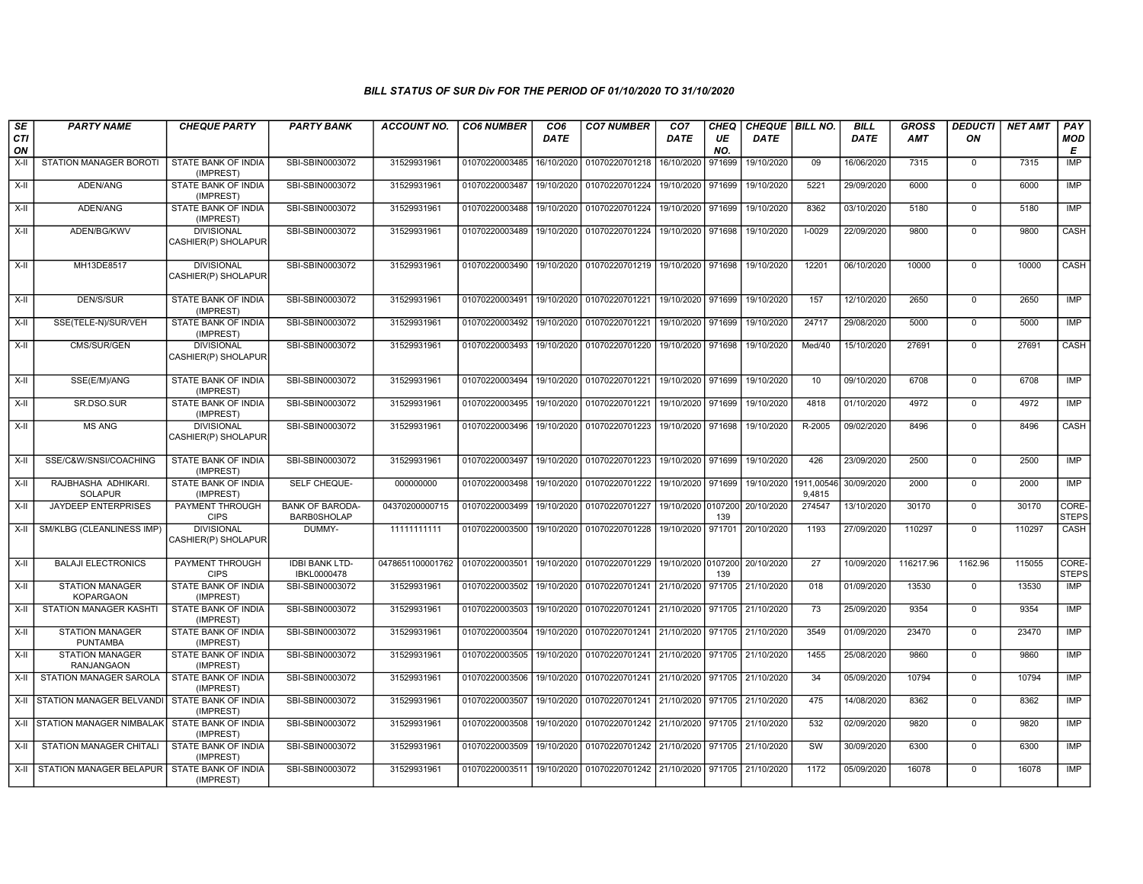| SE        | <b>PARTY NAME</b>                           | <b>CHEQUE PARTY</b>                      | <b>PARTY BANK</b>                            | ACCOUNT NO.                                               | <b>CO6 NUMBER</b>         | CO <sub>6</sub> | <b>CO7 NUMBER</b>                                          | CO <sub>7</sub>    | <b>CHEQ</b> | CHEQUE   BILL NO. |                      | <b>BILL</b> | <b>GROSS</b> | <b>DEDUCTI</b> | <b>NET AMT</b> | <b>PAY</b>            |
|-----------|---------------------------------------------|------------------------------------------|----------------------------------------------|-----------------------------------------------------------|---------------------------|-----------------|------------------------------------------------------------|--------------------|-------------|-------------------|----------------------|-------------|--------------|----------------|----------------|-----------------------|
| CTI<br>ON |                                             |                                          |                                              |                                                           |                           | <b>DATE</b>     |                                                            | DATE               | UE<br>NO.   | <b>DATE</b>       |                      | <b>DATE</b> | AMT          | ON             |                | <b>MOD</b><br>E       |
| $X-II$    | STATION MANAGER BOROTI                      | STATE BANK OF INDIA<br>(IMPREST)         | SBI-SBIN0003072                              | 31529931961                                               | 01070220003485            | 16/10/2020      | 01070220701218                                             | 16/10/2020         | 971699      | 19/10/2020        | 09                   | 16/06/2020  | 7315         | $\mathbf 0$    | 7315           | <b>IMP</b>            |
| $X-H$     | ADEN/ANG                                    | <b>STATE BANK OF INDIA</b><br>(IMPREST)  | SBI-SBIN0003072                              | 31529931961                                               | 01070220003487            | 19/10/2020      | 01070220701224                                             | 19/10/2020         | 971699      | 19/10/2020        | 5221                 | 29/09/2020  | 6000         | $\Omega$       | 6000           | IMP                   |
| X-II      | ADEN/ANG                                    | STATE BANK OF INDIA<br>(IMPREST)         | SBI-SBIN0003072                              | 31529931961                                               | 01070220003488            | 19/10/2020      | 01070220701224                                             | 19/10/2020 971699  |             | 19/10/2020        | 8362                 | 03/10/2020  | 5180         | $\mathbf 0$    | 5180           | IMP                   |
| $X-H$     | ADEN/BG/KWV                                 | <b>DIVISIONAL</b><br>CASHIER(P) SHOLAPUR | SBI-SBIN0003072                              | 31529931961                                               | 01070220003489            | 19/10/2020      | 01070220701224                                             | 19/10/2020 971698  |             | 19/10/2020        | $1 - 0029$           | 22/09/2020  | 9800         | $\mathbf 0$    | 9800           | CASH                  |
| X-II      | MH13DE8517                                  | <b>DIVISIONAL</b><br>CASHIER(P) SHOLAPUR | SBI-SBIN0003072                              | 31529931961                                               | 01070220003490            | 19/10/2020      | 01070220701219                                             | 19/10/2020 971698  |             | 19/10/2020        | 12201                | 06/10/2020  | 10000        | $\mathbf 0$    | 10000          | CASH                  |
| X-II      | <b>DEN/S/SUR</b>                            | <b>STATE BANK OF INDIA</b><br>(IMPREST)  | SBI-SBIN0003072                              | 31529931961                                               |                           |                 | 01070220003491 19/10/2020 01070220701221                   | 19/10/2020 971699  |             | 19/10/2020        | 157                  | 12/10/2020  | 2650         | $\mathbf 0$    | 2650           | <b>IMP</b>            |
| X-II      | SSE(TELE-N)/SUR/VEH                         | STATE BANK OF INDIA<br>(IMPREST)         | SBI-SBIN0003072                              | 31529931961                                               | 01070220003492            | 19/10/2020      | 01070220701221                                             | 19/10/2020         | 971699      | 19/10/2020        | 24717                | 29/08/2020  | 5000         | $\mathbf 0$    | 5000           | IMP                   |
| X-II      | CMS/SUR/GEN                                 | <b>DIVISIONAL</b><br>CASHIER(P) SHOLAPUR | SBI-SBIN0003072                              | 31529931961                                               | 01070220003493            | 19/10/2020      | 01070220701220                                             | 19/10/2020         | 971698      | 19/10/2020        | Med/40               | 15/10/2020  | 27691        | $\mathbf 0$    | 27691          | CASH                  |
| X-II      | SSE(E/M)/ANG                                | <b>STATE BANK OF INDIA</b><br>(IMPREST)  | SBI-SBIN0003072                              | 31529931961                                               |                           |                 | 01070220003494 19/10/2020 01070220701221                   | 19/10/2020 971699  |             | 19/10/2020        | 10                   | 09/10/2020  | 6708         | $\mathbf 0$    | 6708           | IMP                   |
| $X-H$     | SR.DSO.SUR                                  | STATE BANK OF INDIA<br>(IMPREST)         | SBI-SBIN0003072                              | 31529931961                                               | 01070220003495 19/10/2020 |                 | 01070220701221                                             | 19/10/2020 971699  |             | 19/10/2020        | 4818                 | 01/10/2020  | 4972         | $\Omega$       | 4972           | <b>IMP</b>            |
| $X-II$    | <b>MS ANG</b>                               | <b>DIVISIONAL</b><br>CASHIER(P) SHOLAPUR | SBI-SBIN0003072                              | 31529931961                                               | 01070220003496            |                 | 19/10/2020 01070220701223                                  | 19/10/2020 971698  |             | 19/10/2020        | R-2005               | 09/02/2020  | 8496         | $\Omega$       | 8496           | CASH                  |
| $X-II$    | SSE/C&W/SNSI/COACHING                       | STATE BANK OF INDIA<br>(IMPREST)         | SBI-SBIN0003072                              | 31529931961                                               | 01070220003497            |                 | 19/10/2020 01070220701223                                  | 19/10/2020 971699  |             | 19/10/2020        | 426                  | 23/09/2020  | 2500         | $\Omega$       | 2500           | IMP                   |
| X-II      | RAJBHASHA ADHIKARI.<br><b>SOLAPUR</b>       | STATE BANK OF INDIA<br>(IMPREST)         | SELF CHEQUE-                                 | 000000000                                                 | 01070220003498            | 19/10/2020      | 01070220701222                                             | 19/10/2020 971699  |             | 19/10/2020        | 1911,00546<br>9.4815 | 30/09/2020  | 2000         | $\overline{0}$ | 2000           | IMP                   |
| $X-H$     | <b>JAYDEEP ENTERPRISES</b>                  | PAYMENT THROUGH<br><b>CIPS</b>           | <b>BANK OF BARODA-</b><br><b>BARB0SHOLAP</b> | 04370200000715                                            | 01070220003499            | 19/10/2020      | 01070220701227                                             | 19/10/2020 0107200 | 139         | 20/10/2020        | 274547               | 13/10/2020  | 30170        | $\Omega$       | 30170          | CORE-<br><b>STEPS</b> |
| X-II      | SM/KLBG (CLEANLINESS IMP)                   | <b>DIVISIONAL</b><br>CASHIER(P) SHOLAPUR | DUMMY-                                       | 11111111111                                               | 01070220003500            |                 | 19/10/2020 01070220701228                                  | 19/10/2020 971701  |             | 20/10/2020        | 1193                 | 27/09/2020  | 110297       | $\mathbf 0$    | 110297         | CASH                  |
| X-II      | <b>BALAJI ELECTRONICS</b>                   | PAYMENT THROUGH<br><b>CIPS</b>           | <b>IDBI BANK LTD-</b><br>IBKL0000478         | 0478651100001762 01070220003501 19/10/2020 01070220701229 |                           |                 |                                                            | 19/10/2020 0107200 | 139         | 20/10/2020        | 27                   | 10/09/2020  | 116217.96    | 1162.96        | 115055         | CORE-<br><b>STEPS</b> |
| X-II      | <b>STATION MANAGER</b><br><b>KOPARGAON</b>  | STATE BANK OF INDIA<br>(IMPREST)         | SBI-SBIN0003072                              | 31529931961                                               | 01070220003502            | 19/10/2020      | 01070220701241 21/10/2020                                  |                    | 971705      | 21/10/2020        | 018                  | 01/09/2020  | 13530        | $\mathbf 0$    | 13530          | <b>IMP</b>            |
| $X-II$    | STATION MANAGER KASHTI                      | <b>STATE BANK OF INDIA</b><br>(IMPREST)  | SBI-SBIN0003072                              | 31529931961                                               | 01070220003503            | 19/10/2020      | 01070220701241                                             | 21/10/2020         | 971705      | 21/10/2020        | 73                   | 25/09/2020  | 9354         | $\mathbf 0$    | 9354           | IMP                   |
| X-II      | <b>STATION MANAGER</b><br><b>PUNTAMBA</b>   | STATE BANK OF INDIA<br>(IMPREST)         | SBI-SBIN0003072                              | 31529931961                                               | 01070220003504            | 19/10/2020      | 01070220701241                                             | 21/10/2020 971705  |             | 21/10/2020        | 3549                 | 01/09/2020  | 23470        | $\mathbf 0$    | 23470          | <b>IMP</b>            |
| X-II      | <b>STATION MANAGER</b><br><b>RANJANGAON</b> | STATE BANK OF INDIA<br>(IMPREST)         | SBI-SBIN0003072                              | 31529931961                                               | 01070220003505 19/10/2020 |                 | 01070220701241                                             | 21/10/2020 971705  |             | 21/10/2020        | 1455                 | 25/08/2020  | 9860         | $\mathbf 0$    | 9860           | IMP                   |
| X-II      | <b>STATION MANAGER SAROLA</b>               | <b>STATE BANK OF INDIA</b><br>(IMPREST)  | SBI-SBIN0003072                              | 31529931961                                               | 01070220003506            | 19/10/2020      | 01070220701241                                             | 21/10/2020         | 971705      | 21/10/2020        | 34                   | 05/09/2020  | 10794        | $\mathbf 0$    | 10794          | <b>IMP</b>            |
|           | X-II STATION MANAGER BELVANDI               | <b>STATE BANK OF INDIA</b><br>(IMPREST)  | SBI-SBIN0003072                              | 31529931961                                               | 01070220003507            | 19/10/2020      | 01070220701241 21/10/2020 971705 21/10/2020                |                    |             |                   | 475                  | 14/08/2020  | 8362         | $\mathbf 0$    | 8362           | IMP                   |
|           | X-II STATION MANAGER NIMBALAK               | STATE BANK OF INDIA<br>(IMPREST)         | SBI-SBIN0003072                              | 31529931961                                               | 01070220003508            | 19/10/2020      | 01070220701242 21/10/2020                                  |                    | 971705      | 21/10/2020        | 532                  | 02/09/2020  | 9820         | $\mathbf 0$    | 9820           | <b>IMP</b>            |
| X-II      | <b>STATION MANAGER CHITALI</b>              | <b>STATE BANK OF INDIA</b><br>(IMPREST)  | SBI-SBIN0003072                              | 31529931961                                               | 01070220003509            | 19/10/2020      | 01070220701242 21/10/2020 971705                           |                    |             | 21/10/2020        | <b>SW</b>            | 30/09/2020  | 6300         | $\mathbf 0$    | 6300           | <b>IMP</b>            |
|           | X-II STATION MANAGER BELAPUR                | <b>STATE BANK OF INDIA</b><br>(IMPREST)  | SBI-SBIN0003072                              | 31529931961                                               |                           |                 | 01070220003511 19/10/2020 01070220701242 21/10/2020 971705 |                    |             | 21/10/2020        | 1172                 | 05/09/2020  | 16078        | $\mathbf 0$    | 16078          | <b>IMP</b>            |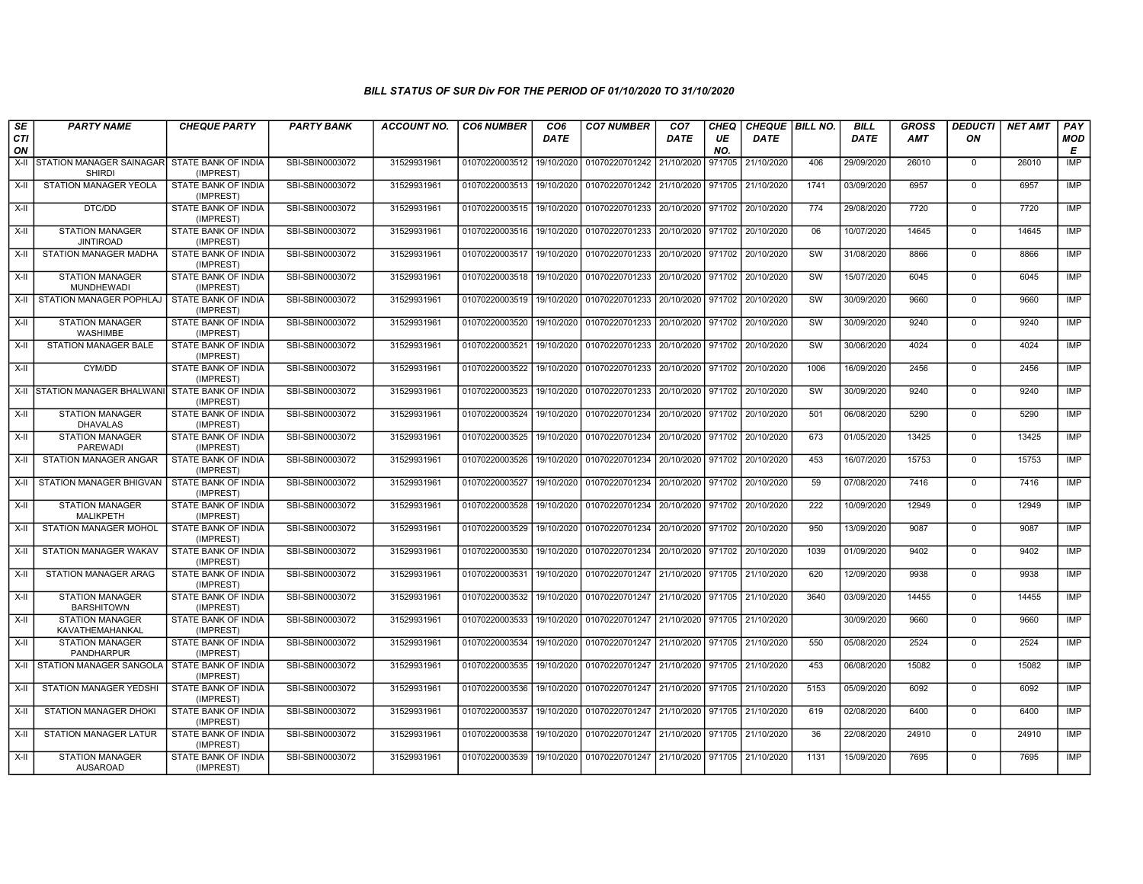| SE        | <b>PARTY NAME</b>                              | <b>CHEQUE PARTY</b>                     | <b>PARTY BANK</b> | <b>ACCOUNT NO.</b> | <b>CO6 NUMBER</b>         | CO <sub>6</sub> | <b>CO7 NUMBER</b>                                          | CO <sub>7</sub>   | <b>CHEQ</b> | <b>CHEQUE   BILL NO.</b> |      | <b>BILL</b> | <b>GROSS</b> | <b>DEDUCTI</b> | <b>NET AMT</b> | PAY        |
|-----------|------------------------------------------------|-----------------------------------------|-------------------|--------------------|---------------------------|-----------------|------------------------------------------------------------|-------------------|-------------|--------------------------|------|-------------|--------------|----------------|----------------|------------|
| CTI<br>ON |                                                |                                         |                   |                    |                           | <b>DATE</b>     |                                                            | <b>DATE</b>       | UE<br>NO.   | <b>DATE</b>              |      | <b>DATE</b> | AMT          | ON             |                | MOD<br>Е   |
|           | X-II STATION MANAGER SAINAGAR<br><b>SHIRDI</b> | <b>STATE BANK OF INDIA</b><br>(IMPREST) | SBI-SBIN0003072   | 31529931961        | 01070220003512 19/10/2020 |                 | 01070220701242 21/10/2020                                  |                   | 971705      | 21/10/2020               | 406  | 29/09/2020  | 26010        | $\mathbf 0$    | 26010          | IMP        |
| X-II      | STATION MANAGER YEOLA                          | STATE BANK OF INDIA<br>(IMPREST)        | SBI-SBIN0003072   | 31529931961        | 01070220003513 19/10/2020 |                 | 01070220701242 21/10/2020                                  |                   | 971705      | 21/10/2020               | 1741 | 03/09/2020  | 6957         | $\Omega$       | 6957           | <b>IMP</b> |
| X-II      | DTC/DD                                         | STATE BANK OF INDIA<br>(IMPREST)        | SBI-SBIN0003072   | 31529931961        | 01070220003515            | 19/10/2020      | 01070220701233                                             | 20/10/2020        | 971702      | 20/10/2020               | 774  | 29/08/2020  | 7720         | $\Omega$       | 7720           | IMP        |
| $X-H$     | <b>STATION MANAGER</b><br><b>JINTIROAD</b>     | STATE BANK OF INDIA<br>(IMPREST)        | SBI-SBIN0003072   | 31529931961        | 01070220003516 19/10/2020 |                 | 01070220701233                                             | 20/10/2020        | 971702      | 20/10/2020               | 06   | 10/07/2020  | 14645        | $\Omega$       | 14645          | <b>IMP</b> |
| X-II      | STATION MANAGER MADHA                          | STATE BANK OF INDIA<br>(IMPREST)        | SBI-SBIN0003072   | 31529931961        | 01070220003517            | 19/10/2020      | 01070220701233 20/10/2020 971702                           |                   |             | 20/10/2020               | SW   | 31/08/2020  | 8866         | 0              | 8866           | IMP        |
| X-II      | <b>STATION MANAGER</b><br><b>MUNDHEWADI</b>    | <b>STATE BANK OF INDIA</b><br>(IMPREST) | SBI-SBIN0003072   | 31529931961        | 01070220003518 19/10/2020 |                 | 01070220701233                                             | 20/10/2020 971702 |             | 20/10/2020               | SW   | 15/07/2020  | 6045         | $\mathbf 0$    | 6045           | IMP        |
| X-II      | STATION MANAGER POPHLAJ                        | STATE BANK OF INDIA<br>(IMPREST)        | SBI-SBIN0003072   | 31529931961        | 01070220003519            | 19/10/2020      | 01070220701233                                             | 20/10/2020        | 971702      | 20/10/2020               | SW   | 30/09/2020  | 9660         | $\mathbf 0$    | 9660           | IMP        |
| X-II      | <b>STATION MANAGER</b><br><b>WASHIMBE</b>      | <b>STATE BANK OF INDIA</b><br>(IMPREST) | SBI-SBIN0003072   | 31529931961        | 01070220003520            | 19/10/2020      | 01070220701233                                             | 20/10/2020        | 971702      | 20/10/2020               | SW   | 30/09/2020  | 9240         | $\mathbf 0$    | 9240           | <b>IMP</b> |
| $X-II$    | STATION MANAGER BALE                           | STATE BANK OF INDIA<br>(IMPREST)        | SBI-SBIN0003072   | 31529931961        | 01070220003521            | 19/10/2020      | 01070220701233                                             | 20/10/2020        | 971702      | 20/10/2020               | SW   | 30/06/2020  | 4024         | $\mathbf 0$    | 4024           | <b>IMP</b> |
| $X-H$     | CYM/DD                                         | <b>STATE BANK OF INDIA</b><br>(IMPREST) | SBI-SBIN0003072   | 31529931961        | 01070220003522            | 19/10/2020      | 01070220701233 20/10/2020 971702                           |                   |             | 20/10/2020               | 1006 | 16/09/2020  | 2456         | $\mathbf 0$    | 2456           | IMP        |
|           | X-II STATION MANAGER BHALWAN                   | STATE BANK OF INDIA<br>(IMPREST)        | SBI-SBIN0003072   | 31529931961        | 01070220003523            | 19/10/2020      | 01070220701233                                             | 20/10/2020        | 971702      | 20/10/2020               | SW   | 30/09/2020  | 9240         | $\mathbf 0$    | 9240           | IMP        |
| $X-H$     | <b>STATION MANAGER</b><br><b>DHAVALAS</b>      | <b>STATE BANK OF INDIA</b><br>(IMPREST) | SBI-SBIN0003072   | 31529931961        | 01070220003524            | 19/10/2020      | 01070220701234                                             | 20/10/2020        | 971702      | 20/10/2020               | 501  | 06/08/2020  | 5290         | $\Omega$       | 5290           | <b>IMP</b> |
| X-II      | <b>STATION MANAGER</b><br><b>PAREWADI</b>      | STATE BANK OF INDIA<br>(IMPREST)        | SBI-SBIN0003072   | 31529931961        | 01070220003525            | 19/10/2020      | 01070220701234                                             | 20/10/2020 971702 |             | 20/10/2020               | 673  | 01/05/2020  | 13425        | $\Omega$       | 13425          | IMP        |
| X-II      | STATION MANAGER ANGAR                          | <b>STATE BANK OF INDIA</b><br>(IMPREST) | SBI-SBIN0003072   | 31529931961        | 01070220003526            | 19/10/2020      | 01070220701234                                             | 20/10/2020        | 971702      | 20/10/2020               | 453  | 16/07/2020  | 15753        | $\mathbf 0$    | 15753          | IMP        |
| X-II      | STATION MANAGER BHIGVAN                        | STATE BANK OF INDIA<br>(IMPREST)        | SBI-SBIN0003072   | 31529931961        | 01070220003527            | 19/10/2020      | 01070220701234 20/10/2020 971702                           |                   |             | 20/10/2020               | 59   | 07/08/2020  | 7416         | $\mathbf 0$    | 7416           | <b>IMP</b> |
| $X-H$     | <b>STATION MANAGER</b><br><b>MALIKPETH</b>     | STATE BANK OF INDIA<br>(IMPREST)        | SBI-SBIN0003072   | 31529931961        | 01070220003528            | 19/10/2020      | 01070220701234                                             | 20/10/2020        | 971702      | 20/10/2020               | 222  | 10/09/2020  | 12949        | $\Omega$       | 12949          | <b>IMP</b> |
| X-II      | <b>STATION MANAGER MOHOL</b>                   | STATE BANK OF INDIA<br>(IMPREST)        | SBI-SBIN0003072   | 31529931961        | 01070220003529            | 19/10/2020      | 01070220701234                                             | 20/10/2020        | 971702      | 20/10/2020               | 950  | 13/09/2020  | 9087         | $\mathbf 0$    | 9087           | <b>IMP</b> |
| $X-II$    | <b>STATION MANAGER WAKAV</b>                   | <b>STATE BANK OF INDIA</b><br>(IMPREST) | SBI-SBIN0003072   | 31529931961        | 01070220003530            | 19/10/2020      | 01070220701234                                             | 20/10/2020 971702 |             | 20/10/2020               | 1039 | 01/09/2020  | 9402         | $\Omega$       | 9402           | IMP        |
| X-II      | <b>STATION MANAGER ARAG</b>                    | STATE BANK OF INDIA<br>(IMPREST)        | SBI-SBIN0003072   | 31529931961        | 01070220003531            | 19/10/2020      | 01070220701247                                             | 21/10/2020 971705 |             | 21/10/2020               | 620  | 12/09/2020  | 9938         | $\mathbf 0$    | 9938           | <b>IMP</b> |
| X-II      | <b>STATION MANAGER</b><br><b>BARSHITOWN</b>    | STATE BANK OF INDIA<br>(IMPREST)        | SBI-SBIN0003072   | 31529931961        | 01070220003532            | 19/10/2020      | 01070220701247 21/10/2020 971705                           |                   |             | 21/10/2020               | 3640 | 03/09/2020  | 14455        | $\Omega$       | 14455          | IMP        |
| X-II      | <b>STATION MANAGER</b><br>KAVATHEMAHANKAL      | STATE BANK OF INDIA<br>(IMPREST)        | SBI-SBIN0003072   | 31529931961        | 01070220003533            | 19/10/2020      | 01070220701247                                             | 21/10/2020        | 971705      | 21/10/2020               |      | 30/09/2020  | 9660         | $\mathbf 0$    | 9660           | <b>IMP</b> |
| X-II      | <b>STATION MANAGER</b><br>PANDHARPUR           | STATE BANK OF INDIA<br>(IMPREST)        | SBI-SBIN0003072   | 31529931961        | 01070220003534            | 19/10/2020      | 01070220701247                                             | 21/10/2020        | 971705      | 21/10/2020               | 550  | 05/08/2020  | 2524         | $\mathbf 0$    | 2524           | IMP        |
| X-II      | STATION MANAGER SANGOLA                        | STATE BANK OF INDIA<br>(IMPREST)        | SBI-SBIN0003072   | 31529931961        | 01070220003535            | 19/10/2020      | 01070220701247                                             | 21/10/2020        | 971705      | 21/10/2020               | 453  | 06/08/2020  | 15082        | $\Omega$       | 15082          | <b>IMP</b> |
| X-II      | STATION MANAGER YEDSHI                         | STATE BANK OF INDIA<br>(IMPREST)        | SBI-SBIN0003072   | 31529931961        | 01070220003536            | 19/10/2020      | 01070220701247                                             | 21/10/2020        | 971705      | 21/10/2020               | 5153 | 05/09/2020  | 6092         | $\mathbf 0$    | 6092           | IMP        |
| $X-H$     | <b>STATION MANAGER DHOKI</b>                   | STATE BANK OF INDIA<br>(IMPREST)        | SBI-SBIN0003072   | 31529931961        | 01070220003537            | 19/10/2020      | 01070220701247                                             | 21/10/2020        | 971705      | 21/10/2020               | 619  | 02/08/2020  | 6400         | $\Omega$       | 6400           | <b>IMP</b> |
| X-II      | <b>STATION MANAGER LATUR</b>                   | <b>STATE BANK OF INDIA</b><br>(IMPREST) | SBI-SBIN0003072   | 31529931961        | 01070220003538            | 19/10/2020      | 01070220701247                                             | 21/10/2020        | 971705      | 21/10/2020               | 36   | 22/08/2020  | 24910        | $\mathbf 0$    | 24910          | <b>IMP</b> |
| X-II      | <b>STATION MANAGER</b><br><b>AUSAROAD</b>      | <b>STATE BANK OF INDIA</b><br>(IMPREST) | SBI-SBIN0003072   | 31529931961        |                           |                 | 01070220003539 19/10/2020 01070220701247 21/10/2020 971705 |                   |             | 21/10/2020               | 1131 | 15/09/2020  | 7695         | $\mathbf 0$    | 7695           | IMP        |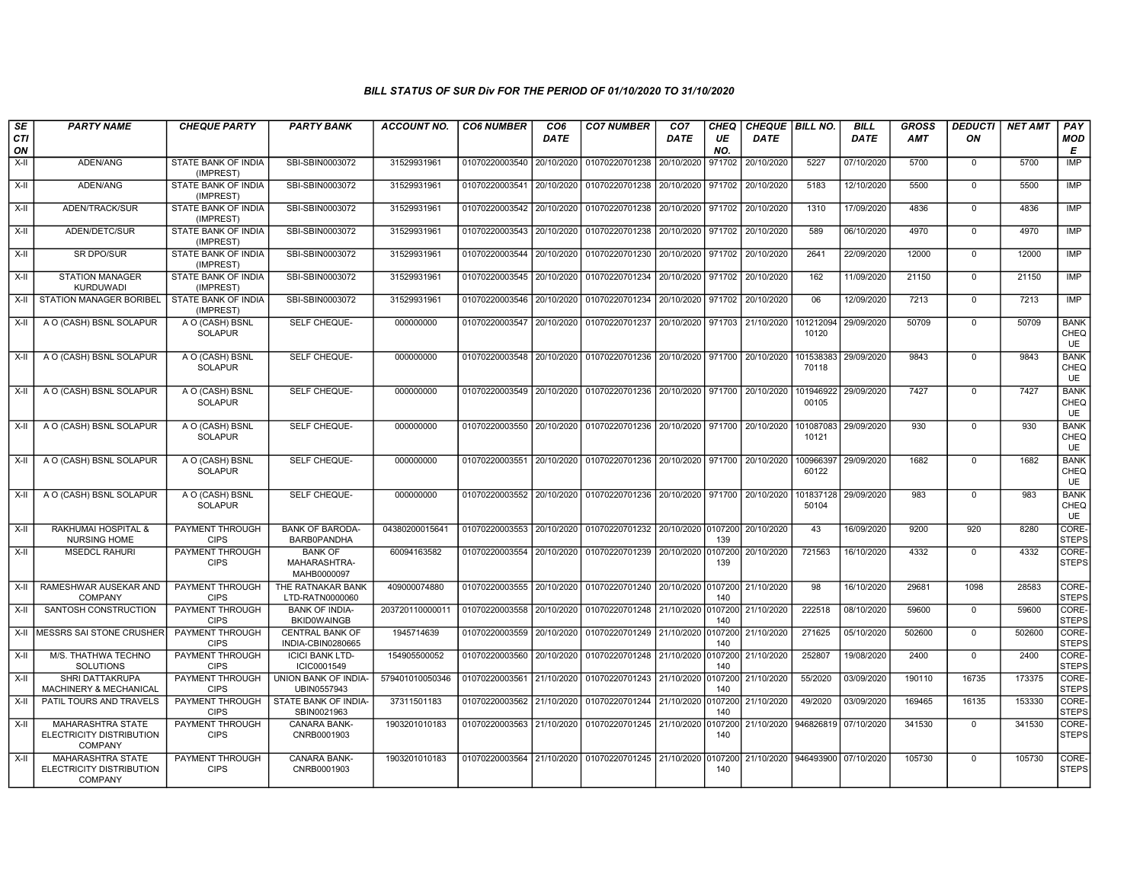| <b>SE</b><br>CTI<br>ON | <b>PARTY NAME</b>                                                      | <b>CHEQUE PARTY</b>                     | <b>PARTY BANK</b>                             | <b>ACCOUNT NO.</b> | <b>CO6 NUMBER</b>         | CO <sub>6</sub><br><b>DATE</b> | <b>CO7 NUMBER</b>                                                               | CO <sub>7</sub><br>DATE | <b>CHEQ</b><br>UE<br>NO. | CHEQUE BILL NO.<br>DATE |                                 | <b>BILL</b><br><b>DATE</b> | <b>GROSS</b><br><b>AMT</b> | <b>DEDUCTI</b><br>ON | <b>NET AMT</b> | PAY<br><b>MOD</b><br>Е           |
|------------------------|------------------------------------------------------------------------|-----------------------------------------|-----------------------------------------------|--------------------|---------------------------|--------------------------------|---------------------------------------------------------------------------------|-------------------------|--------------------------|-------------------------|---------------------------------|----------------------------|----------------------------|----------------------|----------------|----------------------------------|
| X-II                   | ADEN/ANG                                                               | STATE BANK OF INDIA<br>(IMPREST)        | SBI-SBIN0003072                               | 31529931961        | 01070220003540            | 20/10/2020                     | 01070220701238                                                                  | 20/10/2020              | 971702                   | 20/10/2020              | 5227                            | 07/10/2020                 | 5700                       | $\mathbf 0$          | 5700           | IMP                              |
| X-II                   | ADEN/ANG                                                               | STATE BANK OF INDIA<br>(IMPREST)        | SBI-SBIN0003072                               | 31529931961        | 01070220003541 20/10/2020 |                                | 01070220701238 20/10/2020 971702                                                |                         |                          | 20/10/2020              | 5183                            | 12/10/2020                 | 5500                       | $\Omega$             | 5500           | IMP                              |
| X-II                   | ADEN/TRACK/SUR                                                         | STATE BANK OF INDIA<br>(IMPREST)        | SBI-SBIN0003072                               | 31529931961        | 01070220003542            | 20/10/2020                     | 01070220701238 20/10/2020 971702                                                |                         |                          | 20/10/2020              | 1310                            | 17/09/2020                 | 4836                       | $\mathbf 0$          | 4836           | IMP                              |
| X-II                   | ADEN/DETC/SUR                                                          | STATE BANK OF INDIA<br>(IMPREST)        | SBI-SBIN0003072                               | 31529931961        | 01070220003543            | 20/10/2020                     | 01070220701238 20/10/2020                                                       |                         | 971702                   | 20/10/2020              | 589                             | 06/10/2020                 | 4970                       | $\mathbf 0$          | 4970           | <b>IMP</b>                       |
| X-II                   | <b>SR DPO/SUR</b>                                                      | <b>STATE BANK OF INDIA</b><br>(IMPREST) | SBI-SBIN0003072                               | 31529931961        | 01070220003544            | 20/10/2020                     | 01070220701230 20/10/2020 971702                                                |                         |                          | 20/10/2020              | 2641                            | 22/09/2020                 | 12000                      | $\mathbf 0$          | 12000          | <b>IMP</b>                       |
| X-II                   | <b>STATION MANAGER</b><br><b>KURDUWADI</b>                             | STATE BANK OF INDIA<br>(IMPREST)        | SBI-SBIN0003072                               | 31529931961        | 01070220003545 20/10/2020 |                                | 01070220701234 20/10/2020 971702                                                |                         |                          | 20/10/2020              | 162                             | 11/09/2020                 | 21150                      | $\mathbf 0$          | 21150          | IMP                              |
| $X-II$                 | STATION MANAGER BORIBEL                                                | STATE BANK OF INDIA<br>(IMPREST)        | SBI-SBIN0003072                               | 31529931961        | 01070220003546            | 20/10/2020                     | 01070220701234 20/10/2020 971702                                                |                         |                          | 20/10/2020              | 06                              | 12/09/2020                 | 7213                       | $\mathbf 0$          | 7213           | IMP                              |
| X-II                   | A O (CASH) BSNL SOLAPUR                                                | A O (CASH) BSNL<br><b>SOLAPUR</b>       | SELF CHEQUE-                                  | 000000000          | 01070220003547 20/10/2020 |                                | 01070220701237 20/10/2020 971703                                                |                         |                          | 21/10/2020              | 101212094<br>10120              | 29/09/2020                 | 50709                      | $\mathbf 0$          | 50709          | <b>BANK</b><br>CHEQ<br><b>UE</b> |
| X-II                   | A O (CASH) BSNL SOLAPUR                                                | A O (CASH) BSNL<br><b>SOLAPUR</b>       | SELF CHEQUE-                                  | 000000000          |                           |                                | 01070220003548   20/10/2020   01070220701236   20/10/2020   971700   20/10/2020 |                         |                          |                         | 101538383<br>70118              | 29/09/2020                 | 9843                       | $\mathbf 0$          | 9843           | <b>BANK</b><br>CHEQ<br><b>UE</b> |
| X-II                   | A O (CASH) BSNL SOLAPUR                                                | A O (CASH) BSNL<br><b>SOLAPUR</b>       | SELF CHEQUE-                                  | 000000000          | 01070220003549 20/10/2020 |                                | 01070220701236 20/10/2020 971700                                                |                         |                          | 20/10/2020              | 101946922<br>00105              | 29/09/2020                 | 7427                       | $\overline{0}$       | 7427           | <b>BANK</b><br>CHEQ<br><b>UE</b> |
| X-II                   | A O (CASH) BSNL SOLAPUR                                                | A O (CASH) BSNL<br><b>SOLAPUR</b>       | SELF CHEQUE-                                  | 000000000          | 01070220003550            | 20/10/2020                     | 01070220701236 20/10/2020 971700 20/10/2020                                     |                         |                          |                         | 101087083<br>10121              | 29/09/2020                 | 930                        | $\overline{0}$       | 930            | <b>BANK</b><br>CHEQ<br><b>UE</b> |
| X-II                   | A O (CASH) BSNL SOLAPUR                                                | A O (CASH) BSNL<br><b>SOLAPUR</b>       | SELF CHEQUE-                                  | 000000000          | 01070220003551            | 20/10/2020                     | 01070220701236 20/10/2020 971700 20/10/2020                                     |                         |                          |                         | 100966397<br>60122              | 29/09/2020                 | 1682                       | $\Omega$             | 1682           | <b>BANK</b><br>CHEQ<br><b>UE</b> |
| X-II                   | A O (CASH) BSNL SOLAPUR                                                | A O (CASH) BSNL<br><b>SOLAPUR</b>       | SELF CHEQUE-                                  | 000000000          | 01070220003552            |                                | 20/10/2020 01070220701236 20/10/2020 971700 20/10/2020                          |                         |                          |                         | 101837128<br>50104              | 29/09/2020                 | 983                        | $\Omega$             | 983            | <b>BANK</b><br>CHEQ<br><b>UE</b> |
| X-II                   | <b>RAKHUMAI HOSPITAL &amp;</b><br>NURSING HOME                         | PAYMENT THROUGH<br><b>CIPS</b>          | <b>BANK OF BARODA-</b><br>BARB0PANDHA         | 04380200015641     |                           |                                | 01070220003553 20/10/2020 01070220701232 20/10/2020 0107200 20/10/2020          |                         | 139                      |                         | 43                              | 16/09/2020                 | 9200                       | 920                  | 8280           | CORE-<br><b>STEPS</b>            |
| X-II                   | <b>MSEDCL RAHURI</b>                                                   | PAYMENT THROUGH<br><b>CIPS</b>          | <b>BANK OF</b><br>MAHARASHTRA-<br>MAHB0000097 | 60094163582        | 01070220003554            | 20/10/2020                     | 01070220701239 20/10/2020                                                       |                         | 0107200<br>139           | 20/10/2020              | 721563                          | 16/10/2020                 | 4332                       | $\overline{0}$       | 4332           | CORE-<br><b>STEPS</b>            |
| X-II                   | RAMESHWAR AUSEKAR AND<br><b>COMPANY</b>                                | PAYMENT THROUGH<br><b>CIPS</b>          | THE RATNAKAR BANK<br>LTD-RATN0000060          | 409000074880       | 01070220003555            | 20/10/2020                     | 01070220701240 20/10/2020 0107200                                               |                         | 140                      | 21/10/2020              | 98                              | 16/10/2020                 | 29681                      | 1098                 | 28583          | CORE-<br><b>STEPS</b>            |
| $X-II$                 | SANTOSH CONSTRUCTION                                                   | PAYMENT THROUGH<br><b>CIPS</b>          | <b>BANK OF INDIA-</b><br><b>BKID0WAINGB</b>   | 203720110000011    | 01070220003558 20/10/2020 |                                | 01070220701248 21/10/2020 0107200                                               |                         | 140                      | 21/10/2020              | 222518                          | 08/10/2020                 | 59600                      | $\mathbf 0$          | 59600          | CORE-<br><b>STEPS</b>            |
| X-II                   | <b>IMESSRS SAI STONE CRUSHER</b>                                       | PAYMENT THROUGH<br><b>CIPS</b>          | <b>CENTRAL BANK OF</b><br>INDIA-CBIN0280665   | 1945714639         | 01070220003559            | 20/10/2020                     | 01070220701249 21/10/2020                                                       |                         | 0107200<br>140           | 21/10/2020              | 271625                          | 05/10/2020                 | 502600                     | $\mathbf 0$          | 502600         | CORE-<br><b>STEPS</b>            |
| $X-H$                  | M/S. THATHWA TECHNO<br>SOLUTIONS                                       | PAYMENT THROUGH<br><b>CIPS</b>          | <b>ICICI BANK LTD-</b><br>ICIC0001549         | 154905500052       | 01070220003560            | 20/10/2020                     | 01070220701248 21/10/2020 0107200                                               |                         | 140                      | 21/10/2020              | 252807                          | 19/08/2020                 | 2400                       | $\Omega$             | 2400           | CORE-<br><b>STEPS</b>            |
| X-II                   | SHRI DATTAKRUPA<br><b>MACHINERY &amp; MECHANICAL</b>                   | <b>PAYMENT THROUGH</b><br><b>CIPS</b>   | UNION BANK OF INDIA-<br>UBIN0557943           | 579401010050346    | 01070220003561            | 21/10/2020                     | 01070220701243 21/10/2020                                                       |                         | 0107200<br>140           | 21/10/2020              | 55/2020                         | 03/09/2020                 | 190110                     | 16735                | 173375         | CORE-<br><b>STEPS</b>            |
| X-II                   | PATIL TOURS AND TRAVELS                                                | <b>PAYMENT THROUGH</b><br><b>CIPS</b>   | STATE BANK OF INDIA-<br>SBIN0021963           | 37311501183        | 01070220003562            | 21/10/2020                     | 01070220701244 21/10/2020 0107200                                               |                         | 140                      | 21/10/2020              | 49/2020                         | 03/09/2020                 | 169465                     | 16135                | 153330         | CORE-<br><b>STEPS</b>            |
| X-II                   | MAHARASHTRA STATE<br>ELECTRICITY DISTRIBUTION<br><b>COMPANY</b>        | <b>PAYMENT THROUGH</b><br><b>CIPS</b>   | CANARA BANK-<br>CNRB0001903                   | 1903201010183      | 01070220003563 21/10/2020 |                                | 01070220701245 21/10/2020                                                       |                         | 0107200<br>140           | 21/10/2020              | 946826819 07/10/2020            |                            | 341530                     | $\mathbf 0$          | 341530         | CORE-<br><b>STEPS</b>            |
| X-II                   | <b>MAHARASHTRA STATE</b><br>ELECTRICITY DISTRIBUTION<br><b>COMPANY</b> | PAYMENT THROUGH<br><b>CIPS</b>          | <b>CANARA BANK-</b><br>CNRB0001903            | 1903201010183      |                           |                                | 01070220003564 21/10/2020 01070220701245 21/10/2020 0107200                     |                         | 140                      |                         | 21/10/2020 946493900 07/10/2020 |                            | 105730                     | $\mathbf 0$          | 105730         | CORE-<br><b>STEPS</b>            |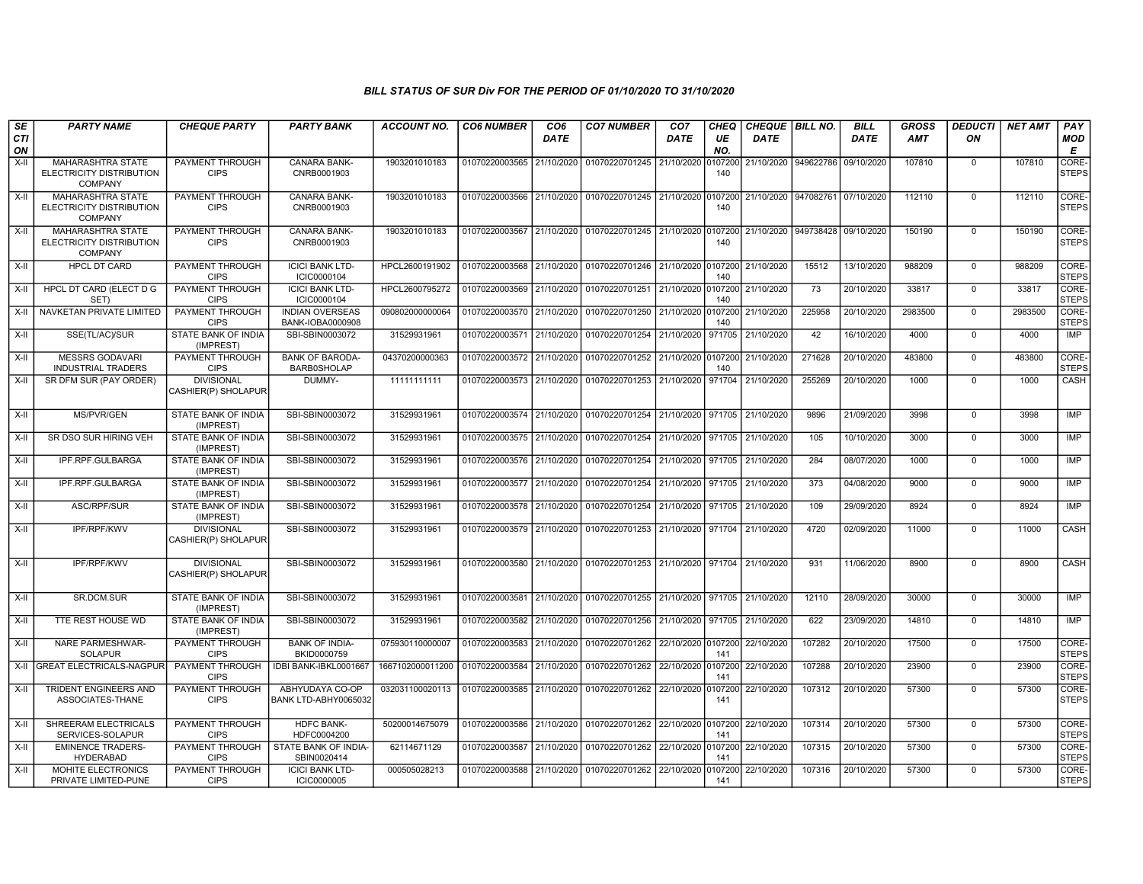| SE        | <b>PARTY NAME</b>                                                      | <b>CHEQUE PARTY</b>                      | <b>PARTY BANK</b>                            | <b>ACCOUNT NO.</b> | <b>CO6 NUMBER</b>                        | CO <sub>6</sub> | <b>CO7 NUMBER</b>                                                     | CO <sub>7</sub>    | <b>CHEQ</b>    | CHEQUE   BILL NO. |                      | <b>BILL</b> | <b>GROSS</b> | <b>DEDUCTI</b> | <b>NET AMT</b> | <b>PAY</b>                  |
|-----------|------------------------------------------------------------------------|------------------------------------------|----------------------------------------------|--------------------|------------------------------------------|-----------------|-----------------------------------------------------------------------|--------------------|----------------|-------------------|----------------------|-------------|--------------|----------------|----------------|-----------------------------|
| CTI<br>ON |                                                                        |                                          |                                              |                    |                                          | <b>DATE</b>     |                                                                       | DATE               | UE<br>NO.      | <b>DATE</b>       |                      | <b>DATE</b> | <b>AMT</b>   | ON             |                | <b>MOD</b><br>Е             |
| $X-H$     | <b>MAHARASHTRA STATE</b><br>ELECTRICITY DISTRIBUTION<br><b>COMPANY</b> | <b>PAYMENT THROUGH</b><br><b>CIPS</b>    | CANARA BANK-<br>CNRB0001903                  | 1903201010183      | 01070220003565                           | 21/10/2020      | 01070220701245                                                        | 21/10/2020         | 0107200<br>140 |                   | 21/10/2020 949622786 | 09/10/2020  | 107810       | $\mathbf 0$    | 107810         | CORE-<br><b>STEPS</b>       |
| X-II      | <b>MAHARASHTRA STATE</b><br>ELECTRICITY DISTRIBUTION<br><b>COMPANY</b> | <b>PAYMENT THROUGH</b><br><b>CIPS</b>    | <b>CANARA BANK-</b><br>CNRB0001903           | 1903201010183      | 01070220003566                           |                 | 21/10/2020 01070220701245 21/10/2020                                  |                    | 0107200<br>140 |                   | 21/10/2020 947082761 | 07/10/2020  | 112110       | $\Omega$       | 112110         | CORE-<br><b>STEPS</b>       |
| X-II      | <b>MAHARASHTRA STATE</b><br>ELECTRICITY DISTRIBUTION<br><b>COMPANY</b> | PAYMENT THROUGH<br><b>CIPS</b>           | CANARA BANK-<br>CNRB0001903                  | 1903201010183      | 01070220003567                           | 21/10/2020      | 01070220701245                                                        | 21/10/2020         | 0107200<br>140 |                   | 21/10/2020 949738428 | 09/10/2020  | 150190       | $\mathbf 0$    | 150190         | CORE-<br><b>STEPS</b>       |
| X-II      | <b>HPCL DT CARD</b>                                                    | PAYMENT THROUGH<br><b>CIPS</b>           | <b>ICICI BANK LTD-</b><br>ICIC0000104        | HPCL2600191902     |                                          |                 | 01070220003568 21/10/2020 01070220701246 21/10/2020 0107200           |                    | 140            | 21/10/2020        | 15512                | 13/10/2020  | 988209       | $\Omega$       | 988209         | <b>CORE</b><br><b>STEPS</b> |
| X-II      | HPCL DT CARD (ELECT D G<br>SET)                                        | <b>PAYMENT THROUGH</b><br><b>CIPS</b>    | <b>ICICI BANK LTD-</b><br>ICIC0000104        | HPCL2600795272     | 01070220003569                           | 21/10/2020      | 01070220701251                                                        | 21/10/2020 0107200 | 140            | 21/10/2020        | 73                   | 20/10/2020  | 33817        | $\Omega$       | 33817          | CORE-<br><b>STEPS</b>       |
| X-II      | NAVKETAN PRIVATE LIMITED                                               | PAYMENT THROUGH<br><b>CIPS</b>           | <b>INDIAN OVERSEAS</b><br>BANK-IOBA0000908   | 090802000000064    | 01070220003570 21/10/2020                |                 | 01070220701250                                                        | 21/10/2020         | 0107200<br>140 | 21/10/2020        | 225958               | 20/10/2020  | 2983500      | $\mathbf{0}$   | 2983500        | CORE-<br><b>STEPS</b>       |
| X-II      | SSE(TL/AC)/SUR                                                         | STATE BANK OF INDIA<br>(IMPREST)         | SBI-SBIN0003072                              | 31529931961        |                                          |                 | 01070220003571 21/10/2020 01070220701254                              | 21/10/2020         | 971705         | 21/10/2020        | 42                   | 16/10/2020  | 4000         | $\mathbf 0$    | 4000           | <b>IMP</b>                  |
| X-II      | <b>MESSRS GODAVARI</b><br><b>INDUSTRIAL TRADERS</b>                    | <b>PAYMENT THROUGH</b><br><b>CIPS</b>    | <b>BANK OF BARODA-</b><br><b>BARB0SHOLAP</b> | 04370200000363     | 01070220003572 21/10/2020                |                 | 01070220701252                                                        | 21/10/2020         | 0107200<br>140 | 21/10/2020        | 271628               | 20/10/2020  | 483800       | $\Omega$       | 483800         | CORE-<br><b>STEPS</b>       |
| X-II      | SR DFM SUR (PAY ORDER)                                                 | <b>DIVISIONAL</b><br>CASHIER(P) SHOLAPUR | DUMMY-                                       | 11111111111        |                                          |                 | 01070220003573 21/10/2020 01070220701253 21/10/2020 971704            |                    |                | 21/10/2020        | 255269               | 20/10/2020  | 1000         | $\mathbf 0$    | 1000           | CASH                        |
| X-II      | MS/PVR/GEN                                                             | STATE BANK OF INDIA<br>(IMPREST)         | SBI-SBIN0003072                              | 31529931961        | 01070220003574 21/10/2020                |                 | 01070220701254                                                        | 21/10/2020 971705  |                | 21/10/2020        | 9896                 | 21/09/2020  | 3998         | $\Omega$       | 3998           | <b>IMP</b>                  |
| X-II      | SR DSO SUR HIRING VEH                                                  | <b>STATE BANK OF INDIA</b><br>(IMPREST)  | SBI-SBIN0003072                              | 31529931961        | 01070220003575 21/10/2020                |                 | 01070220701254                                                        | 21/10/2020         | 971705         | 21/10/2020        | 105                  | 10/10/2020  | 3000         | $\mathbf 0$    | 3000           | <b>IMP</b>                  |
| X-II      | IPF.RPF.GULBARGA                                                       | STATE BANK OF INDIA<br>(IMPREST)         | SBI-SBIN0003072                              | 31529931961        |                                          |                 | 01070220003576 21/10/2020 01070220701254                              | 21/10/2020 971705  |                | 21/10/2020        | 284                  | 08/07/2020  | 1000         | $\Omega$       | 1000           | IMP                         |
| X-II      | IPF.RPF.GULBARGA                                                       | STATE BANK OF INDIA<br>(IMPREST)         | SBI-SBIN0003072                              | 31529931961        | 01070220003577 21/10/2020 01070220701254 |                 |                                                                       | 21/10/2020         | 971705         | 21/10/2020        | 373                  | 04/08/2020  | 9000         | $\Omega$       | 9000           | <b>IMP</b>                  |
| X-II      | ASC/RPF/SUR                                                            | STATE BANK OF INDIA<br>(IMPREST)         | SBI-SBIN0003072                              | 31529931961        | 01070220003578 21/10/2020                |                 | 01070220701254                                                        | 21/10/2020         | 971705         | 21/10/2020        | 109                  | 29/09/2020  | 8924         | $\Omega$       | 8924           | <b>IMP</b>                  |
| X-II      | IPF/RPF/KWV                                                            | <b>DIVISIONAL</b><br>CASHIER(P) SHOLAPUR | SBI-SBIN0003072                              | 31529931961        | 01070220003579 21/10/2020 01070220701253 |                 |                                                                       | 21/10/2020 971704  |                | 21/10/2020        | 4720                 | 02/09/2020  | 11000        | $\Omega$       | 11000          | <b>CASH</b>                 |
| X-II      | <b>IPF/RPF/KWV</b>                                                     | <b>DIVISIONAL</b><br>CASHIER(P) SHOLAPUR | SBI-SBIN0003072                              | 31529931961        |                                          |                 | 01070220003580 21/10/2020 01070220701253 21/10/2020 971704 21/10/2020 |                    |                |                   | 931                  | 11/06/2020  | 8900         | $\Omega$       | 8900           | CASH                        |
| X-II      | SR.DCM.SUR                                                             | STATE BANK OF INDIA<br>(IMPREST)         | SBI-SBIN0003072                              | 31529931961        | 01070220003581                           |                 | 21/10/2020 01070220701255 21/10/2020 971705 21/10/2020                |                    |                |                   | 12110                | 28/09/2020  | 30000        | $\mathbf 0$    | 30000          | IMP                         |
| X-II      | TTE REST HOUSE WD                                                      | <b>STATE BANK OF INDIA</b><br>(IMPREST)  | SBI-SBIN0003072                              | 31529931961        | 01070220003582                           |                 | 21/10/2020 01070220701256                                             | 21/10/2020 971705  |                | 21/10/2020        | 622                  | 23/09/2020  | 14810        | $\Omega$       | 14810          | <b>IMP</b>                  |
| X-II      | <b>NARE PARMESHWAR-</b><br><b>SOLAPUR</b>                              | PAYMENT THROUGH<br><b>CIPS</b>           | <b>BANK OF INDIA-</b><br>BKID0000759         | 075930110000007    | 01070220003583                           | 21/10/2020      | 01070220701262                                                        | 22/10/2020 0107200 | 141            | 22/10/2020        | 107282               | 20/10/2020  | 17500        | $\Omega$       | 17500          | CORE-<br><b>STEPS</b>       |
|           | X-II GREAT ELECTRICALS-NAGPUR                                          | <b>PAYMENT THROUGH</b><br><b>CIPS</b>    | IDBI BANK-IBKL0001667                        | 1667102000011200   | 01070220003584                           | 21/10/2020      | 01070220701262                                                        | 22/10/2020         | 0107200<br>141 | 22/10/2020        | 107288               | 20/10/2020  | 23900        | $\Omega$       | 23900          | CORE-<br><b>STEPS</b>       |
| X-II      | TRIDENT ENGINEERS AND<br>ASSOCIATES-THANE                              | PAYMENT THROUGH<br><b>CIPS</b>           | ABHYUDAYA CO-OP<br>BANK LTD-ABHY0065032      | 032031100020113    | 01070220003585                           | 21/10/2020      | 01070220701262                                                        | 22/10/2020         | 0107200<br>141 | 22/10/2020        | 107312               | 20/10/2020  | 57300        | $\Omega$       | 57300          | CORE-<br><b>STEPS</b>       |
| X-II      | SHREERAM ELECTRICALS<br>SERVICES-SOLAPUR                               | <b>PAYMENT THROUGH</b><br><b>CIPS</b>    | <b>HDFC BANK-</b><br>HDFC0004200             | 50200014675079     |                                          |                 | 01070220003586 21/10/2020 01070220701262 22/10/2020 0107200           |                    | 141            | 22/10/2020        | 107314               | 20/10/2020  | 57300        | $\mathbf 0$    | 57300          | CORE-<br><b>STEPS</b>       |
| X-II      | <b>EMINENCE TRADERS-</b><br><b>HYDERABAD</b>                           | PAYMENT THROUGH<br><b>CIPS</b>           | STATE BANK OF INDIA-<br>SBIN0020414          | 62114671129        | 01070220003587                           | 21/10/2020      | 01070220701262                                                        | 22/10/2020 0107200 | 141            | 22/10/2020        | 107315               | 20/10/2020  | 57300        | $\Omega$       | 57300          | CORE-<br><b>STEPS</b>       |
| X-II      | MOHITE ELECTRONICS<br>PRIVATE LIMITED-PUNE                             | PAYMENT THROUGH<br><b>CIPS</b>           | <b>ICICI BANK LTD-</b><br>ICIC0000005        | 000505028213       | 01070220003588 21/10/2020 01070220701262 |                 |                                                                       | 22/10/2020         | 0107200<br>141 | 22/10/2020        | 107316               | 20/10/2020  | 57300        | $\Omega$       | 57300          | CORE-<br><b>STEPS</b>       |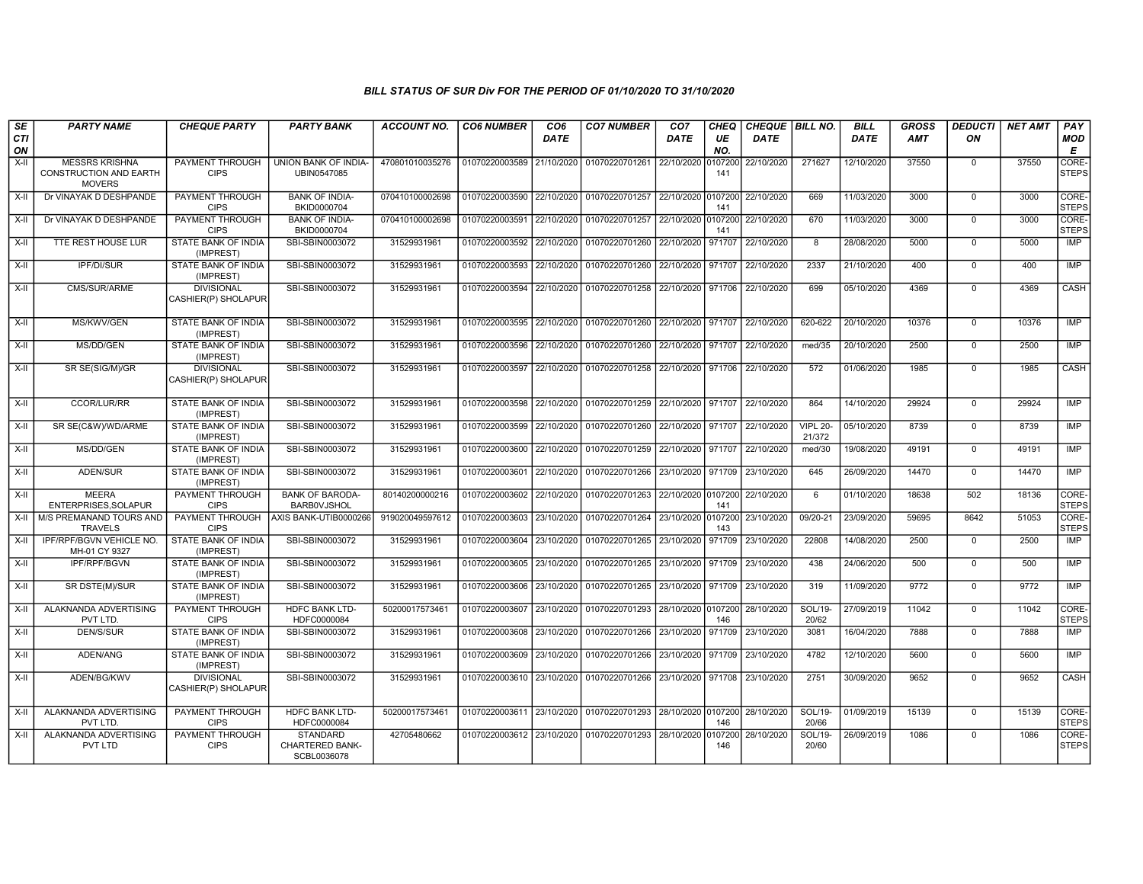| SE               | <b>PARTY NAME</b>                                                | <b>CHEQUE PARTY</b>                      | <b>PARTY BANK</b>                                 | <b>ACCOUNT NO.</b> | <b>CO6 NUMBER</b>         | CO <sub>6</sub> | <b>CO7 NUMBER</b>                                                      | CO7                | <b>CHEQ</b>    | CHEQUE BILL NO. |                           | <b>BILL</b> | <b>GROSS</b> | <b>DEDUCTI</b> | <b>NET AMT</b> | PAY                       |
|------------------|------------------------------------------------------------------|------------------------------------------|---------------------------------------------------|--------------------|---------------------------|-----------------|------------------------------------------------------------------------|--------------------|----------------|-----------------|---------------------------|-------------|--------------|----------------|----------------|---------------------------|
| <b>CTI</b><br>ON |                                                                  |                                          |                                                   |                    |                           | <b>DATE</b>     |                                                                        | DATE               | UE<br>NO.      | <b>DATE</b>     |                           | <b>DATE</b> | <b>AMT</b>   | ON             |                | <b>MOD</b><br>E           |
| $X-H$            | <b>MESSRS KRISHNA</b><br>CONSTRUCTION AND EARTH<br><b>MOVERS</b> | <b>PAYMENT THROUGH</b><br><b>CIPS</b>    | UNION BANK OF INDIA-<br>UBIN0547085               | 470801010035276    | 01070220003589 21/10/2020 |                 | 01070220701261                                                         | 22/10/2020         | 0107200<br>141 | 22/10/2020      | 271627                    | 12/10/2020  | 37550        | $\mathbf 0$    | 37550          | CORE-<br><b>STEPS</b>     |
| $X-II$           | Dr VINAYAK D DESHPANDE                                           | PAYMENT THROUGH<br><b>CIPS</b>           | <b>BANK OF INDIA-</b><br>BKID0000704              | 070410100002698    | 01070220003590 22/10/2020 |                 | 01070220701257                                                         | 22/10/2020 0107200 | 141            | 22/10/2020      | 669                       | 11/03/2020  | 3000         | $\overline{0}$ | 3000           | CORE-<br><b>STEPS</b>     |
| X-II             | Dr VINAYAK D DESHPANDE                                           | PAYMENT THROUGH<br><b>CIPS</b>           | <b>BANK OF INDIA-</b><br>BKID0000704              | 070410100002698    | 01070220003591 22/10/2020 |                 | 01070220701257                                                         | 22/10/2020 0107200 | 141            | 22/10/2020      | 670                       | 11/03/2020  | 3000         | $\mathbf 0$    | 3000           | CORE-<br><b>STEPS</b>     |
| $X-H$            | <b>TTE REST HOUSE LUR</b>                                        | <b>STATE BANK OF INDIA</b><br>(IMPREST)  | SBI-SBIN0003072                                   | 31529931961        | 01070220003592 22/10/2020 |                 | 01070220701260 22/10/2020 971707                                       |                    |                | 22/10/2020      | 8                         | 28/08/2020  | 5000         | $\overline{0}$ | 5000           | IMP                       |
| X-II             | IPF/DI/SUR                                                       | STATE BANK OF INDIA<br>(IMPREST)         | SBI-SBIN0003072                                   | 31529931961        | 01070220003593 22/10/2020 |                 | 01070220701260                                                         | 22/10/2020 971707  |                | 22/10/2020      | 2337                      | 21/10/2020  | 400          | $\mathbf 0$    | 400            | IMP                       |
| $X-H$            | CMS/SUR/ARME                                                     | <b>DIVISIONAL</b><br>CASHIER(P) SHOLAPUR | SBI-SBIN0003072                                   | 31529931961        |                           |                 | 01070220003594 22/10/2020 01070220701258                               | 22/10/2020 971706  |                | 22/10/2020      | 699                       | 05/10/2020  | 4369         | $\Omega$       | 4369           | CASH                      |
| $X-II$           | MS/KWV/GEN                                                       | <b>STATE BANK OF INDIA</b><br>(IMPREST)  | SBI-SBIN0003072                                   | 31529931961        |                           |                 | 01070220003595 22/10/2020 01070220701260 22/10/2020 971707             |                    |                | 22/10/2020      | 620-622                   | 20/10/2020  | 10376        | $\Omega$       | 10376          | IMP                       |
| $X-H$            | MS/DD/GEN                                                        | STATE BANK OF INDIA<br>(IMPREST)         | SBI-SBIN0003072                                   | 31529931961        | 01070220003596            | 22/10/2020      | 01070220701260                                                         | 22/10/2020 971707  |                | 22/10/2020      | med/35                    | 20/10/2020  | 2500         | $\Omega$       | 2500           | IMP                       |
| X-II             | SR SE(SIG/M)/GR                                                  | <b>DIVISIONAL</b><br>CASHIER(P) SHOLAPUR | SBI-SBIN0003072                                   | 31529931961        |                           |                 | 01070220003597 22/10/2020 01070220701258                               | 22/10/2020 971706  |                | 22/10/2020      | 572                       | 01/06/2020  | 1985         | $\mathbf 0$    | 1985           | CASH                      |
| X-II             | CCOR/LUR/RR                                                      | STATE BANK OF INDIA<br>(IMPREST)         | SBI-SBIN0003072                                   | 31529931961        |                           |                 | 01070220003598 22/10/2020 01070220701259                               | 22/10/2020 971707  |                | 22/10/2020      | 864                       | 14/10/2020  | 29924        | $\mathbf 0$    | 29924          | <b>IMP</b>                |
| $X-H$            | SR SE(C&W)/WD/ARME                                               | STATE BANK OF INDIA<br>(IMPREST)         | SBI-SBIN0003072                                   | 31529931961        | 01070220003599 22/10/2020 |                 | 01070220701260                                                         | 22/10/2020 971707  |                | 22/10/2020      | <b>VIPL 20-</b><br>21/372 | 05/10/2020  | 8739         | $\overline{0}$ | 8739           | <b>IMP</b>                |
| $X-H$            | MS/DD/GEN                                                        | <b>STATE BANK OF INDIA</b><br>(IMPREST)  | SBI-SBIN0003072                                   | 31529931961        |                           |                 | 01070220003600 22/10/2020 01070220701259 22/10/2020 971707             |                    |                | 22/10/2020      | med/30                    | 19/08/2020  | 49191        | $\overline{0}$ | 49191          | IMP                       |
| $X-H$            | ADEN/SUR                                                         | <b>STATE BANK OF INDIA</b><br>(IMPREST)  | SBI-SBIN0003072                                   | 31529931961        |                           |                 | 01070220003601 22/10/2020 01070220701266 23/10/2020 971709             |                    |                | 23/10/2020      | 645                       | 26/09/2020  | 14470        | $\overline{0}$ | 14470          | IMP                       |
| X-II             | <b>MEERA</b><br>ENTERPRISES, SOLAPUR                             | PAYMENT THROUGH<br><b>CIPS</b>           | <b>BANK OF BARODA-</b><br><b>BARBOVJSHOL</b>      | 80140200000216     | 01070220003602 22/10/2020 |                 | 01070220701263                                                         | 22/10/2020 0107200 | 141            | 22/10/2020      | 6                         | 01/10/2020  | 18638        | 502            | 18136          | CORE-<br><b>STEPS</b>     |
| X-II             | M/S PREMANAND TOURS AND<br><b>TRAVELS</b>                        | PAYMENT THROUGH<br><b>CIPS</b>           | AXIS BANK-UTIB0000266                             | 919020049597612    | 01070220003603 23/10/2020 |                 | 01070220701264                                                         | 23/10/2020 0107200 | 143            | 23/10/2020      | 09/20-21                  | 23/09/2020  | 59695        | 8642           | 51053          | CORE-<br><b>STEPS</b>     |
| X-II             | IPF/RPF/BGVN VEHICLE NO.<br>MH-01 CY 9327                        | <b>STATE BANK OF INDIA</b><br>(IMPREST)  | SBI-SBIN0003072                                   | 31529931961        | 01070220003604 23/10/2020 |                 | 01070220701265                                                         | 23/10/2020 971709  |                | 23/10/2020      | 22808                     | 14/08/2020  | 2500         | $\mathbf 0$    | 2500           | IMP                       |
| $X-H$            | <b>IPF/RPF/BGVN</b>                                              | <b>STATE BANK OF INDIA</b><br>(IMPREST)  | SBI-SBIN0003072                                   | 31529931961        | 01070220003605 23/10/2020 |                 | 01070220701265 23/10/2020 971709 23/10/2020                            |                    |                |                 | 438                       | 24/06/2020  | 500          | $\mathbf 0$    | 500            | <b>IMP</b>                |
| X-II             | SR DSTE(M)/SUR                                                   | STATE BANK OF INDIA<br>(IMPREST)         | SBI-SBIN0003072                                   | 31529931961        | 01070220003606 23/10/2020 |                 | 01070220701265 23/10/2020 971709                                       |                    |                | 23/10/2020      | 319                       | 11/09/2020  | 9772         | $\mathbf 0$    | 9772           | IMP                       |
| $X-II$           | ALAKNANDA ADVERTISING<br>PVT LTD.                                | <b>PAYMENT THROUGH</b><br><b>CIPS</b>    | <b>HDFC BANK LTD-</b><br>HDFC0000084              | 50200017573461     | 01070220003607 23/10/2020 |                 | 01070220701293                                                         | 28/10/2020 0107200 | 146            | 28/10/2020      | SOL/19-<br>20/62          | 27/09/2019  | 11042        | $\overline{0}$ | 11042          | CORE-<br><b>STEPS</b>     |
| $X-H$            | <b>DEN/S/SUR</b>                                                 | <b>STATE BANK OF INDIA</b><br>(IMPREST)  | SBI-SBIN0003072                                   | 31529931961        | 01070220003608 23/10/2020 |                 | 01070220701266 23/10/2020 971709                                       |                    |                | 23/10/2020      | 3081                      | 16/04/2020  | 7888         | $\overline{0}$ | 7888           | $\overline{\mathsf{IMP}}$ |
| $X-H$            | ADEN/ANG                                                         | <b>STATE BANK OF INDIA</b><br>(IMPREST)  | SBI-SBIN0003072                                   | 31529931961        | 01070220003609 23/10/2020 |                 | 01070220701266 23/10/2020 971709                                       |                    |                | 23/10/2020      | 4782                      | 12/10/2020  | 5600         | $\overline{0}$ | 5600           | IMP                       |
| X-II             | ADEN/BG/KWV                                                      | <b>DIVISIONAL</b><br>CASHIER(P) SHOLAPUR | SBI-SBIN0003072                                   | 31529931961        |                           |                 | 01070220003610 23/10/2020 01070220701266                               | 23/10/2020 971708  |                | 23/10/2020      | 2751                      | 30/09/2020  | 9652         | $\mathbf 0$    | 9652           | CASH                      |
| X-II             | ALAKNANDA ADVERTISING<br>PVT LTD.                                | <b>PAYMENT THROUGH</b><br><b>CIPS</b>    | <b>HDFC BANK LTD-</b><br>HDFC0000084              | 50200017573461     |                           |                 | 01070220003611 23/10/2020 01070220701293 28/10/2020 0107200 28/10/2020 |                    | 146            |                 | SOL/19-<br>20/66          | 01/09/2019  | 15139        | $\mathbf 0$    | 15139          | CORE-<br><b>STEPS</b>     |
| $X-II$           | ALAKNANDA ADVERTISING<br>PVT LTD                                 | PAYMENT THROUGH<br><b>CIPS</b>           | <b>STANDARD</b><br>CHARTERED BANK-<br>SCBL0036078 | 42705480662        | 01070220003612 23/10/2020 |                 | 01070220701293                                                         | 28/10/2020 0107200 | 146            | 28/10/2020      | SOL/19-<br>20/60          | 26/09/2019  | 1086         | $\mathbf 0$    | 1086           | CORE-<br><b>STEPS</b>     |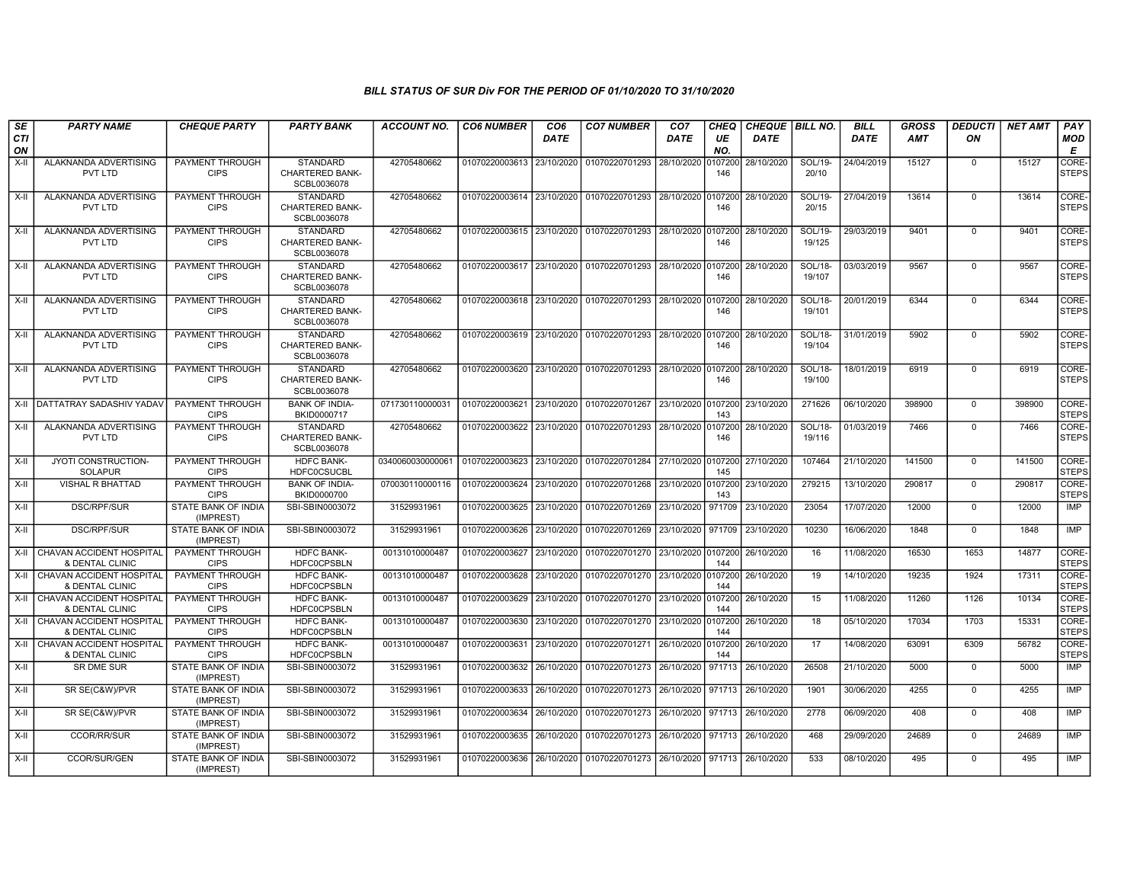| SE                 | <b>PARTY NAME</b>                                  | <b>CHEQUE PARTY</b>                     | <b>PARTY BANK</b>                                        | ACCOUNT NO.      | <b>CO6 NUMBER</b>         | CO <sub>6</sub> | <b>CO7 NUMBER</b>                                           | CO <sub>7</sub>    | <b>CHEQ</b>    | CHEQUE   BILL NO. |                          | <b>BILL</b> | <b>GROSS</b> | <b>DEDUCTI</b> | NET AMT | <b>PAY</b>            |
|--------------------|----------------------------------------------------|-----------------------------------------|----------------------------------------------------------|------------------|---------------------------|-----------------|-------------------------------------------------------------|--------------------|----------------|-------------------|--------------------------|-------------|--------------|----------------|---------|-----------------------|
| <b>CTI</b><br>ON   |                                                    |                                         |                                                          |                  |                           | <b>DATE</b>     |                                                             | DATE               | UE<br>NO.      | <b>DATE</b>       |                          | <b>DATE</b> | <b>AMT</b>   | ON             |         | <b>MOD</b><br>E       |
| $X-H$              | ALAKNANDA ADVERTISING<br>PVT LTD                   | <b>PAYMENT THROUGH</b><br><b>CIPS</b>   | <b>STANDARD</b><br><b>CHARTERED BANK-</b><br>SCBL0036078 | 42705480662      | 01070220003613 23/10/2020 |                 | 01070220701293                                              | 28/10/2020         | 0107200<br>146 | 28/10/2020        | SOL/19-<br>20/10         | 24/04/2019  | 15127        | $\mathbf 0$    | 15127   | CORE-<br><b>STEPS</b> |
| X-II               | ALAKNANDA ADVERTISING<br>PVT LTD                   | PAYMENT THROUGH<br><b>CIPS</b>          | <b>STANDARD</b><br><b>CHARTERED BANK-</b><br>SCBL0036078 | 42705480662      |                           |                 | 01070220003614 23/10/2020 01070220701293                    | 28/10/2020         | 0107200<br>146 | 28/10/2020        | SOL/19-<br>20/15         | 27/04/2019  | 13614        | $\mathbf 0$    | 13614   | CORE-<br><b>STEPS</b> |
| X-II               | ALAKNANDA ADVERTISING<br>PVT LTD                   | PAYMENT THROUGH<br><b>CIPS</b>          | <b>STANDARD</b><br><b>CHARTERED BANK-</b><br>SCBL0036078 | 42705480662      |                           |                 | 01070220003615 23/10/2020 01070220701293                    | 28/10/2020 0107200 | 146            | 28/10/2020        | SOL/19-<br>19/125        | 29/03/2019  | 9401         | $\mathbf 0$    | 9401    | CORE-<br><b>STEPS</b> |
| $X-H$              | ALAKNANDA ADVERTISING<br>PVT LTD                   | <b>PAYMENT THROUGH</b><br><b>CIPS</b>   | <b>STANDARD</b><br><b>CHARTERED BANK-</b><br>SCBL0036078 | 42705480662      | 01070220003617 23/10/2020 |                 | 01070220701293 28/10/2020 0107200                           |                    | 146            | 28/10/2020        | SOL/18-<br>19/107        | 03/03/2019  | 9567         | $\overline{0}$ | 9567    | CORE-<br><b>STEPS</b> |
| $X-H$              | ALAKNANDA ADVERTISING<br>PVT LTD                   | PAYMENT THROUGH<br><b>CIPS</b>          | <b>STANDARD</b><br><b>CHARTERED BANK-</b><br>SCBL0036078 | 42705480662      | 01070220003618 23/10/2020 |                 | 01070220701293 28/10/2020                                   |                    | 0107200<br>146 | 28/10/2020        | SOL/18-<br>19/101        | 20/01/2019  | 6344         | $\overline{0}$ | 6344    | CORE-<br><b>STEPS</b> |
| $X-II$             | ALAKNANDA ADVERTISING<br>PVT LTD                   | PAYMENT THROUGH<br><b>CIPS</b>          | <b>STANDARD</b><br><b>CHARTERED BANK-</b><br>SCBL0036078 | 42705480662      | 01070220003619 23/10/2020 |                 | 01070220701293 28/10/2020 0107200                           |                    | 146            | 28/10/2020        | SOL/18-<br>19/104        | 31/01/2019  | 5902         | $\Omega$       | 5902    | CORE-<br><b>STEPS</b> |
| $X-II$             | ALAKNANDA ADVERTISING<br>PVT LTD                   | <b>PAYMENT THROUGH</b><br><b>CIPS</b>   | <b>STANDARD</b><br><b>CHARTERED BANK-</b><br>SCBL0036078 | 42705480662      |                           |                 | 01070220003620 23/10/2020 01070220701293 28/10/2020 0107200 |                    | 146            | 28/10/2020        | <b>SOL/18-</b><br>19/100 | 18/01/2019  | 6919         | $\overline{0}$ | 6919    | CORE-<br><b>STEPS</b> |
| $X-H$              | DATTATRAY SADASHIV YADAV                           | PAYMENT THROUGH<br><b>CIPS</b>          | <b>BANK OF INDIA-</b><br>BKID0000717                     | 071730110000031  | 01070220003621 23/10/2020 |                 | 01070220701267                                              | 23/10/2020 0107200 | 143            | 23/10/2020        | 271626                   | 06/10/2020  | 398900       | $\overline{0}$ | 398900  | CORE-<br><b>STEPS</b> |
| $\overline{x}$ -II | ALAKNANDA ADVERTISING<br>PVT LTD                   | PAYMENT THROUGH<br><b>CIPS</b>          | <b>STANDARD</b><br><b>CHARTERED BANK-</b><br>SCBL0036078 | 42705480662      |                           |                 | 01070220003622 23/10/2020 01070220701293 28/10/2020 0107200 |                    | 146            | 28/10/2020        | <b>SOL/18-</b><br>19/116 | 01/03/2019  | 7466         | $\mathbf 0$    | 7466    | CORE-<br><b>STEPS</b> |
| X-II               | JYOTI CONSTRUCTION-<br><b>SOLAPUR</b>              | PAYMENT THROUGH<br><b>CIPS</b>          | <b>HDFC BANK-</b><br><b>HDFC0CSUCBL</b>                  | 0340060030000061 | 01070220003623 23/10/2020 |                 | 01070220701284                                              | 27/10/2020 0107200 | 145            | 27/10/2020        | 107464                   | 21/10/2020  | 141500       | $\mathbf 0$    | 141500  | CORE-<br><b>STEPS</b> |
| $X-H$              | <b>VISHAL R BHATTAD</b>                            | <b>PAYMENT THROUGH</b><br><b>CIPS</b>   | <b>BANK OF INDIA-</b><br>BKID0000700                     | 070030110000116  | 01070220003624 23/10/2020 |                 | 01070220701268 23/10/2020 0107200                           |                    | 143            | 23/10/2020        | 279215                   | 13/10/2020  | 290817       | $\mathbf 0$    | 290817  | CORE-<br><b>STEPS</b> |
| X-II               | <b>DSC/RPF/SUR</b>                                 | <b>STATE BANK OF INDIA</b><br>(IMPREST) | SBI-SBIN0003072                                          | 31529931961      | 01070220003625 23/10/2020 |                 | 01070220701269                                              | 23/10/2020         | 971709         | 23/10/2020        | 23054                    | 17/07/2020  | 12000        | $\Omega$       | 12000   | IMP                   |
| X-II               | <b>DSC/RPF/SUR</b>                                 | STATE BANK OF INDIA<br>(IMPREST)        | SBI-SBIN0003072                                          | 31529931961      | 01070220003626            | 23/10/2020      | 01070220701269                                              | 23/10/2020         | 971709         | 23/10/2020        | 10230                    | 16/06/2020  | 1848         | $\mathbf 0$    | 1848    | <b>IMP</b>            |
|                    | X-II CHAVAN ACCIDENT HOSPITAL<br>& DENTAL CLINIC   | PAYMENT THROUGH<br><b>CIPS</b>          | <b>HDFC BANK-</b><br><b>HDFC0CPSBLN</b>                  | 00131010000487   | 01070220003627            | 23/10/2020      | 01070220701270 23/10/2020 0107200                           |                    | 144            | 26/10/2020        | 16                       | 11/08/2020  | 16530        | 1653           | 14877   | CORE-<br><b>STEPS</b> |
| X-II               | <b>CHAVAN ACCIDENT HOSPITAL</b><br>& DENTAL CLINIC | <b>PAYMENT THROUGH</b><br><b>CIPS</b>   | <b>HDFC BANK-</b><br><b>HDFC0CPSBLN</b>                  | 00131010000487   | 01070220003628            | 23/10/2020      | 01070220701270                                              | 23/10/2020 0107200 | 144            | 26/10/2020        | 19                       | 14/10/2020  | 19235        | 1924           | 17311   | CORE-<br><b>STEPS</b> |
|                    | X-II CHAVAN ACCIDENT HOSPITAL<br>& DENTAL CLINIC   | <b>PAYMENT THROUGH</b><br><b>CIPS</b>   | <b>HDFC BANK-</b><br><b>HDFC0CPSBLN</b>                  | 00131010000487   | 01070220003629 23/10/2020 |                 | 01070220701270 23/10/2020 0107200                           |                    | 144            | 26/10/2020        | 15                       | 11/08/2020  | 11260        | 1126           | 10134   | CORE-<br><b>STEPS</b> |
| X-II               | CHAVAN ACCIDENT HOSPITAL<br>& DENTAL CLINIC        | PAYMENT THROUGH<br><b>CIPS</b>          | <b>HDFC BANK-</b><br><b>HDFC0CPSBLN</b>                  | 00131010000487   | 01070220003630 23/10/2020 |                 | 01070220701270 23/10/2020 0107200                           |                    | 144            | 26/10/2020        | 18                       | 05/10/2020  | 17034        | 1703           | 15331   | CORE-<br><b>STEPS</b> |
| $X-H$              | CHAVAN ACCIDENT HOSPITAL<br>& DENTAL CLINIC        | PAYMENT THROUGH<br><b>CIPS</b>          | <b>HDFC BANK-</b><br><b>HDFC0CPSBLN</b>                  | 00131010000487   | 01070220003631            | 23/10/2020      | 01070220701271 26/10/2020 0107200                           |                    | 144            | 26/10/2020        | 17                       | 14/08/2020  | 63091        | 6309           | 56782   | CORE-<br><b>STEPS</b> |
| $X-H$              | <b>SR DME SUR</b>                                  | <b>STATE BANK OF INDIA</b><br>(IMPREST) | SBI-SBIN0003072                                          | 31529931961      | 01070220003632 26/10/2020 |                 | 01070220701273 26/10/2020 971713                            |                    |                | 26/10/2020        | 26508                    | 21/10/2020  | 5000         | $\mathbf 0$    | 5000    | <b>IMP</b>            |
| $X-H$              | SR SE(C&W)/PVR                                     | <b>STATE BANK OF INDIA</b><br>(IMPREST) | SBI-SBIN0003072                                          | 31529931961      | 01070220003633            | 26/10/2020      | 01070220701273                                              | 26/10/2020 971713  |                | 26/10/2020        | 1901                     | 30/06/2020  | 4255         | $\mathbf 0$    | 4255    | IMP                   |
| $X-H$              | SR SE(C&W)/PVR                                     | <b>STATE BANK OF INDIA</b><br>(IMPREST) | SBI-SBIN0003072                                          | 31529931961      | 01070220003634 26/10/2020 |                 | 01070220701273                                              | 26/10/2020 971713  |                | 26/10/2020        | 2778                     | 06/09/2020  | 408          | $\mathbf 0$    | 408     | <b>IMP</b>            |
| X-II               | CCOR/RR/SUR                                        | STATE BANK OF INDIA<br>(IMPREST)        | SBI-SBIN0003072                                          | 31529931961      | 01070220003635 26/10/2020 |                 | 01070220701273 26/10/2020 971713                            |                    |                | 26/10/2020        | 468                      | 29/09/2020  | 24689        | $\Omega$       | 24689   | <b>IMP</b>            |
| X-II               | <b>CCOR/SUR/GEN</b>                                | STATE BANK OF INDIA<br>(IMPREST)        | SBI-SBIN0003072                                          | 31529931961      | 01070220003636 26/10/2020 |                 | 01070220701273 26/10/2020 971713                            |                    |                | 26/10/2020        | 533                      | 08/10/2020  | 495          | $\mathbf 0$    | 495     | IMP                   |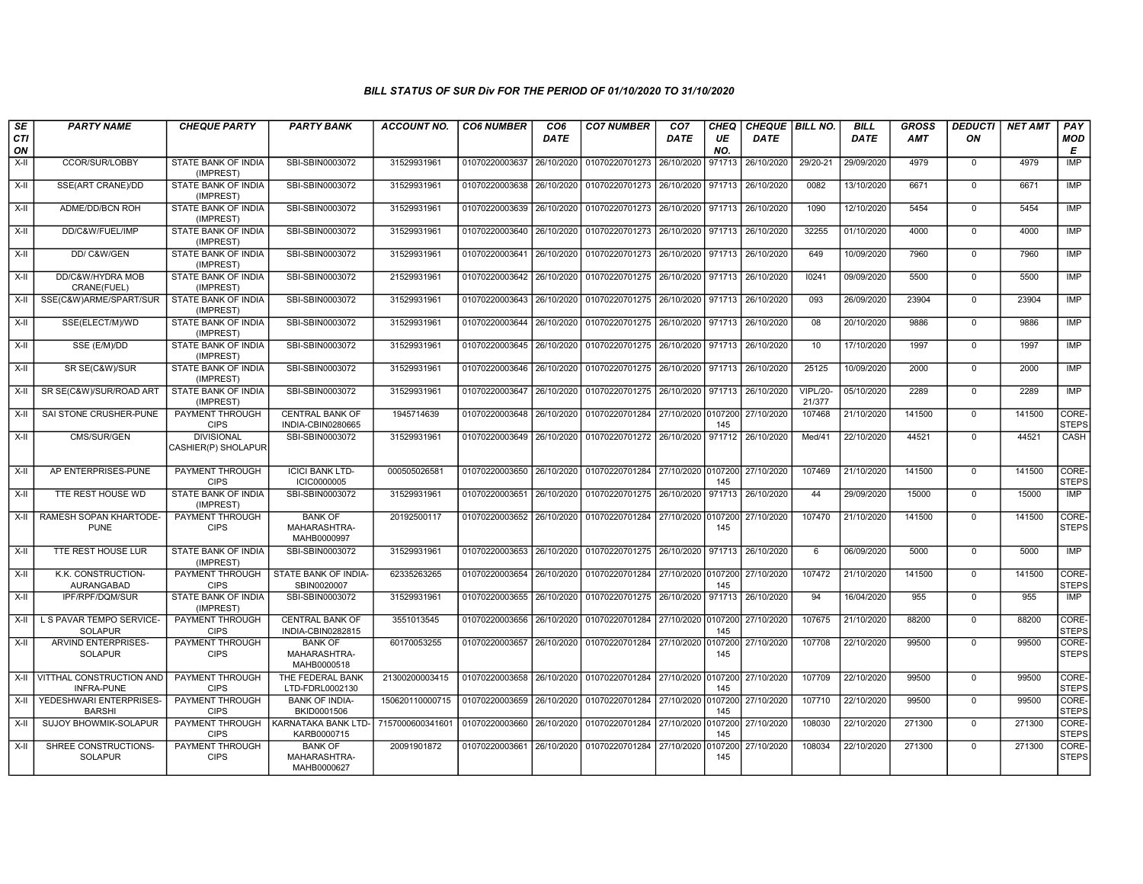| SE<br><b>CTI</b> | <b>PARTY NAME</b>                                  | <b>CHEQUE PARTY</b>                      | <b>PARTY BANK</b>                             | <b>ACCOUNT NO.</b> | <b>CO6 NUMBER</b> | CO <sub>6</sub> | <b>CO7 NUMBER</b>                                                     | CO <sub>7</sub>    | CHEQ<br>UE     | CHEQUE   BILL NO. |                           | <b>BILL</b> | <b>GROSS</b><br><b>AMT</b> | <b>DEDUCTI</b><br>ON | <b>NET AMT</b> | PAY                   |
|------------------|----------------------------------------------------|------------------------------------------|-----------------------------------------------|--------------------|-------------------|-----------------|-----------------------------------------------------------------------|--------------------|----------------|-------------------|---------------------------|-------------|----------------------------|----------------------|----------------|-----------------------|
| ON               |                                                    |                                          |                                               |                    |                   | <b>DATE</b>     |                                                                       | <b>DATE</b>        | NO.            | <b>DATE</b>       |                           | <b>DATE</b> |                            |                      |                | <b>MOD</b><br>E       |
| $X-H$            | CCOR/SUR/LOBBY                                     | STATE BANK OF INDIA<br>(IMPREST)         | SBI-SBIN0003072                               | 31529931961        | 01070220003637    |                 | 26/10/2020 01070220701273                                             | 26/10/2020         | 971713         | 26/10/2020        | 29/20-21                  | 29/09/2020  | 4979                       | $\mathbf 0$          | 4979           | <b>IMP</b>            |
| X-II             | SSE(ART CRANE)/DD                                  | <b>STATE BANK OF INDIA</b><br>(IMPREST)  | SBI-SBIN0003072                               | 31529931961        | 01070220003638    |                 | 26/10/2020 01070220701273 26/10/2020 971713                           |                    |                | 26/10/2020        | 0082                      | 13/10/2020  | 6671                       | $\Omega$             | 6671           | IMP                   |
| X-II             | ADME/DD/BCN ROH                                    | STATE BANK OF INDIA<br>(IMPREST)         | SBI-SBIN0003072                               | 31529931961        | 01070220003639    |                 | 26/10/2020   01070220701273   26/10/2020   971713                     |                    |                | 26/10/2020        | 1090                      | 12/10/2020  | 5454                       | $\mathbf 0$          | 5454           | IMP                   |
| $X-H$            | DD/C&W/FUEL/IMP                                    | STATE BANK OF INDIA<br>(IMPREST)         | SBI-SBIN0003072                               | 31529931961        | 01070220003640    |                 | 26/10/2020 01070220701273 26/10/2020 971713                           |                    |                | 26/10/2020        | 32255                     | 01/10/2020  | 4000                       | $\Omega$             | 4000           | <b>IMP</b>            |
| X-II             | DD/ C&W/GEN                                        | <b>STATE BANK OF INDIA</b><br>(IMPREST)  | SBI-SBIN0003072                               | 31529931961        | 01070220003641    |                 | 26/10/2020 01070220701273                                             | 26/10/2020 971713  |                | 26/10/2020        | 649                       | 10/09/2020  | 7960                       | $\mathbf 0$          | 7960           | <b>IMP</b>            |
| X-II             | DD/C&W/HYDRA MOB<br>CRANE(FUEL)                    | STATE BANK OF INDIA<br>(IMPREST)         | SBI-SBIN0003072                               | 21529931961        |                   |                 | 01070220003642 26/10/2020 01070220701275 26/10/2020 971713 26/10/2020 |                    |                |                   | 10241                     | 09/09/2020  | 5500                       | $\Omega$             | 5500           | IMP                   |
| X-II             | SSE(C&W)ARME/SPART/SUR                             | STATE BANK OF INDIA<br>(IMPREST)         | SBI-SBIN0003072                               | 31529931961        | 01070220003643    | 26/10/2020      | 01070220701275                                                        | 26/10/2020 971713  |                | 26/10/2020        | 093                       | 26/09/2020  | 23904                      | $\mathbf 0$          | 23904          | IMP                   |
| $X-H$            | SSE(ELECT/M)/WD                                    | STATE BANK OF INDIA<br>(IMPREST)         | SBI-SBIN0003072                               | 31529931961        | 01070220003644    | 26/10/2020      | 01070220701275                                                        | 26/10/2020         | 971713         | 26/10/2020        | 08                        | 20/10/2020  | 9886                       | $\Omega$             | 9886           | <b>IMP</b>            |
| X-II             | SSE (E/M)/DD                                       | <b>STATE BANK OF INDIA</b><br>(IMPREST)  | SBI-SBIN0003072                               | 31529931961        | 01070220003645    | 26/10/2020      | 01070220701275 26/10/2020 971713                                      |                    |                | 26/10/2020        | 10                        | 17/10/2020  | 1997                       | $\Omega$             | 1997           | <b>IMP</b>            |
| $X-H$            | SR SE(C&W)/SUR                                     | <b>STATE BANK OF INDIA</b><br>(IMPREST)  | SBI-SBIN0003072                               | 31529931961        | 01070220003646    |                 | 26/10/2020 01070220701275 26/10/2020 971713 26/10/2020                |                    |                |                   | 25125                     | 10/09/2020  | 2000                       | $\mathbf 0$          | 2000           | IMP                   |
| X-II             | SR SE(C&W)/SUR/ROAD ART                            | STATE BANK OF INDIA<br>(IMPREST)         | SBI-SBIN0003072                               | 31529931961        | 01070220003647    |                 | 26/10/2020   01070220701275   26/10/2020   971713   26/10/2020        |                    |                |                   | <b>VIPL/20-</b><br>21/377 | 05/10/2020  | 2289                       | $\Omega$             | 2289           | <b>IMP</b>            |
| X-II             | SAI STONE CRUSHER-PUNE                             | PAYMENT THROUGH<br><b>CIPS</b>           | <b>CENTRAL BANK OF</b><br>INDIA-CBIN0280665   | 1945714639         | 01070220003648    | 26/10/2020      | 01070220701284                                                        | 27/10/2020 0107200 | 145            | 27/10/2020        | 107468                    | 21/10/2020  | 141500                     | $\mathbf 0$          | 141500         | CORE-<br><b>STEPS</b> |
| X-II             | CMS/SUR/GEN                                        | <b>DIVISIONAL</b><br>CASHIER(P) SHOLAPUR | SBI-SBIN0003072                               | 31529931961        |                   |                 | 01070220003649 26/10/2020 01070220701272 26/10/2020 971712            |                    |                | 26/10/2020        | Med/41                    | 22/10/2020  | 44521                      | $\Omega$             | 44521          | CASH                  |
| $X-II$           | AP ENTERPRISES-PUNE                                | PAYMENT THROUGH<br><b>CIPS</b>           | <b>ICICI BANK LTD-</b><br><b>ICIC0000005</b>  | 000505026581       | 01070220003650    |                 | 26/10/2020 01070220701284                                             | 27/10/2020 0107200 | 145            | 27/10/2020        | 107469                    | 21/10/2020  | 141500                     | $\Omega$             | 141500         | CORE-<br><b>STEPS</b> |
| X-II             | TTE REST HOUSE WD                                  | STATE BANK OF INDIA<br>(IMPREST)         | SBI-SBIN0003072                               | 31529931961        | 01070220003651    | 26/10/2020      | 01070220701275 26/10/2020                                             |                    | 971713         | 26/10/2020        | 44                        | 29/09/2020  | 15000                      | $\mathbf 0$          | 15000          | <b>IMP</b>            |
| X-II             | RAMESH SOPAN KHARTODE-<br><b>PUNE</b>              | <b>PAYMENT THROUGH</b><br><b>CIPS</b>    | <b>BANK OF</b><br>MAHARASHTRA-<br>MAHB0000997 | 20192500117        | 01070220003652    |                 | 26/10/2020 01070220701284                                             | 27/10/2020 0107200 | 145            | 27/10/2020        | 107470                    | 21/10/2020  | 141500                     | $\Omega$             | 141500         | CORE-<br><b>STEPS</b> |
| X-II             | TTE REST HOUSE LUR                                 | STATE BANK OF INDIA<br>(IMPREST)         | SBI-SBIN0003072                               | 31529931961        | 01070220003653    |                 | 26/10/2020 01070220701275 26/10/2020                                  |                    | 971713         | 26/10/2020        | 6                         | 06/09/2020  | 5000                       | $\Omega$             | 5000           | <b>IMP</b>            |
| $X-H$            | K.K. CONSTRUCTION-<br>AURANGABAD                   | <b>PAYMENT THROUGH</b><br><b>CIPS</b>    | STATE BANK OF INDIA-<br>SBIN0020007           | 62335263265        | 01070220003654    |                 | 26/10/2020 01070220701284                                             | 27/10/2020 0107200 | 145            | 27/10/2020        | 107472                    | 21/10/2020  | 141500                     | $\mathbf 0$          | 141500         | CORE-<br><b>STEPS</b> |
| X-II             | <b>IPF/RPF/DQM/SUR</b>                             | <b>STATE BANK OF INDIA</b><br>(IMPREST)  | SBI-SBIN0003072                               | 31529931961        |                   |                 | 01070220003655 26/10/2020 01070220701275 26/10/2020 971713 26/10/2020 |                    |                |                   | 94                        | 16/04/2020  | 955                        | $\Omega$             | 955            | IMP                   |
| X-II             | L S PAVAR TEMPO SERVICE-<br><b>SOLAPUR</b>         | PAYMENT THROUGH<br><b>CIPS</b>           | CENTRAL BANK OF<br>INDIA-CBIN0282815          | 3551013545         | 01070220003656    | 26/10/2020      | 01070220701284                                                        | 27/10/2020 0107200 | 145            | 27/10/2020        | 107675                    | 21/10/2020  | 88200                      | $\mathbf 0$          | 88200          | CORE-<br><b>STEPS</b> |
| X-II             | <b>ARVIND ENTERPRISES-</b><br><b>SOLAPUR</b>       | PAYMENT THROUGH<br><b>CIPS</b>           | <b>BANK OF</b><br>MAHARASHTRA-<br>MAHB0000518 | 60170053255        | 01070220003657    | 26/10/2020      | 01070220701284                                                        | 27/10/2020         | 0107200<br>145 | 27/10/2020        | 107708                    | 22/10/2020  | 99500                      | $\Omega$             | 99500          | CORE-<br><b>STEPS</b> |
|                  | X-II VITTHAL CONSTRUCTION AND<br><b>INFRA-PUNE</b> | <b>PAYMENT THROUGH</b><br><b>CIPS</b>    | THE FEDERAL BANK<br>LTD-FDRL0002130           | 21300200003415     | 01070220003658    |                 | 26/10/2020 01070220701284 27/10/2020 0107200                          |                    | 145            | 27/10/2020        | 107709                    | 22/10/2020  | 99500                      | $\Omega$             | 99500          | CORE-<br><b>STEPS</b> |
|                  | X-II YEDESHWARI ENTERPRISES-<br><b>BARSHI</b>      | PAYMENT THROUGH<br><b>CIPS</b>           | <b>BANK OF INDIA-</b><br>BKID0001506          | 150620110000715    | 01070220003659    |                 | 26/10/2020 01070220701284                                             | 27/10/2020         | 0107200<br>145 | 27/10/2020        | 107710                    | 22/10/2020  | 99500                      | $\Omega$             | 99500          | CORE-<br>STEPS        |
| X-II             | SUJOY BHOWMIK-SOLAPUR                              | PAYMENT THROUGH<br><b>CIPS</b>           | KARNATAKA BANK LTD-<br>KARB0000715            | 7157000600341601   | 01070220003660    | 26/10/2020      | 01070220701284                                                        | 27/10/2020         | 0107200<br>145 | 27/10/2020        | 108030                    | 22/10/2020  | 271300                     | $\mathbf 0$          | 271300         | CORE-<br><b>STEPS</b> |
| X-II             | SHREE CONSTRUCTIONS-<br><b>SOLAPUR</b>             | <b>PAYMENT THROUGH</b><br><b>CIPS</b>    | <b>BANK OF</b><br>MAHARASHTRA-<br>MAHB0000627 | 20091901872        | 01070220003661    |                 | 26/10/2020 01070220701284                                             | 27/10/2020 0107200 | 145            | 27/10/2020        | 108034                    | 22/10/2020  | 271300                     | $\mathbf 0$          | 271300         | CORE-<br><b>STEPS</b> |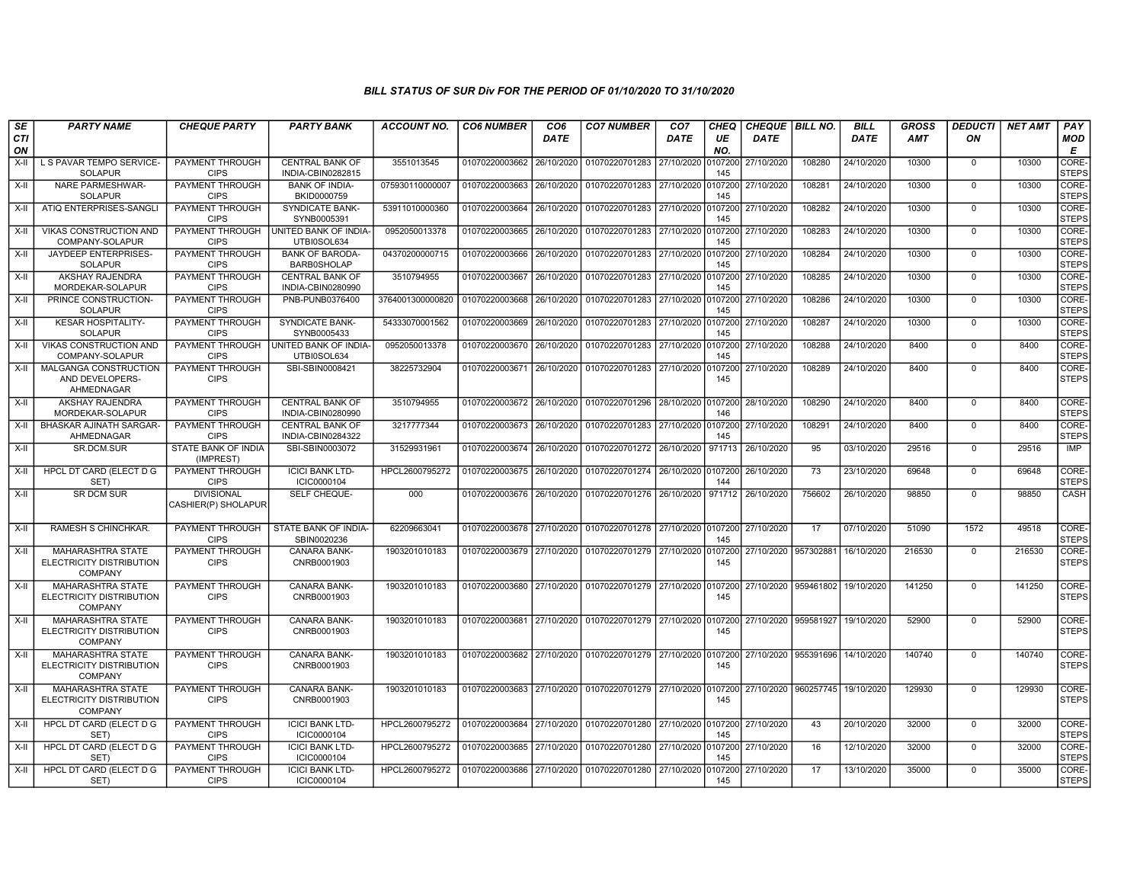| SE        | <b>PARTY NAME</b>                                                      | <b>CHEQUE PARTY</b>                      | <b>PARTY BANK</b>                            | <b>ACCOUNT NO.</b> | <b>CO6 NUMBER</b>         | CO <sub>6</sub> | <b>CO7 NUMBER</b>                                           | CO <sub>7</sub> | <b>CHEQ</b>    | <b>CHEQUE   BILL NO.</b> |                                 | <b>BILL</b> | <b>GROSS</b> | <b>DEDUCTI</b> | <b>NET AMT</b> | <b>PAY</b>            |
|-----------|------------------------------------------------------------------------|------------------------------------------|----------------------------------------------|--------------------|---------------------------|-----------------|-------------------------------------------------------------|-----------------|----------------|--------------------------|---------------------------------|-------------|--------------|----------------|----------------|-----------------------|
| CTI<br>ON |                                                                        |                                          |                                              |                    |                           | <b>DATE</b>     |                                                             | <b>DATE</b>     | UE<br>NO.      | <b>DATE</b>              |                                 | <b>DATE</b> | <b>AMT</b>   | ON             |                | <b>MOD</b><br>E       |
| $X-II$    | L S PAVAR TEMPO SERVICE-<br><b>SOLAPUR</b>                             | PAYMENT THROUGH<br><b>CIPS</b>           | <b>CENTRAL BANK OF</b><br>INDIA-CBIN0282815  | 3551013545         | 01070220003662            | 26/10/2020      | 01070220701283 27/10/2020                                   |                 | 0107200<br>145 | 27/10/2020               | 108280                          | 24/10/2020  | 10300        | $\mathbf 0$    | 10300          | CORE-<br><b>STEPS</b> |
| X-II      | <b>NARE PARMESHWAR-</b><br><b>SOLAPUR</b>                              | PAYMENT THROUGH<br><b>CIPS</b>           | <b>BANK OF INDIA-</b><br>BKID0000759         | 075930110000007    | 01070220003663            | 26/10/2020      | 01070220701283 27/10/2020 0107200 27/10/2020                |                 | 145            |                          | 108281                          | 24/10/2020  | 10300        | $\mathbf 0$    | 10300          | CORE-<br><b>STEPS</b> |
| X-II      | ATIQ ENTERPRISES-SANGL                                                 | PAYMENT THROUGH<br><b>CIPS</b>           | <b>SYNDICATE BANK-</b><br>SYNB0005391        | 53911010000360     | 01070220003664            | 26/10/2020      | 01070220701283 27/10/2020 0107200                           |                 | 145            | 27/10/2020               | 108282                          | 24/10/2020  | 10300        | $\mathbf 0$    | 10300          | CORE-<br><b>STEPS</b> |
| $X-II$    | VIKAS CONSTRUCTION AND<br>COMPANY-SOLAPUR                              | PAYMENT THROUGH<br><b>CIPS</b>           | <b>UNITED BANK OF INDIA-</b><br>UTBI0SOL634  | 0952050013378      | 01070220003665            | 26/10/2020      | 01070220701283 27/10/2020                                   |                 | 0107200<br>145 | 27/10/2020               | 108283                          | 24/10/2020  | 10300        | $\Omega$       | 10300          | CORE-<br><b>STEPS</b> |
| $X-H$     | JAYDEEP ENTERPRISES-<br><b>SOLAPUR</b>                                 | PAYMENT THROUGH<br><b>CIPS</b>           | <b>BANK OF BARODA-</b><br><b>BARB0SHOLAP</b> | 04370200000715     | 01070220003666            | 26/10/2020      | 01070220701283 27/10/2020                                   |                 | 0107200<br>145 | 27/10/2020               | 108284                          | 24/10/2020  | 10300        | $\overline{0}$ | 10300          | CORE-<br><b>STEPS</b> |
| X-II      | AKSHAY RAJENDRA<br>MORDEKAR-SOLAPUR                                    | PAYMENT THROUGH<br><b>CIPS</b>           | <b>CENTRAL BANK OF</b><br>INDIA-CBIN0280990  | 3510794955         | 01070220003667            | 26/10/2020      | 01070220701283 27/10/2020                                   |                 | 0107200<br>145 | 27/10/2020               | 108285                          | 24/10/2020  | 10300        | $\mathbf 0$    | 10300          | CORE-<br><b>STEPS</b> |
| $X-H$     | PRINCE CONSTRUCTION-<br>SOLAPUR                                        | <b>PAYMENT THROUGH</b><br><b>CIPS</b>    | PNB-PUNB0376400                              | 3764001300000820   | 01070220003668            | 26/10/2020      | 01070220701283 27/10/2020                                   |                 | 0107200<br>145 | 27/10/2020               | 108286                          | 24/10/2020  | 10300        | $\Omega$       | 10300          | CORE-<br><b>STEPS</b> |
| $X-H$     | <b>KESAR HOSPITALITY-</b><br><b>SOLAPUR</b>                            | PAYMENT THROUGH<br><b>CIPS</b>           | <b>SYNDICATE BANK-</b><br>SYNB0005433        | 54333070001562     | 01070220003669            | 26/10/2020      | 01070220701283 27/10/2020                                   |                 | 0107200<br>145 | 27/10/2020               | 108287                          | 24/10/2020  | 10300        | $\overline{0}$ | 10300          | CORE-<br><b>STEPS</b> |
| $X-H$     | <b>VIKAS CONSTRUCTION AND</b><br>COMPANY-SOLAPUR                       | <b>PAYMENT THROUGH</b><br><b>CIPS</b>    | UNITED BANK OF INDIA-<br>UTBI0SOL634         | 0952050013378      | 01070220003670            | 26/10/2020      | 01070220701283 27/10/2020                                   |                 | 0107200<br>145 | 27/10/2020               | 108288                          | 24/10/2020  | 8400         | $\Omega$       | 8400           | CORE-<br><b>STEPS</b> |
| X-II      | MALGANGA CONSTRUCTION<br>AND DEVELOPERS-<br>AHMEDNAGAR                 | <b>PAYMENT THROUGH</b><br><b>CIPS</b>    | SBI-SBIN0008421                              | 38225732904        | 01070220003671 26/10/2020 |                 | 01070220701283 27/10/2020                                   |                 | 0107200<br>145 | 27/10/2020               | 108289                          | 24/10/2020  | 8400         | $\mathbf 0$    | 8400           | CORE-<br><b>STEPS</b> |
| X-II      | <b>AKSHAY RAJENDRA</b><br>MORDEKAR-SOLAPUR                             | PAYMENT THROUGH<br><b>CIPS</b>           | <b>CENTRAL BANK OF</b><br>INDIA-CBIN0280990  | 3510794955         | 01070220003672 26/10/2020 |                 | 01070220701296 28/10/2020 0107200                           |                 | 146            | 28/10/2020               | 108290                          | 24/10/2020  | 8400         | $\mathbf 0$    | 8400           | CORE-<br><b>STEPS</b> |
| $X-H$     | <b>BHASKAR AJINATH SARGAR-</b><br>AHMEDNAGAR                           | PAYMENT THROUGH<br><b>CIPS</b>           | <b>CENTRAL BANK OF</b><br>INDIA-CBIN0284322  | 3217777344         | 01070220003673 26/10/2020 |                 | 01070220701283 27/10/2020                                   |                 | 0107200<br>145 | 27/10/2020               | 108291                          | 24/10/2020  | 8400         | $\Omega$       | 8400           | CORE-<br><b>STEPS</b> |
| X-II      | SR.DCM.SUR                                                             | STATE BANK OF INDIA<br>(IMPREST)         | SBI-SBIN0003072                              | 31529931961        | 01070220003674            | 26/10/2020      | 01070220701272 26/10/2020                                   |                 | 971713         | 26/10/2020               | 95                              | 03/10/2020  | 29516        | $\mathbf 0$    | 29516          | <b>IMP</b>            |
| X-II      | HPCL DT CARD (ELECT D G<br>SET)                                        | PAYMENT THROUGH<br><b>CIPS</b>           | <b>ICICI BANK LTD-</b><br>ICIC0000104        | HPCL2600795272     | 01070220003675            | 26/10/2020      | 01070220701274 26/10/2020 0107200                           |                 | 144            | 26/10/2020               | 73                              | 23/10/2020  | 69648        | $\overline{0}$ | 69648          | CORE-<br><b>STEPS</b> |
| X-II      | <b>SR DCM SUR</b>                                                      | <b>DIVISIONAL</b><br>CASHIER(P) SHOLAPUR | SELF CHEQUE-                                 | 000                | 01070220003676 26/10/2020 |                 | 01070220701276 26/10/2020 971712                            |                 |                | 26/10/2020               | 756602                          | 26/10/2020  | 98850        | $\mathbf 0$    | 98850          | CASH                  |
| $X-H$     | RAMESH S CHINCHKAR.                                                    | PAYMENT THROUGH<br><b>CIPS</b>           | STATE BANK OF INDIA-<br>SBIN0020236          | 62209663041        |                           |                 | 01070220003678 27/10/2020 01070220701278 27/10/2020 0107200 |                 | 145            | 27/10/2020               | 17                              | 07/10/2020  | 51090        | 1572           | 49518          | CORE-<br><b>STEPS</b> |
| $X-II$    | MAHARASHTRA STATE<br>ELECTRICITY DISTRIBUTION<br><b>COMPANY</b>        | PAYMENT THROUGH<br><b>CIPS</b>           | CANARA BANK-<br>CNRB0001903                  | 1903201010183      | 01070220003679 27/10/2020 |                 | 01070220701279 27/10/2020 0107200                           |                 | 145            | 27/10/2020 957302881     |                                 | 16/10/2020  | 216530       | $\mathbf 0$    | 216530         | CORE-<br><b>STEPS</b> |
| X-II      | <b>MAHARASHTRA STATE</b><br>ELECTRICITY DISTRIBUTION<br>COMPANY        | PAYMENT THROUGH<br><b>CIPS</b>           | <b>CANARA BANK-</b><br>CNRB0001903           | 1903201010183      | 01070220003680            | 27/10/2020      | 01070220701279 27/10/2020 0107200                           |                 | 145            | 27/10/2020               | 959461802                       | 19/10/2020  | 141250       | $\Omega$       | 141250         | CORE-<br><b>STEPS</b> |
| X-II      | <b>MAHARASHTRA STATE</b><br>ELECTRICITY DISTRIBUTION<br><b>COMPANY</b> | <b>PAYMENT THROUGH</b><br><b>CIPS</b>    | CANARA BANK-<br>CNRB0001903                  | 1903201010183      | 01070220003681            | 27/10/2020      | 01070220701279 27/10/2020 0107200                           |                 | 145            |                          | 27/10/2020 959581927            | 19/10/2020  | 52900        | $\mathbf 0$    | 52900          | CORE-<br><b>STEPS</b> |
| X-II      | MAHARASHTRA STATE<br>ELECTRICITY DISTRIBUTION<br><b>COMPANY</b>        | PAYMENT THROUGH<br><b>CIPS</b>           | CANARA BANK-<br>CNRB0001903                  | 1903201010183      | 01070220003682 27/10/2020 |                 | 01070220701279 27/10/2020 0107200                           |                 | 145            | 27/10/2020 955391696     |                                 | 14/10/2020  | 140740       | $\mathbf 0$    | 140740         | CORE-<br><b>STEPS</b> |
| X-II      | <b>MAHARASHTRA STATE</b><br>ELECTRICITY DISTRIBUTION<br><b>COMPANY</b> | PAYMENT THROUGH<br><b>CIPS</b>           | <b>CANARA BANK-</b><br>CNRB0001903           | 1903201010183      |                           |                 | 01070220003683 27/10/2020 01070220701279 27/10/2020 0107200 |                 | 145            |                          | 27/10/2020 960257745 19/10/2020 |             | 129930       | $\mathbf 0$    | 129930         | CORE-<br><b>STEPS</b> |
| X-II      | <b>HPCL DT CARD (ELECT D G</b><br>SET)                                 | <b>PAYMENT THROUGH</b><br><b>CIPS</b>    | <b>ICICI BANK LTD-</b><br>ICIC0000104        | HPCL2600795272     | 01070220003684 27/10/2020 |                 | 01070220701280 27/10/2020 0107200                           |                 | 145            | 27/10/2020               | 43                              | 20/10/2020  | 32000        | $\overline{0}$ | 32000          | CORE-<br><b>STEPS</b> |
| X-II      | HPCL DT CARD (ELECT D G<br>SET)                                        | PAYMENT THROUGH<br><b>CIPS</b>           | <b>ICICI BANK LTD-</b><br>ICIC0000104        | HPCL2600795272     | 01070220003685            | 27/10/2020      | 01070220701280 27/10/2020 0107200                           |                 | 145            | 27/10/2020               | 16                              | 12/10/2020  | 32000        | $\Omega$       | 32000          | CORE-<br><b>STEPS</b> |
| X-II      | HPCL DT CARD (ELECT D G<br>SET)                                        | PAYMENT THROUGH<br><b>CIPS</b>           | <b>ICICI BANK LTD-</b><br>ICIC0000104        | HPCL2600795272     | 01070220003686            | 27/10/2020      | 01070220701280 27/10/2020                                   |                 | 0107200<br>145 | 27/10/2020               | 17                              | 13/10/2020  | 35000        | $\mathbf 0$    | 35000          | CORE-<br><b>STEPS</b> |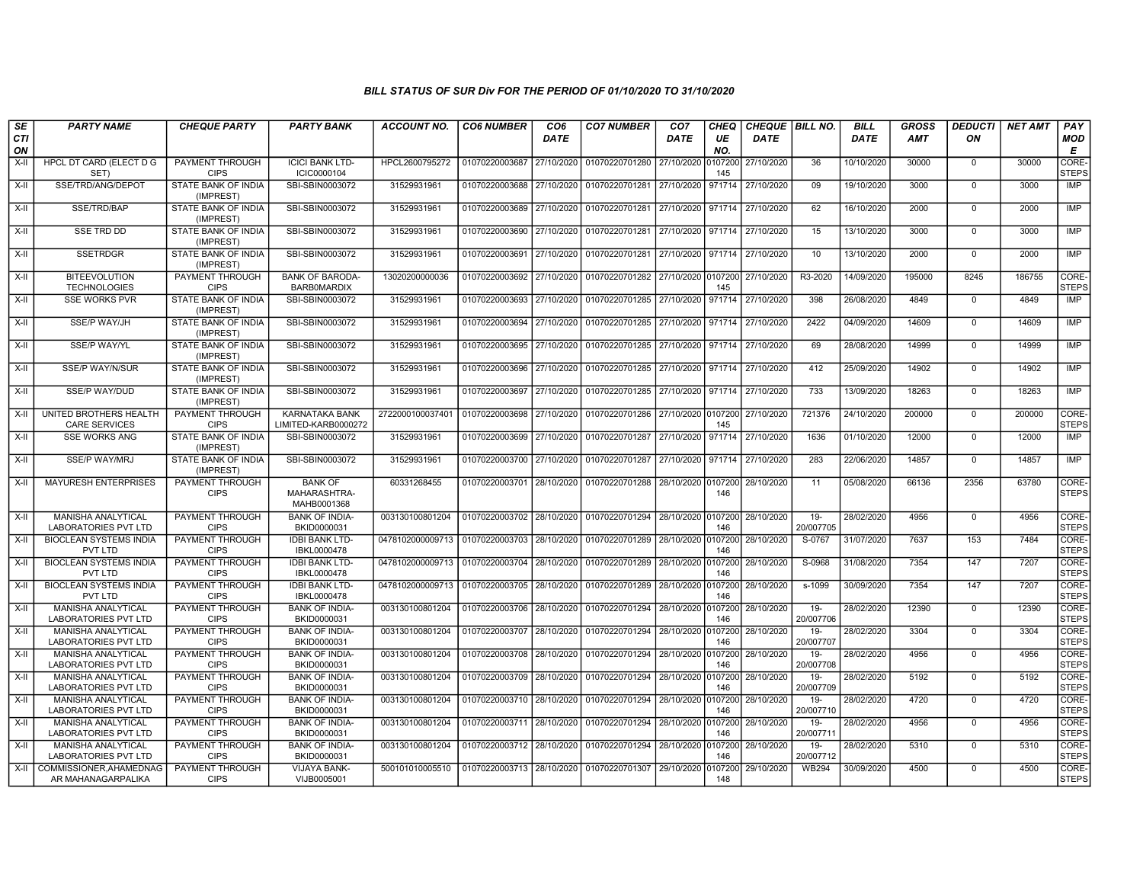| SE        | <b>PARTY NAME</b>                                        | <b>CHEQUE PARTY</b>                     | <b>PARTY BANK</b>                             | ACCOUNT NO.      | <b>CO6 NUMBER</b>         | CO <sub>6</sub> | <b>CO7 NUMBER</b>                 | CO <sub>7</sub>     | CHEQ           | CHEQUE   BILL NO. |                     | <b>BILL</b> | GROSS      | <b>DEDUCTI</b> | <b>NET AMT</b> | <b>PAY</b>                  |
|-----------|----------------------------------------------------------|-----------------------------------------|-----------------------------------------------|------------------|---------------------------|-----------------|-----------------------------------|---------------------|----------------|-------------------|---------------------|-------------|------------|----------------|----------------|-----------------------------|
| CTI<br>ON |                                                          |                                         |                                               |                  |                           | DATE            |                                   | DATE                | UE<br>NO.      | <b>DATE</b>       |                     | DATE        | <b>AMT</b> | ON             |                | <b>MOD</b><br>Е             |
| X-II      | HPCL DT CARD (ELECT D G<br>SET)                          | PAYMENT THROUGH<br><b>CIPS</b>          | <b>ICICI BANK LTD-</b><br>ICIC0000104         | HPCL2600795272   | 01070220003687            | 27/10/2020      | 01070220701280                    | 27/10/2020          | 0107200<br>145 | 27/10/2020        | 36                  | 10/10/2020  | 30000      | $\Omega$       | 30000          | <b>CORE</b><br><b>STEPS</b> |
| $X-H$     | SSE/TRD/ANG/DEPOT                                        | <b>STATE BANK OF INDIA</b><br>(IMPREST) | SBI-SBIN0003072                               | 31529931961      | 01070220003688            | 27/10/2020      | 01070220701281                    | 27/10/2020          | 971714         | 27/10/2020        | 09                  | 19/10/2020  | 3000       | $\Omega$       | 3000           | IMP                         |
| X-II      | SSE/TRD/BAP                                              | STATE BANK OF INDIA<br>(IMPREST)        | SBI-SBIN0003072                               | 31529931961      | 01070220003689            | 27/10/2020      | 01070220701281                    | 27/10/2020 971714   |                | 27/10/2020        | 62                  | 16/10/2020  | 2000       | $\Omega$       | 2000           | IMP                         |
| X-II      | <b>SSE TRD DD</b>                                        | STATE BANK OF INDIA<br>(IMPREST)        | SBI-SBIN0003072                               | 31529931961      | 01070220003690            | 27/10/2020      | 01070220701281                    | 27/10/2020 971714   |                | 27/10/2020        | 15                  | 13/10/2020  | 3000       | $\mathbf 0$    | 3000           | <b>IMP</b>                  |
| X-II      | <b>SSETRDGR</b>                                          | STATE BANK OF INDIA<br>(IMPREST)        | SBI-SBIN0003072                               | 31529931961      | 01070220003691            | 27/10/2020      | 01070220701281                    | 27/10/2020          | 971714         | 27/10/2020        | 10                  | 13/10/2020  | 2000       | $\mathbf 0$    | 2000           | IMP                         |
| X-II      | <b>BITEEVOLUTION</b><br><b>TECHNOLOGIES</b>              | PAYMENT THROUGH<br><b>CIPS</b>          | <b>BANK OF BARODA-</b><br><b>BARBOMARDIX</b>  | 13020200000036   | 01070220003692            | 27/10/2020      | 01070220701282                    | 27/10/2020 0107200  | 145            | 27/10/2020        | R3-2020             | 14/09/2020  | 195000     | 8245           | 186755         | CORE-<br><b>STEPS</b>       |
| X-II      | <b>SSE WORKS PVR</b>                                     | STATE BANK OF INDIA<br>(IMPREST)        | SBI-SBIN0003072                               | 31529931961      | 01070220003693            | 27/10/2020      | 01070220701285 27/10/2020         |                     | 971714         | 27/10/2020        | 398                 | 26/08/2020  | 4849       | $\Omega$       | 4849           | IMP                         |
| X-II      | <b>SSE/P WAY/JH</b>                                      | STATE BANK OF INDIA<br>(IMPREST)        | SBI-SBIN0003072                               | 31529931961      | 01070220003694            | 27/10/2020      | 01070220701285                    | 27/10/2020   971714 |                | 27/10/2020        | 2422                | 04/09/2020  | 14609      | $\mathbf 0$    | 14609          | IMP                         |
| $X-H$     | <b>SSE/P WAY/YL</b>                                      | STATE BANK OF INDIA<br>(IMPREST)        | SBI-SBIN0003072                               | 31529931961      | 01070220003695            | 27/10/2020      | 01070220701285                    | 27/10/2020 971714   |                | 27/10/2020        | 69                  | 28/08/2020  | 14999      | $\Omega$       | 14999          | IMP                         |
| $X-H$     | <b>SSE/P WAY/N/SUR</b>                                   | <b>STATE BANK OF INDIA</b><br>(IMPREST) | SBI-SBIN0003072                               | 31529931961      | 01070220003696            | 27/10/2020      | 01070220701285                    | 27/10/2020 971714   |                | 27/10/2020        | 412                 | 25/09/2020  | 14902      | $\Omega$       | 14902          | IMP                         |
| X-II      | SSE/P WAY/DUD                                            | STATE BANK OF INDIA<br>(IMPREST)        | SBI-SBIN0003072                               | 31529931961      | 01070220003697            | 27/10/2020      | 01070220701285 27/10/2020 971714  |                     |                | 27/10/2020        | 733                 | 13/09/2020  | 18263      | $\Omega$       | 18263          | <b>IMP</b>                  |
| X-II      | UNITED BROTHERS HEALTH<br><b>CARE SERVICES</b>           | PAYMENT THROUGH<br><b>CIPS</b>          | KARNATAKA BANK<br>LIMITED-KARB0000272         | 2722000100037401 | 01070220003698            | 27/10/2020      | 01070220701286 27/10/2020 0107200 |                     | 145            | 27/10/2020        | 721376              | 24/10/2020  | 200000     | $^{\circ}$     | 200000         | CORE-<br><b>STEPS</b>       |
| X-II      | <b>SSE WORKS ANG</b>                                     | STATE BANK OF INDIA<br>(IMPREST)        | SBI-SBIN0003072                               | 31529931961      | 01070220003699            | 27/10/2020      | 01070220701287                    | 27/10/2020          | 971714         | 27/10/2020        | 1636                | 01/10/2020  | 12000      | $\Omega$       | 12000          | IMP                         |
| X-II      | <b>SSE/P WAY/MRJ</b>                                     | STATE BANK OF INDIA<br>(IMPREST)        | SBI-SBIN0003072                               | 31529931961      | 01070220003700 27/10/2020 |                 | 01070220701287 27/10/2020 971714  |                     |                | 27/10/2020        | 283                 | 22/06/2020  | 14857      | $\Omega$       | 14857          | <b>IMP</b>                  |
| X-II      | <b>MAYURESH ENTERPRISES</b>                              | PAYMENT THROUGH<br><b>CIPS</b>          | <b>BANK OF</b><br>MAHARASHTRA-<br>MAHB0001368 | 60331268455      | 01070220003701            | 28/10/2020      | 01070220701288                    | 28/10/2020 0107200  | 146            | 28/10/2020        | 11                  | 05/08/2020  | 66136      | 2356           | 63780          | CORE-<br><b>STEPS</b>       |
| X-II      | MANISHA ANALYTICAL<br><b>LABORATORIES PVT LTD</b>        | <b>PAYMENT THROUGH</b><br><b>CIPS</b>   | <b>BANK OF INDIA-</b><br>BKID0000031          | 003130100801204  | 01070220003702 28/10/2020 |                 | 01070220701294 28/10/2020 0107200 |                     | 146            | 28/10/2020        | $19 -$<br>20/007705 | 28/02/2020  | 4956       | $\mathbf 0$    | 4956           | CORE-<br><b>STEPS</b>       |
| X-II      | <b>BIOCLEAN SYSTEMS INDIA</b><br>PVT LTD                 | PAYMENT THROUGH<br><b>CIPS</b>          | <b>IDBI BANK LTD-</b><br>IBKL0000478          | 0478102000009713 | 01070220003703            | 28/10/2020      | 01070220701289                    | 28/10/2020          | 0107200<br>146 | 28/10/2020        | S-0767              | 31/07/2020  | 7637       | 153            | 7484           | CORE-<br><b>STEPS</b>       |
| $X-II$    | <b>BIOCLEAN SYSTEMS INDIA</b><br>PVT LTD                 | PAYMENT THROUGH<br><b>CIPS</b>          | <b>IDBI BANK LTD-</b><br>IBKL0000478          | 0478102000009713 | 01070220003704            | 28/10/2020      | 01070220701289                    | 28/10/2020 0107200  | 146            | 28/10/2020        | S-0968              | 31/08/2020  | 7354       | 147            | 7207           | CORE-<br><b>STEPS</b>       |
| $X-I$     | <b>BIOCLEAN SYSTEMS INDIA</b><br><b>PVT LTD</b>          | <b>PAYMENT THROUGH</b><br><b>CIPS</b>   | <b>IDBI BANK LTD-</b><br>IBKL0000478          | 0478102000009713 | 01070220003705            | 28/10/2020      | 01070220701289 28/10/2020 0107200 |                     | 146            | 28/10/2020        | s-1099              | 30/09/2020  | 7354       | 147            | 7207           | CORE-<br><b>STEPS</b>       |
| X-II      | <b>MANISHA ANALYTICAL</b><br><b>LABORATORIES PVT LTD</b> | <b>PAYMENT THROUGH</b><br><b>CIPS</b>   | <b>BANK OF INDIA-</b><br>BKID0000031          | 003130100801204  | 01070220003706            | 28/10/2020      | 01070220701294                    | 28/10/2020 0107200  | 146            | 28/10/2020        | $19 -$<br>20/007706 | 28/02/2020  | 12390      | $\mathbf 0$    | 12390          | CORE-<br><b>STEPS</b>       |
| $X-H$     | MANISHA ANALYTICAL<br><b>LABORATORIES PVT LTD</b>        | PAYMENT THROUGH<br><b>CIPS</b>          | <b>BANK OF INDIA-</b><br>BKID0000031          | 003130100801204  | 01070220003707            | 28/10/2020      | 01070220701294                    | 28/10/2020 0107200  | 146            | 28/10/2020        | 19-<br>20/007707    | 28/02/2020  | 3304       | $\Omega$       | 3304           | CORE-<br><b>STEPS</b>       |
| $X-II$    | <b>MANISHA ANALYTICAL</b><br><b>LABORATORIES PVT LTD</b> | PAYMENT THROUGH<br><b>CIPS</b>          | <b>BANK OF INDIA-</b><br>BKID0000031          | 003130100801204  | 01070220003708            | 28/10/2020      | 01070220701294                    | 28/10/2020 0107200  | 146            | 28/10/2020        | $19 -$<br>20/007708 | 28/02/2020  | 4956       | $\Omega$       | 4956           | CORE-<br><b>STEPS</b>       |
| X-II      | MANISHA ANALYTICAL<br><b>LABORATORIES PVT LTD</b>        | PAYMENT THROUGH<br><b>CIPS</b>          | <b>BANK OF INDIA-</b><br>BKID0000031          | 003130100801204  | 01070220003709            | 28/10/2020      | 01070220701294                    | 28/10/2020 0107200  | 146            | 28/10/2020        | 19-<br>20/007709    | 28/02/2020  | 5192       | $\Omega$       | 5192           | CORE-<br><b>STEPS</b>       |
| $X-H$     | <b>MANISHA ANALYTICAL</b><br><b>LABORATORIES PVT LTD</b> | PAYMENT THROUGH<br><b>CIPS</b>          | <b>BANK OF INDIA-</b><br>BKID0000031          | 003130100801204  | 01070220003710 28/10/2020 |                 | 01070220701294 28/10/2020         |                     | 0107200<br>146 | 28/10/2020        | $19-$<br>20/007710  | 28/02/2020  | 4720       | $\mathbf 0$    | 4720           | CORE-<br><b>STEPS</b>       |
| X-II      | <b>MANISHA ANALYTICAL</b><br><b>LABORATORIES PVT LTD</b> | PAYMENT THROUGH<br><b>CIPS</b>          | <b>BANK OF INDIA-</b><br>BKID0000031          | 003130100801204  | 01070220003711 28/10/2020 |                 | 01070220701294 28/10/2020         |                     | 0107200<br>146 | 28/10/2020        | $19 -$<br>20/00771  | 28/02/2020  | 4956       | $\mathbf 0$    | 4956           | CORE-<br><b>STEPS</b>       |
| $X-II$    | <b>MANISHA ANALYTICAL</b><br><b>LABORATORIES PVT LTD</b> | PAYMENT THROUGH<br><b>CIPS</b>          | <b>BANK OF INDIA-</b><br>BKID0000031          | 003130100801204  | 01070220003712            | 28/10/2020      | 01070220701294                    | 28/10/2020 0107200  | 146            | 28/10/2020        | $19 -$<br>20/007712 | 28/02/2020  | 5310       | $\Omega$       | 5310           | CORE-<br><b>STEPS</b>       |
| X-II      | COMMISSIONER.AHAMEDNAG<br>AR MAHANAGARPALIKA             | PAYMENT THROUGH<br><b>CIPS</b>          | VIJAYA BANK-<br>VIJB0005001                   | 500101010005510  | 01070220003713 28/10/2020 |                 | 01070220701307                    | 29/10/2020          | 0107200<br>148 | 29/10/2020        | <b>WB294</b>        | 30/09/2020  | 4500       | $\Omega$       | 4500           | CORE-<br><b>STEPS</b>       |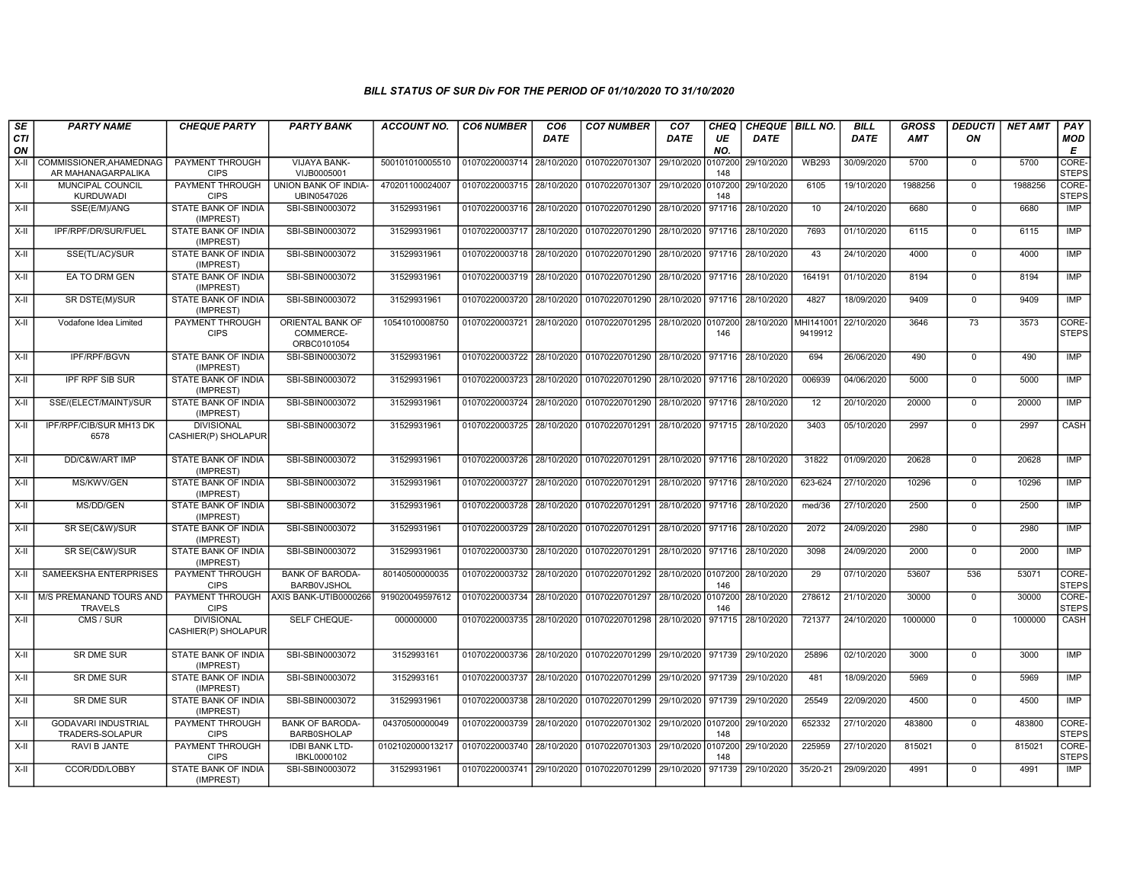| SE        | <b>PARTY NAME</b>                             | <b>CHEQUE PARTY</b>                      | <b>PARTY BANK</b>                            | <b>ACCOUNT NO.</b> | <b>CO6 NUMBER</b>         | CO <sub>6</sub> | <b>CO7 NUMBER</b>                                                     | CO <sub>7</sub> | CHEQ           | CHEQUE   BILL NO. |                      | <b>BILL</b> | <b>GROSS</b> | <b>DEDUCTI</b> | <b>NET AMT</b> | PAY                   |
|-----------|-----------------------------------------------|------------------------------------------|----------------------------------------------|--------------------|---------------------------|-----------------|-----------------------------------------------------------------------|-----------------|----------------|-------------------|----------------------|-------------|--------------|----------------|----------------|-----------------------|
| CTI<br>ON |                                               |                                          |                                              |                    |                           | DATE            |                                                                       | <b>DATE</b>     | UE<br>NO.      | DATE              |                      | <b>DATE</b> | <b>AMT</b>   | ON             |                | <b>MOD</b><br>E       |
| X-II      | COMMISSIONER, AHAMEDNAG<br>AR MAHANAGARPALIKA | <b>PAYMENT THROUGH</b><br><b>CIPS</b>    | <b>VIJAYA BANK-</b><br>VIJB0005001           | 500101010005510    | 01070220003714 28/10/2020 |                 | 01070220701307 29/10/2020                                             |                 | 0107200<br>148 | 29/10/2020        | <b>WB293</b>         | 30/09/2020  | 5700         | $\mathbf 0$    | 5700           | CORE-<br><b>STEPS</b> |
| X-II      | <b>MUNCIPAL COUNCIL</b><br><b>KURDUWADI</b>   | PAYMENT THROUGH<br><b>CIPS</b>           | <b>UNION BANK OF INDIA-</b><br>UBIN0547026   | 470201100024007    | 01070220003715 28/10/2020 |                 | 01070220701307 29/10/2020 0107200                                     |                 | 148            | 29/10/2020        | 6105                 | 19/10/2020  | 1988256      | $\mathbf 0$    | 1988256        | CORE-<br><b>STEPS</b> |
| $X-II$    | SSE(E/M)/ANG                                  | STATE BANK OF INDIA<br>(IMPREST)         | SBI-SBIN0003072                              | 31529931961        | 01070220003716 28/10/2020 |                 | 01070220701290 28/10/2020                                             |                 | 971716         | 28/10/2020        | 10                   | 24/10/2020  | 6680         | $\Omega$       | 6680           | IMP                   |
| X-II      | IPF/RPF/DR/SUR/FUEL                           | STATE BANK OF INDIA<br>(IMPREST)         | SBI-SBIN0003072                              | 31529931961        | 01070220003717 28/10/2020 |                 | 01070220701290 28/10/2020                                             |                 | 971716         | 28/10/2020        | 7693                 | 01/10/2020  | 6115         | $\overline{0}$ | 6115           | <b>IMP</b>            |
| X-II      | SSE(TL/AC)/SUR                                | STATE BANK OF INDIA<br>(IMPREST)         | SBI-SBIN0003072                              | 31529931961        | 01070220003718            | 28/10/2020      | 01070220701290 28/10/2020                                             |                 | 971716         | 28/10/2020        | 43                   | 24/10/2020  | 4000         | $\overline{0}$ | 4000           | IMP                   |
| X-II      | EA TO DRM GEN                                 | STATE BANK OF INDIA<br>(IMPREST)         | SBI-SBIN0003072                              | 31529931961        | 01070220003719 28/10/2020 |                 | 01070220701290 28/10/2020 971716                                      |                 |                | 28/10/2020        | 164191               | 01/10/2020  | 8194         | $\mathbf 0$    | 8194           | IMP                   |
| X-II      | SR DSTE(M)/SUR                                | STATE BANK OF INDIA<br>(IMPREST)         | SBI-SBIN0003072                              | 31529931961        | 01070220003720            | 28/10/2020      | 01070220701290 28/10/2020 971716                                      |                 |                | 28/10/2020        | 4827                 | 18/09/2020  | 9409         | $\Omega$       | 9409           | IMP                   |
| $X-II$    | Vodafone Idea Limited                         | PAYMENT THROUGH<br><b>CIPS</b>           | ORIENTAL BANK OF<br>COMMERCE-<br>ORBC0101054 | 10541010008750     | 01070220003721 28/10/2020 |                 | 01070220701295 28/10/2020 0107200                                     |                 | 146            | 28/10/2020        | MHI141001<br>9419912 | 22/10/2020  | 3646         | 73             | 3573           | CORE-<br><b>STEPS</b> |
| X-II      | IPF/RPF/BGVN                                  | STATE BANK OF INDIA<br>(IMPREST)         | SBI-SBIN0003072                              | 31529931961        | 01070220003722            | 28/10/2020      | 01070220701290 28/10/2020                                             |                 | 971716         | 28/10/2020        | 694                  | 26/06/2020  | 490          | $\mathbf 0$    | 490            | IMP                   |
| X-II      | <b>IPF RPF SIB SUR</b>                        | STATE BANK OF INDIA<br>(IMPREST)         | SBI-SBIN0003072                              | 31529931961        | 01070220003723            | 28/10/2020      | 01070220701290 28/10/2020 971716                                      |                 |                | 28/10/2020        | 006939               | 04/06/2020  | 5000         | $\Omega$       | 5000           | <b>IMP</b>            |
| $X-H$     | SSE/(ELECT/MAINT)/SUR                         | STATE BANK OF INDIA<br>(IMPREST)         | SBI-SBIN0003072                              | 31529931961        | 01070220003724 28/10/2020 |                 | 01070220701290 28/10/2020 971716                                      |                 |                | 28/10/2020        | 12                   | 20/10/2020  | 20000        | $\mathbf 0$    | 20000          | <b>IMP</b>            |
| $X-H$     | IPF/RPF/CIB/SUR MH13 DK<br>6578               | <b>DIVISIONAL</b><br>CASHIER(P) SHOLAPUR | SBI-SBIN0003072                              | 31529931961        | 01070220003725 28/10/2020 |                 | 01070220701291 28/10/2020 971715 28/10/2020                           |                 |                |                   | 3403                 | 05/10/2020  | 2997         | $\overline{0}$ | 2997           | CASH                  |
| $X-II$    | DD/C&W/ART IMP                                | STATE BANK OF INDIA<br>(IMPREST)         | SBI-SBIN0003072                              | 31529931961        |                           |                 | 01070220003726 28/10/2020 01070220701291 28/10/2020 971716 28/10/2020 |                 |                |                   | 31822                | 01/09/2020  | 20628        | $\overline{0}$ | 20628          | <b>IMP</b>            |
| $X-H$     | MS/KWV/GEN                                    | STATE BANK OF INDIA<br>(IMPREST)         | SBI-SBIN0003072                              | 31529931961        | 01070220003727 28/10/2020 |                 | 01070220701291 28/10/2020 971716                                      |                 |                | 28/10/2020        | 623-624              | 27/10/2020  | 10296        | $\overline{0}$ | 10296          | <b>IMP</b>            |
| X-II      | MS/DD/GEN                                     | STATE BANK OF INDIA<br>(IMPREST)         | SBI-SBIN0003072                              | 31529931961        | 01070220003728            | 28/10/2020      | 01070220701291 28/10/2020 971716                                      |                 |                | 28/10/2020        | med/36               | 27/10/2020  | 2500         | $\mathbf 0$    | 2500           | <b>IMP</b>            |
| X-II      | SR SE(C&W)/SUR                                | STATE BANK OF INDIA<br>(IMPREST)         | SBI-SBIN0003072                              | 31529931961        | 01070220003729 28/10/2020 |                 | 01070220701291 28/10/2020 971716                                      |                 |                | 28/10/2020        | 2072                 | 24/09/2020  | 2980         | $\mathbf 0$    | 2980           | <b>IMP</b>            |
| X-II      | SR SE(C&W)/SUR                                | STATE BANK OF INDIA<br>(IMPREST)         | SBI-SBIN0003072                              | 31529931961        | 01070220003730            | 28/10/2020      | 01070220701291 28/10/2020                                             |                 | 971716         | 28/10/2020        | 3098                 | 24/09/2020  | 2000         | $\overline{0}$ | 2000           | <b>IMP</b>            |
| X-II      | SAMEEKSHA ENTERPRISES                         | PAYMENT THROUGH<br><b>CIPS</b>           | <b>BANK OF BARODA-</b><br><b>BARBOVJSHOL</b> | 80140500000035     | 01070220003732            | 28/10/2020      | 01070220701292 28/10/2020 0107200                                     |                 | 146            | 28/10/2020        | 29                   | 07/10/2020  | 53607        | 536            | 53071          | CORE-<br><b>STEPS</b> |
| X-II      | M/S PREMANAND TOURS AND<br><b>TRAVELS</b>     | PAYMENT THROUGH<br><b>CIPS</b>           | AXIS BANK-UTIB0000266                        | 919020049597612    | 01070220003734            | 28/10/2020      | 01070220701297 28/10/2020                                             |                 | 0107200<br>146 | 28/10/2020        | 278612               | 21/10/2020  | 30000        | $\overline{0}$ | 30000          | CORE-<br><b>STEPS</b> |
| X-II      | CMS / SUR                                     | <b>DIVISIONAL</b><br>CASHIER(P) SHOLAPUR | SELF CHEQUE-                                 | 000000000          | 01070220003735            | 28/10/2020      | 01070220701298 28/10/2020                                             |                 | 971715         | 28/10/2020        | 721377               | 24/10/2020  | 1000000      | $\Omega$       | 1000000        | CASH                  |
| X-II      | <b>SR DME SUR</b>                             | STATE BANK OF INDIA<br>(IMPREST)         | SBI-SBIN0003072                              | 3152993161         | 01070220003736 28/10/2020 |                 | 01070220701299 29/10/2020 971739                                      |                 |                | 29/10/2020        | 25896                | 02/10/2020  | 3000         | $\overline{0}$ | 3000           | <b>IMP</b>            |
| X-II      | SR DME SUR                                    | STATE BANK OF INDIA<br>(IMPREST)         | SBI-SBIN0003072                              | 3152993161         | 01070220003737            | 28/10/2020      | 01070220701299                                                        | 29/10/2020      | 971739         | 29/10/2020        | 481                  | 18/09/2020  | 5969         | $\mathbf 0$    | 5969           | IMP                   |
| X-II      | <b>SR DME SUR</b>                             | STATE BANK OF INDIA<br>(IMPREST)         | SBI-SBIN0003072                              | 31529931961        | 01070220003738            | 28/10/2020      | 01070220701299 29/10/2020                                             |                 | 971739         | 29/10/2020        | 25549                | 22/09/2020  | 4500         | $\Omega$       | 4500           | IMP                   |
| X-II      | <b>GODAVARI INDUSTRIAL</b><br>TRADERS-SOLAPUR | PAYMENT THROUGH<br><b>CIPS</b>           | <b>BANK OF BARODA-</b><br><b>BARB0SHOLAP</b> | 04370500000049     | 01070220003739            | 28/10/2020      | 01070220701302 29/10/2020 0107200                                     |                 | 148            | 29/10/2020        | 652332               | 27/10/2020  | 483800       | $\Omega$       | 483800         | CORE-<br><b>STEPS</b> |
| $X-H$     | <b>RAVI B JANTE</b>                           | PAYMENT THROUGH<br><b>CIPS</b>           | <b>IDBI BANK LTD-</b><br>IBKL0000102         | 0102102000013217   | 01070220003740 28/10/2020 |                 | 01070220701303 29/10/2020 0107200                                     |                 | 148            | 29/10/2020        | 225959               | 27/10/2020  | 815021       | $\mathbf 0$    | 815021         | CORE-<br><b>STEPS</b> |
| X-II      | CCOR/DD/LOBBY                                 | STATE BANK OF INDIA<br>(IMPREST)         | SBI-SBIN0003072                              | 31529931961        | 01070220003741 29/10/2020 |                 | 01070220701299 29/10/2020                                             |                 | 971739         | 29/10/2020        | 35/20-21             | 29/09/2020  | 4991         | $\mathbf 0$    | 4991           | IMP                   |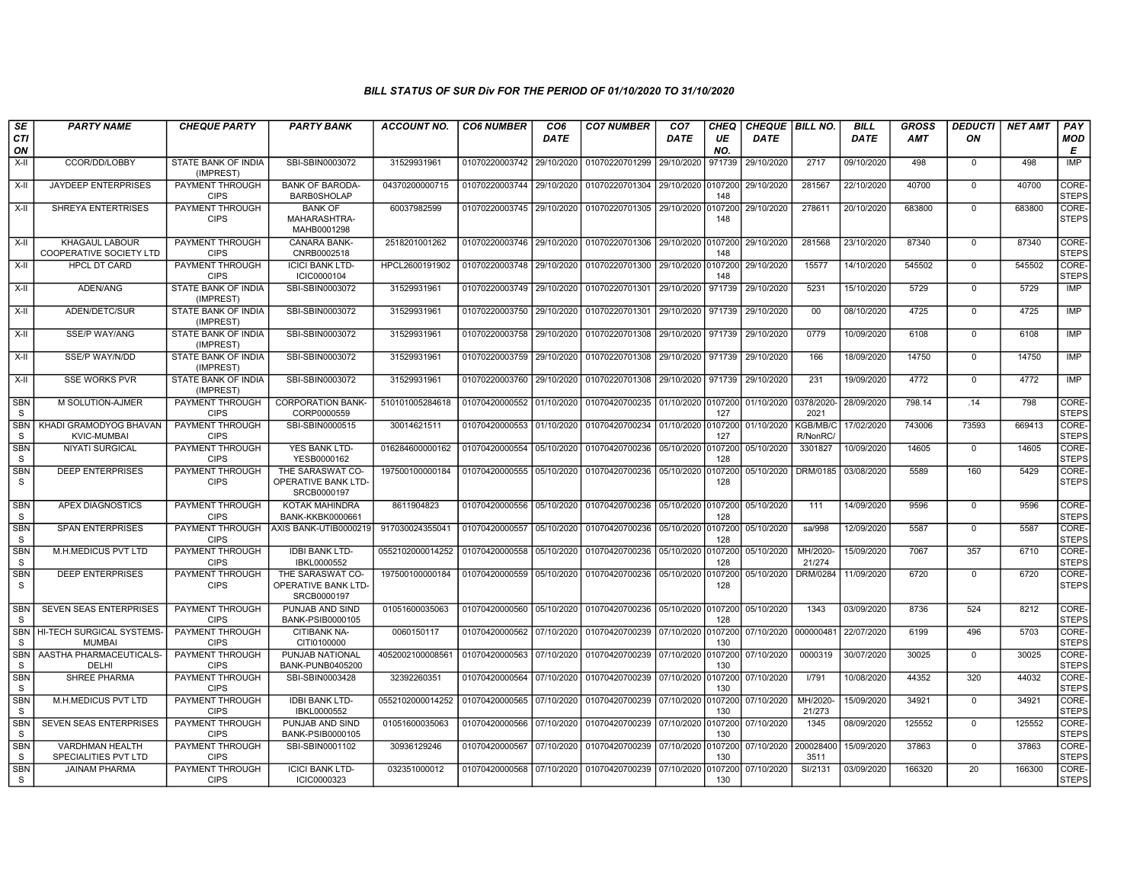| SE                         | <b>PARTY NAME</b>                                | <b>CHEQUE PARTY</b>                     | <b>PARTY BANK</b>                                             | ACCOUNT NO.      | <b>CO6 NUMBER</b>         | CO <sub>6</sub> | <b>CO7 NUMBER</b>                 | CO <sub>7</sub>     | CHEQ           | <b>CHEQUE BILL NO.</b> |                     | <b>BILL</b> | <b>GROSS</b> | <b>DEDUCTI</b> | <b>NET AMT</b> | <b>PAY</b>            |
|----------------------------|--------------------------------------------------|-----------------------------------------|---------------------------------------------------------------|------------------|---------------------------|-----------------|-----------------------------------|---------------------|----------------|------------------------|---------------------|-------------|--------------|----------------|----------------|-----------------------|
| CTI<br>ON                  |                                                  |                                         |                                                               |                  |                           | DATE            |                                   | DATE                | UE<br>NO.      | DATE                   |                     | <b>DATE</b> | <b>AMT</b>   | ΟN             |                | <b>MOD</b><br>E       |
| X-II                       | CCOR/DD/LOBBY                                    | STATE BANK OF INDIA<br>(IMPREST)        | SBI-SBIN0003072                                               | 31529931961      | 01070220003742            | 29/10/2020      | 01070220701299                    | 29/10/2020          | 971739         | 29/10/2020             | 2717                | 09/10/2020  | 498          | $\mathbf 0$    | 498            | IMP                   |
| $X-H$                      | JAYDEEP ENTERPRISES                              | PAYMENT THROUGH<br><b>CIPS</b>          | <b>BANK OF BARODA-</b><br><b>BARB0SHOLAP</b>                  | 04370200000715   | 01070220003744            | 29/10/2020      | 01070220701304 29/10/2020 0107200 |                     | 148            | 29/10/2020             | 281567              | 22/10/2020  | 40700        | $\mathbf 0$    | 40700          | CORE-<br><b>STEPS</b> |
| X-II                       | <b>SHREYA ENTERTRISES</b>                        | PAYMENT THROUGH<br><b>CIPS</b>          | <b>BANK OF</b><br>MAHARASHTRA-<br>MAHB0001298                 | 60037982599      | 01070220003745 29/10/2020 |                 | 01070220701305 29/10/2020 0107200 |                     | 148            | 29/10/2020             | 278611              | 20/10/2020  | 683800       | $\mathbf 0$    | 683800         | CORE-<br><b>STEPS</b> |
| X-II                       | <b>KHAGAUL LABOUR</b><br>COOPERATIVE SOCIETY LTD | PAYMENT THROUGH<br><b>CIPS</b>          | CANARA BANK-<br>CNRB0002518                                   | 2518201001262    | 01070220003746 29/10/2020 |                 | 01070220701306 29/10/2020 0107200 |                     | 148            | 29/10/2020             | 281568              | 23/10/2020  | 87340        | $\mathbf 0$    | 87340          | CORE-<br><b>STEPS</b> |
| $X-II$                     | <b>HPCL DT CARD</b>                              | PAYMENT THROUGH<br><b>CIPS</b>          | <b>ICICI BANK LTD-</b><br>ICIC0000104                         | HPCL2600191902   | 01070220003748            | 29/10/2020      | 01070220701300 29/10/2020 0107200 |                     | 148            | 29/10/2020             | 15577               | 14/10/2020  | 545502       | $\mathbf 0$    | 545502         | CORE-<br><b>STEPS</b> |
| X-II                       | ADEN/ANG                                         | STATE BANK OF INDIA<br>(IMPREST)        | SBI-SBIN0003072                                               | 31529931961      | 01070220003749            | 29/10/2020      | 01070220701301                    | 29/10/2020 971739   |                | 29/10/2020             | 5231                | 15/10/2020  | 5729         | $\mathbf 0$    | 5729           | <b>IMP</b>            |
| $X-H$                      | ADEN/DETC/SUR                                    | <b>STATE BANK OF INDIA</b><br>(IMPREST) | SBI-SBIN0003072                                               | 31529931961      | 01070220003750            | 29/10/2020      | 01070220701301                    | 29/10/2020          | 971739         | 29/10/2020             | 00                  | 08/10/2020  | 4725         | $\mathbf 0$    | 4725           | <b>IMP</b>            |
| X-II                       | <b>SSE/P WAY/ANG</b>                             | STATE BANK OF INDIA<br>(IMPREST)        | SBI-SBIN0003072                                               | 31529931961      | 01070220003758 29/10/2020 |                 | 01070220701308 29/10/2020 971739  |                     |                | 29/10/2020             | 0779                | 10/09/2020  | 6108         | $\mathbf 0$    | 6108           | IMP                   |
| X-II                       | <b>SSE/P WAY/N/DD</b>                            | <b>STATE BANK OF INDIA</b><br>(IMPREST) | SBI-SBIN0003072                                               | 31529931961      | 01070220003759            | 29/10/2020      | 01070220701308                    | 29/10/2020 971739   |                | 29/10/2020             | 166                 | 18/09/2020  | 14750        | $\mathbf 0$    | 14750          | <b>IMP</b>            |
| X-II                       | <b>SSE WORKS PVR</b>                             | STATE BANK OF INDIA<br>(IMPREST)        | SBI-SBIN0003072                                               | 31529931961      | 01070220003760            | 29/10/2020      | 01070220701308                    | 29/10/2020   971739 |                | 29/10/2020             | 231                 | 19/09/2020  | 4772         | $\Omega$       | 4772           | IMP                   |
| <b>SBN</b><br><sub>S</sub> | M SOLUTION-AJMER                                 | PAYMENT THROUGH<br><b>CIPS</b>          | <b>CORPORATION BANK-</b><br>CORP0000559                       | 510101005284618  | 01070420000552            | 01/10/2020      | 01070420700235 01/10/2020 0107200 |                     | 127            | 01/10/2020             | 0378/2020-<br>2021  | 28/09/2020  | 798.14       | .14            | 798            | CORE-<br>STEPS        |
| <b>SBN</b><br><sub>S</sub> | KHADI GRAMODYOG BHAVAN<br><b>KVIC-MUMBAI</b>     | <b>PAYMENT THROUGH</b><br><b>CIPS</b>   | SBI-SBIN0000515                                               | 30014621511      | 01070420000553            | 01/10/2020      | 01070420700234 01/10/2020 0107200 |                     | 127            | 01/10/2020             | KGB/MB/C<br>R/NonRC | 17/02/2020  | 743006       | 73593          | 669413         | CORE-<br><b>STEPS</b> |
| <b>SBN</b><br><sub>S</sub> | <b>NIYATI SURGICAL</b>                           | PAYMENT THROUGH<br><b>CIPS</b>          | YES BANK LTD-<br>YESB0000162                                  | 016284600000162  | 01070420000554            | 05/10/2020      | 01070420700236                    | 05/10/2020 0107200  | 128            | 05/10/2020             | 3301827             | 10/09/2020  | 14605        | $\mathbf 0$    | 14605          | CORE-<br><b>STEPS</b> |
| <b>SBN</b><br>S            | <b>DEEP ENTERPRISES</b>                          | PAYMENT THROUGH<br><b>CIPS</b>          | THE SARASWAT CO-<br><b>OPERATIVE BANK LTD-</b><br>SRCB0000197 | 197500100000184  | 01070420000555 05/10/2020 |                 | 01070420700236 05/10/2020 0107200 |                     | 128            | 05/10/2020             | DRM/0185 03/08/2020 |             | 5589         | 160            | 5429           | CORE-<br><b>STEPS</b> |
| <b>SBN</b><br><sub>S</sub> | APEX DIAGNOSTICS                                 | PAYMENT THROUGH<br><b>CIPS</b>          | KOTAK MAHINDRA<br>BANK-KKBK0000661                            | 8611904823       | 01070420000556            | 05/10/2020      | 01070420700236 05/10/2020 0107200 |                     | 128            | 05/10/2020             | 111                 | 14/09/2020  | 9596         | $\mathbf 0$    | 9596           | CORE-<br><b>STEPS</b> |
| <b>SBN</b><br>S            | <b>SPAN ENTERPRISES</b>                          | PAYMENT THROUGH<br><b>CIPS</b>          | AXIS BANK-UTIB0000219                                         | 917030024355041  | 01070420000557            | 05/10/2020      | 01070420700236                    | 05/10/2020 0107200  | 128            | 05/10/2020             | sa/998              | 12/09/2020  | 5587         | $\Omega$       | 5587           | CORE-<br><b>STEPS</b> |
| <b>SBN</b><br><b>S</b>     | M.H.MEDICUS PVT LTD                              | PAYMENT THROUGH<br><b>CIPS</b>          | <b>IDBI BANK LTD-</b><br>IBKL0000552                          | 0552102000014252 | 01070420000558            | 05/10/2020      | 01070420700236 05/10/2020 0107200 |                     | 128            | 05/10/2020             | MH/2020-<br>21/274  | 15/09/2020  | 7067         | 357            | 6710           | CORE-<br><b>STEPS</b> |
| <b>SBN</b><br>S.           | <b>DEEP ENTERPRISES</b>                          | <b>PAYMENT THROUGH</b><br><b>CIPS</b>   | THE SARASWAT CO-<br><b>OPERATIVE BANK LTD-</b><br>SRCB0000197 | 197500100000184  | 01070420000559 05/10/2020 |                 | 01070420700236 05/10/2020 0107200 |                     | 128            | 05/10/2020             | DRM/0284            | 11/09/2020  | 6720         | $\Omega$       | 6720           | CORE-<br><b>STEPS</b> |
| <b>SBN</b><br>S.           | <b>SEVEN SEAS ENTERPRISES</b>                    | PAYMENT THROUGH<br><b>CIPS</b>          | PUNJAB AND SIND<br>BANK-PSIB0000105                           | 01051600035063   | 01070420000560            | 05/10/2020      | 01070420700236 05/10/2020 0107200 |                     | 128            | 05/10/2020             | 1343                | 03/09/2020  | 8736         | 524            | 8212           | CORE-<br><b>STEPS</b> |
| <b>SBN</b><br>S.           | HI-TECH SURGICAL SYSTEMS-<br><b>MUMBAI</b>       | <b>PAYMENT THROUGH</b><br><b>CIPS</b>   | CITIBANK NA-<br>CITI0100000                                   | 0060150117       | 01070420000562 07/10/2020 |                 | 01070420700239 07/10/2020 0107200 |                     | 130            | 07/10/2020 000000481   |                     | 22/07/2020  | 6199         | 496            | 5703           | CORE-<br><b>STEPS</b> |
| <b>SBN</b><br>S.           | AASTHA PHARMACEUTICALS-<br>DELHI                 | <b>PAYMENT THROUGH</b><br><b>CIPS</b>   | PUNJAB NATIONAL<br>BANK-PUNB0405200                           | 4052002100008561 | 01070420000563            | 07/10/2020      | 01070420700239 07/10/2020         |                     | 0107200<br>130 | 07/10/2020             | 0000319             | 30/07/2020  | 30025        | $\Omega$       | 30025          | CORE-<br><b>STEPS</b> |
| SBN<br><sub>S</sub>        | SHREE PHARMA                                     | PAYMENT THROUGH<br><b>CIPS</b>          | SBI-SBIN0003428                                               | 32392260351      | 01070420000564            | 07/10/2020      | 01070420700239                    | 07/10/2020 0107200  | 130            | 07/10/2020             | I/791               | 10/08/2020  | 44352        | 320            | 44032          | CORE-<br><b>STEPS</b> |
| <b>SBN</b><br>S            | M.H.MEDICUS PVT LTD                              | PAYMENT THROUGH<br><b>CIPS</b>          | <b>IDBI BANK LTD-</b><br>IBKL0000552                          | 0552102000014252 | 01070420000565            | 07/10/2020      | 01070420700239 07/10/2020 0107200 |                     | 130            | 07/10/2020             | MH/2020-<br>21/273  | 15/09/2020  | 34921        | $\mathbf 0$    | 34921          | CORE-<br><b>STEPS</b> |
| <b>SBN</b><br>S.           | <b>SEVEN SEAS ENTERPRISES</b>                    | PAYMENT THROUGH<br><b>CIPS</b>          | PUNJAB AND SIND<br>BANK-PSIB0000105                           | 01051600035063   | 01070420000566            | 07/10/2020      | 01070420700239 07/10/2020 0107200 |                     | 130            | 07/10/2020             | 1345                | 08/09/2020  | 125552       | $\mathbf 0$    | 125552         | CORE-<br><b>STEPS</b> |
| <b>SBN</b><br>S            | <b>VARDHMAN HEALTH</b><br>SPECIALITIES PVT LTD   | <b>PAYMENT THROUGH</b><br><b>CIPS</b>   | SBI-SBIN0001102                                               | 30936129246      | 01070420000567            | 07/10/2020      | 01070420700239                    | 07/10/2020 0107200  | 130            | 07/10/2020             | 200028400<br>3511   | 15/09/2020  | 37863        | $\Omega$       | 37863          | CORE-<br><b>STEPS</b> |
| <b>SBN</b><br>S.           | <b>JAINAM PHARMA</b>                             | PAYMENT THROUGH<br><b>CIPS</b>          | <b>ICICI BANK LTD-</b><br>ICIC0000323                         | 032351000012     | 01070420000568 07/10/2020 |                 | 01070420700239 07/10/2020         |                     | 0107200<br>130 | 07/10/2020             | SI/2131             | 03/09/2020  | 166320       | 20             | 166300         | CORE-<br><b>STEPS</b> |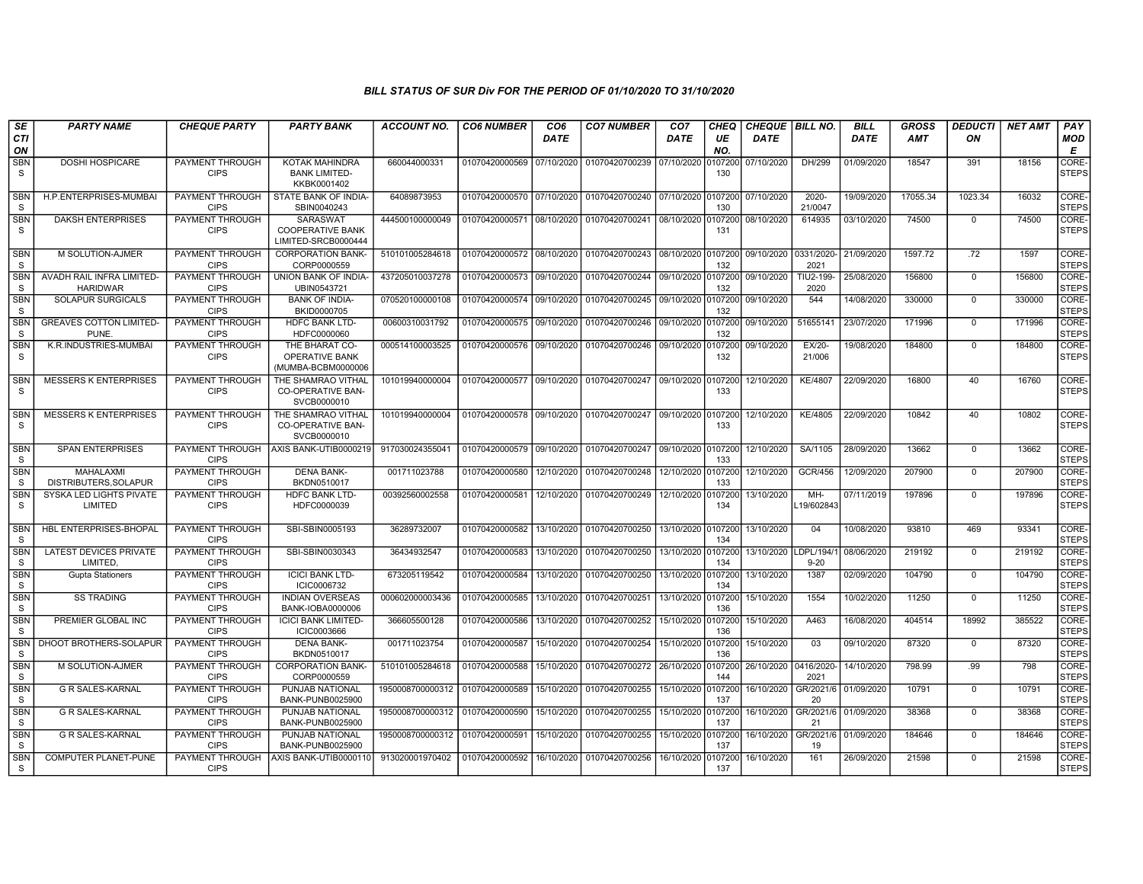| SE                         | <b>PARTY NAME</b>                           | <b>CHEQUE PARTY</b>                   | <b>PARTY BANK</b>                                             | ACCOUNT NO.      | <b>CO6 NUMBER</b>         | CO6         | <b>CO7 NUMBER</b>         | CO7         | CHEQ           | <b>CHEQUE   BILL NO.</b> |                       | <b>BILL</b> | GROSS      | <i><b>DEDUCTI</b></i> | NET AMT | <b>PAY</b>            |
|----------------------------|---------------------------------------------|---------------------------------------|---------------------------------------------------------------|------------------|---------------------------|-------------|---------------------------|-------------|----------------|--------------------------|-----------------------|-------------|------------|-----------------------|---------|-----------------------|
| <b>CTI</b><br>ON           |                                             |                                       |                                                               |                  |                           | <b>DATE</b> |                           | <b>DATE</b> | UE<br>NO.      | <b>DATE</b>              |                       | <b>DATE</b> | <b>AMT</b> | ON                    |         | MOD<br>Е              |
| <b>SBN</b><br>S            | <b>DOSHI HOSPICARE</b>                      | <b>PAYMENT THROUGH</b><br><b>CIPS</b> | KOTAK MAHINDRA<br><b>BANK LIMITED-</b><br>KKBK0001402         | 660044000331     | 01070420000569            | 07/10/2020  | 01070420700239            | 07/10/2020  | 107200<br>130  | 07/10/2020               | DH/299                | 01/09/2020  | 18547      | 391                   | 18156   | CORE-<br><b>STEPS</b> |
| <b>SBN</b><br>S            | H.P.ENTERPRISES-MUMBA                       | PAYMENT THROUGH<br><b>CIPS</b>        | STATE BANK OF INDIA-<br>SBIN0040243                           | 64089873953      | 01070420000570            | 07/10/2020  | 01070420700240 07/10/2020 |             | 107200<br>130  | 07/10/2020               | 2020-<br>21/0047      | 19/09/2020  | 17055.34   | 1023.34               | 16032   | CORE-<br><b>STEPS</b> |
| <b>SBN</b><br>S            | <b>DAKSH ENTERPRISES</b>                    | PAYMENT THROUGH<br><b>CIPS</b>        | SARASWAT<br><b>COOPERATIVE BANK</b><br>LIMITED-SRCB0000444    | 444500100000049  | 01070420000571            | 08/10/2020  | 01070420700241            | 08/10/2020  | 0107200<br>131 | 08/10/2020               | 614935                | 03/10/2020  | 74500      | $\mathbf{0}$          | 74500   | CORE-<br><b>STEPS</b> |
| <b>SBN</b><br>S            | M SOLUTION-AJMER                            | PAYMENT THROUGH<br><b>CIPS</b>        | <b>CORPORATION BANK-</b><br>CORP0000559                       | 510101005284618  | 01070420000572            | 08/10/2020  | 01070420700243            | 08/10/2020  | 107200<br>132  | 09/10/2020               | 0331/2020<br>2021     | 21/09/2020  | 1597.72    | .72                   | 1597    | CORE-<br><b>STEPS</b> |
| <b>SBN</b><br>S            | AVADH RAIL INFRA LIMITED<br><b>HARIDWAR</b> | <b>PAYMENT THROUGH</b><br><b>CIPS</b> | UNION BANK OF INDIA-<br>UBIN0543721                           | 437205010037278  | 01070420000573            | 09/10/2020  | 01070420700244            | 09/10/2020  | 0107200<br>132 | 09/10/2020               | TIU2-199-<br>2020     | 25/08/2020  | 156800     | $\mathbf 0$           | 156800  | CORE-<br><b>STEPS</b> |
| SBN<br>S                   | SOLAPUR SURGICALS                           | PAYMENT THROUGH<br><b>CIPS</b>        | <b>BANK OF INDIA-</b><br>BKID0000705                          | 070520100000108  | 01070420000574            | 09/10/2020  | 01070420700245 09/10/2020 |             | 107200<br>132  | 09/10/2020               | 544                   | 14/08/2020  | 330000     | $\mathbf{0}$          | 330000  | CORE-<br><b>STEPS</b> |
| <b>SBN</b><br>S            | <b>GREAVES COTTON LIMITED</b><br>PUNE.      | <b>PAYMENT THROUGH</b><br><b>CIPS</b> | <b>HDFC BANK LTD-</b><br>HDFC0000060                          | 00600310031792   | 01070420000575            | 09/10/2020  | 01070420700246            | 09/10/2020  | 107200<br>132  | 09/10/2020               | 51655141              | 23/07/2020  | 171996     | $\mathbf 0$           | 171996  | CORE-<br><b>STEPS</b> |
| SBN<br>S                   | K.R.INDUSTRIES-MUMBAI                       | PAYMENT THROUGH<br><b>CIPS</b>        | THE BHARAT CO-<br><b>OPERATIVE BANK</b><br>(MUMBA-BCBM0000006 | 000514100003525  | 01070420000576            | 09/10/2020  | 01070420700246            | 09/10/2020  | 107200<br>132  | 09/10/2020               | EX/20-<br>21/006      | 19/08/2020  | 184800     | $\Omega$              | 184800  | CORE-<br><b>STEPS</b> |
| <b>SBN</b><br>S            | <b>MESSERS K ENTERPRISES</b>                | <b>PAYMENT THROUGH</b><br><b>CIPS</b> | THE SHAMRAO VITHAL<br><b>CO-OPERATIVE BAN-</b><br>SVCB0000010 | 101019940000004  | 01070420000577 09/10/2020 |             | 01070420700247 09/10/2020 |             | 107200<br>133  | 12/10/2020               | <b>KE/4807</b>        | 22/09/2020  | 16800      | 40                    | 16760   | CORE-<br><b>STEPS</b> |
| <b>SBN</b><br>S            | <b>MESSERS K ENTERPRISES</b>                | PAYMENT THROUGH<br><b>CIPS</b>        | THE SHAMRAO VITHAL<br><b>CO-OPERATIVE BAN-</b><br>SVCB0000010 | 101019940000004  | 01070420000578 09/10/2020 |             | 01070420700247 09/10/2020 |             | 107200<br>133  | 12/10/2020               | KE/4805               | 22/09/2020  | 10842      | 40                    | 10802   | CORE-<br><b>STEPS</b> |
| <b>SBN</b><br>S            | <b>SPAN ENTERPRISES</b>                     | PAYMENT THROUGH<br><b>CIPS</b>        | AXIS BANK-UTIB0000219                                         | 917030024355041  | 01070420000579 09/10/2020 |             | 01070420700247 09/10/2020 |             | 107200<br>133  | 12/10/2020               | SA/1105               | 28/09/2020  | 13662      | $\mathbf 0$           | 13662   | CORE-<br><b>STEPS</b> |
| <b>SBN</b><br><sub>S</sub> | <b>MAHALAXMI</b><br>DISTRIBUTERS.SOLAPUR    | PAYMENT THROUGH<br><b>CIPS</b>        | <b>DENA BANK-</b><br>BKDN0510017                              | 001711023788     | 01070420000580            | 12/10/2020  | 01070420700248            | 12/10/2020  | 0107200<br>133 | 12/10/2020               | GCR/456               | 12/09/2020  | 207900     | $\mathbf{0}$          | 207900  | CORE-<br><b>STEPS</b> |
| <b>SBN</b><br>S            | SYSKA LED LIGHTS PIVATE<br>LIMITED          | PAYMENT THROUGH<br><b>CIPS</b>        | <b>HDFC BANK LTD-</b><br>HDFC0000039                          | 00392560002558   | 01070420000581            | 12/10/2020  | 01070420700249            | 12/10/2020  | 107200<br>134  | 13/10/2020               | MH-<br>19/602843      | 07/11/2019  | 197896     | $\mathbf{0}$          | 197896  | CORE-<br><b>STEPS</b> |
| <b>SBN</b><br>S            | HBL ENTERPRISES-BHOPAL                      | PAYMENT THROUGH<br><b>CIPS</b>        | SBI-SBIN0005193                                               | 36289732007      | 01070420000582            | 13/10/2020  | 01070420700250            | 13/10/2020  | 0107200<br>134 | 13/10/2020               | 04                    | 10/08/2020  | 93810      | 469                   | 93341   | CORE-<br><b>STEPS</b> |
| <b>SBN</b><br>S            | <b>LATEST DEVICES PRIVATE</b><br>LIMITED    | PAYMENT THROUGH<br><b>CIPS</b>        | SBI-SBIN0030343                                               | 36434932547      | 01070420000583            | 13/10/2020  | 01070420700250            | 13/10/2020  | 0107200<br>134 | 13/10/2020               | LDPL/194/<br>$9 - 20$ | 08/06/2020  | 219192     | $\mathbf 0$           | 219192  | CORE-<br><b>STEPS</b> |
| <b>SBN</b><br>S            | <b>Gupta Stationers</b>                     | <b>PAYMENT THROUGH</b><br><b>CIPS</b> | <b>ICICI BANK LTD-</b><br>ICIC0006732                         | 673205119542     | 01070420000584            | 13/10/2020  | 01070420700250            | 13/10/2020  | 107200<br>134  | 13/10/2020               | 1387                  | 02/09/2020  | 104790     | $\mathbf 0$           | 104790  | CORE-<br><b>STEPS</b> |
| <b>SBN</b><br>S            | <b>SS TRADING</b>                           | PAYMENT THROUGH<br><b>CIPS</b>        | <b>INDIAN OVERSEAS</b><br>BANK-IOBA0000006                    | 000602000003436  | 01070420000585            | 13/10/2020  | 01070420700251            | 13/10/2020  | 107200<br>136  | 15/10/2020               | 1554                  | 10/02/2020  | 11250      | $\mathbf 0$           | 11250   | CORE-<br><b>STEPS</b> |
| <b>SBN</b><br>S            | PREMIER GLOBAL INC                          | PAYMENT THROUGH<br><b>CIPS</b>        | <b>ICICI BANK LIMITED-</b><br>ICIC0003666                     | 366605500128     | 01070420000586            | 13/10/2020  | 01070420700252            | 15/10/2020  | 107200<br>136  | 15/10/2020               | A463                  | 16/08/2020  | 404514     | 18992                 | 385522  | CORE-<br><b>STEPS</b> |
| <b>SBN</b><br>S            | DHOOT BROTHERS-SOLAPUR                      | PAYMENT THROUGH<br><b>CIPS</b>        | <b>DENA BANK-</b><br>BKDN0510017                              | 001711023754     | 01070420000587            | 15/10/2020  | 01070420700254            | 15/10/2020  | 0107200<br>136 | 15/10/2020               | 03                    | 09/10/2020  | 87320      | $\mathbf{0}$          | 87320   | CORE-<br><b>STEPS</b> |
| <b>SBN</b><br>S            | M SOLUTION-AJMER                            | PAYMENT THROUGH<br><b>CIPS</b>        | <b>CORPORATION BANK-</b><br>CORP0000559                       | 510101005284618  | 01070420000588            | 15/10/2020  | 01070420700272            | 26/10/2020  | 107200<br>144  | 26/10/2020               | 0416/2020<br>2021     | 14/10/2020  | 798.99     | .99                   | 798     | CORE-<br><b>STEPS</b> |
| <b>SBN</b><br>S            | <b>G R SALES-KARNAL</b>                     | PAYMENT THROUGH<br><b>CIPS</b>        | PUNJAB NATIONAL<br><b>BANK-PUNB0025900</b>                    | 1950008700000312 | 01070420000589            | 15/10/2020  | 01070420700255            | 15/10/2020  | 107200<br>137  | 16/10/2020               | GR/2021/6<br>20       | 01/09/2020  | 10791      | $\mathbf 0$           | 10791   | CORE-<br><b>STEPS</b> |
| <b>SBN</b><br>S            | <b>G R SALES-KARNAL</b>                     | PAYMENT THROUGH<br><b>CIPS</b>        | PUNJAB NATIONAL<br>BANK-PUNB0025900                           | 1950008700000312 | 01070420000590            | 15/10/2020  | 01070420700255            | 15/10/2020  | 107200<br>137  | 16/10/2020               | GR/2021/6<br>21       | 01/09/2020  | 38368      | $\mathbf{0}$          | 38368   | CORE-<br><b>STEPS</b> |
| <b>SBN</b><br>S            | G R SALES-KARNAL                            | <b>PAYMENT THROUGH</b><br><b>CIPS</b> | PUNJAB NATIONAL<br><b>BANK-PUNB0025900</b>                    | 1950008700000312 | 01070420000591            | 15/10/2020  | 01070420700255            | 15/10/2020  | 107200<br>137  | 16/10/2020               | GR/2021/6<br>19       | 01/09/2020  | 184646     | 0                     | 184646  | CORE-<br><b>STEPS</b> |
| <b>SBN</b><br>S            | <b>COMPUTER PLANET-PUNE</b>                 | <b>PAYMENT THROUGH</b><br><b>CIPS</b> | AXIS BANK-UTIB0000110                                         | 913020001970402  | 01070420000592            | 16/10/2020  | 01070420700256            | 16/10/2020  | 107200<br>137  | 16/10/2020               | 161                   | 26/09/2020  | 21598      | $\mathbf{0}$          | 21598   | CORE-<br><b>STEPS</b> |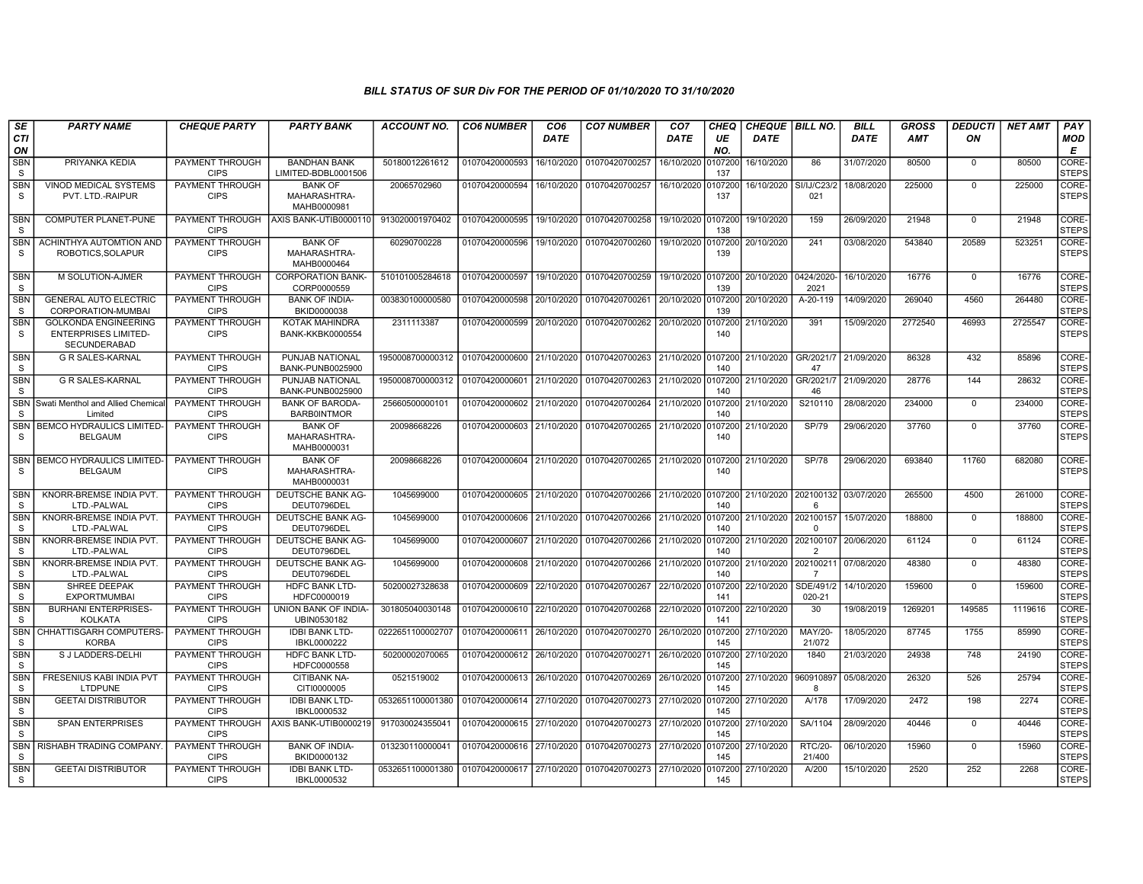| SE                         | <b>PARTY NAME</b>                                                                 | <b>CHEQUE PARTY</b>                   | <b>PARTY BANK</b>                                | ACCOUNT NO.                                | <b>CO6 NUMBER</b>         | CO <sub>6</sub> | <b>CO7 NUMBER</b>         | CO <sub>7</sub> | CHEQ           | <b>CHEQUE   BILL NO.</b> |                             | <b>BILL</b> | GROSS      | <b>DEDUCTI</b> | <b>NET AMT</b> | PAY                   |
|----------------------------|-----------------------------------------------------------------------------------|---------------------------------------|--------------------------------------------------|--------------------------------------------|---------------------------|-----------------|---------------------------|-----------------|----------------|--------------------------|-----------------------------|-------------|------------|----------------|----------------|-----------------------|
| CTI<br>ON                  |                                                                                   |                                       |                                                  |                                            |                           | DATE            |                           | DATE            | UE<br>NO.      | <b>DATE</b>              |                             | <b>DATE</b> | <b>AMT</b> | ON             |                | MOD<br>Е              |
| <b>SBN</b><br>S            | PRIYANKA KEDIA                                                                    | PAYMENT THROUGH<br><b>CIPS</b>        | <b>BANDHAN BANK</b><br>LIMITED-BDBL0001506       | 50180012261612                             | 01070420000593            | 16/10/2020      | 01070420700257            | 16/10/2020      | 107200<br>137  | 16/10/2020               | 86                          | 31/07/2020  | 80500      | $\mathbf 0$    | 80500          | CORE-<br><b>STEPS</b> |
| <b>SBN</b><br>S.           | VINOD MEDICAL SYSTEMS<br>PVT. LTD.-RAIPUR                                         | <b>PAYMENT THROUGH</b><br><b>CIPS</b> | <b>BANK OF</b><br>MAHARASHTRA-<br>MAHB0000981    | 20065702960                                | 01070420000594            | 16/10/2020      | 01070420700257            | 16/10/2020      | 0107200<br>137 | 16/10/2020               | SI/IJ/C23/2<br>021          | 18/08/2020  | 225000     | $\mathbf 0$    | 225000         | CORE-<br><b>STEPS</b> |
| <b>SBN</b><br>S            | <b>COMPUTER PLANET-PUNE</b>                                                       | PAYMENT THROUGH<br><b>CIPS</b>        | AXIS BANK-UTIB0000110                            | 913020001970402                            | 01070420000595            | 19/10/2020      | 01070420700258            | 19/10/2020      | 0107200<br>138 | 19/10/2020               | 159                         | 26/09/2020  | 21948      | $\Omega$       | 21948          | CORE-<br><b>STEPS</b> |
| <b>SBN</b><br><sub>S</sub> | ACHINTHYA AUTOMTION AND<br>ROBOTICS, SOLAPUR                                      | <b>PAYMENT THROUGH</b><br><b>CIPS</b> | <b>BANK OF</b><br>MAHARASHTRA-<br>MAHB0000464    | 60290700228                                | 01070420000596            | 19/10/2020      | 01070420700260            | 19/10/2020      | 107200<br>139  | 20/10/2020               | 241                         | 03/08/2020  | 543840     | 20589          | 523251         | CORE-<br><b>STEPS</b> |
| <b>SBN</b><br><sub>S</sub> | M SOLUTION-AJMER                                                                  | <b>PAYMENT THROUGH</b><br><b>CIPS</b> | <b>CORPORATION BANK-</b><br>CORP0000559          | 510101005284618                            | 01070420000597            | 19/10/2020      | 01070420700259            | 19/10/2020      | 0107200<br>139 | 20/10/2020 0424/2020     | 2021                        | 16/10/2020  | 16776      | $\Omega$       | 16776          | CORE-<br><b>STEPS</b> |
| <b>SBN</b><br>S.           | <b>GENERAL AUTO ELECTRIC</b><br>CORPORATION-MUMBAI                                | <b>PAYMENT THROUGH</b><br><b>CIPS</b> | <b>BANK OF INDIA-</b><br>BKID0000038             | 003830100000580                            | 01070420000598            | 20/10/2020      | 01070420700261            | 20/10/2020      | 0107200<br>139 | 20/10/2020               | A-20-119                    | 14/09/2020  | 269040     | 4560           | 264480         | CORE-<br><b>STEPS</b> |
| <b>SBN</b><br>S            | <b>GOLKONDA ENGINEERING</b><br><b>ENTERPRISES LIMITED-</b><br><b>SECUNDERABAD</b> | PAYMENT THROUGH<br><b>CIPS</b>        | <b>KOTAK MAHINDRA</b><br><b>BANK-KKBK0000554</b> | 2311113387                                 | 01070420000599            | 20/10/2020      | 01070420700262            | 20/10/2020      | 107200<br>140  | 21/10/2020               | 391                         | 15/09/2020  | 2772540    | 46993          | 2725547        | CORE-<br><b>STEPS</b> |
| <b>SBN</b><br>S            | <b>G R SALES-KARNAL</b>                                                           | PAYMENT THROUGH<br><b>CIPS</b>        | PUNJAB NATIONAL<br>BANK-PUNB0025900              | 1950008700000312 01070420000600 21/10/2020 |                           |                 | 01070420700263            | 21/10/2020      | 0107200<br>140 | 21/10/2020               | GR/2021/7<br>47             | 21/09/2020  | 86328      | 432            | 85896          | CORE-<br><b>STEPS</b> |
| <b>SBN</b><br>S            | <b>G R SALES-KARNAL</b>                                                           | <b>PAYMENT THROUGH</b><br><b>CIPS</b> | PUNJAB NATIONAL<br>BANK-PUNB0025900              | 1950008700000312                           | 01070420000601            | 21/10/2020      | 01070420700263            | 21/10/2020      | 0107200<br>140 | 21/10/2020               | GR/2021/7<br>46             | 21/09/2020  | 28776      | 144            | 28632          | CORE-<br><b>STEPS</b> |
| SBN<br>S.                  | Swati Menthol and Allied Chemica<br>Limited                                       | PAYMENT THROUGH<br><b>CIPS</b>        | <b>BANK OF BARODA-</b><br><b>BARB0INTMOR</b>     | 25660500000101                             | 01070420000602            | 21/10/2020      | 01070420700264            | 21/10/2020      | 107200<br>140  | 21/10/2020               | S210110                     | 28/08/2020  | 234000     | $\Omega$       | 234000         | CORE-<br><b>STEPS</b> |
| <b>SBN</b><br>S.           | <b>BEMCO HYDRAULICS LIMITED</b><br><b>BELGAUM</b>                                 | PAYMENT THROUGH<br><b>CIPS</b>        | <b>BANK OF</b><br>MAHARASHTRA-<br>MAHB0000031    | 20098668226                                | 01070420000603            | 21/10/2020      | 01070420700265            | 21/10/2020      | 107200<br>140  | 21/10/2020               | <b>SP/79</b>                | 29/06/2020  | 37760      | $\mathbf 0$    | 37760          | CORE-<br><b>STEPS</b> |
| <b>SBN</b><br>-S           | <b>BEMCO HYDRAULICS LIMITED-</b><br><b>BELGAUM</b>                                | PAYMENT THROUGH<br><b>CIPS</b>        | <b>BANK OF</b><br>MAHARASHTRA-<br>MAHB0000031    | 20098668226                                | 01070420000604            | 21/10/2020      | 01070420700265            | 21/10/2020      | 0107200<br>140 | 21/10/2020               | <b>SP/78</b>                | 29/06/2020  | 693840     | 11760          | 682080         | CORE-<br><b>STEPS</b> |
| <b>SBN</b><br>S.           | KNORR-BREMSE INDIA PVT.<br>LTD.-PALWAL                                            | PAYMENT THROUGH<br><b>CIPS</b>        | <b>DEUTSCHE BANK AG-</b><br>DEUT0796DEL          | 1045699000                                 | 01070420000605            | 21/10/2020      | 01070420700266 21/10/2020 |                 | 0107200<br>140 | 21/10/2020 202100132     |                             | 03/07/2020  | 265500     | 4500           | 261000         | CORE-<br><b>STEPS</b> |
| <b>SBN</b><br><sub>S</sub> | KNORR-BREMSE INDIA PVT.<br>LTD.-PALWAL                                            | PAYMENT THROUGH<br><b>CIPS</b>        | DEUTSCHE BANK AG-<br>DEUT0796DEL                 | 1045699000                                 | 01070420000606            | 21/10/2020      | 01070420700266            | 21/10/2020      | 107200<br>140  | 21/10/2020               | 202100157                   | 15/07/2020  | 188800     | $\mathbf 0$    | 188800         | CORE-<br><b>STEPS</b> |
| <b>SBN</b><br><sub>S</sub> | KNORR-BREMSE INDIA PVT.<br>LTD.-PALWAL                                            | PAYMENT THROUGH<br><b>CIPS</b>        | DEUTSCHE BANK AG-<br>DEUT0796DEL                 | 1045699000                                 | 01070420000607            | 21/10/2020      | 01070420700266            | 21/10/2020      | 0107200<br>140 | 21/10/2020               | 202100107<br>$\overline{2}$ | 20/06/2020  | 61124      | $\Omega$       | 61124          | CORE-<br><b>STEPS</b> |
| <b>SBN</b><br><sub>S</sub> | KNORR-BREMSE INDIA PVT.<br>LTD.-PALWAL                                            | PAYMENT THROUGH<br><b>CIPS</b>        | DEUTSCHE BANK AG-<br>DEUT0796DEL                 | 1045699000                                 | 01070420000608            | 21/10/2020      | 01070420700266            | 21/10/2020      | 107200<br>140  | 21/10/2020               | 202100211                   | 07/08/2020  | 48380      | $\Omega$       | 48380          | CORE-<br><b>STEPS</b> |
| <b>SBN</b><br><sub>S</sub> | <b>SHREE DEEPAK</b><br><b>EXPORTMUMBAI</b>                                        | <b>PAYMENT THROUGH</b><br><b>CIPS</b> | <b>HDFC BANK LTD-</b><br>HDFC0000019             | 50200027328638                             | 01070420000609            | 22/10/2020      | 01070420700267            | 22/10/2020      | 0107200<br>141 | 22/10/2020               | SDE/491/2<br>020-21         | 14/10/2020  | 159600     | $\Omega$       | 159600         | CORE-<br><b>STEPS</b> |
| <b>SBN</b><br><b>S</b>     | <b>BURHANI ENTERPRISES-</b><br><b>KOLKATA</b>                                     | PAYMENT THROUGH<br><b>CIPS</b>        | UNION BANK OF INDIA-<br>UBIN0530182              | 301805040030148                            | 01070420000610            | 22/10/2020      | 01070420700268            | 22/10/2020      | 0107200<br>141 | 22/10/2020               | 30                          | 19/08/2019  | 1269201    | 149585         | 1119616        | CORE-<br><b>STEPS</b> |
| <b>SBN</b><br><sub>S</sub> | CHHATTISGARH COMPUTERS<br><b>KORBA</b>                                            | PAYMENT THROUGH<br><b>CIPS</b>        | <b>IDBI BANK LTD-</b><br>IBKL0000222             | 0222651100002707                           | 01070420000611            | 26/10/2020      | 01070420700270            | 26/10/2020      | 0107200<br>145 | 27/10/2020               | MAY/20-<br>21/072           | 18/05/2020  | 87745      | 1755           | 85990          | CORE-<br><b>STEPS</b> |
| <b>SBN</b><br>S.           | S J LADDERS-DELHI                                                                 | PAYMENT THROUGH<br><b>CIPS</b>        | <b>HDFC BANK LTD-</b><br>HDFC0000558             | 50200002070065                             | 01070420000612 26/10/2020 |                 | 01070420700271 26/10/2020 |                 | 0107200<br>145 | 27/10/2020               | 1840                        | 21/03/2020  | 24938      | 748            | 24190          | CORE-<br><b>STEPS</b> |
| <b>SBN</b><br>S.           | FRESENIUS KABI INDIA PVT<br>LTDPUNE                                               | <b>PAYMENT THROUGH</b><br><b>CIPS</b> | CITIBANK NA-<br>CITI0000005                      | 0521519002                                 | 01070420000613            | 26/10/2020      | 01070420700269            | 26/10/2020      | 107200<br>145  | 27/10/2020               | 960910897<br>R              | 05/08/2020  | 26320      | 526            | 25794          | CORE-<br><b>STEPS</b> |
| <b>SBN</b><br>S.           | <b>GEETAI DISTRIBUTOR</b>                                                         | PAYMENT THROUGH<br><b>CIPS</b>        | <b>IDBI BANK LTD-</b><br>IBKL0000532             | 0532651100001380                           | 01070420000614            | 27/10/2020      | 01070420700273 27/10/2020 |                 | 107200<br>145  | 27/10/2020               | A/178                       | 17/09/2020  | 2472       | 198            | 2274           | CORE-<br><b>STEPS</b> |
| <b>SBN</b><br>S            | <b>SPAN ENTERPRISES</b>                                                           | <b>CIPS</b>                           | PAYMENT THROUGH AXIS BANK-UTIB0000219            | 917030024355041                            | 01070420000615            | 27/10/2020      | 01070420700273            | 27/10/2020      | 107200<br>145  | 27/10/2020               | SA/1104                     | 28/09/2020  | 40446      | $\Omega$       | 40446          | CORE-<br><b>STEPS</b> |
| <b>SBN</b><br>S.           | <b>RISHABH TRADING COMPANY</b>                                                    | <b>PAYMENT THROUGH</b><br><b>CIPS</b> | <b>BANK OF INDIA-</b><br>BKID0000132             | 013230110000041                            | 01070420000616 27/10/2020 |                 | 01070420700273 27/10/2020 |                 | 0107200<br>145 | 27/10/2020               | <b>RTC/20-</b><br>21/400    | 06/10/2020  | 15960      | $\Omega$       | 15960          | CORE-<br><b>STEPS</b> |
| <b>SBN</b><br>S.           | <b>GEETAI DISTRIBUTOR</b>                                                         | PAYMENT THROUGH<br><b>CIPS</b>        | <b>IDBI BANK LTD-</b><br>IBKL0000532             | 0532651100001380 01070420000617 27/10/2020 |                           |                 | 01070420700273            | 27/10/2020      | 107200<br>145  | 27/10/2020               | A/200                       | 15/10/2020  | 2520       | 252            | 2268           | CORE-<br><b>STEPS</b> |